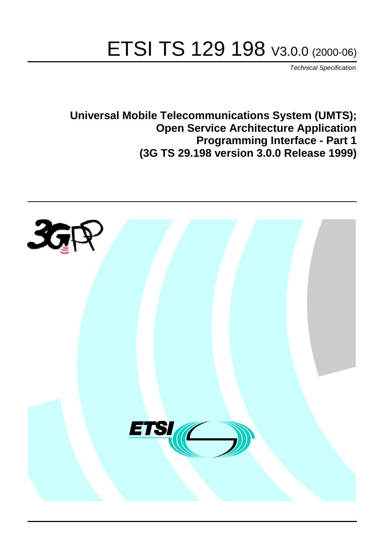# ETSI TS 129 198 V3.0.0 (2000-06)

Technical Specification

**Universal Mobile Telecommunications System (UMTS); Open Service Architecture Application Programming Interface - Part 1 (3G TS 29.198 version 3.0.0 Release 1999)**

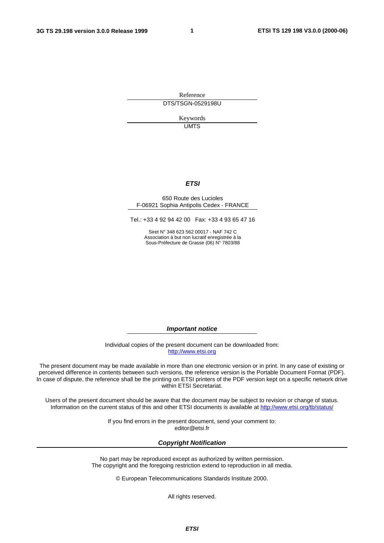**1**

Reference DTS/TSGN-0529198U

> Keywords **UMTS**

#### **ETSI**

#### 650 Route des Lucioles F-06921 Sophia Antipolis Cedex - FRANCE

Tel.: +33 4 92 94 42 00 Fax: +33 4 93 65 47 16

Siret N° 348 623 562 00017 - NAF 742 C Association à but non lucratif enregistrée à la Sous-Préfecture de Grasse (06) N° 7803/88

**Important notice**

Individual copies of the present document can be downloaded from: [http://www.etsi.org](http://www.etsi.org/)

The present document may be made available in more than one electronic version or in print. In any case of existing or perceived difference in contents between such versions, the reference version is the Portable Document Format (PDF). In case of dispute, the reference shall be the printing on ETSI printers of the PDF version kept on a specific network drive within ETSI Secretariat.

Users of the present document should be aware that the document may be subject to revision or change of status. Information on the current status of this and other ETSI documents is available at [http://www.etsi.org/tb/status/](http://www.etsi.org/tb/status)

> If you find errors in the present document, send your comment to: <editor@etsi.fr>

#### **Copyright Notification**

No part may be reproduced except as authorized by written permission. The copyright and the foregoing restriction extend to reproduction in all media.

© European Telecommunications Standards Institute 2000.

All rights reserved.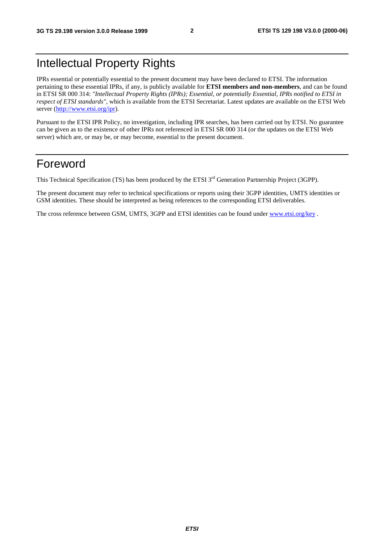# Intellectual Property Rights

IPRs essential or potentially essential to the present document may have been declared to ETSI. The information pertaining to these essential IPRs, if any, is publicly available for **ETSI members and non-members**, and can be found in ETSI SR 000 314: *"Intellectual Property Rights (IPRs); Essential, or potentially Essential, IPRs notified to ETSI in respect of ETSI standards"*, which is available from the ETSI Secretariat. Latest updates are available on the ETSI Web server (<http://www.etsi.org/ipr>).

Pursuant to the ETSI IPR Policy, no investigation, including IPR searches, has been carried out by ETSI. No guarantee can be given as to the existence of other IPRs not referenced in ETSI SR 000 314 (or the updates on the ETSI Web server) which are, or may be, or may become, essential to the present document.

# Foreword

This Technical Specification (TS) has been produced by the ETSI 3<sup>rd</sup> Generation Partnership Project (3GPP).

The present document may refer to technical specifications or reports using their 3GPP identities, UMTS identities or GSM identities. These should be interpreted as being references to the corresponding ETSI deliverables.

The cross reference between GSM, UMTS, 3GPP and ETSI identities can be found under [www.etsi.org/key](http://www.etsi.org/key).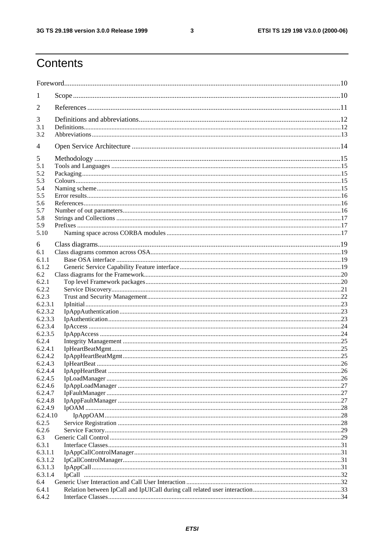$\mathbf{3}$ 

# Contents

| $\perp$            |  |
|--------------------|--|
| 2                  |  |
| 3                  |  |
| 3.1                |  |
| 3.2                |  |
| 4                  |  |
|                    |  |
| 5                  |  |
| 5.1<br>5.2         |  |
| 5.3                |  |
| 5.4                |  |
| 5.5                |  |
| 5.6                |  |
| 5.7                |  |
| 5.8                |  |
| 5.9                |  |
| 5.10               |  |
|                    |  |
| 6                  |  |
| 6.1<br>6.1.1       |  |
| 6.1.2              |  |
| 6.2                |  |
| 6.2.1              |  |
| 6.2.2              |  |
| 6.2.3              |  |
| 6.2.3.1            |  |
| 6.2.3.2            |  |
| 6.2.3.3            |  |
| 6.2.3.4            |  |
| 6.2.3.5            |  |
| 6.2.4              |  |
| 6.2.4.1            |  |
| 6.2.4.2<br>6.2.4.3 |  |
| 6.2.4.4            |  |
| 6.2.4.5            |  |
| 6.2.4.6            |  |
| 6.2.4.7            |  |
| 6.2.4.8            |  |
| 6.2.4.9            |  |
| 6.2.4.10           |  |
| 6.2.5              |  |
| 6.2.6              |  |
| 6.3                |  |
| 6.3.1              |  |
| 6.3.1.1            |  |
| 6.3.1.2            |  |
| 6.3.1.3            |  |
| 6.3.1.4            |  |
| 6.4                |  |
| 6.4.1<br>6.4.2     |  |
|                    |  |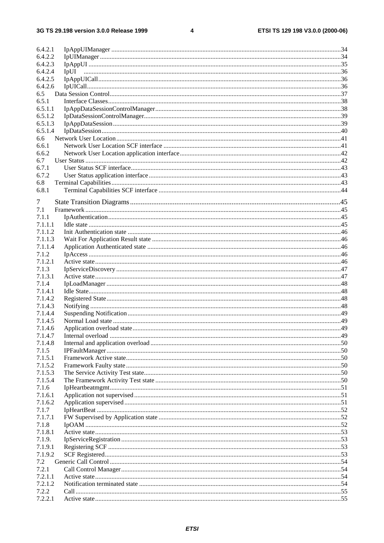#### $\overline{\mathbf{4}}$

| 6.4.2.1 |      |  |
|---------|------|--|
| 6.4.2.2 |      |  |
| 6.4.2.3 |      |  |
| 6.4.2.4 | IpUI |  |
| 6.4.2.5 |      |  |
| 6.4.2.6 |      |  |
|         |      |  |
| 6.5     |      |  |
| 6.5.1   |      |  |
| 6.5.1.1 |      |  |
| 6.5.1.2 |      |  |
| 6.5.1.3 |      |  |
| 6.5.1.4 |      |  |
|         |      |  |
| 6.6     |      |  |
| 6.6.1   |      |  |
| 6.6.2   |      |  |
| 6.7     |      |  |
| 6.7.1   |      |  |
| 6.7.2   |      |  |
| 6.8     |      |  |
|         |      |  |
| 6.8.1   |      |  |
| 7       |      |  |
|         |      |  |
| 7.1     |      |  |
| 7.1.1   |      |  |
| 7.1.1.1 |      |  |
| 7.1.1.2 |      |  |
| 7.1.1.3 |      |  |
| 7.1.1.4 |      |  |
| 7.1.2   |      |  |
|         |      |  |
| 7.1.2.1 |      |  |
| 7.1.3   |      |  |
| 7.1.3.1 |      |  |
| 7.1.4   |      |  |
| 7.1.4.1 |      |  |
| 7.1.4.2 |      |  |
| 7.1.4.3 |      |  |
|         |      |  |
| 7.1.4.4 |      |  |
| 7.1.4.5 |      |  |
| 7.1.4.6 |      |  |
| 7.1.4.7 |      |  |
| 7.1.4.8 |      |  |
| 7.1.5   |      |  |
| 7.1.5.1 |      |  |
|         |      |  |
| 7.1.5.2 |      |  |
| 7.1.5.3 |      |  |
| 7.1.5.4 |      |  |
| 7.1.6   |      |  |
| 7.1.6.1 |      |  |
| 7.1.6.2 |      |  |
| 7.1.7   |      |  |
| 7.1.7.1 |      |  |
|         |      |  |
| 7.1.8   |      |  |
| 7.1.8.1 |      |  |
| 7.1.9.  |      |  |
| 7.1.9.1 |      |  |
| 7.1.9.2 |      |  |
| 7.2     |      |  |
| 7.2.1   |      |  |
|         |      |  |
| 7.2.1.1 |      |  |
| 7.2.1.2 |      |  |
| 7.2.2   |      |  |
| 7.2.2.1 |      |  |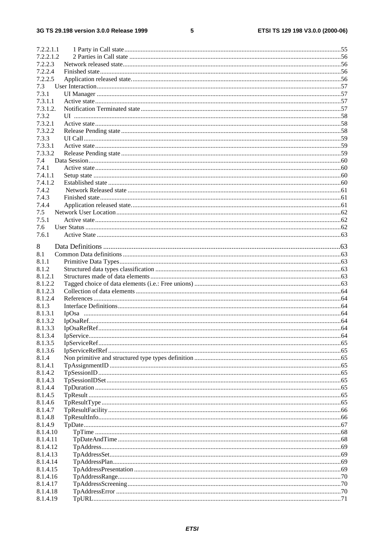#### $\overline{\mathbf{5}}$

| 7.2.2.1.1 |  |
|-----------|--|
| 7.2.2.1.2 |  |
| 7.2.2.3   |  |
| 7.2.2.4   |  |
| 7.2.2.5   |  |
| 7.3       |  |
| 7.3.1     |  |
| 7.3.1.1   |  |
|           |  |
| 7.3.1.2.  |  |
| 7.3.2     |  |
| 7.3.2.1   |  |
| 7.3.2.2   |  |
| 7.3.3     |  |
| 7.3.3.1   |  |
| 7.3.3.2   |  |
| 7.4       |  |
| 7.4.1     |  |
| 7.4.1.1   |  |
|           |  |
| 7.4.1.2   |  |
| 7.4.2     |  |
| 7.4.3     |  |
| 7.4.4     |  |
| 7.5       |  |
| 7.5.1     |  |
| 7.6       |  |
| 7.6.1     |  |
|           |  |
| 8         |  |
| 8.1       |  |
| 8.1.1     |  |
| 8.1.2     |  |
|           |  |
| 8.1.2.1   |  |
| 8.1.2.2   |  |
| 8.1.2.3   |  |
| 8.1.2.4   |  |
| 8.1.3     |  |
| 8.1.3.1   |  |
| 8.1.3.2   |  |
| 8.1.3.3   |  |
| 8.1.3.4   |  |
| 8.1.3.5   |  |
|           |  |
| 8.1.3.6   |  |
| 8.1.4     |  |
| 8.1.4.1   |  |
| 8.1.4.2   |  |
| 8.1.4.3   |  |
| 8.1.4.4   |  |
| 8.1.4.5   |  |
| 8.1.4.6   |  |
| 8.1.4.7   |  |
| 8.1.4.8   |  |
|           |  |
| 8.1.4.9   |  |
| 8.1.4.10  |  |
| 8.1.4.11  |  |
| 8.1.4.12  |  |
| 8.1.4.13  |  |
| 8.1.4.14  |  |
| 8.1.4.15  |  |
| 8.1.4.16  |  |
| 8.1.4.17  |  |
| 8.1.4.18  |  |
| 8.1.4.19  |  |
|           |  |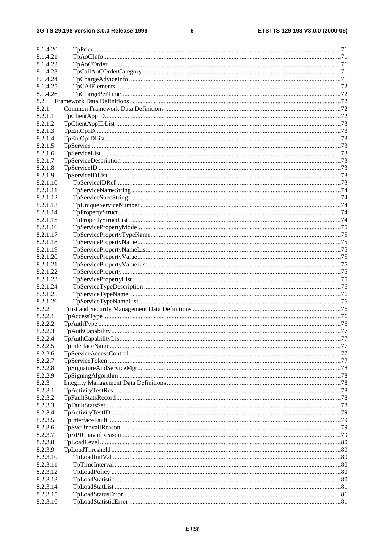#### $\bf 6$

| 8.1.4.20 |                  |     |
|----------|------------------|-----|
| 8.1.4.21 |                  |     |
| 8.1.4.22 |                  |     |
| 8.1.4.23 |                  |     |
| 8.1.4.24 |                  |     |
| 8.1.4.25 |                  |     |
| 8.1.4.26 |                  |     |
| 8.2      |                  |     |
| 8.2.1    |                  |     |
| 8.2.1.1  |                  |     |
| 8.2.1.2  |                  |     |
| 8.2.1.3  |                  |     |
| 8.2.1.4  |                  |     |
| 8.2.1.5  |                  |     |
| 8.2.1.6  |                  |     |
|          |                  |     |
| 8.2.1.7  |                  |     |
| 8.2.1.8  |                  |     |
| 8.2.1.9  |                  |     |
| 8.2.1.10 |                  |     |
| 8.2.1.11 |                  |     |
| 8.2.1.12 |                  |     |
| 8.2.1.13 |                  |     |
| 8.2.1.14 |                  |     |
| 8.2.1.15 |                  |     |
| 8.2.1.16 |                  |     |
| 8.2.1.17 |                  |     |
| 8.2.1.18 |                  |     |
| 8.2.1.19 |                  |     |
| 8.2.1.20 |                  |     |
| 8.2.1.21 |                  |     |
| 8.2.1.22 |                  |     |
| 8.2.1.23 |                  |     |
| 8.2.1.24 |                  |     |
| 8.2.1.25 |                  |     |
| 8.2.1.26 |                  |     |
| 8.2.2    |                  |     |
| 8.2.2.1  |                  |     |
| 8.2.2.2  |                  |     |
| 8.2.2.3  | TpAuthCapability | .77 |
| 8.2.2.4  |                  |     |
| 8.2.2.5  |                  |     |
| 8.2.2.6  |                  |     |
|          |                  |     |
| 8.2.2.7  |                  |     |
| 8.2.2.8  |                  |     |
| 8.2.2.9  |                  |     |
| 8.2.3    |                  |     |
| 8.2.3.1  |                  |     |
| 8.2.3.2  |                  |     |
| 8.2.3.3  |                  |     |
| 8.2.3.4  |                  |     |
| 8.2.3.5  |                  |     |
| 8.2.3.6  |                  |     |
| 8.2.3.7  |                  |     |
| 8.2.3.8  |                  |     |
| 8.2.3.9  |                  |     |
| 8.2.3.10 |                  |     |
| 8.2.3.11 |                  |     |
| 8.2.3.12 |                  |     |
| 8.2.3.13 |                  |     |
| 8.2.3.14 |                  |     |
| 8.2.3.15 |                  |     |
| 8.2.3.16 |                  |     |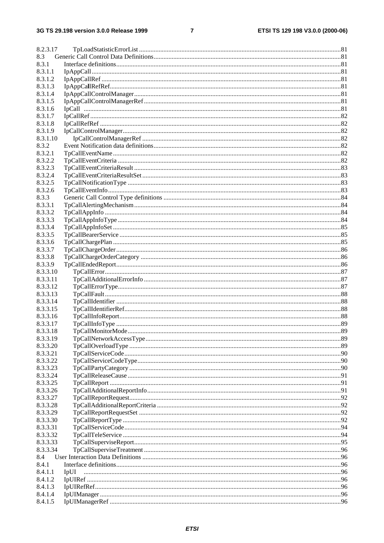#### $\overline{7}$

| 8.2.3.17           |      |  |
|--------------------|------|--|
| 8.3                |      |  |
| 8.3.1              |      |  |
| 8.3.1.1            |      |  |
| 8.3.1.2            |      |  |
| 8.3.1.3            |      |  |
| 8.3.1.4            |      |  |
| 8.3.1.5            |      |  |
| 8.3.1.6            |      |  |
| 8.3.1.7            |      |  |
| 8.3.1.8            |      |  |
| 8.3.1.9            |      |  |
| 8.3.1.10           |      |  |
| 8.3.2              |      |  |
| 8.3.2.1            |      |  |
| 8.3.2.2            |      |  |
|                    |      |  |
| 8.3.2.3            |      |  |
| 8.3.2.4<br>8.3.2.5 |      |  |
| 8.3.2.6            |      |  |
|                    |      |  |
| 8.3.3<br>8.3.3.1   |      |  |
|                    |      |  |
| 8.3.3.2<br>8.3.3.3 |      |  |
|                    |      |  |
| 8.3.3.4            |      |  |
| 8.3.3.5            |      |  |
| 8.3.3.6            |      |  |
| 8.3.3.7            |      |  |
| 8.3.3.8            |      |  |
| 8.3.3.9            |      |  |
| 8.3.3.10           |      |  |
| 8.3.3.11           |      |  |
| 8.3.3.12           |      |  |
| 8.3.3.13           |      |  |
| 8.3.3.14           |      |  |
| 8.3.3.15           |      |  |
| 8.3.3.16           |      |  |
| 8.3.3.17           |      |  |
| 8.3.3.18           |      |  |
| 8.3.3.19           |      |  |
| 8.3.3.20           |      |  |
| 8.3.3.21           |      |  |
| 8.3.3.22           |      |  |
| 8.3.3.23           |      |  |
| 8.3.3.24           |      |  |
| 8.3.3.25           |      |  |
| 8.3.3.26           |      |  |
| 8.3.3.27           |      |  |
| 8.3.3.28           |      |  |
| 8.3.3.29           |      |  |
| 8.3.3.30           |      |  |
| 8.3.3.31           |      |  |
| 8.3.3.32           |      |  |
| 8.3.3.33           |      |  |
| 8.3.3.34           |      |  |
| 8.4                |      |  |
| 8.4.1              |      |  |
| 8.4.1.1            | IpUI |  |
| 8.4.1.2            |      |  |
| 8.4.1.3            |      |  |
| 8.4.1.4            |      |  |
| 8.4.1.5            |      |  |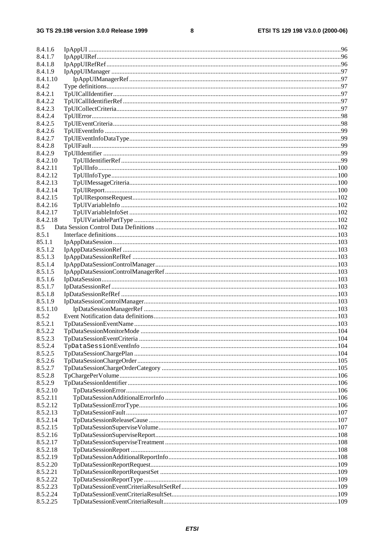#### $\pmb{8}$

| 8.4.1.6  |                          |  |
|----------|--------------------------|--|
| 8.4.1.7  |                          |  |
| 8.4.1.8  |                          |  |
| 8.4.1.9  |                          |  |
| 8.4.1.10 |                          |  |
| 8.4.2    |                          |  |
| 8.4.2.1  |                          |  |
| 8.4.2.2  |                          |  |
| 8.4.2.3  |                          |  |
| 8.4.2.4  |                          |  |
| 8.4.2.5  |                          |  |
| 8.4.2.6  |                          |  |
| 8.4.2.7  |                          |  |
| 8.4.2.8  |                          |  |
| 8.4.2.9  |                          |  |
| 8.4.2.10 |                          |  |
| 8.4.2.11 |                          |  |
| 8.4.2.12 |                          |  |
| 8.4.2.13 |                          |  |
| 8.4.2.14 |                          |  |
| 8.4.2.15 |                          |  |
| 8.4.2.16 |                          |  |
| 8.4.2.17 |                          |  |
| 8.4.2.18 |                          |  |
| 8.5      |                          |  |
| 8.5.1    |                          |  |
| 85.1.1   |                          |  |
| 8.5.1.2  |                          |  |
|          |                          |  |
| 8.5.1.3  |                          |  |
| 8.5.1.4  |                          |  |
| 8.5.1.5  |                          |  |
| 8.5.1.6  |                          |  |
| 8.5.1.7  |                          |  |
| 8.5.1.8  |                          |  |
| 8.5.1.9  |                          |  |
| 8.5.1.10 |                          |  |
| 8.5.2    |                          |  |
| 8.5.2.1  |                          |  |
| 8.5.2.2  | TpDataSessionMonitorMode |  |
| 8.5.2.3  |                          |  |
| 8.5.2.4  |                          |  |
| 8.5.2.5  |                          |  |
| 8.5.2.6  |                          |  |
| 8.5.2.7  |                          |  |
| 8.5.2.8  |                          |  |
| 8.5.2.9  |                          |  |
| 8.5.2.10 |                          |  |
| 8.5.2.11 |                          |  |
| 8.5.2.12 |                          |  |
| 8.5.2.13 |                          |  |
| 8.5.2.14 |                          |  |
| 8.5.2.15 |                          |  |
| 8.5.2.16 |                          |  |
| 8.5.2.17 |                          |  |
| 8.5.2.18 |                          |  |
| 8.5.2.19 |                          |  |
| 8.5.2.20 |                          |  |
| 8.5.2.21 |                          |  |
| 8.5.2.22 |                          |  |
| 8.5.2.23 |                          |  |
| 8.5.2.24 |                          |  |
| 8.5.2.25 |                          |  |
|          |                          |  |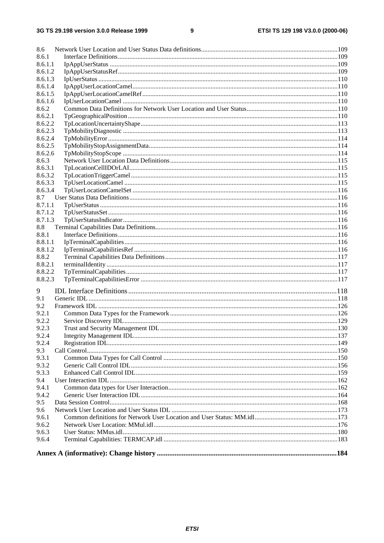#### $\boldsymbol{9}$

| 8.6     |  |
|---------|--|
| 8.6.1   |  |
| 8.6.1.1 |  |
| 8.6.1.2 |  |
| 8.6.1.3 |  |
| 8.6.1.4 |  |
| 8.6.1.5 |  |
| 8.6.1.6 |  |
| 8.6.2   |  |
| 8.6.2.1 |  |
| 8.6.2.2 |  |
| 8.6.2.3 |  |
| 8.6.2.4 |  |
| 8.6.2.5 |  |
| 8.6.2.6 |  |
| 8.6.3   |  |
| 8.6.3.1 |  |
| 8.6.3.2 |  |
| 8.6.3.3 |  |
| 8.6.3.4 |  |
| 8.7     |  |
| 8.7.1.1 |  |
| 8.7.1.2 |  |
| 8.7.1.3 |  |
| 8.8     |  |
| 8.8.1   |  |
| 8.8.1.1 |  |
| 8.8.1.2 |  |
| 8.8.2   |  |
| 8.8.2.1 |  |
| 8.8.2.2 |  |
| 8.8.2.3 |  |
|         |  |
| 9       |  |
| 9.1     |  |
| 9.2     |  |
| 9.2.1   |  |
| 9.2.2   |  |
| 9.2.3   |  |
| 9.2.4   |  |
| 9.2.4   |  |
| 9.3     |  |
| 9.3.1   |  |
| 9.3.2   |  |
| 9.3.3   |  |
| 9.4     |  |
| 9.4.1   |  |
| 9.4.2   |  |
| 9.5     |  |
| 9.6     |  |
| 9.6.1   |  |
| 9.6.2   |  |
| 9.6.3   |  |
| 9.6.4   |  |
|         |  |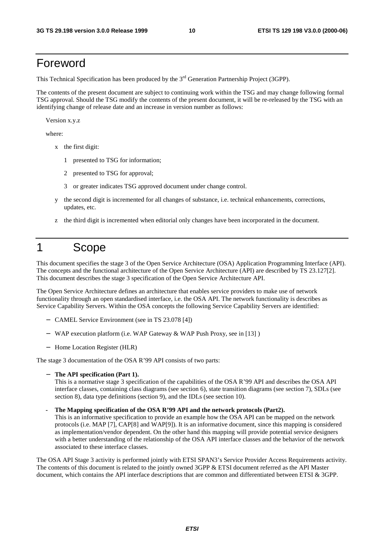# Foreword

This Technical Specification has been produced by the 3<sup>rd</sup> Generation Partnership Project (3GPP).

The contents of the present document are subject to continuing work within the TSG and may change following formal TSG approval. Should the TSG modify the contents of the present document, it will be re-released by the TSG with an identifying change of release date and an increase in version number as follows:

Version x.y.z

where:

- x the first digit:
	- 1 presented to TSG for information;
	- 2 presented to TSG for approval;
	- 3 or greater indicates TSG approved document under change control.
- y the second digit is incremented for all changes of substance, i.e. technical enhancements, corrections, updates, etc.
- z the third digit is incremented when editorial only changes have been incorporated in the document.

# 1 Scope

This document specifies the stage 3 of the Open Service Architecture (OSA) Application Programming Interface (API). The concepts and the functional architecture of the Open Service Architecture (API) are described by TS 23.127[2]. This document describes the stage 3 specification of the Open Service Architecture API.

The Open Service Architecture defines an architecture that enables service providers to make use of network functionality through an open standardised interface, i.e. the OSA API. The network functionality is describes as Service Capability Servers. Within the OSA concepts the following Service Capability Servers are identified:

- − CAMEL Service Environment (see in TS 23.078 [4])
- − WAP execution platform (i.e. WAP Gateway & WAP Push Proxy, see in [13] )
- − Home Location Register (HLR)

The stage 3 documentation of the OSA R'99 API consists of two parts:

The API specification (Part 1).

This is a normative stage 3 specification of the capabilities of the OSA R'99 API and describes the OSA API interface classes, containing class diagrams (see section 6), state transition diagrams (see section 7), SDLs (see section 8), data type definitions (section 9), and the IDLs (see section 10).

The Mapping specification of the OSA R'99 API and the network protocols (Part2).

This is an informative specification to provide an example how the OSA API can be mapped on the network protocols (i.e. MAP [7], CAP[8] and WAP[9]). It is an informative document, since this mapping is considered as implementation/vendor dependent. On the other hand this mapping will provide potential service designers with a better understanding of the relationship of the OSA API interface classes and the behavior of the network associated to these interface classes.

The OSA API Stage 3 activity is performed jointly with ETSI SPAN3's Service Provider Access Requirements activity. The contents of this document is related to the jointly owned 3GPP & ETSI document referred as the API Master document, which contains the API interface descriptions that are common and differentiated between ETSI & 3GPP.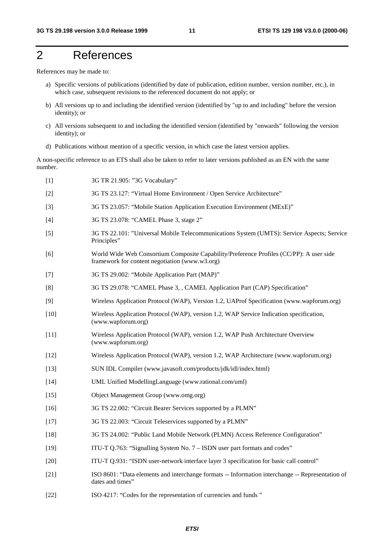# 2 References

References may be made to:

- a) Specific versions of publications (identified by date of publication, edition number, version number, etc.), in which case, subsequent revisions to the referenced document do not apply; or
- b) All versions up to and including the identified version (identified by "up to and including" before the version identity); or
- c) All versions subsequent to and including the identified version (identified by "onwards" following the version identity); or
- d) Publications without mention of a specific version, in which case the latest version applies.

A non-specific reference to an ETS shall also be taken to refer to later versions published as an EN with the same number.

| $[1]$  | 3G TR 21.905: "3G Vocabulary"                                                                                                             |
|--------|-------------------------------------------------------------------------------------------------------------------------------------------|
| $[2]$  | 3G TS 23.127: "Virtual Home Environment / Open Service Architecture"                                                                      |
| $[3]$  | 3G TS 23.057: "Mobile Station Application Execution Environment (MExE)"                                                                   |
| $[4]$  | 3G TS 23.078: "CAMEL Phase 3, stage 2"                                                                                                    |
| $[5]$  | 3G TS 22.101: "Universal Mobile Telecommunications System (UMTS): Service Aspects; Service<br>Principles"                                 |
| [6]    | World Wide Web Consortium Composite Capability/Preference Profiles (CC/PP): A user side<br>framework for content negotiation (www.w3.org) |
| $[7]$  | 3G TS 29.002: "Mobile Application Part (MAP)"                                                                                             |
| [8]    | 3G TS 29.078: "CAMEL Phase 3, , CAMEL Application Part (CAP) Specification"                                                               |
| $[9]$  | Wireless Application Protocol (WAP), Version 1.2, UAProf Specification (www.wapforum.org)                                                 |
| $[10]$ | Wireless Application Protocol (WAP), version 1.2, WAP Service Indication specification,<br>(www.wapforum.org)                             |
| $[11]$ | Wireless Application Protocol (WAP), version 1.2, WAP Push Architecture Overview<br>(www.wapforum.org)                                    |
| $[12]$ | Wireless Application Protocol (WAP), version 1.2, WAP Architecture (www.wapforum.org)                                                     |
| $[13]$ | SUN IDL Compiler (www.javasoft.com/products/jdk/idl/index.html)                                                                           |
| $[14]$ | UML Unified ModellingLanguage (www.rational.com/uml)                                                                                      |
| $[15]$ | Object Management Group (www.omg.org)                                                                                                     |
| [16]   | 3G TS 22.002: "Circuit Bearer Services supported by a PLMN"                                                                               |
| $[17]$ | 3G TS 22.003: "Circuit Teleservices supported by a PLMN"                                                                                  |
| $[18]$ | 3G TS 24.002: "Public Land Mobile Network (PLMN) Access Reference Configuration"                                                          |
| $[19]$ | ITU-T Q.763: "Signalling System No. 7 – ISDN user part formats and codes"                                                                 |
| $[20]$ | ITU-T Q.931: "ISDN user-network interface layer 3 specification for basic call control"                                                   |
| $[21]$ | ISO 8601: "Data elements and interchange formats -- Information interchange -- Representation of<br>dates and times"                      |
| $[22]$ | ISO 4217: "Codes for the representation of currencies and funds"                                                                          |
|        |                                                                                                                                           |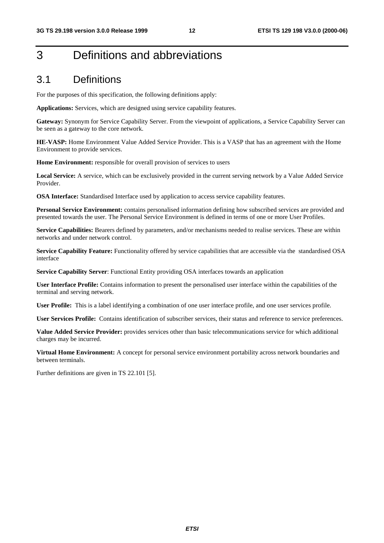# 3 Definitions and abbreviations

### 3.1 Definitions

For the purposes of this specification, the following definitions apply:

**Applications:** Services, which are designed using service capability features.

**Gateway:** Synonym for Service Capability Server. From the viewpoint of applications, a Service Capability Server can be seen as a gateway to the core network.

**HE-VASP:** Home Environment Value Added Service Provider. This is a VASP that has an agreement with the Home Environment to provide services.

**Home Environment:** responsible for overall provision of services to users

**Local Service:** A service, which can be exclusively provided in the current serving network by a Value Added Service Provider.

**OSA Interface:** Standardised Interface used by application to access service capability features.

**Personal Service Environment:** contains personalised information defining how subscribed services are provided and presented towards the user. The Personal Service Environment is defined in terms of one or more User Profiles.

**Service Capabilities:** Bearers defined by parameters, and/or mechanisms needed to realise services. These are within networks and under network control.

**Service Capability Feature:** Functionality offered by service capabilities that are accessible via the standardised OSA interface

**Service Capability Server**: Functional Entity providing OSA interfaces towards an application

**User Interface Profile:** Contains information to present the personalised user interface within the capabilities of the terminal and serving network.

**User Profile:** This is a label identifying a combination of one user interface profile, and one user services profile.

**User Services Profile:** Contains identification of subscriber services, their status and reference to service preferences.

**Value Added Service Provider:** provides services other than basic telecommunications service for which additional charges may be incurred.

**Virtual Home Environment:** A concept for personal service environment portability across network boundaries and between terminals.

Further definitions are given in TS 22.101 [5].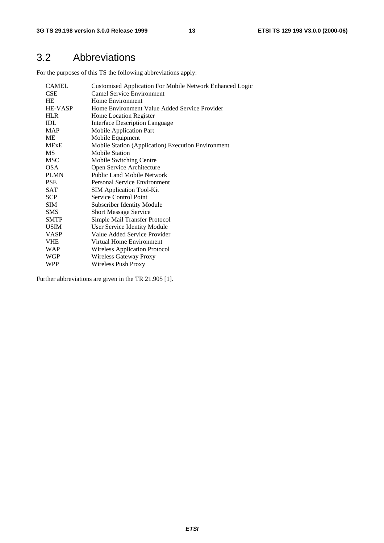# 3.2 Abbreviations

For the purposes of this TS the following abbreviations apply:

| <b>CAMEL</b> | <b>Customised Application For Mobile Network Enhanced Logic</b> |
|--------------|-----------------------------------------------------------------|
| <b>CSE</b>   | <b>Camel Service Environment</b>                                |
| <b>HE</b>    | Home Environment                                                |
| HE-VASP      | Home Environment Value Added Service Provider                   |
| <b>HLR</b>   | Home Location Register                                          |
| <b>IDL</b>   | Interface Description Language                                  |
| <b>MAP</b>   | <b>Mobile Application Part</b>                                  |
| ME           | Mobile Equipment                                                |
| <b>MExE</b>  | Mobile Station (Application) Execution Environment              |
| <b>MS</b>    | <b>Mobile Station</b>                                           |
| <b>MSC</b>   | Mobile Switching Centre                                         |
| <b>OSA</b>   | Open Service Architecture                                       |
| <b>PLMN</b>  | <b>Public Land Mobile Network</b>                               |
| <b>PSE</b>   | <b>Personal Service Environment</b>                             |
| SAT          | <b>SIM Application Tool-Kit</b>                                 |
| <b>SCP</b>   | <b>Service Control Point</b>                                    |
| <b>SIM</b>   | <b>Subscriber Identity Module</b>                               |
| <b>SMS</b>   | <b>Short Message Service</b>                                    |
| <b>SMTP</b>  | Simple Mail Transfer Protocol                                   |
| <b>USIM</b>  | User Service Identity Module                                    |
| <b>VASP</b>  | Value Added Service Provider                                    |
| <b>VHE</b>   | Virtual Home Environment                                        |
| WAP          | Wireless Application Protocol                                   |
| WGP          | Wireless Gateway Proxy                                          |
| WPP          | Wireless Push Proxy                                             |

Further abbreviations are given in the TR 21.905 [1].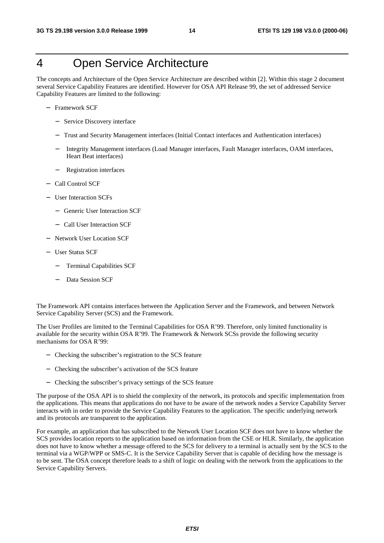# 4 Open Service Architecture

The concepts and Architecture of the Open Service Architecture are described within [2]. Within this stage 2 document several Service Capability Features are identified. However for OSA API Release 99, the set of addressed Service Capability Features are limited to the following:

- − Framework SCF
	- − Service Discovery interface
	- − Trust and Security Management interfaces (Initial Contact interfaces and Authentication interfaces)
	- − Integrity Management interfaces (Load Manager interfaces, Fault Manager interfaces, OAM interfaces, Heart Beat interfaces)
	- − Registration interfaces
- − Call Control SCF
- − User Interaction SCFs
	- − Generic User Interaction SCF
	- − Call User Interaction SCF
- − Network User Location SCF
- − User Status SCF
	- − Terminal Capabilities SCF
	- Data Session SCF

The Framework API contains interfaces between the Application Server and the Framework, and between Network Service Capability Server (SCS) and the Framework.

The User Profiles are limited to the Terminal Capabilities for OSA R'99. Therefore, only limited functionality is available for the security within OSA R'99. The Framework & Network SCSs provide the following security mechanisms for OSA R'99:

- − Checking the subscriber's registration to the SCS feature
- − Checking the subscriber's activation of the SCS feature
- − Checking the subscriber's privacy settings of the SCS feature

The purpose of the OSA API is to shield the complexity of the network, its protocols and specific implementation from the applications. This means that applications do not have to be aware of the network nodes a Service Capability Server interacts with in order to provide the Service Capability Features to the application. The specific underlying network and its protocols are transparent to the application.

For example, an application that has subscribed to the Network User Location SCF does not have to know whether the SCS provides location reports to the application based on information from the CSE or HLR. Similarly, the application does not have to know whether a message offered to the SCS for delivery to a terminal is actually sent by the SCS to the terminal via a WGP/WPP or SMS-C. It is the Service Capability Server that is capable of deciding how the message is to be sent. The OSA concept therefore leads to a shift of logic on dealing with the network from the applications to the Service Capability Servers.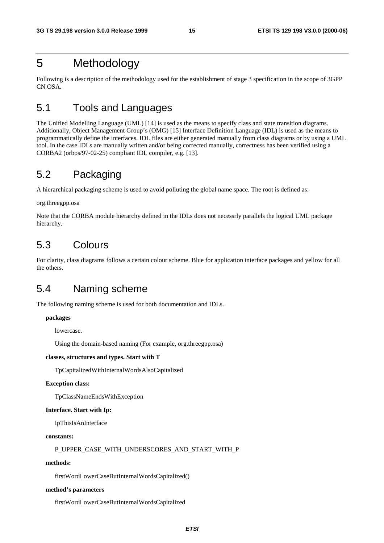# 5 Methodology

Following is a description of the methodology used for the establishment of stage 3 specification in the scope of 3GPP CN OSA.

# 5.1 Tools and Languages

The Unified Modelling Language (UML) [14] is used as the means to specify class and state transition diagrams. Additionally, Object Management Group's (OMG) [15] Interface Definition Language (IDL) is used as the means to programmatically define the interfaces. IDL files are either generated manually from class diagrams or by using a UML tool. In the case IDLs are manually written and/or being corrected manually, correctness has been verified using a CORBA2 (orbos/97-02-25) compliant IDL compiler, e.g. [13].

# 5.2 Packaging

A hierarchical packaging scheme is used to avoid polluting the global name space. The root is defined as:

#### org.threegpp.osa

Note that the CORBA module hierarchy defined in the IDLs does not necessrly parallels the logical UML package hierarchy.

# 5.3 Colours

For clarity, class diagrams follows a certain colour scheme. Blue for application interface packages and yellow for all the others.

# 5.4 Naming scheme

The following naming scheme is used for both documentation and IDLs.

#### **packages**

lowercase.

Using the domain-based naming (For example, org.threegpp.osa)

#### **classes, structures and types. Start with T**

TpCapitalizedWithInternalWordsAlsoCapitalized

#### **Exception class:**

TpClassNameEndsWithException

#### **Interface. Start with Ip:**

IpThisIsAnInterface

#### **constants:**

P\_UPPER\_CASE\_WITH\_UNDERSCORES\_AND\_START\_WITH\_P

#### **methods:**

firstWordLowerCaseButInternalWordsCapitalized()

#### **method's parameters**

firstWordLowerCaseButInternalWordsCapitalized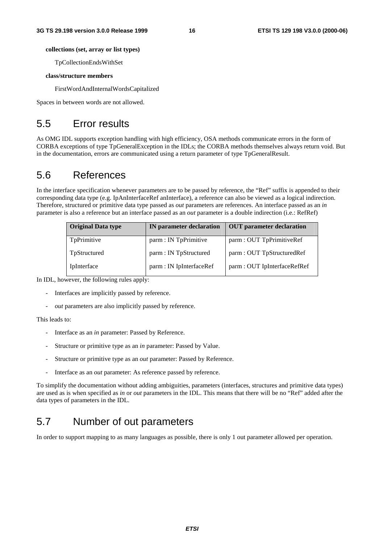#### **collections (set, array or list types)**

TpCollectionEndsWithSet

#### **class/structure members**

FirstWordAndInternalWordsCapitalized

Spaces in between words are not allowed.

# 5.5 Error results

As OMG IDL supports exception handling with high efficiency, OSA methods communicate errors in the form of CORBA exceptions of type TpGeneralException in the IDLs; the CORBA methods themselves always return void. But in the documentation, errors are communicated using a return parameter of type TpGeneralResult.

# 5.6 References

In the interface specification whenever parameters are to be passed by reference, the "Ref" suffix is appended to their corresponding data type (e.g. IpAnInterfaceRef anInterface), a reference can also be viewed as a logical indirection. Therefore, structured or primitive data type passed as *out* parameters are references. An interface passed as an *in* parameter is also a reference but an interface passed as an *out* parameter is a double indirection (i.e.: RefRef)

| <b>Original Data type</b> | <b>IN</b> parameter declaration | <b>OUT</b> parameter declaration |
|---------------------------|---------------------------------|----------------------------------|
| TpPrimitive               | parm : IN TpPrimitive           | parm : OUT TpPrimitiveRef        |
| TpStructured              | parm : IN TpStructured          | parm: OUT TpStructuredRef        |
| IpInterface               | parm : IN IpInterfaceRef        | parm : OUT IpInterfaceRefRef     |

In IDL, however, the following rules apply:

- Interfaces are implicitly passed by reference.
- out parameters are also implicitly passed by reference.

This leads to:

- Interface as an *in* parameter: Passed by Reference.
- Structure or primitive type as an *in* parameter: Passed by Value.
- Structure or primitive type as an *out* parameter: Passed by Reference.
- Interface as an *out* parameter: As reference passed by reference.

To simplify the documentation without adding ambiguities, parameters (interfaces, structures and primitive data types) are used as is when specified as *in* or *out* parameters in the IDL. This means that there will be no "Ref" added after the data types of parameters in the IDL.

# 5.7 Number of out parameters

In order to support mapping to as many languages as possible, there is only 1 out parameter allowed per operation.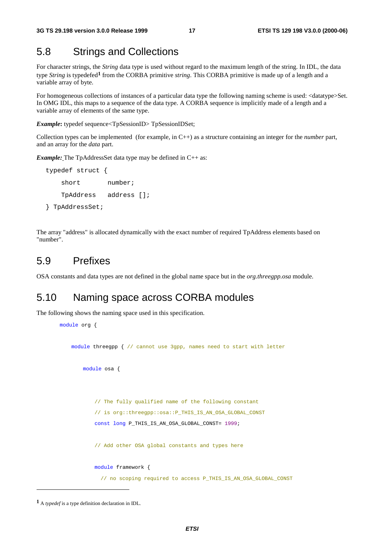### 5.8 Strings and Collections

For character strings, the *String* data type is used without regard to the maximum length of the string. In IDL, the data type *String* is typedefed**<sup>1</sup>** from the CORBA primitive *string*. This CORBA primitive is made up of a length and a variable array of byte.

For homogeneous collections of instances of a particular data type the following naming scheme is used: <datatype>Set. In OMG IDL, this maps to a sequence of the data type. A CORBA sequence is implicitly made of a length and a variable array of elements of the same type.

*Example***:** typedef sequence<TpSessionID> TpSessionIDSet;

Collection types can be implemented (for example, in C++) as a structure containing an integer for the *number* part, and an array for the *data* part.

*Example:* The TpAddressSet data type may be defined in C++ as:

```
typedef struct {
   short number;
   TpAddress address [];
} TpAddressSet;
```
The array "address" is allocated dynamically with the exact number of required TpAddress elements based on "number".

### 5.9 Prefixes

OSA constants and data types are not defined in the global name space but in the *org.threegpp.osa* module.

# 5.10 Naming space across CORBA modules

The following shows the naming space used in this specification.

```
module org {
   module threegpp { // cannot use 3gpp, names need to start with letter
       module osa {
           // The fully qualified name of the following constant
           // is org::threegpp::osa::P_THIS_IS_AN_OSA_GLOBAL_CONST
           const long P_THIS_IS_AN_OSA_GLOBAL_CONST= 1999;
           // Add other OSA global constants and types here
           module framework {
             // no scoping required to access P_THIS_IS_AN_OSA_GLOBAL_CONST
```
**<sup>1</sup>** A *typedef* is a type definition declaration in IDL.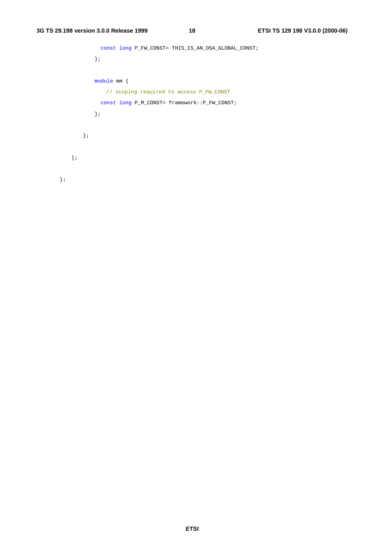```
const long P_FW_CONST= THIS_IS_AN_OSA_GLOBAL_CONST;
           };
           module mm {
              // scoping required to access P_FW_CONST
            const long P_M_CONST= framework::P_FW_CONST;
           };
       };
  };
};
```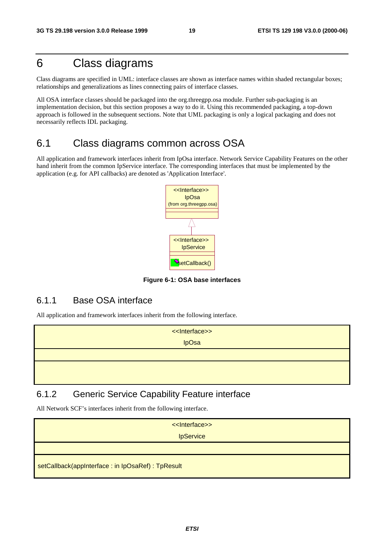# 6 Class diagrams

Class diagrams are specified in UML: interface classes are shown as interface names within shaded rectangular boxes; relationships and generalizations as lines connecting pairs of interface classes.

All OSA interface classes should be packaged into the org.threegpp.osa module. Further sub-packaging is an implementation decision, but this section proposes a way to do it. Using this recommended packaging, a top-down approach is followed in the subsequent sections. Note that UML packaging is only a logical packaging and does not necessarily reflects IDL packaging.

# 6.1 Class diagrams common across OSA

All application and framework interfaces inherit from IpOsa interface. Network Service Capability Features on the other hand inherit from the common IpService interface. The corresponding interfaces that must be implemented by the application (e.g. for API callbacks) are denoted as 'Application Interface'.



**Figure 6-1: OSA base interfaces**

### 6.1.1 Base OSA interface

All application and framework interfaces inherit from the following interface.

| < <lnterface>&gt;</lnterface> |
|-------------------------------|
| <b>IpOsa</b>                  |
|                               |
|                               |
|                               |

### 6.1.2 Generic Service Capability Feature interface

All Network SCF's interfaces inherit from the following interface.

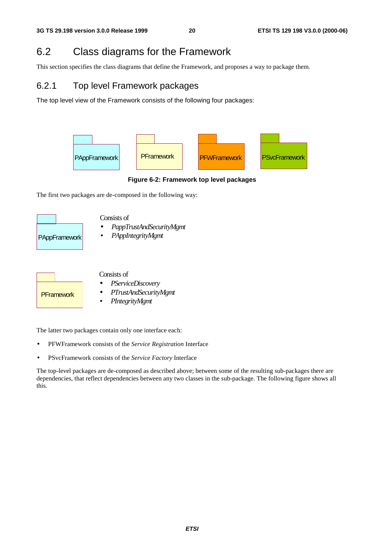# 6.2 Class diagrams for the Framework

This section specifies the class diagrams that define the Framework, and proposes a way to package them.

### 6.2.1 Top level Framework packages

The top level view of the Framework consists of the following four packages:



**Figure 6-2: Framework top level packages**

The first two packages are de-composed in the following way:





#### Consists of

- *PServiceDiscovery*
- *PTrustAndSecurityMgmt*
- *PIntegrityMgmt*

The latter two packages contain only one interface each:

- PFWFramework consists of the *Service Registration* Interface
- PSvcFramework consists of the *Service Factory* Interface

The top-level packages are de-composed as described above; between some of the resulting sub-packages there are dependencies, that reflect dependencies between any two classes in the sub-package. The following figure shows all this.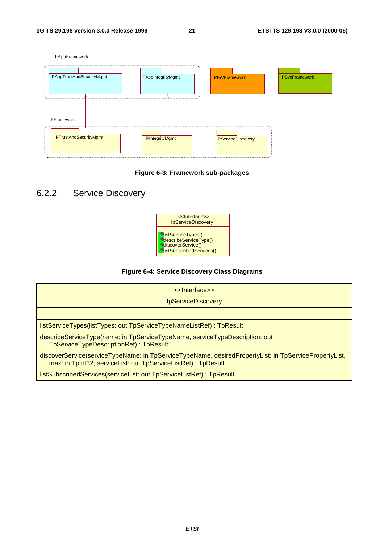



### 6.2.2 Service Discovery



#### **Figure 6-4: Service Discovery Class Diagrams**

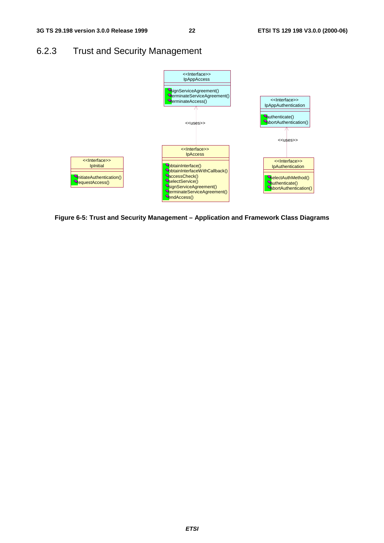# 6.2.3 Trust and Security Management



**Figure 6-5: Trust and Security Management – Application and Framework Class Diagrams**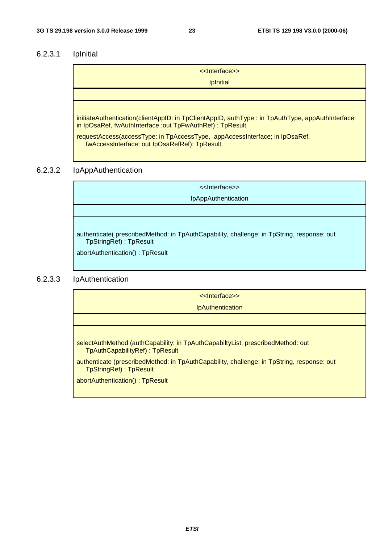### 6.2.3.1 IpInitial

| << Interface>>                                                                                                                                                 |
|----------------------------------------------------------------------------------------------------------------------------------------------------------------|
| <b>Ipinitial</b>                                                                                                                                               |
|                                                                                                                                                                |
|                                                                                                                                                                |
| initiateAuthentication(clientAppID: in TpClientAppID, authType: in TpAuthType, appAuthInterface:<br>in IpOsaRef, fwAuthInterface : out TpFwAuthRef) : TpResult |
|                                                                                                                                                                |

requestAccess(accessType: in TpAccessType, appAccessInterface; in IpOsaRef, fwAccessInterface: out IpOsaRefRef): TpResult

#### 6.2.3.2 IpAppAuthentication

<<Interface>> IpAppAuthentication authenticate( prescribedMethod: in TpAuthCapability, challenge: in TpString, response: out TpStringRef) : TpResult abortAuthentication() : TpResult

#### 6.2.3.3 IpAuthentication

<<Interface>>

**IpAuthentication** 

selectAuthMethod (authCapability: in TpAuthCapabiltyList, prescribedMethod: out TpAuthCapabilityRef) : TpResult

authenticate (prescribedMethod: in TpAuthCapability, challenge: in TpString, response: out TpStringRef) : TpResult

abortAuthentication() : TpResult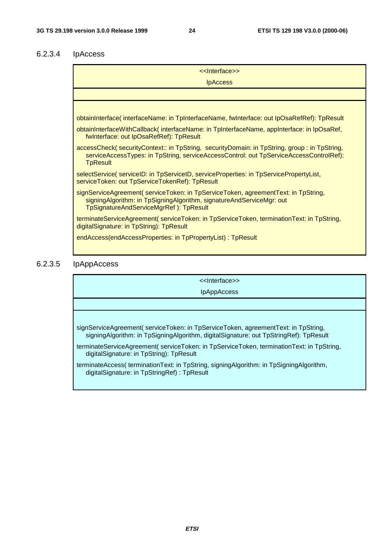### 6.2.3.4 IpAccess

| < <lnterface>&gt;</lnterface>                                                                                                                                                                             |  |
|-----------------------------------------------------------------------------------------------------------------------------------------------------------------------------------------------------------|--|
| <b>IpAccess</b>                                                                                                                                                                                           |  |
|                                                                                                                                                                                                           |  |
|                                                                                                                                                                                                           |  |
| obtainInterface(interfaceName: in TpInterfaceName, fwInterface: out IpOsaRefRef): TpResult                                                                                                                |  |
| obtainInterfaceWithCallback(interfaceName: in TpInterfaceName, appInterface: in IpOsaRef,<br>fwinterface: out IpOsaRefRef): TpResult                                                                      |  |
| accessCheck(securityContext:: in TpString, securityDomain: in TpString, group : in TpString,<br>serviceAccessTypes: in TpString, serviceAccessControl: out TpServiceAccessControlRef):<br><b>TpResult</b> |  |
| selectService(serviceID: in TpServiceID, serviceProperties: in TpServicePropertyList,<br>serviceToken: out TpServiceTokenRef): TpResult                                                                   |  |
| signServiceAgreement(serviceToken: in TpServiceToken, agreementText: in TpString,<br>signingAlgorithm: in TpSigningAlgorithm, signatureAndServiceMgr: out<br>TpSignatureAndServiceMgrRef): TpResult       |  |
| terminateServiceAgreement(serviceToken: in TpServiceToken, terminationText: in TpString,<br>digitalSignature: in TpString): TpResult                                                                      |  |
| endAccess(endAccessProperties: in TpPropertyList) : TpResult                                                                                                                                              |  |

### 6.2.3.5 IpAppAccess

<<Interface>>

IpAppAccess

signServiceAgreement( serviceToken: in TpServiceToken, agreementText: in TpString, signingAlgorithm: in TpSigningAlgorithm, digitalSignature: out TpStringRef): TpResult

terminateServiceAgreement( serviceToken: in TpServiceToken, terminationText: in TpString, digitalSignature: in TpString): TpResult

terminateAccess( terminationText: in TpString, signingAlgorithm: in TpSigningAlgorithm, digitalSignature: in TpStringRef) : TpResult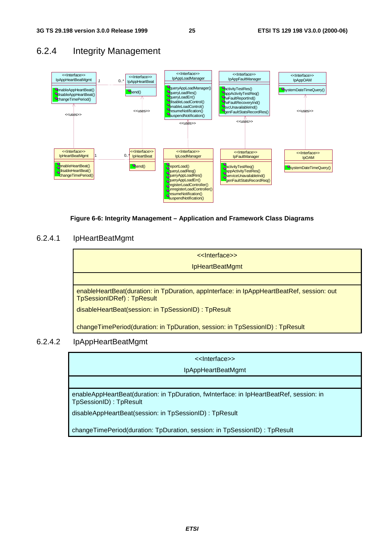



#### **Figure 6-6: Integrity Management – Application and Framework Class Diagrams**

#### 6.2.4.1 IpHeartBeatMgmt

| < <lnterface>&gt;</lnterface>                                                                                                 |
|-------------------------------------------------------------------------------------------------------------------------------|
| <b>IpHeartBeatMgmt</b>                                                                                                        |
|                                                                                                                               |
| enableHeartBeat(duration: in TpDuration, appInterface: in IpAppHeartBeatRef, session: out<br><b>TpSessionIDRef): TpResult</b> |
| disableHeartBeat(session: in TpSessionID) : TpResult                                                                          |
| changeTimePeriod(duration: in TpDuration, session: in TpSessionID): TpResult                                                  |

#### 6.2.4.2 IpAppHeartBeatMgmt

<<Interface>> IpAppHeartBeatMgmt

enableAppHeartBeat(duration: in TpDuration, fwInterface: in IpHeartBeatRef, session: in TpSessionID) : TpResult

disableAppHeartBeat(session: in TpSessionID) : TpResult

changeTimePeriod(duration: TpDuration, session: in TpSessionID) : TpResult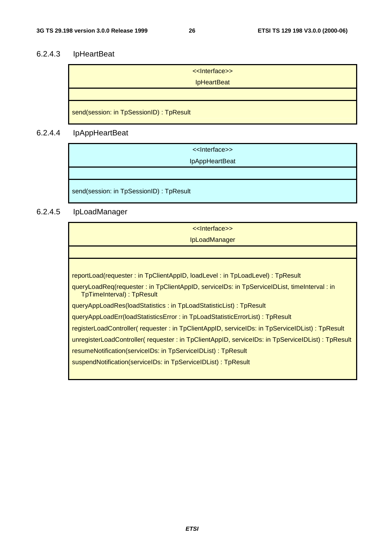# 6.2.4.3 IpHeartBeat

| << Interface>><br><b>IpHeartBeat</b>     |
|------------------------------------------|
|                                          |
| send(session: in TpSessionID) : TpResult |

# 6.2.4.4 IpAppHeartBeat

| < <lnterface>&gt;<br/>IpAppHeartBeat</lnterface> |
|--------------------------------------------------|
|                                                  |
| send(session: in TpSessionID) : TpResult         |

# 6.2.4.5 IpLoadManager

| < <lnterface>&gt;</lnterface>                                                                                             |
|---------------------------------------------------------------------------------------------------------------------------|
| <b>IpLoadManager</b>                                                                                                      |
|                                                                                                                           |
|                                                                                                                           |
| reportLoad(requester: in TpClientAppID, loadLevel: in TpLoadLevel): TpResult                                              |
| queryLoadReq(requester : in TpClientAppID, serviceIDs: in TpServiceIDList, timeInterval : in<br>TpTimeInterval): TpResult |
| queryAppLoadRes(loadStatistics : in TpLoadStatisticList) : TpResult                                                       |
| queryAppLoadErr(loadStatisticsError: in TpLoadStatisticErrorList): TpResult                                               |
| registerLoadController( requester : in TpClientAppID, serviceIDs: in TpServiceIDList) : TpResult                          |
| unregisterLoadController( requester : in TpClientAppID, serviceIDs: in TpServiceIDList) : TpResult                        |
| resumeNotification(serviceIDs: in TpServiceIDList) : TpResult                                                             |
| suspendNotification(serviceIDs: in TpServiceIDList) : TpResult                                                            |
|                                                                                                                           |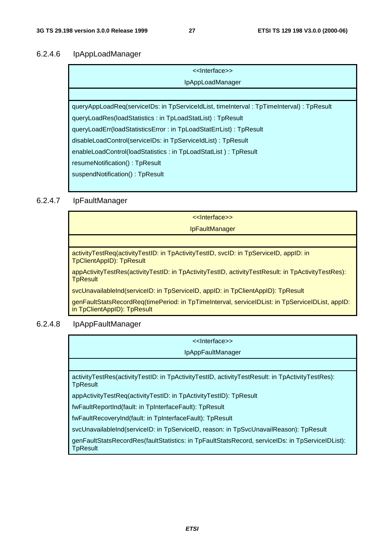#### 6.2.4.6 IpAppLoadManager

| < <lnterface>&gt;</lnterface>                                                             |  |
|-------------------------------------------------------------------------------------------|--|
| <b>IpAppLoadManager</b>                                                                   |  |
|                                                                                           |  |
| queryAppLoadReq(serviceIDs: in TpServiceIdList, timeInterval : TpTimeInterval) : TpResult |  |
| queryLoadRes(loadStatistics: in TpLoadStatList): TpResult                                 |  |
| queryLoadErr(loadStatisticsError: in TpLoadStatErrList): TpResult                         |  |
| disableLoadControl(serviceIDs: in TpServiceIdList): TpResult                              |  |
| enableLoadControl(loadStatistics: in TpLoadStatList): TpResult                            |  |
| resumeNotification(): TpResult                                                            |  |
| suspendNotification(): TpResult                                                           |  |
|                                                                                           |  |

#### 6.2.4.7 IpFaultManager

<<Interface>> IpFaultManager activityTestReq(activityTestID: in TpActivityTestID, svcID: in TpServiceID, appID: in TpClientAppID): TpResult appActivityTestRes(activityTestID: in TpActivityTestID, activityTestResult: in TpActivityTestRes): **TpResult** svcUnavailableInd(serviceID: in TpServiceID, appID: in TpClientAppID): TpResult genFaultStatsRecordReq(timePeriod: in TpTimeInterval, serviceIDList: in TpServiceIDList, appID: in TpClientAppID): TpResult

#### 6.2.4.8 IpAppFaultManager

| < <lnterface>&gt;</lnterface>                                                                               |
|-------------------------------------------------------------------------------------------------------------|
| <b>IpAppFaultManager</b>                                                                                    |
|                                                                                                             |
| activityTestRes(activityTestID: in TpActivityTestID, activityTestResult: in TpActivityTestRes):<br>TpResult |
| appActivityTestReq(activityTestID: in TpActivityTestID): TpResult                                           |
| fwFaultReportInd(fault: in TpInterfaceFault): TpResult                                                      |
| fwFaultRecoveryInd(fault: in TpInterfaceFault): TpResult                                                    |
| svcUnavailableInd(serviceID: in TpServiceID, reason: in TpSvcUnavailReason): TpResult                       |
| genFaultStatsRecordRes(faultStatistics: in TpFaultStatsRecord, serviceIDs: in TpServiceIDList):<br>TpResult |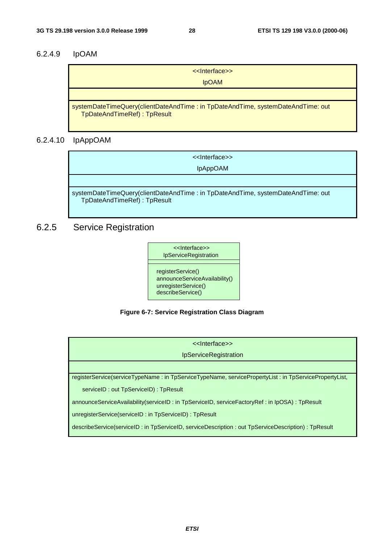### 6.2.4.9 IpOAM

| < <lnterface>&gt;</lnterface>                                                                                  |
|----------------------------------------------------------------------------------------------------------------|
| <b>IDOAM</b>                                                                                                   |
|                                                                                                                |
| systemDateTimeQuery(clientDateAndTime: in TpDateAndTime, systemDateAndTime: out<br>TpDateAndTimeRef): TpResult |

### 6.2.4.10 IpAppOAM

<<Interface>> IpAppOAM

systemDateTimeQuery(clientDateAndTime : in TpDateAndTime, systemDateAndTime: out TpDateAndTimeRef) : TpResult

# 6.2.5 Service Registration



**Figure 6-7: Service Registration Class Diagram**

| < <lnterface>&gt;</lnterface>                                                                         |  |
|-------------------------------------------------------------------------------------------------------|--|
| IpServiceRegistration                                                                                 |  |
|                                                                                                       |  |
| registerService(serviceTypeName: in TpServiceTypeName, servicePropertyList: in TpServicePropertyList, |  |
| serviceID: out TpServiceID): TpResult                                                                 |  |
| announceServiceAvailability(serviceID: in TpServiceID, serviceFactoryRef: in IpOSA): TpResult         |  |
| unregisterService(serviceID: in TpServiceID): TpResult                                                |  |
| describeService(serviceID: in TpServiceID, serviceDescription: out TpServiceDescription): TpResult    |  |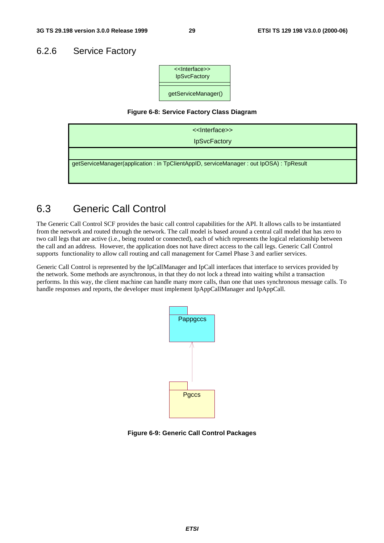### 6.2.6 Service Factory



#### **Figure 6-8: Service Factory Class Diagram**



# 6.3 Generic Call Control

The Generic Call Control SCF provides the basic call control capabilities for the API. It allows calls to be instantiated from the network and routed through the network. The call model is based around a central call model that has zero to two call legs that are active (i.e., being routed or connected), each of which represents the logical relationship between the call and an address. However, the application does not have direct access to the call legs. Generic Call Control supports functionality to allow call routing and call management for Camel Phase 3 and earlier services.

Generic Call Control is represented by the IpCallManager and IpCall interfaces that interface to services provided by the network. Some methods are asynchronous, in that they do not lock a thread into waiting whilst a transaction performs. In this way, the client machine can handle many more calls, than one that uses synchronous message calls. To handle responses and reports, the developer must implement IpAppCallManager and IpAppCall.



**Figure 6-9: Generic Call Control Packages**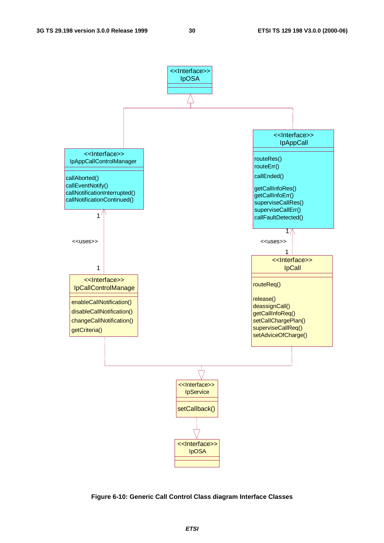

**Figure 6-10: Generic Call Control Class diagram Interface Classes**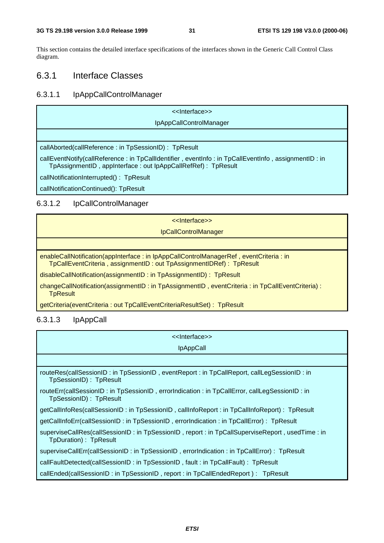This section contains the detailed interface specifications of the interfaces shown in the Generic Call Control Class diagram.

### 6.3.1 Interface Classes

# 6.3.1.1 IpAppCallControlManager

| < <lnterface>&gt;</lnterface>                                                                                                                                       |
|---------------------------------------------------------------------------------------------------------------------------------------------------------------------|
| IpAppCallControlManager                                                                                                                                             |
|                                                                                                                                                                     |
| callAborted(callReference: in TpSessionID): TpResult                                                                                                                |
| callEventNotify(callReference: in TpCallIdentifier, eventInfo: in TpCallEventInfo, assignmentID: in<br>TpAssignmentID, appInterface: out lpAppCallRefRef): TpResult |
| callNotificationInterrupted(): TpResult                                                                                                                             |
| callNotificationContinued(): TpResult                                                                                                                               |
|                                                                                                                                                                     |

### 6.3.1.2 IpCallControlManager

| << Interface>>                                                                                                                                               |
|--------------------------------------------------------------------------------------------------------------------------------------------------------------|
| <b>IpCallControlManager</b>                                                                                                                                  |
|                                                                                                                                                              |
| enableCallNotification(appInterface: in IpAppCallControlManagerRef, eventCriteria: in<br>TpCallEventCriteria, assignmentID: out TpAssignmentIDRef): TpResult |
| disableCallNotification(assignmentID: in TpAssignmentID): TpResult                                                                                           |
| changeCallNotification(assignmentID: in TpAssignmentID, eventCriteria: in TpCallEventCriteria):<br><b>TpResult</b>                                           |
|                                                                                                                                                              |

getCriteria(eventCriteria : out TpCallEventCriteriaResultSet) : TpResult

### 6.3.1.3 IpAppCall

| < <lnterface>&gt;</lnterface>                                                                                              |  |  |
|----------------------------------------------------------------------------------------------------------------------------|--|--|
| <b>IpAppCall</b>                                                                                                           |  |  |
|                                                                                                                            |  |  |
| routeRes(callSessionID : in TpSessionID, eventReport : in TpCallReport, callLegSessionID : in<br>TpSessionID): TpResult    |  |  |
| routeErr(callSessionID : in TpSessionID, errorIndication : in TpCallError, callLegSessionID : in<br>TpSessionID): TpResult |  |  |
| getCallInfoRes(callSessionID : in TpSessionID , callInfoReport : in TpCallInfoReport) : TpResult                           |  |  |
| getCallInfoErr(callSessionID: in TpSessionID, errorIndication: in TpCallError): TpResult                                   |  |  |
| superviseCallRes(callSessionID: in TpSessionID, report: in TpCallSuperviseReport, usedTime: in<br>TpDuration): TpResult    |  |  |
| superviseCallErr(callSessionID: in TpSessionID, errorIndication: in TpCallError): TpResult                                 |  |  |
| callFaultDetected(callSessionID: in TpSessionID, fault: in TpCallFault): TpResult                                          |  |  |
| callEnded(callSessionID: in TpSessionID, report: in TpCallEndedReport): TpResult                                           |  |  |
|                                                                                                                            |  |  |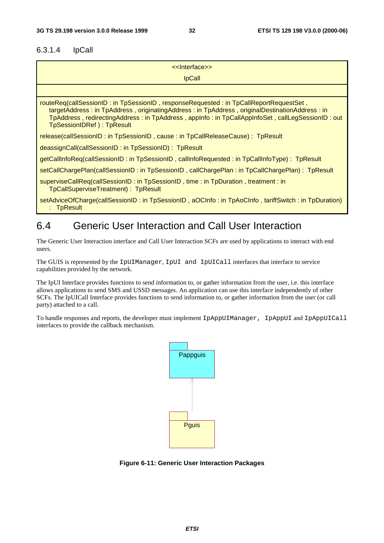#### 6.3.1.4 IpCall

| < <lnterface>&gt;</lnterface>                                                                                                                                                                                                                                                                                           |
|-------------------------------------------------------------------------------------------------------------------------------------------------------------------------------------------------------------------------------------------------------------------------------------------------------------------------|
| <b>IpCall</b>                                                                                                                                                                                                                                                                                                           |
|                                                                                                                                                                                                                                                                                                                         |
| routeReq(callSessionID: in TpSessionID, responseRequested: in TpCallReportRequestSet,<br>targetAddress: in TpAddress, originatingAddress: in TpAddress, originalDestinationAddress: in<br>TpAddress, redirectingAddress: in TpAddress, appInfo: in TpCallAppInfoSet, callLegSessionID: out<br>TpSessionIDRef): TpResult |
| release(callSessionID: in TpSessionID, cause: in TpCallReleaseCause): TpResult                                                                                                                                                                                                                                          |
| deassignCall(callSessionID: in TpSessionID): TpResult                                                                                                                                                                                                                                                                   |
| getCallInfoReq(callSessionID: in TpSessionID, callInfoRequested: in TpCallInfoType): TpResult                                                                                                                                                                                                                           |
| setCallChargePlan(callSessionID: in TpSessionID, callChargePlan: in TpCallChargePlan): TpResult                                                                                                                                                                                                                         |
| superviseCallReq(callSessionID: in TpSessionID, time: in TpDuration, treatment: in<br>TpCallSuperviseTreatment): TpResult                                                                                                                                                                                               |
| setAdviceOfCharge(callSessionID: in TpSessionID, aOCInfo: in TpAoCInfo, tariffSwitch: in TpDuration)                                                                                                                                                                                                                    |

: TpResult

# 6.4 Generic User Interaction and Call User Interaction

The Generic User Interaction interface and Call User Interaction SCFs are used by applications to interact with end users.

The GUIS is represented by the IpUIManager, IpUI and IpUICall interfaces that interface to service capabilities provided by the network.

The IpUI Interface provides functions to send information to, or gather information from the user, i.e. this interface allows applications to send SMS and USSD messages. An application can use this interface independently of other SCFs. The IpUICall Interface provides functions to send information to, or gather information from the user (or call party) attached to a call.

To handle responses and reports, the developer must implement IpAppUIManager, IpAppUI and IpAppUICall interfaces to provide the callback mechanism.



**Figure 6-11: Generic User Interaction Packages**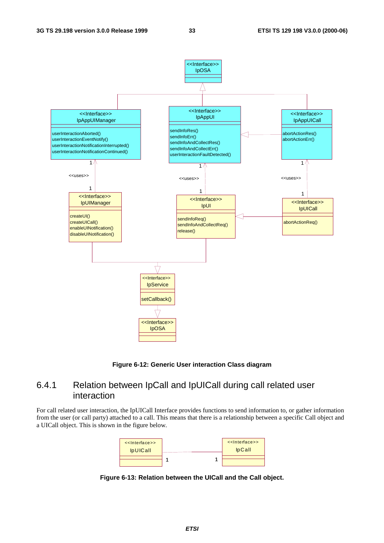

**Figure 6-12: Generic User interaction Class diagram**

### 6.4.1 Relation between IpCall and IpUICall during call related user interaction

For call related user interaction, the IpUICall Interface provides functions to send information to, or gather information from the user (or call party) attached to a call. This means that there is a relationship between a specific Call object and a UICall object. This is shown in the figure below.



**Figure 6-13: Relation between the UICall and the Call object.**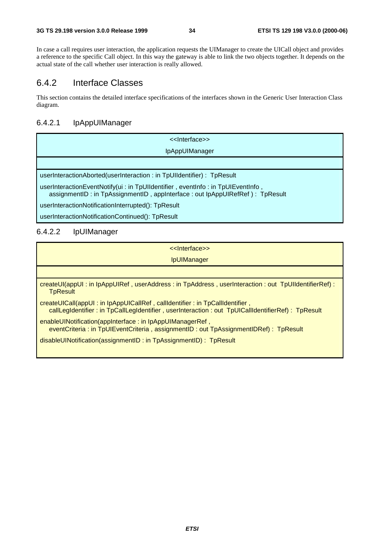In case a call requires user interaction, the application requests the UIManager to create the UICall object and provides a reference to the specific Call object. In this way the gateway is able to link the two objects together. It depends on the actual state of the call whether user interaction is really allowed.

### 6.4.2 Interface Classes

This section contains the detailed interface specifications of the interfaces shown in the Generic User Interaction Class diagram.

### 6.4.2.1 IpAppUIManager

| < <lnterface>&gt;</lnterface>                                                                                                                                    |
|------------------------------------------------------------------------------------------------------------------------------------------------------------------|
| <b>IpAppUIManager</b>                                                                                                                                            |
|                                                                                                                                                                  |
| userInteractionAborted(userInteraction: in TpUIIdentifier): TpResult                                                                                             |
| userInteractionEventNotify(ui: in TpUIIdentifier, eventInfo: in TpUIEventInfo,<br>assignmentID : in TpAssignmentID, appInterface : out lpAppUIRefRef) : TpResult |
| userInteractionNotificationInterrupted(): TpResult                                                                                                               |

userInteractionNotificationContinued(): TpResult

### 6.4.2.2 IpUIManager

| < <lnterface>&gt;</lnterface>                                                                                                                                                   |
|---------------------------------------------------------------------------------------------------------------------------------------------------------------------------------|
| <b>IpUIManager</b>                                                                                                                                                              |
|                                                                                                                                                                                 |
| createUI(appUI: in IpAppUIRef, userAddress: in TpAddress, userInteraction: out TpUIIdentifierRef):<br><b>TpResult</b>                                                           |
| createUICalI(appUI: in IpAppUICalIRef, calIIdentifier: in TpCalIIdentifier,<br>callLegIdentifier: in TpCallLegIdentifier, userInteraction: out TpUICallIdentifierRef): TpResult |
| enableUINotification(appInterface: in IpAppUIManagerRef,<br>eventCriteria : in TpUIEventCriteria, assignmentID : out TpAssignmentIDRef) : TpResult                              |
| disableUINotification(assignmentID: in TpAssignmentID): TpResult                                                                                                                |
|                                                                                                                                                                                 |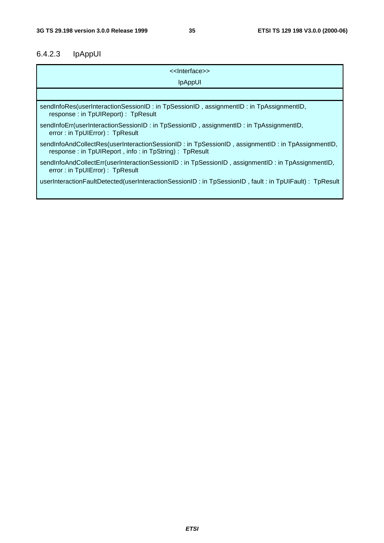### 6.4.2.3 IpAppUI

| < <lnterface>&gt;</lnterface>                                                                                                                             |
|-----------------------------------------------------------------------------------------------------------------------------------------------------------|
| <b>IpAppUI</b>                                                                                                                                            |
|                                                                                                                                                           |
| sendInfoRes(userInteractionSessionID: in TpSessionID, assignmentID: in TpAssignmentID,<br>response: in TpUIReport): TpResult                              |
| sendInfoErr(userInteractionSessionID: in TpSessionID, assignmentID: in TpAssignmentID,<br>error: in TpUIError): TpResult                                  |
| sendInfoAndCollectRes(userInteractionSessionID: in TpSessionID, assignmentID: in TpAssignmentID,<br>response: in TpUIReport, info: in TpString): TpResult |
| sendInfoAndCollectErr(userInteractionSessionID: in TpSessionID, assignmentID: in TpAssignmentID,<br>error: in TpUIError): TpResult                        |
| userInteractionFaultDetected(userInteractionSessionID: in TpSessionID, fault: in TpUIFault): TpResult                                                     |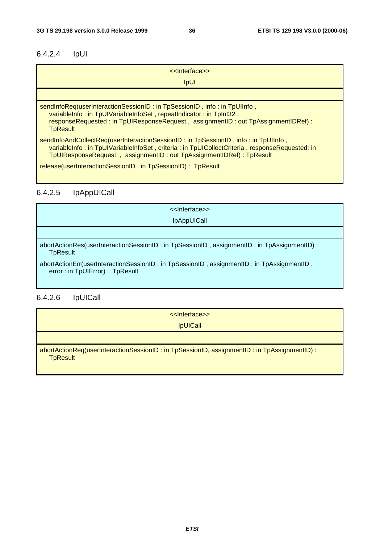# 6.4.2.4 IpUI

| < <lnterface>&gt;</lnterface>                                                                                                                                                                                                                              |
|------------------------------------------------------------------------------------------------------------------------------------------------------------------------------------------------------------------------------------------------------------|
| <b>IpUI</b>                                                                                                                                                                                                                                                |
|                                                                                                                                                                                                                                                            |
| sendInfoReq(userInteractionSessionID: in TpSessionID, info: in TpUIInfo,<br>variableInfo: in TpUIVariableInfoSet, repeatIndicator: in TpInt32,<br>responseRequested: in TpUIResponseRequest, assignmentID: out TpAssignmentIDRef):<br><b>TpResult</b>      |
| sendInfoAndCollectReq(userInteractionSessionID: in TpSessionID, info: in TpUIInfo,<br>variableInfo: in TpUIVariableInfoSet, criteria: in TpUICollectCriteria, responseRequested: in<br>TpUIResponseRequest, assignmentID: out TpAssignmentIDRef): TpResult |
| release(userInteractionSessionID: in TpSessionID): TpResult                                                                                                                                                                                                |

# 6.4.2.5 IpAppUICall

| < <lnterface>&gt;</lnterface>                                                                                               |
|-----------------------------------------------------------------------------------------------------------------------------|
| <i>IpAppUICall</i>                                                                                                          |
|                                                                                                                             |
| abortActionRes(userInteractionSessionID: in TpSessionID, assignmentID: in TpAssignmentID):<br><b>TpResult</b>               |
| abortActionErr(userInteractionSessionID: in TpSessionID, assignmentID: in TpAssignmentID,<br>error: in TpUIError): TpResult |

# 6.4.2.6 IpUICall

| << Interface>>                                                                                                  |
|-----------------------------------------------------------------------------------------------------------------|
| <b>IpUICall</b>                                                                                                 |
|                                                                                                                 |
| $abortActionReg(userInteractionSessionID: in TpSessionID, assignmentID: in TpAssignmentID):$<br><b>TpResult</b> |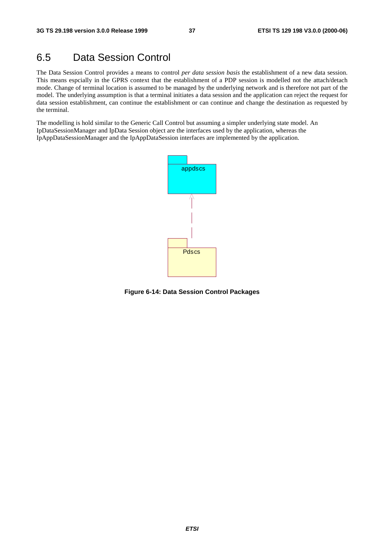# 6.5 Data Session Control

The Data Session Control provides a means to control *per data session basis* the establishment of a new data session. This means espcially in the GPRS context that the establishment of a PDP session is modelled not the attach/detach mode. Change of terminal location is assumed to be managed by the underlying network and is therefore not part of the model. The underlying assumption is that a terminal initiates a data session and the application can reject the request for data session establishment, can continue the establishment or can continue and change the destination as requested by the terminal.

The modelling is hold similar to the Generic Call Control but assuming a simpler underlying state model. An IpDataSessionManager and IpData Session object are the interfaces used by the application, whereas the IpAppDataSessionManager and the IpAppDataSession interfaces are implemented by the application.



**Figure 6-14: Data Session Control Packages**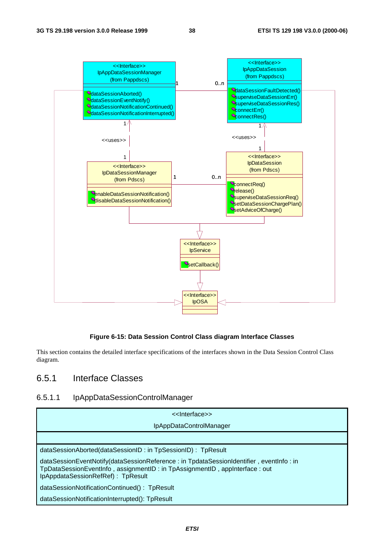

#### **Figure 6-15: Data Session Control Class diagram Interface Classes**

This section contains the detailed interface specifications of the interfaces shown in the Data Session Control Class diagram.

# 6.5.1 Interface Classes

#### 6.5.1.1 IpAppDataSessionControlManager

| < <lnterface>&gt;</lnterface>                                                                                                                                                                             |
|-----------------------------------------------------------------------------------------------------------------------------------------------------------------------------------------------------------|
| IpAppDataControlManager                                                                                                                                                                                   |
|                                                                                                                                                                                                           |
| dataSessionAborted(dataSessionID: in TpSessionID): TpResult                                                                                                                                               |
| dataSessionEventNotify(dataSessionReference: in TpdataSessionIdentifier, eventInfo: in<br>TpDataSessionEventInfo, assignmentID: in TpAssignmentID, appInterface: out<br>IpAppdataSessionRefRef): TpResult |
| dataSessionNotificationContinued(): TpResult                                                                                                                                                              |
| dataSessionNotificationInterrupted(): TpResult                                                                                                                                                            |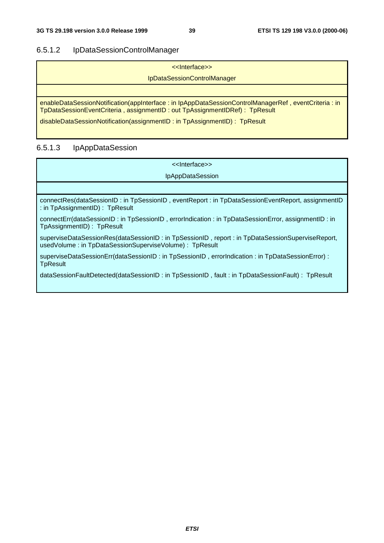# 6.5.1.2 IpDataSessionControlManager

| < <lnterface>&gt;</lnterface>                                                                                                                                                     |
|-----------------------------------------------------------------------------------------------------------------------------------------------------------------------------------|
| IpDataSessionControlManager                                                                                                                                                       |
|                                                                                                                                                                                   |
| enableDataSessionNotification(appInterface: in IpAppDataSessionControlManagerRef, eventCriteria: in<br>TpDataSessionEventCriteria, assignmentID: out TpAssignmentIDRef): TpResult |
| disableDataSessionNotification(assignmentID: in TpAssignmentID): TpResult                                                                                                         |

# 6.5.1.3 IpAppDataSession

| < <lnterface>&gt;</lnterface>                                                                                                                             |
|-----------------------------------------------------------------------------------------------------------------------------------------------------------|
| <b>IpAppDataSession</b>                                                                                                                                   |
|                                                                                                                                                           |
| connectRes(dataSessionID: in TpSessionID, eventReport: in TpDataSessionEventReport, assignmentID<br>: in TpAssignmentID) : TpResult                       |
| connectErr(dataSessionID: in TpSessionID, errorIndication: in TpDataSessionError, assignmentID: in<br>TpAssignmentID): TpResult                           |
| superviseDataSessionRes(dataSessionID: in TpSessionID, report: in TpDataSessionSuperviseReport,<br>usedVolume: in TpDataSessionSuperviseVolume): TpResult |
| superviseDataSessionErr(dataSessionID: in TpSessionID, errorIndication: in TpDataSessionError):<br><b>TpResult</b>                                        |
| dataSessionFaultDetected(dataSessionID: in TpSessionID, fault: in TpDataSessionFault): TpResult                                                           |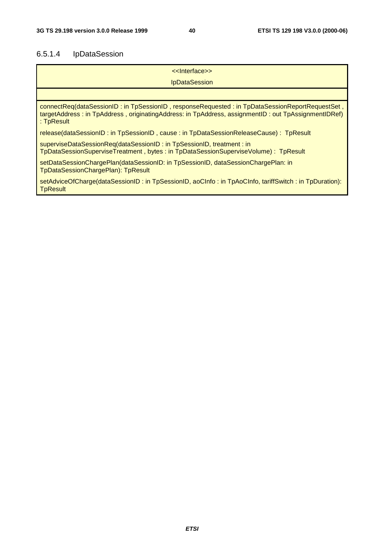# 6.5.1.4 IpDataSession

| < <lnterface>&gt;</lnterface>                                                                                                                                                                                       |
|---------------------------------------------------------------------------------------------------------------------------------------------------------------------------------------------------------------------|
|                                                                                                                                                                                                                     |
| <b>IpDataSession</b>                                                                                                                                                                                                |
|                                                                                                                                                                                                                     |
| connectReq(dataSessionID: in TpSessionID, responseRequested: in TpDataSessionReportRequestSet,<br>targetAddress: in TpAddress, originatingAddress: in TpAddress, assignmentID: out TpAssignmentIDRef)<br>: TpResult |
| release(dataSessionID: in TpSessionID, cause: in TpDataSessionReleaseCause): TpResult                                                                                                                               |
| superviseDataSessionReq(dataSessionID: in TpSessionID, treatment: in<br>TpDataSessionSuperviseTreatment, bytes: in TpDataSessionSuperviseVolume): TpResult                                                          |
| setDataSessionChargePlan(dataSessionID: in TpSessionID, dataSessionChargePlan: in<br>TpDataSessionChargePlan): TpResult                                                                                             |
| setAdviceOfCharge(dataSessionID: in TpSessionID, aoCInfo: in TpAoCInfo, tariffSwitch: in TpDuration):<br><b>TpResult</b>                                                                                            |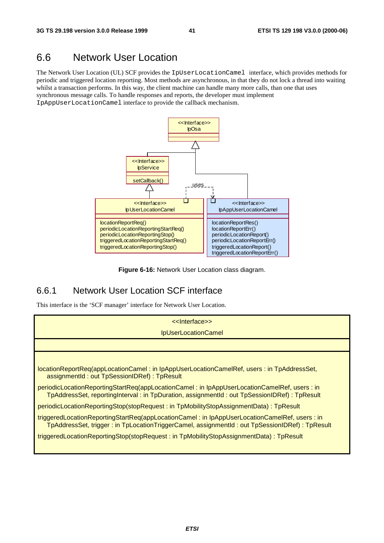# 6.6 Network User Location

The Network User Location (UL) SCF provides the IpUserLocationCamel interface, which provides methods for periodic and triggered location reporting. Most methods are asynchronous, in that they do not lock a thread into waiting whilst a transaction performs. In this way, the client machine can handle many more calls, than one that uses synchronous message calls. To handle responses and reports, the developer must implement IpAppUserLocationCamel interface to provide the callback mechanism.



**Figure 6-16:** Network User Location class diagram.

# 6.6.1 Network User Location SCF interface

This interface is the 'SCF manager' interface for Network User Location.

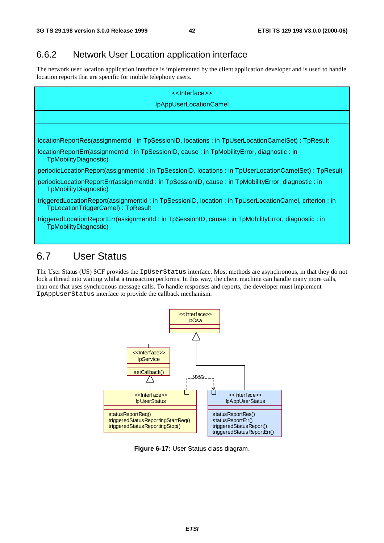# 6.6.2 Network User Location application interface

The network user location application interface is implemented by the client application developer and is used to handle location reports that are specific for mobile telephony users.

| < <lnterface>&gt;</lnterface>                                                                                                              |
|--------------------------------------------------------------------------------------------------------------------------------------------|
| IpAppUserLocationCamel                                                                                                                     |
|                                                                                                                                            |
|                                                                                                                                            |
| locationReportRes(assignmentId: in TpSessionID, locations: in TpUserLocationCameISet): TpResult                                            |
| locationReportErr(assignmentId: in TpSessionID, cause: in TpMobilityError, diagnostic: in<br>TpMobilityDiagnostic)                         |
| periodicLocationReport(assignmentId: in TpSessionID, locations: in TpUserLocationCameISet): TpResult                                       |
| periodicLocationReportErr(assignmentId: in TpSessionID, cause: in TpMobilityError, diagnostic: in<br>TpMobilityDiagnostic)                 |
| triggeredLocationReport(assignmentId: in TpSessionID, location: in TpUserLocationCamel, criterion: in<br>TpLocationTriggerCamel): TpResult |
| triggeredLocationReportErr(assignmentId: in TpSessionID, cause: in TpMobilityError, diagnostic: in<br>TpMobilityDiagnostic)                |

# 6.7 User Status

The User Status (US) SCF provides the IpUserStatus interface. Most methods are asynchronous, in that they do not lock a thread into waiting whilst a transaction performs. In this way, the client machine can handle many more calls, than one that uses synchronous message calls. To handle responses and reports, the developer must implement IpAppUserStatus interface to provide the callback mechanism.



**Figure 6-17:** User Status class diagram.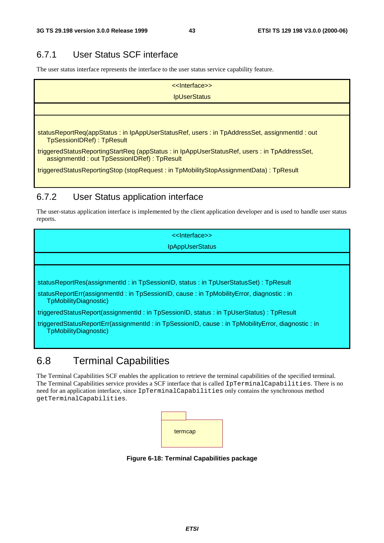# 6.7.1 User Status SCF interface

The user status interface represents the interface to the user status service capability feature.

| < <lnterface>&gt;</lnterface>                                                                                                              |
|--------------------------------------------------------------------------------------------------------------------------------------------|
| <b>IpUserStatus</b>                                                                                                                        |
|                                                                                                                                            |
|                                                                                                                                            |
| statusReportReq(appStatus: in IpAppUserStatusRef, users: in TpAddressSet, assignmentId: out<br><b>TpSessionIDRef): TpResult</b>            |
| triggeredStatusReportingStartReq (appStatus: in lpAppUserStatusRef, users: in TpAddressSet,<br>assignmentId: out TpSessionIDRef): TpResult |
| triggeredStatusReportingStop (stopRequest: in TpMobilityStopAssignmentData): TpResult                                                      |

# 6.7.2 User Status application interface

The user-status application interface is implemented by the client application developer and is used to handle user status reports.

<<Interface>> IpAppUserStatus statusReportRes(assignmentId : in TpSessionID, status : in TpUserStatusSet) : TpResult statusReportErr(assignmentId : in TpSessionID, cause : in TpMobilityError, diagnostic : in TpMobilityDiagnostic) triggeredStatusReport(assignmentId : in TpSessionID, status : in TpUserStatus) : TpResult triggeredStatusReportErr(assignmentId : in TpSessionID, cause : in TpMobilityError, diagnostic : in TpMobilityDiagnostic)

# 6.8 Terminal Capabilities

The Terminal Capabilities SCF enables the application to retrieve the terminal capabilities of the specified terminal. The Terminal Capabilities service provides a SCF interface that is called IpTerminalCapabilities. There is no need for an application interface, since IpTerminalCapabilities only contains the synchronous method getTerminalCapabilities.



**Figure 6-18: Terminal Capabilities package**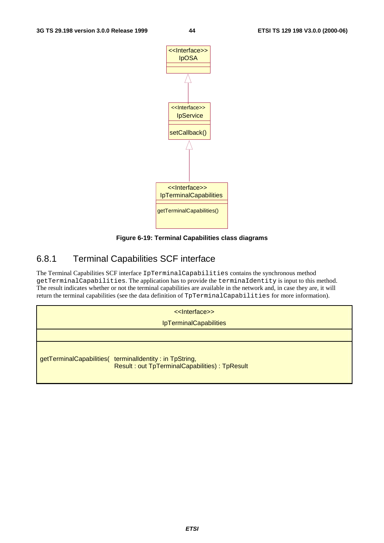

#### **Figure 6-19: Terminal Capabilities class diagrams**

# 6.8.1 Terminal Capabilities SCF interface

The Terminal Capabilities SCF interface IpTerminalCapabilities contains the synchronous method getTerminalCapabilities. The application has to provide the terminaIdentity is input to this method. The result indicates whether or not the terminal capabilities are available in the network and, in case they are, it will return the terminal capabilities (see the data definition of TpTerminalCapabilities for more information).

<<Interface>>

IpTerminalCapabilities

getTerminalCapabilities( terminalIdentity : in TpString, Result : out TpTerminalCapabilities) : TpResult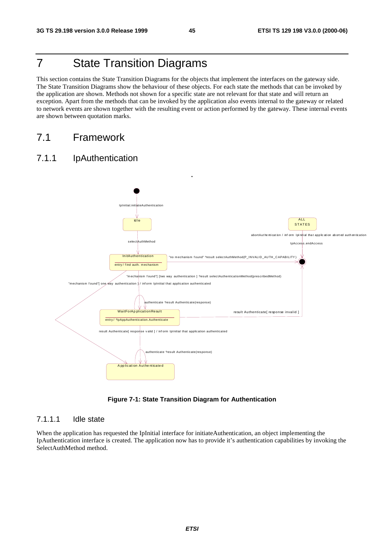# 7 State Transition Diagrams

This section contains the State Transition Diagrams for the objects that implement the interfaces on the gateway side. The State Transition Diagrams show the behaviour of these objects. For each state the methods that can be invoked by the application are shown. Methods not shown for a specific state are not relevant for that state and will return an exception. Apart from the methods that can be invoked by the application also events internal to the gateway or related to network events are shown together with the resulting event or action performed by the gateway. These internal events are shown between quotation marks.

# 7.1 Framework

### 7.1.1 IpAuthentication



**Figure 7-1: State Transition Diagram for Authentication**

#### 7.1.1.1 Idle state

When the application has requested the IpInitial interface for initiateAuthentication, an object implementing the IpAuthentication interface is created. The application now has to provide it's authentication capabilities by invoking the SelectAuthMethod method.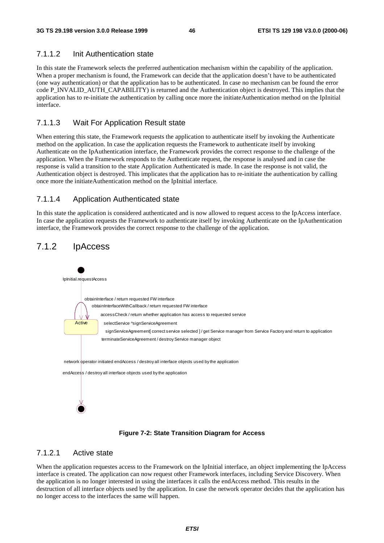#### 7.1.1.2 Init Authentication state

In this state the Framework selects the preferred authentication mechanism within the capability of the application. When a proper mechanism is found, the Framework can decide that the application doesn't have to be authenticated (one way authentication) or that the application has to be authenticated. In case no mechanism can be found the error code P\_INVALID\_AUTH\_CAPABILITY) is returned and the Authentication object is destroyed. This implies that the application has to re-initiate the authentication by calling once more the initiateAuthentication method on the IpInitial interface.

### 7.1.1.3 Wait For Application Result state

When entering this state, the Framework requests the application to authenticate itself by invoking the Authenticate method on the application. In case the application requests the Framework to authenticate itself by invoking Authenticate on the IpAuthentication interface, the Framework provides the correct response to the challenge of the application. When the Framework responds to the Authenticate request, the response is analysed and in case the response is valid a transition to the state Application Authenticated is made. In case the response is not valid, the Authentication object is destroyed. This implicates that the application has to re-initiate the authentication by calling once more the initiateAuthentication method on the IpInitial interface.

### 7.1.1.4 Application Authenticated state

In this state the application is considered authenticated and is now allowed to request access to the IpAccess interface. In case the application requests the Framework to authenticate itself by invoking Authenticate on the IpAuthentication interface, the Framework provides the correct response to the challenge of the application.

# 7.1.2 IpAccess



**Figure 7-2: State Transition Diagram for Access**

#### 7.1.2.1 Active state

When the application requestes access to the Framework on the IpInitial interface, an object implementing the IpAccess interface is created. The application can now request other Framework interfaces, including Service Discovery. When the application is no longer interested in using the interfaces it calls the endAccess method. This results in the destruction of all interface objects used by the application. In case the network operator decides that the application has no longer access to the interfaces the same will happen.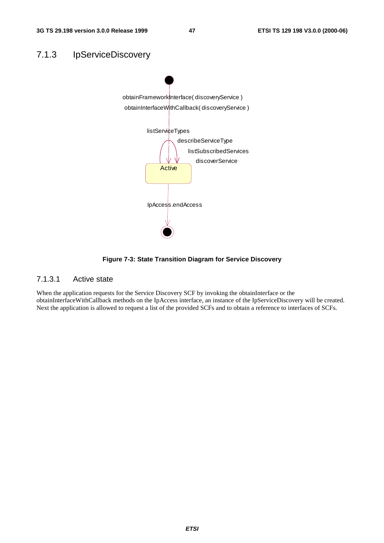



**Figure 7-3: State Transition Diagram for Service Discovery**

### 7.1.3.1 Active state

When the application requests for the Service Discovery SCF by invoking the obtainInterface or the obtainInterfaceWithCallback methods on the IpAccess interface, an instance of the IpServiceDiscovery will be created. Next the application is allowed to request a list of the provided SCFs and to obtain a reference to interfaces of SCFs.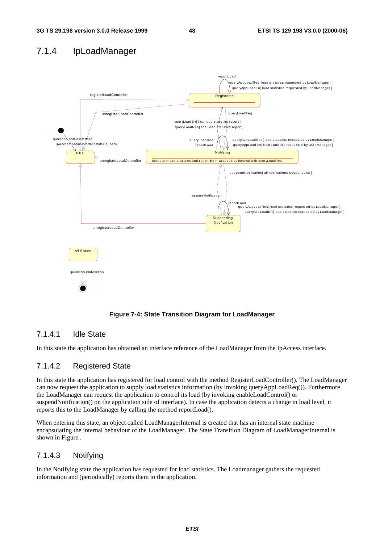# 7.1.4 IpLoadManager



**Figure 7-4: State Transition Diagram for LoadManager**

### 7.1.4.1 Idle State

In this state the application has obtained an interface reference of the LoadManager from the IpAccess interface.

### 7.1.4.2 Registered State

In this state the application has registered for load control with the method RegisterLoadController(). The LoadManager can now request the application to supply load statistics information (by invoking queryAppLoadReq()). Furthermore the LoadManager can request the application to control its load (by invoking enableLoadControl() or suspendNotification() on the application side of interface). In case the application detects a change in load level, it reports this to the LoadManager by calling the method reportLoad().

When entering this state, an object called LoadManagerInternal is created that has an internal state machine encapsulating the internal behaviour of the LoadManager. The State Transition Diagram of LoadManagerInternal is shown in Figure .

### 7.1.4.3 Notifying

In the Notifying state the application has requested for load statistics. The Loadmanager gathers the requested information and (periodically) reports them to the application.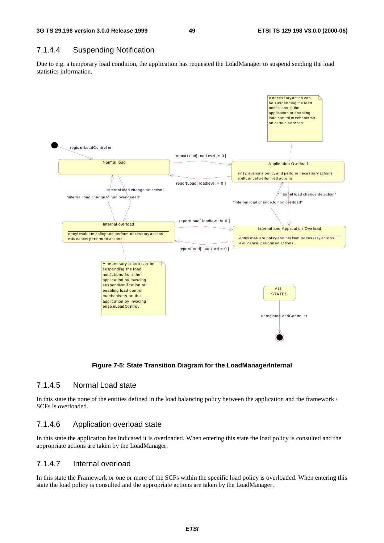### 7.1.4.4 Suspending Notification

Due to e.g. a temporary load condition, the application has requested the LoadManager to suspend sending the load statistics information.



#### **Figure 7-5: State Transition Diagram for the LoadManagerInternal**

#### 7.1.4.5 Normal Load state

In this state the none of the entities defined in the load balancing policy between the application and the framework / SCFs is overloaded.

### 7.1.4.6 Application overload state

In this state the application has indicated it is overloaded. When entering this state the load policy is consulted and the appropriate actions are taken by the LoadManager.

### 7.1.4.7 Internal overload

In this state the Framework or one or more of the SCFs within the specific load policy is overloaded. When entering this state the load policy is consulted and the appropriate actions are taken by the LoadManager.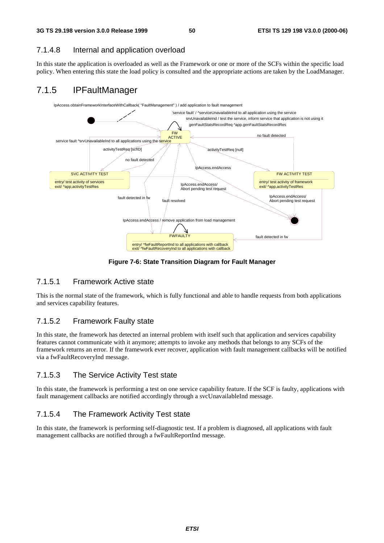#### 7.1.4.8 Internal and application overload

In this state the application is overloaded as well as the Framework or one or more of the SCFs within the specific load policy. When entering this state the load policy is consulted and the appropriate actions are taken by the LoadManager.

# 7.1.5 IPFaultManager



**Figure 7-6: State Transition Diagram for Fault Manager**

#### 7.1.5.1 Framework Active state

This is the normal state of the framework, which is fully functional and able to handle requests from both applications and services capability features.

### 7.1.5.2 Framework Faulty state

In this state, the framework has detected an internal problem with itself such that application and services capability features cannot communicate with it anymore; attempts to invoke any methods that belongs to any SCFs of the framework returns an error. If the framework ever recover, application with fault management callbacks will be notified via a fwFaultRecoveryInd message.

### 7.1.5.3 The Service Activity Test state

In this state, the framework is performing a test on one service capability feature. If the SCF is faulty, applications with fault management callbacks are notified accordingly through a svcUnavailableInd message.

### 7.1.5.4 The Framework Activity Test state

In this state, the framework is performing self-diagnostic test. If a problem is diagnosed, all applications with fault management callbacks are notified through a fwFaultReportInd message.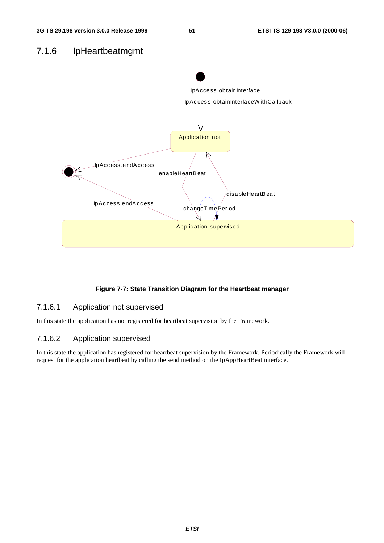### 7.1.6 IpHeartbeatmgmt



### **Figure 7-7: State Transition Diagram for the Heartbeat manager**

### 7.1.6.1 Application not supervised

In this state the application has not registered for heartbeat supervision by the Framework.

### 7.1.6.2 Application supervised

In this state the application has registered for heartbeat supervision by the Framework. Periodically the Framework will request for the application heartbeat by calling the send method on the IpAppHeartBeat interface.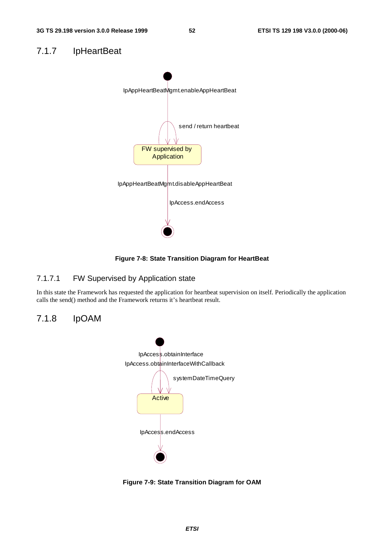# 7.1.7 IpHeartBeat



**Figure 7-8: State Transition Diagram for HeartBeat**

### 7.1.7.1 FW Supervised by Application state

In this state the Framework has requested the application for heartbeat supervision on itself. Periodically the application calls the send() method and the Framework returns it's heartbeat result.

### 7.1.8 IpOAM



**Figure 7-9: State Transition Diagram for OAM**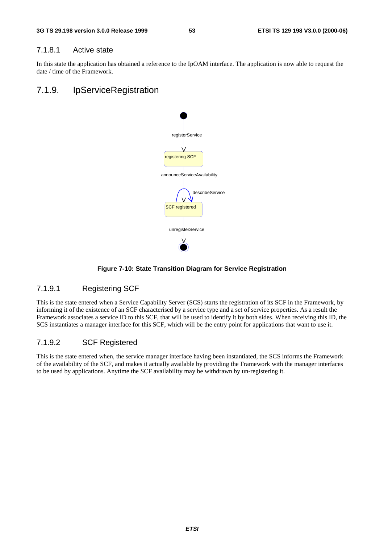#### 7.1.8.1 Active state

In this state the application has obtained a reference to the IpOAM interface. The application is now able to request the date / time of the Framework.

# 7.1.9. IpServiceRegistration



#### **Figure 7-10: State Transition Diagram for Service Registration**

#### 7.1.9.1 Registering SCF

This is the state entered when a Service Capability Server (SCS) starts the registration of its SCF in the Framework, by informing it of the existence of an SCF characterised by a service type and a set of service properties. As a result the Framework associates a service ID to this SCF, that will be used to identify it by both sides. When receiving this ID, the SCS instantiates a manager interface for this SCF, which will be the entry point for applications that want to use it.

#### 7.1.9.2 SCF Registered

This is the state entered when, the service manager interface having been instantiated, the SCS informs the Framework of the availability of the SCF, and makes it actually available by providing the Framework with the manager interfaces to be used by applications. Anytime the SCF availability may be withdrawn by un-registering it.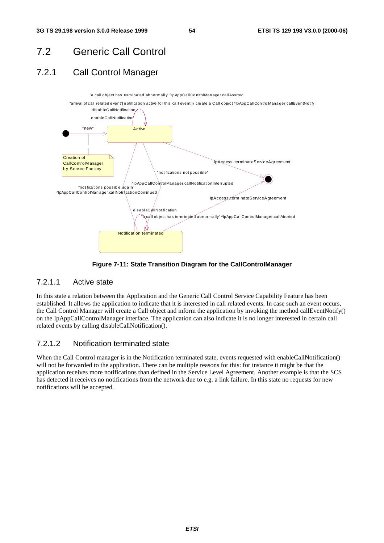# 7.2 Generic Call Control

# 7.2.1 Call Control Manager



**Figure 7-11: State Transition Diagram for the CallControlManager**

### 7.2.1.1 Active state

In this state a relation between the Application and the Generic Call Control Service Capability Feature has been established. It allows the application to indicate that it is interested in call related events. In case such an event occurs, the Call Control Manager will create a Call object and inform the application by invoking the method callEventNotify() on the IpAppCallControlManager interface. The application can also indicate it is no longer interested in certain call related events by calling disableCallNotification().

### 7.2.1.2 Notification terminated state

When the Call Control manager is in the Notification terminated state, events requested with enableCallNotification() will not be forwarded to the application. There can be multiple reasons for this: for instance it might be that the application receives more notifications than defined in the Service Level Agreement. Another example is that the SCS has detected it receives no notifications from the network due to e.g. a link failure. In this state no requests for new notifications will be accepted.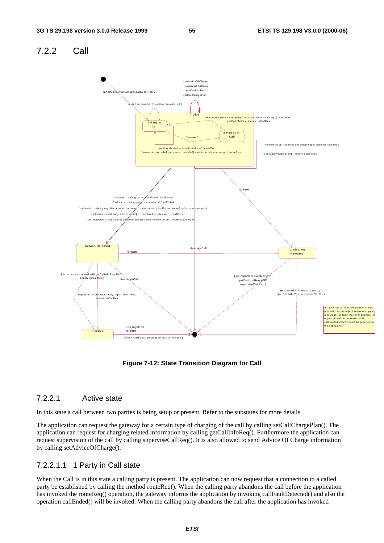#### 7.2.2 Call Network Released Finished Application Released release dea ssignC all tim eout ^callF aultD etected("tim eout on release") Active 1 Party in Call 2 Parties in Call IpAppC allCon trolManag er.call Ev entNo tif y setCallChargePlan getCallInf oReq su pervise CallRe q setAdv iceOf Charge  $\mathsf{Regf}$  number of routing requests  $< 2$ "disconnect from called party "[ monitor mode = interrupt ] ^routeRes,<br>getCallInf oRes, superviseCallRes "answer" on to called party unsu ccessful"[ m uting aborted or inv alid address" ^routeErr de [ no re ports req ue sted with get Ca llIn fo Req AN D superv iseCallReq ] "requested information ready " ^getC allInf oRes, superv iseCallRes release "requested inform ation ready" ^getCallInfoRes, superviseCallRes [ no reports requested getCallInfoReq AND superviseCallReq 1 In state Idle a timer mechanism should prev ent that the object keeps occupy ing resources. In case the timer expires, the object should be destroy ed and callF aultD etected should be reported to the application. deassignC all release "call ends : calling pa nds : called party disconnects"[ monitor for this event ] ^callEnded, routeRes(i rv ision ev ent" ^superv iseC allRes ev ent receiv ed f or which was m onitored ^routeRes "call ends : calling party disconnects" ^callEnded "f ault detected"[ f ault cannot be  $\ell$  om m unicated with network event 1 ^callF aultD etected "call ends: called party discon nects" [ n o m onitor f or this event ] ^callEn ded

**Figure 7-12: State Transition Diagram for Call**

### 7.2.2.1 Active state

In this state a call between two parties is being setup or present. Refer to the substates for more details

The application can request the gateway for a certain type of charging of the call by calling setCallChargePlan(). The application can request for charging related information by calling getCallInfoReq(). Furthermore the application can request supervision of the call by calling superviseCallReq(). It is also allowed to send Advice Of Charge information by calling setAdviceOfCharge().

### 7.2.2.1.1 1 Party in Call state

When the Call is in this state a calling party is present. The application can now request that a connection to a called party be established by calling the method routeReq(). When the calling party abandons the call before the application has invoked the routeReq() operation, the gateway informs the application by invoking callFaultDetected() and also the operation callEnded() will be invoked. When the calling party abandons the call after the application has invoked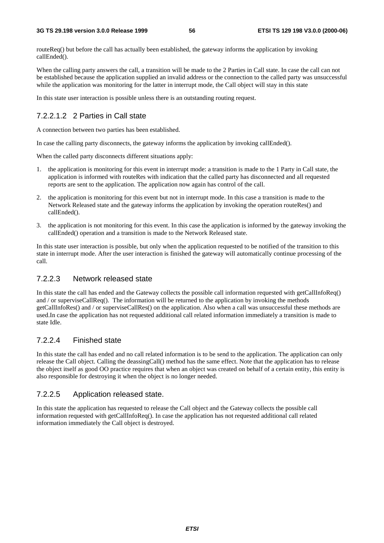routeReq() but before the call has actually been established, the gateway informs the application by invoking callEnded().

When the calling party answers the call, a transition will be made to the 2 Parties in Call state. In case the call can not be established because the application supplied an invalid address or the connection to the called party was unsuccessful while the application was monitoring for the latter in interrupt mode, the Call object will stay in this state

In this state user interaction is possible unless there is an outstanding routing request.

### 7.2.2.1.2 2 Parties in Call state

A connection between two parties has been established.

In case the calling party disconnects, the gateway informs the application by invoking callEnded().

When the called party disconnects different situations apply:

- 1. the application is monitoring for this event in interrupt mode: a transition is made to the 1 Party in Call state, the application is informed with routeRes with indication that the called party has disconnected and all requested reports are sent to the application. The application now again has control of the call.
- 2. the application is monitoring for this event but not in interrupt mode. In this case a transition is made to the Network Released state and the gateway informs the application by invoking the operation routeRes() and callEnded().
- 3. the application is not monitoring for this event. In this case the application is informed by the gateway invoking the callEnded() operation and a transition is made to the Network Released state.

In this state user interaction is possible, but only when the application requested to be notified of the transition to this state in interrupt mode. After the user interaction is finished the gateway will automatically continue processing of the call.

### 7.2.2.3 Network released state

In this state the call has ended and the Gateway collects the possible call information requested with getCallInfoReq() and / or superviseCallReq(). The information will be returned to the application by invoking the methods getCallInfoRes() and / or superviseCallRes() on the application. Also when a call was unsuccessful these methods are used.In case the application has not requested additional call related information immediately a transition is made to state Idle.

### 7.2.2.4 Finished state

In this state the call has ended and no call related information is to be send to the application. The application can only release the Call object. Calling the deassingCall() method has the same effect. Note that the application has to release the object itself as good OO practice requires that when an object was created on behalf of a certain entity, this entity is also responsible for destroying it when the object is no longer needed.

#### 7.2.2.5 Application released state.

In this state the application has requested to release the Call object and the Gateway collects the possible call information requested with getCallInfoReq(). In case the application has not requested additional call related information immediately the Call object is destroyed.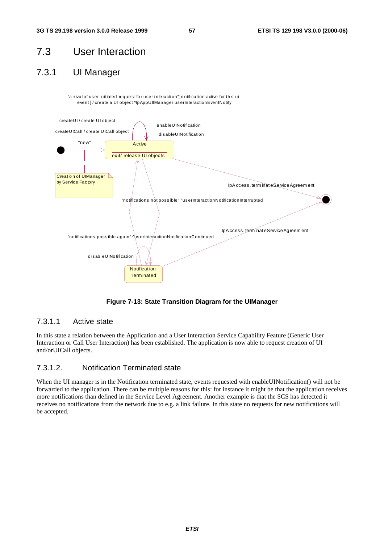# 7.3 User Interaction

# 7.3.1 UI Manager

"a rrival of user initiated request for user interaction" notification active for this ui event ] / create a UI object ^IpAppUIIManager.us erInteractionEventNotify



**Figure 7-13: State Transition Diagram for the UIManager**

### 7.3.1.1 Active state

In this state a relation between the Application and a User Interaction Service Capability Feature (Generic User Interaction or Call User Interaction) has been established. The application is now able to request creation of UI and/orUICall objects.

### 7.3.1.2. Notification Terminated state

When the UI manager is in the Notification terminated state, events requested with enableUINotification() will not be forwarded to the application. There can be multiple reasons for this: for instance it might be that the application receives more notifications than defined in the Service Level Agreement. Another example is that the SCS has detected it receives no notifications from the network due to e.g. a link failure. In this state no requests for new notifications will be accepted.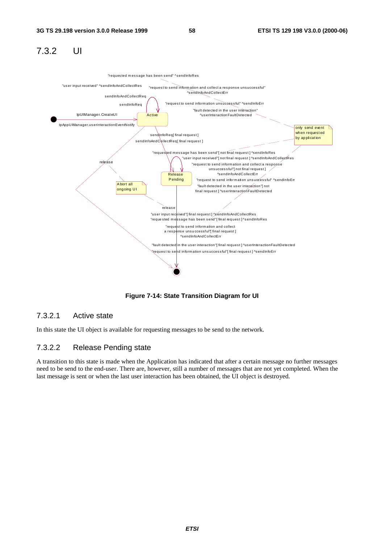# 7.3.2 UI



**Figure 7-14: State Transition Diagram for UI**

#### 7.3.2.1 Active state

In this state the UI object is available for requesting messages to be send to the network.

### 7.3.2.2 Release Pending state

A transition to this state is made when the Application has indicated that after a certain message no further messages need to be send to the end-user. There are, however, still a number of messages that are not yet completed. When the last message is sent or when the last user interaction has been obtained, the UI object is destroyed.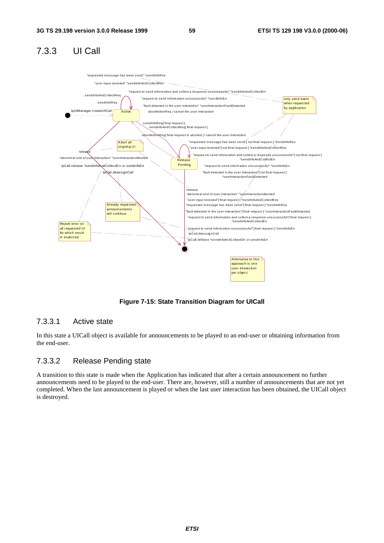# 7.3.3 UI Call



**Figure 7-15: State Transition Diagram for UICall**

### 7.3.3.1 Active state

In this state a UICall object is available for announcements to be played to an end-user or obtaining information from the end-user.

#### 7.3.3.2 Release Pending state

A transition to this state is made when the Application has indicated that after a certain announcement no further announcements need to be played to the end-user. There are, however, still a number of announcements that are not yet completed. When the last announcement is played or when the last user interaction has been obtained, the UICall object is destroyed.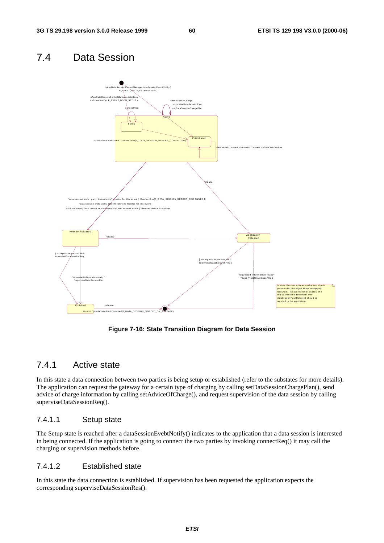# 7.4 Data Session



**Figure 7-16: State Transition Diagram for Data Session**

### 7.4.1 Active state

In this state a data connection between two parties is being setup or established (refer to the substates for more details). The application can request the gateway for a certain type of charging by calling setDataSessionChargePlan(), send advice of charge information by calling setAdviceOfCharge(), and request supervision of the data session by calling superviseDataSessionReq().

### 7.4.1.1 Setup state

The Setup state is reached after a dataSessionEvebtNotify() indicates to the application that a data session is interested in being connected. If the application is going to connect the two parties by invoking connectReq() it may call the charging or supervision methods before.

### 7.4.1.2 Established state

In this state the data connection is established. If supervision has been requested the application expects the corresponding superviseDataSessionRes().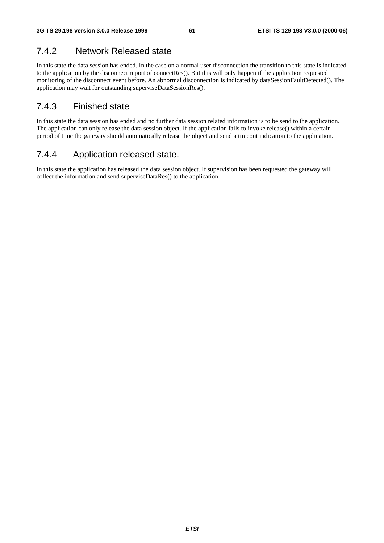# 7.4.2 Network Released state

In this state the data session has ended. In the case on a normal user disconnection the transition to this state is indicated to the application by the disconnect report of connectRes(). But this will only happen if the application requested monitoring of the disconnect event before. An abnormal disconnection is indicated by dataSessionFaultDetected(). The application may wait for outstanding superviseDataSessionRes().

# 7.4.3 Finished state

In this state the data session has ended and no further data session related information is to be send to the application. The application can only release the data session object. If the application fails to invoke release() within a certain period of time the gateway should automatically release the object and send a timeout indication to the application.

# 7.4.4 Application released state.

In this state the application has released the data session object. If supervision has been requested the gateway will collect the information and send superviseDataRes() to the application.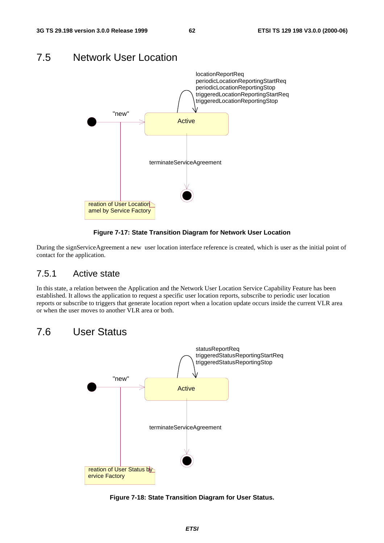

#### During the signServiceAgreement a new user location interface reference is created, which is user as the initial point of contact for the application.

### 7.5.1 Active state

In this state, a relation between the Application and the Network User Location Service Capability Feature has been established. It allows the application to request a specific user location reports, subscribe to periodic user location reports or subscribe to triggers that generate location report when a location update occurs inside the current VLR area or when the user moves to another VLR area or both.

# 7.6 User Status



**Figure 7-18: State Transition Diagram for User Status.**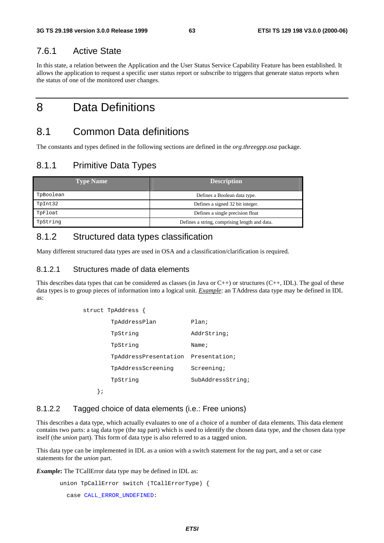### 7.6.1 Active State

In this state, a relation between the Application and the User Status Service Capability Feature has been established. It allows the application to request a specific user status report or subscribe to triggers that generate status reports when the status of one of the monitored user changes.

# 8 Data Definitions

# 8.1 Common Data definitions

The constants and types defined in the following sections are defined in the *org.threegpp.osa* package.

# 8.1.1 Primitive Data Types

| <b>Type Name</b> | <b>Description</b>                            |
|------------------|-----------------------------------------------|
| TpBoolean        | Defines a Boolean data type.                  |
| TpInt32          | Defines a signed 32 bit integer.              |
| TpFloat          | Defines a single precision float              |
| TpString         | Defines a string, comprising length and data. |

## 8.1.2 Structured data types classification

Many different structured data types are used in OSA and a classification/clarification is required.

#### 8.1.2.1 Structures made of data elements

This describes data types that can be considered as classes (in Java or  $C_{++}$ ) or structures ( $C_{++}$ , IDL). The goal of these data types is to group pieces of information into a logical unit. *Example*: an TAddress data type may be defined in IDL as:

| t TpAddress {         |                     |
|-----------------------|---------------------|
| TpAddressPlan         | Plan;               |
| TpString              | AddrString;         |
| TpString              | Name $\mathfrak{i}$ |
| TpAddressPresentation | Presentation;       |
| TpAddressScreening    | Screening;          |
| TpString              | SubAddressString;   |
|                       |                     |

};

 $strum$ 

### 8.1.2.2 Tagged choice of data elements (i.e.: Free unions)

This describes a data type, which actually evaluates to one of a choice of a number of data elements. This data element contains two parts: a tag data type (the *tag* part) which is used to identify the chosen data type, and the chosen data type itself (the *union* part). This form of data type is also referred to as a tagged union.

This data type can be implemented in IDL as a union with a switch statement for the *tag* part, and a set or case statements for the *union* part.

*Example***:** The TCallError data type may be defined in IDL as:

```
union TpCallError switch (TCallErrorType) {
  case CALL_ERROR_UNDEFINED:
```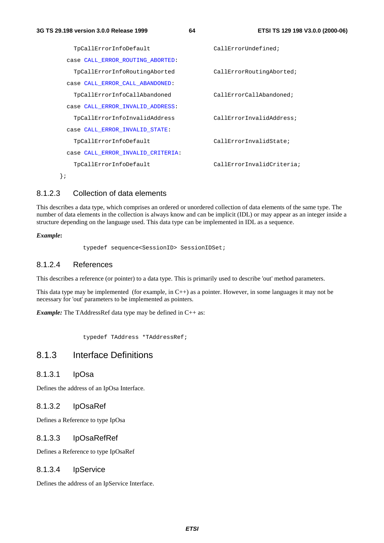```
TpCallErrorInfoDefault CallErrorUndefined;
 case CALL_ERROR_ROUTING_ABORTED:
   TpCallErrorInfoRoutingAborted CallErrorRoutingAborted;
 case CALL_ERROR_CALL_ABANDONED:
   TpCallErrorInfoCallAbandoned CallErrorCallAbandoned;
 case CALL_ERROR_INVALID_ADDRESS:
   TpCallErrorInfoInvalidAddress CallErrorInvalidAddress;
 case CALL_ERROR_INVALID_STATE:
   TpCallErrorInfoDefault CallErrorInvalidState;
 case CALL_ERROR_INVALID_CRITERIA:
   TpCallErrorInfoDefault CallErrorInvalidCriteria;
};
```
#### 8.1.2.3 Collection of data elements

This describes a data type, which comprises an ordered or unordered collection of data elements of the same type. The number of data elements in the collection is always know and can be implicit (IDL) or may appear as an integer inside a structure depending on the language used. This data type can be implemented in IDL as a sequence.

#### *Example***:**

typedef sequence<SessionID> SessionIDSet;

#### 8.1.2.4 References

This describes a reference (or pointer) to a data type. This is primarily used to describe 'out' method parameters.

This data type may be implemented (for example, in C++) as a pointer. However, in some languages it may not be necessary for 'out' parameters to be implemented as pointers.

*Example:* The TAddressRef data type may be defined in C++ as:

typedef TAddress \*TAddressRef;

### 8.1.3 Interface Definitions

#### 8.1.3.1 IpOsa

Defines the address of an IpOsa Interface.

#### 8.1.3.2 IpOsaRef

Defines a Reference to type IpOsa

#### 8.1.3.3 IpOsaRefRef

Defines a Reference to type IpOsaRef

#### 8.1.3.4 IpService

Defines the address of an IpService Interface.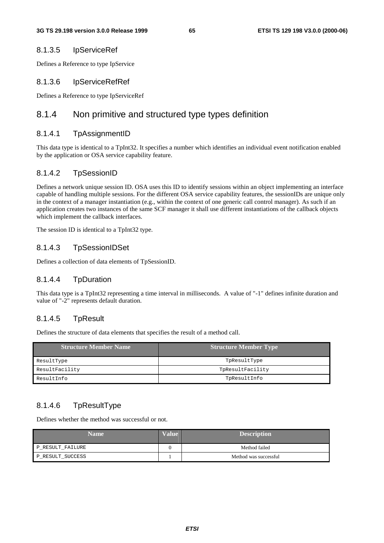#### 8.1.3.5 IpServiceRef

Defines a Reference to type IpService

#### 8.1.3.6 IpServiceRefRef

Defines a Reference to type IpServiceRef

### 8.1.4 Non primitive and structured type types definition

#### 8.1.4.1 TpAssignmentID

This data type is identical to a TpInt32. It specifies a number which identifies an individual event notification enabled by the application or OSA service capability feature.

#### 8.1.4.2 TpSessionID

Defines a network unique session ID. OSA uses this ID to identify sessions within an object implementing an interface capable of handling multiple sessions. For the different OSA service capability features, the sessionIDs are unique only in the context of a manager instantiation (e.g., within the context of one generic call control manager). As such if an application creates two instances of the same SCF manager it shall use different instantiations of the callback objects which implement the callback interfaces.

The session ID is identical to a TpInt32 type.

#### 8.1.4.3 TpSessionIDSet

Defines a collection of data elements of TpSessionID.

#### 8.1.4.4 TpDuration

This data type is a TpInt32 representing a time interval in milliseconds. A value of "-1" defines infinite duration and value of "-2" represents default duration.

#### 8.1.4.5 TpResult

Defines the structure of data elements that specifies the result of a method call.

| <b>Structure Member Name</b> | <b>Structure Member Type</b> |
|------------------------------|------------------------------|
| ResultType                   | TpResultType                 |
| ResultFacility               | TpResultFacility             |
| ResultInfo                   | TpResultInfo                 |

### 8.1.4.6 TpResultType

Defines whether the method was successful or not.

| <b>Name</b>      | <b>Value</b> | <b>Description</b>    |
|------------------|--------------|-----------------------|
| P_RESULT_FAILURE |              | Method failed         |
| P_RESULT_SUCCESS |              | Method was successful |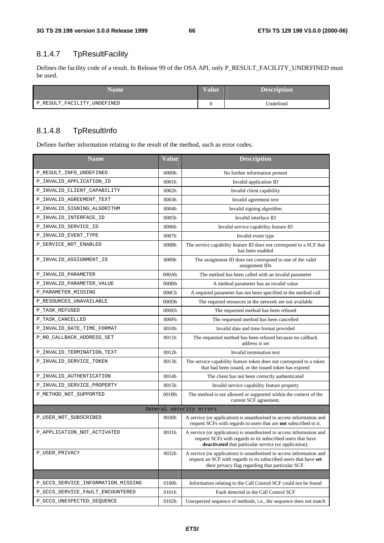# 8.1.4.7 TpResultFacility

Defines the facility code of a result. In Release 99 of the OSA API, only P\_RESULT\_FACILITY\_UNDEFINED must be used.

| Name                        | <b>Value</b> | <b>Description</b> |
|-----------------------------|--------------|--------------------|
| P_RESULT_FACILITY_UNDEFINED |              | Undefined          |

### 8.1.4.8 TpResultInfo

Defines further information relating to the result of the method, such as error codes.

| <b>Name</b>                        | <b>Value</b>      | <b>Description</b>                                                                                                                                                                                  |  |
|------------------------------------|-------------------|-----------------------------------------------------------------------------------------------------------------------------------------------------------------------------------------------------|--|
| P_RESULT_INFO_UNDEFINED            | 0000h             | No further information present                                                                                                                                                                      |  |
| P_INVALID_APPLICATION_ID           | 0001h             | Invalid application ID                                                                                                                                                                              |  |
| P_INVALID_CLIENT_CAPABILITY        | 0002h             | Invalid client capability                                                                                                                                                                           |  |
| P_INVALID_AGREEMENT_TEXT           | 0003h             | Invalid agreement text                                                                                                                                                                              |  |
| P_INVALID_SIGNING_ALGORITHM        | 0004h             | Invalid signing algorithm                                                                                                                                                                           |  |
| P_INVALID_INTERFACE_ID             | 0005h             | Invalid interface ID                                                                                                                                                                                |  |
| P_INVALID_SERVICE_ID               | 0006h             | Invalid service capability feature ID                                                                                                                                                               |  |
| P_INVALID_EVENT_TYPE               | 0007h             | Invalid event type                                                                                                                                                                                  |  |
| P_SERVICE_NOT_ENABLED              | 0008h             | The service capability feature ID does not correspond to a SCF that<br>has been enabled                                                                                                             |  |
| P_INVALID_ASSIGNMENT_ID            | 0009h             | The assignment ID does not correspond to one of the valid<br>assignment IDs                                                                                                                         |  |
| P_INVALID_PARAMETER                | 000Ah             | The method has been called with an invalid parameter                                                                                                                                                |  |
| P_INVALID_PARAMETER_VALUE          | 000Bh             | A method parameter has an invalid value                                                                                                                                                             |  |
| P_PARAMETER_MISSING                | 000C <sub>h</sub> | A required parameter has not been specified in the method call                                                                                                                                      |  |
| P_RESOURCES_UNAVAILABLE            | 000Dh             | The required resources in the network are not available                                                                                                                                             |  |
| P_TASK_REFUSED                     | 000Eh             | The requested method has been refused                                                                                                                                                               |  |
| P_TASK_CANCELLED                   | 000Fh             | The requested method has been cancelled                                                                                                                                                             |  |
| P_INVALID_DATE_TIME_FORMAT         | 0010h             | Invalid date and time format provided                                                                                                                                                               |  |
| P_NO_CALLBACK_ADDRESS_SET          | 0011h             | The requested method has been refused because no callback<br>address is set                                                                                                                         |  |
| P_INVALID_TERMINATION_TEXT         | 0012h             | Invalid termination text                                                                                                                                                                            |  |
| P_INVALID_SERVICE_TOKEN            | 0013h             | The service capability feature token does not correspond to a token<br>that had been issued, or the issued token has expired                                                                        |  |
| P_INVALID_AUTHENTICATION           | 0014h             | The client has not been correctly authenticated                                                                                                                                                     |  |
| P_INVALID_SERVICE_PROPERTY         | 0015h             | Invalid service capability feature property                                                                                                                                                         |  |
| P_METHOD_NOT_SUPPORTED             | 001Bh             | The method is not allowed or supported within the context of the<br>current SCF agreement.                                                                                                          |  |
|                                    |                   | General security errors                                                                                                                                                                             |  |
| P_USER_NOT_SUBSCRIBED              | 0030h             | A service (or application) is unauthorised to access information and<br>request SCFs with regards to users that are not subscribed to it.                                                           |  |
| P_APPLICATION_NOT_ACTIVATED        | 0031h             | A service (or application) is unauthorised to access information and<br>request SCFs with regards to its subscribed users that have<br><b>deactivated</b> that particular service (or application). |  |
| P_USER_PRIVACY                     | 0032h             | A service (or application) is unauthorised to access information and<br>request an SCF with regards to its subscribed users that have set<br>their privacy flag regarding that particular SCF.      |  |
|                                    |                   |                                                                                                                                                                                                     |  |
| P_GCCS_SERVICE_INFORMATION_MISSING | 0100h             | Information relating to the Call Control SCF could not be found                                                                                                                                     |  |
| P_GCCS_SERVICE_FAULT_ENCOUNTERED   | 0101h             | Fault detected in the Call Control SCF                                                                                                                                                              |  |
| P_GCCS_UNEXPECTED_SEQUENCE         | 0102h             | Unexpected sequence of methods, i.e., the sequence does not match                                                                                                                                   |  |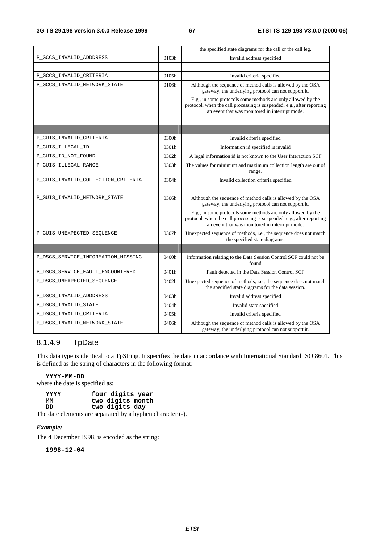|                                    |       | the specified state diagrams for the call or the call leg.                                                                                                                               |
|------------------------------------|-------|------------------------------------------------------------------------------------------------------------------------------------------------------------------------------------------|
| P_GCCS_INVALID_ADDDRESS            | 0103h | Invalid address specified                                                                                                                                                                |
|                                    |       |                                                                                                                                                                                          |
| P_GCCS_INVALID_CRITERIA            | 0105h | Invalid criteria specified                                                                                                                                                               |
| P_GCCS_INVALID_NETWORK_STATE       | 0106h | Although the sequence of method calls is allowed by the OSA<br>gateway, the underlying protocol can not support it.                                                                      |
|                                    |       | E.g., in some protocols some methods are only allowed by the<br>protocol, when the call processing is suspended, e.g., after reporting<br>an event that was monitored in interrupt mode. |
|                                    |       |                                                                                                                                                                                          |
|                                    |       |                                                                                                                                                                                          |
| P_GUIS_INVALID_CRITERIA            | 0300h | Invalid criteria specified                                                                                                                                                               |
| P_GUIS_ILLEGAL_ID                  | 0301h | Information id specified is invalid                                                                                                                                                      |
| P_GUIS_ID_NOT_FOUND                | 0302h | A legal information id is not known to the User Interaction SCF                                                                                                                          |
| P_GUIS_ILLEGAL_RANGE               | 0303h | The values for minimum and maximum collection length are out of<br>range.                                                                                                                |
| P_GUIS_INVALID_COLLECTION_CRITERIA | 0304h | Invalid collection criteria specified                                                                                                                                                    |
|                                    |       |                                                                                                                                                                                          |
| P_GUIS_INVALID_NETWORK_STATE       | 0306h | Although the sequence of method calls is allowed by the OSA<br>gateway, the underlying protocol can not support it.                                                                      |
|                                    |       | E.g., in some protocols some methods are only allowed by the<br>protocol, when the call processing is suspended, e.g., after reporting<br>an event that was monitored in interrupt mode. |
| P_GUIS_UNEXPECTED_SEQUENCE         | 0307h | Unexpected sequence of methods, i.e., the sequence does not match<br>the specified state diagrams.                                                                                       |
|                                    |       |                                                                                                                                                                                          |
| P_DSCS_SERVICE_INFORMATION_MISSING | 0400h | Information relating to the Data Session Control SCF could not be<br>found                                                                                                               |
| P_DSCS_SERVICE_FAULT_ENCOUNTERED   | 0401h | Fault detected in the Data Session Control SCF                                                                                                                                           |
| P_DSCS_UNEXPECTED_SEQUENCE         | 0402h | Unexpected sequence of methods, i.e., the sequence does not match<br>the specified state diagrams for the data session.                                                                  |
| P_DSCS_INVALID_ADDDRESS            | 0403h | Invalid address specified                                                                                                                                                                |
| P_DSCS_INVALID_STATE               | 0404h | Invalid state specified                                                                                                                                                                  |
| P_DSCS_INVALID_CRITERIA            | 0405h | Invalid criteria specified                                                                                                                                                               |
| P_DSCS_INVALID_NETWORK_STATE       | 0406h | Although the sequence of method calls is allowed by the OSA<br>gateway, the underlying protocol can not support it.                                                                      |

### 8.1.4.9 TpDate

This data type is identical to a TpString. It specifies the data in accordance with International Standard ISO 8601. This is defined as the string of characters in the following format:

#### **YYYY-MM-DD**

where the date is specified as:

| <b>YYYY</b> | four digits year |
|-------------|------------------|
| MМ          | two digits month |
| תת          | two digits day   |
|             |                  |

The date elements are separated by a hyphen character (-).

#### *Example:*

The 4 December 1998, is encoded as the string:

**1998-12-04**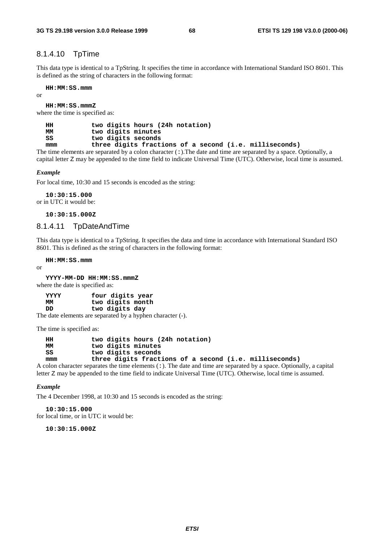#### 8.1.4.10 TpTime

This data type is identical to a TpString. It specifies the time in accordance with International Standard ISO 8601. This is defined as the string of characters in the following format:

**HH:MM:SS.mmm**

or

**HH:MM:SS.mmmZ**

where the time is specified as:

**HH two digits hours (24h notation) MM two digits minutes SS two digits seconds mmm three digits fractions of a second (i.e. milliseconds)**

The time elements are separated by a colon character (:).The date and time are separated by a space. Optionally, a capital letter Z may be appended to the time field to indicate Universal Time (UTC). Otherwise, local time is assumed.

#### *Example*

For local time, 10:30 and 15 seconds is encoded as the string:

**10:30:15.000** or in UTC it would be:

**10:30:15.000Z**

#### 8.1.4.11 TpDateAndTime

This data type is identical to a TpString. It specifies the data and time in accordance with International Standard ISO 8601. This is defined as the string of characters in the following format:

**HH:MM:SS.mmm**

or

```
YYYY-MM-DD HH:MM:SS.mmmZ
```
where the date is specified as:

| <b>YYYY</b> | four digits year                                           |
|-------------|------------------------------------------------------------|
| MМ          | two digits month                                           |
| תת          | two digits day                                             |
|             | The date elements are separated by a hyphen character (-). |

The time is specified as:

| HН  | two digits hours (24h notation)                        |
|-----|--------------------------------------------------------|
| ΜМ  | two digits minutes                                     |
| SS  | two digits seconds                                     |
| mmm | three digits fractions of a second (i.e. milliseconds) |

A colon character separates the time elements  $( : )$ . The date and time are separated by a space. Optionally, a capital letter Z may be appended to the time field to indicate Universal Time (UTC). Otherwise, local time is assumed.

#### *Example*

The 4 December 1998, at 10:30 and 15 seconds is encoded as the string:

**10:30:15.000** for local time, or in UTC it would be:

**10:30:15.000Z**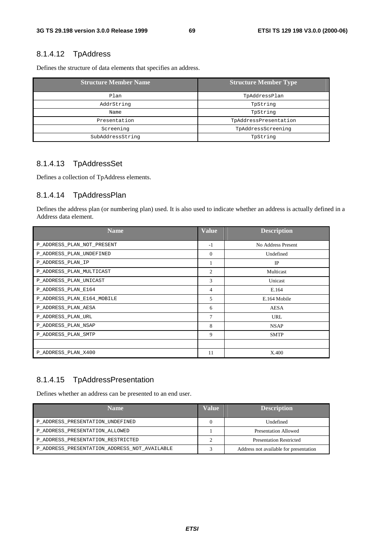### 8.1.4.12 TpAddress

Defines the structure of data elements that specifies an address.

| <b>Structure Member Name</b> | <b>Structure Member Type</b> |
|------------------------------|------------------------------|
| Plan                         | TpAddressPlan                |
| AddrString                   | TpString                     |
| Name                         | TpString                     |
| Presentation                 | TpAddressPresentation        |
| Screening                    | TpAddressScreening           |
| SubAddressString             | TpString                     |

### 8.1.4.13 TpAddressSet

Defines a collection of TpAddress elements.

### 8.1.4.14 TpAddressPlan

Defines the address plan (or numbering plan) used. It is also used to indicate whether an address is actually defined in a Address data element.

| <b>Name</b>                | <b>Value</b>   | <b>Description</b> |
|----------------------------|----------------|--------------------|
| P_ADDRESS_PLAN_NOT_PRESENT | $-1$           | No Address Present |
| P_ADDRESS_PLAN_UNDEFINED   | $\Omega$       | Undefined          |
| P_ADDRESS_PLAN_IP          |                | IP                 |
| P_ADDRESS_PLAN_MULTICAST   | $\mathfrak{2}$ | Multicast          |
| P_ADDRESS_PLAN_UNICAST     | 3              | Unicast            |
| P_ADDRESS_PLAN_E164        | 4              | E.164              |
| P_ADDRESS_PLAN_E164_MOBILE | 5              | E.164 Mobile       |
| P ADDRESS PLAN AESA        | 6              | <b>AESA</b>        |
| P ADDRESS PLAN URL         | $\overline{7}$ | <b>URL</b>         |
| P_ADDRESS_PLAN_NSAP        | 8              | <b>NSAP</b>        |
| P_ADDRESS_PLAN_SMTP        | 9              | <b>SMTP</b>        |
|                            |                |                    |
| P_ADDRESS_PLAN_X400        | 11             | X.400              |

# 8.1.4.15 TpAddressPresentation

Defines whether an address can be presented to an end user.

| <b>Name</b>                                  | Value | <b>Description</b>                     |
|----------------------------------------------|-------|----------------------------------------|
| P_ADDRESS_PRESENTATION_UNDEFINED             |       | Undefined                              |
| P ADDRESS PRESENTATION ALLOWED               |       | Presentation Allowed                   |
| P_ADDRESS_PRESENTATION_RESTRICTED            |       | <b>Presentation Restricted</b>         |
| P ADDRESS PRESENTATION ADDRESS NOT AVAILABLE |       | Address not available for presentation |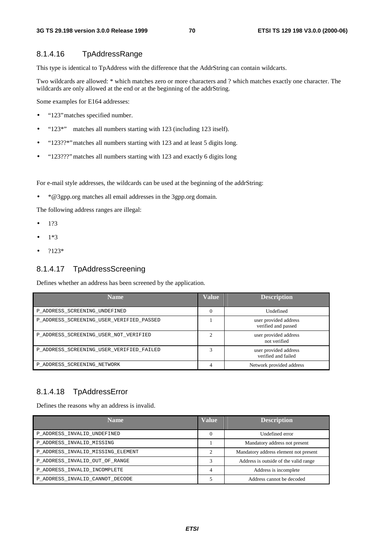### 8.1.4.16 TpAddressRange

This type is identical to TpAddress with the difference that the AddrString can contain wildcarts.

Two wildcards are allowed: \* which matches zero or more characters and ? which matches exactly one character. The wildcards are only allowed at the end or at the beginning of the addrString.

Some examples for E164 addresses:

- "123" matches specified number.
- "123\*" matches all numbers starting with 123 (including 123 itself).
- "123??\*"matches all numbers starting with 123 and at least 5 digits long.
- "123???" matches all numbers starting with 123 and exactly 6 digits long

For e-mail style addresses, the wildcards can be used at the beginning of the addrString:

• \*@3gpp.org matches all email addresses in the 3gpp.org domain.

The following address ranges are illegal:

- 1?3
- 1\*3
- ?123\*

#### 8.1.4.17 TpAddressScreening

Defines whether an address has been screened by the application.

| <b>Name</b>                              | <b>Value</b>   | <b>Description</b>                           |
|------------------------------------------|----------------|----------------------------------------------|
| P ADDRESS SCREENING UNDEFINED            |                | Undefined                                    |
| P_ADDRESS_SCREENING_USER_VERIFIED_PASSED |                | user provided address<br>verified and passed |
| P_ADDRESS_SCREENING_USER_NOT_VERIFIED    | $\overline{c}$ | user provided address<br>not verified        |
| P_ADDRESS_SCREENING_USER_VERIFIED_FAILED |                | user provided address<br>verified and failed |
| P ADDRESS SCREENING NETWORK              | 4              | Network provided address                     |

### 8.1.4.18 TpAddressError

Defines the reasons why an address is invalid.

| <b>Name</b>                       | <b>Value</b> | <b>Description</b>                    |
|-----------------------------------|--------------|---------------------------------------|
| P_ADDRESS_INVALID_UNDEFINED       |              | Undefined error                       |
| P ADDRESS INVALID MISSING         |              | Mandatory address not present         |
| P_ADDRESS_INVALID_MISSING_ELEMENT |              | Mandatory address element not present |
| P ADDRESS INVALID OUT OF RANGE    |              | Address is outside of the valid range |
| P ADDRESS INVALID INCOMPLETE      | 4            | Address is incomplete                 |
| P_ADDRESS_INVALID_CANNOT_DECODE   |              | Address cannot be decoded             |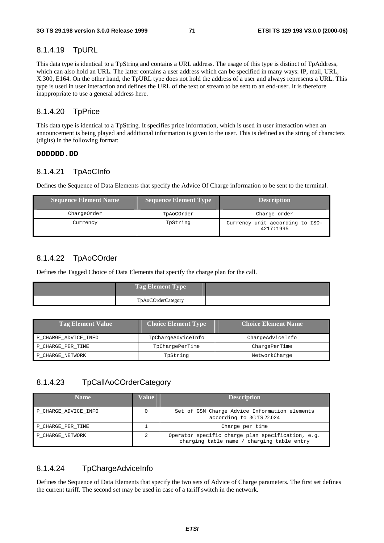#### 8.1.4.19 TpURL

This data type is identical to a TpString and contains a URL address. The usage of this type is distinct of TpAddress, which can also hold an URL. The latter contains a user address which can be specified in many ways: IP, mail, URL, X.300, E164. On the other hand, the TpURL type does not hold the address of a user and always represents a URL. This type is used in user interaction and defines the URL of the text or stream to be sent to an end-user. It is therefore inappropriate to use a general address here.

#### 8.1.4.20 TpPrice

This data type is identical to a TpString. It specifies price information, which is used in user interaction when an announcement is being played and additional information is given to the user. This is defined as the string of characters (digits) in the following format:

#### **DDDDDD.DD**

### 8.1.4.21 TpAoCInfo

Defines the Sequence of Data Elements that specify the Advice Of Charge information to be sent to the terminal.

| Sequence Element Name | <b>Sequence Element Type</b> | <b>Description</b>                           |
|-----------------------|------------------------------|----------------------------------------------|
| ChargeOrder           | TpAoCOrder                   | Charge order                                 |
| Currency              | TpString                     | Currency unit according to ISO-<br>4217:1995 |

### 8.1.4.22 TpAoCOrder

Defines the Tagged Choice of Data Elements that specify the charge plan for the call.

| Tag Element Type   |  |
|--------------------|--|
| TpAoCOrderCategory |  |

| <b>Tag Element Value</b> | <b>Choice Element Type</b> | Choice Element Name |
|--------------------------|----------------------------|---------------------|
| P_CHARGE_ADVICE_INFO     | TpChargeAdviceInfo         | ChargeAdviceInfo    |
| P CHARGE PER TIME        | TpChargePerTime            | ChargePerTime       |
| P CHARGE NETWORK         | TpString                   | NetworkCharge       |

### 8.1.4.23 TpCallAoCOrderCategory

| <b>Name</b>          | Value | <b>Description</b>                                                                              |
|----------------------|-------|-------------------------------------------------------------------------------------------------|
| P CHARGE ADVICE INFO | 0     | Set of GSM Charge Advice Information elements<br>according to 3GTS 22.024                       |
| P CHARGE PER TIME    |       | Charge per time                                                                                 |
| P CHARGE NETWORK     | 2     | Operator specific charge plan specification, e.g.<br>charging table name / charging table entry |

### 8.1.4.24 TpChargeAdviceInfo

Defines the Sequence of Data Elements that specify the two sets of Advice of Charge parameters. The first set defines the current tariff. The second set may be used in case of a tariff switch in the network.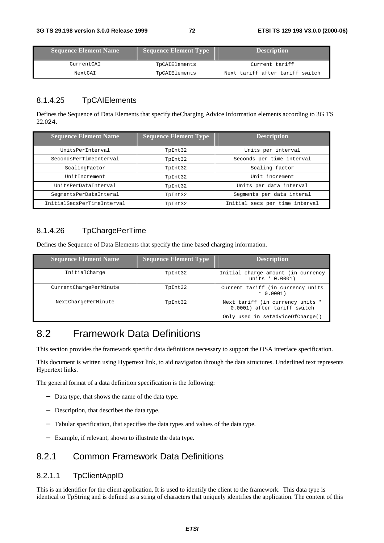| <b>Sequence Element Name</b> | Sequence Element Type | <b>Description</b>              |
|------------------------------|-----------------------|---------------------------------|
| CurrentCAI                   | TpCAIElements         | Current tariff                  |
| NextCAI                      | TpCAIElements         | Next tariff after tariff switch |

## 8.1.4.25 TpCAIElements

Defines the Sequence of Data Elements that specify theCharging Advice Information elements according to 3G TS 22.024.

| <b>Sequence Element Name</b> | <b>Sequence Element Type</b> | <b>Description</b>             |
|------------------------------|------------------------------|--------------------------------|
| UnitsPerInterval             | TpInt32                      | Units per interval             |
| SecondsPerTimeInterval       | TpInt32                      | Seconds per time interval      |
| ScalingFactor                | TpInt32                      | Scaling factor                 |
| UnitIncrement                | TpInt32                      | Unit increment                 |
| UnitsPerDataInterval         | TpInt32                      | Units per data interval        |
| SeqmentsPerDataInteral       | TpInt32                      | Segments per data interal      |
| InitialSecsPerTimeInterval   | TpInt32                      | Initial secs per time interval |

## 8.1.4.26 TpChargePerTime

Defines the Sequence of Data Elements that specify the time based charging information.

| <b>Sequence Element Name</b> | <b>Sequence Element Type</b> | <b>Description</b>                                              |
|------------------------------|------------------------------|-----------------------------------------------------------------|
| InitialCharge                | TpInt32                      | Initial charge amount (in currency<br>units $* 0.0001$ )        |
| CurrentChargePerMinute       | TpInt32                      | Current tariff (in currency units<br>$* 0.0001)$                |
| NextChargePerMinute          | TpInt32                      | Next tariff (in currency units *<br>0.0001) after tariff switch |
|                              |                              | Only used in setAdviceOfCharge()                                |

# 8.2 Framework Data Definitions

This section provides the framework specific data definitions necessary to support the OSA interface specification.

This document is written using Hypertext link, to aid navigation through the data structures. Underlined text represents Hypertext links.

The general format of a data definition specification is the following:

- − Data type, that shows the name of the data type.
- − Description, that describes the data type.
- Tabular specification, that specifies the data types and values of the data type.
- Example, if relevant, shown to illustrate the data type.

# 8.2.1 Common Framework Data Definitions

## 8.2.1.1 TpClientAppID

This is an identifier for the client application. It is used to identify the client to the framework. This data type is identical to TpString and is defined as a string of characters that uniquely identifies the application. The content of this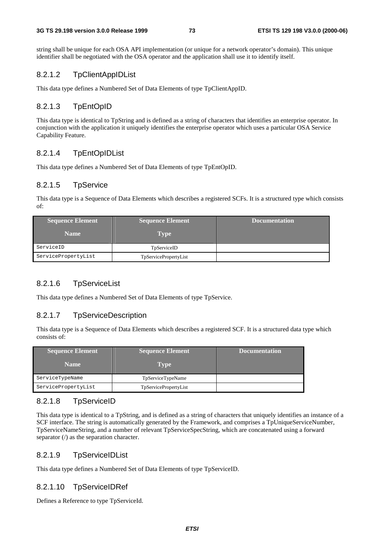string shall be unique for each OSA API implementation (or unique for a network operator's domain). This unique identifier shall be negotiated with the OSA operator and the application shall use it to identify itself.

#### 8.2.1.2 TpClientAppIDList

This data type defines a Numbered Set of Data Elements of type TpClientAppID.

## 8.2.1.3 TpEntOpID

This data type is identical to TpString and is defined as a string of characters that identifies an enterprise operator. In conjunction with the application it uniquely identifies the enterprise operator which uses a particular OSA Service Capability Feature.

## 8.2.1.4 TpEntOpIDList

This data type defines a Numbered Set of Data Elements of type TpEntOpID.

#### 8.2.1.5 TpService

This data type is a Sequence of Data Elements which describes a registered SCFs. It is a structured type which consists of:

| <b>Sequence Element</b> | <b>Sequence Element</b> | <b>Documentation</b> |
|-------------------------|-------------------------|----------------------|
| <b>Name</b>             | <b>Type</b>             |                      |
| ServiceID               | TpServiceID             |                      |
| ServicePropertyList     | TpServicePropertyList   |                      |

## 8.2.1.6 TpServiceList

This data type defines a Numbered Set of Data Elements of type TpService.

#### 8.2.1.7 TpServiceDescription

This data type is a Sequence of Data Elements which describes a registered SCF. It is a structured data type which consists of:

| <b>Sequence Element</b> | <b>Sequence Element</b>      | <b>Documentation</b> |
|-------------------------|------------------------------|----------------------|
| <b>Name</b>             | <b>Type</b>                  |                      |
| ServiceTypeName         | TpServiceTypeName            |                      |
| ServicePropertyList     | <b>TpServicePropertyList</b> |                      |

## 8.2.1.8 TpServiceID

This data type is identical to a TpString, and is defined as a string of characters that uniquely identifies an instance of a SCF interface. The string is automatically generated by the Framework, and comprises a TpUniqueServiceNumber, TpServiceNameString, and a number of relevant TpServiceSpecString, which are concatenated using a forward separator (/) as the separation character.

## 8.2.1.9 TpServiceIDList

This data type defines a Numbered Set of Data Elements of type TpServiceID.

#### 8.2.1.10 TpServiceIDRef

Defines a Reference to type TpServiceId.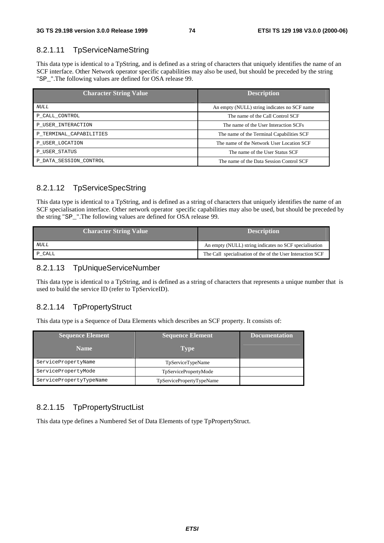## 8.2.1.11 TpServiceNameString

This data type is identical to a TpString, and is defined as a string of characters that uniquely identifies the name of an SCF interface. Other Network operator specific capabilities may also be used, but should be preceded by the string "SP\_".The following values are defined for OSA release 99.

| <b>Character String Value</b> | <b>Description</b>                           |
|-------------------------------|----------------------------------------------|
| NULL.                         | An empty (NULL) string indicates no SCF name |
| P CALL CONTROL                | The name of the Call Control SCF             |
| P USER INTERACTION            | The name of the User Interaction SCFs        |
| P_TERMINAL_CAPABILITIES       | The name of the Terminal Capabilities SCF    |
| P USER LOCATION               | The name of the Network User Location SCF    |
| P USER STATUS                 | The name of the User Status SCF              |
| P DATA SESSION CONTROL        | The name of the Data Session Control SCF     |

## 8.2.1.12 TpServiceSpecString

This data type is identical to a TpString, and is defined as a string of characters that uniquely identifies the name of an SCF specialisation interface. Other network operator specific capabilities may also be used, but should be preceded by the string "SP\_".The following values are defined for OSA release 99.

| <b>Character String Value</b> | <b>Description</b>                                         |
|-------------------------------|------------------------------------------------------------|
| <i>NULL</i>                   | An empty (NULL) string indicates no SCF specialisation     |
| P CALL                        | The Call specialisation of the of the User Interaction SCF |

#### 8.2.1.13 TpUniqueServiceNumber

This data type is identical to a TpString, and is defined as a string of characters that represents a unique number that is used to build the service ID (refer to TpServiceID).

## 8.2.1.14 TpPropertyStruct

This data type is a Sequence of Data Elements which describes an SCF property. It consists of:

| <b>Sequence Element</b> | <b>Sequence Element</b>   | Documentation |
|-------------------------|---------------------------|---------------|
| <b>Name</b>             | <b>Type</b>               |               |
| ServicePropertyName     | TpServiceTypeName         |               |
| ServicePropertyMode     | TpServicePropertyMode     |               |
| ServicePropertyTypeName | TpServicePropertyTypeName |               |

## 8.2.1.15 TpPropertyStructList

This data type defines a Numbered Set of Data Elements of type TpPropertyStruct.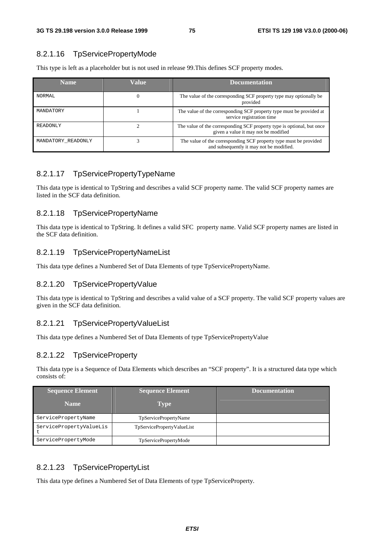#### 8.2.1.16 TpServicePropertyMode

This type is left as a placeholder but is not used in release 99.This defines SCF property modes.

| <b>Name</b>        | Value | <b>Documentation</b>                                                                                           |
|--------------------|-------|----------------------------------------------------------------------------------------------------------------|
| <b>NORMAL</b>      |       | The value of the corresponding SCF property type may optionally be<br>provided                                 |
| MANDATORY          |       | The value of the corresponding SCF property type must be provided at<br>service registration time              |
| <b>READONLY</b>    |       | The value of the corresponding SCF property type is optional, but once<br>given a value it may not be modified |
| MANDATORY READONLY |       | The value of the corresponding SCF property type must be provided<br>and subsequently it may not be modified.  |

#### 8.2.1.17 TpServicePropertyTypeName

This data type is identical to TpString and describes a valid SCF property name. The valid SCF property names are listed in the SCF data definition.

#### 8.2.1.18 TpServicePropertyName

This data type is identical to TpString. It defines a valid SFC property name. Valid SCF property names are listed in the SCF data definition.

#### 8.2.1.19 TpServicePropertyNameList

This data type defines a Numbered Set of Data Elements of type TpServicePropertyName.

## 8.2.1.20 TpServicePropertyValue

This data type is identical to TpString and describes a valid value of a SCF property. The valid SCF property values are given in the SCF data definition.

#### 8.2.1.21 TpServicePropertyValueList

This data type defines a Numbered Set of Data Elements of type TpServicePropertyValue

## 8.2.1.22 TpServiceProperty

This data type is a Sequence of Data Elements which describes an "SCF property". It is a structured data type which consists of:

| <b>Sequence Element</b> | <b>Sequence Element</b>    | <b>Documentation</b> |
|-------------------------|----------------------------|----------------------|
| <b>Name</b>             | <b>Type</b>                |                      |
| ServicePropertyName     | TpServicePropertyName      |                      |
| ServicePropertyValueLis | TpServicePropertyValueList |                      |
| ServicePropertyMode     | TpServicePropertyMode      |                      |

## 8.2.1.23 TpServicePropertyList

This data type defines a Numbered Set of Data Elements of type TpServiceProperty.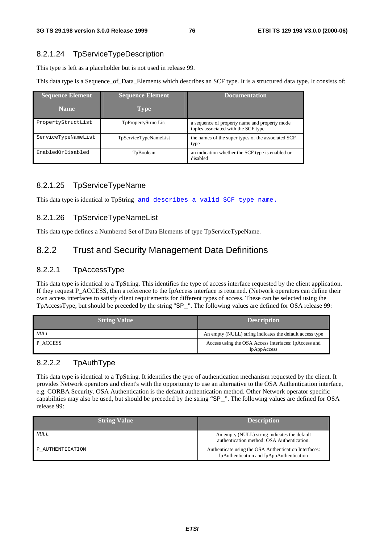## 8.2.1.24 TpServiceTypeDescription

This type is left as a placeholder but is not used in release 99.

This data type is a Sequence\_of\_Data\_Elements which describes an SCF type. It is a structured data type. It consists of:

| <b>Sequence Element</b> | <b>Sequence Element</b>      | <b>Documentation</b>                                                                 |
|-------------------------|------------------------------|--------------------------------------------------------------------------------------|
| <b>Name</b>             | <b>Type</b>                  |                                                                                      |
| PropertyStructList      | TpPropertyStructList         | a sequence of property name and property mode<br>tuples associated with the SCF type |
| ServiceTypeNameList     | <b>TpServiceTypeNameList</b> | the names of the super types of the associated SCF<br>type                           |
| EnabledOrDisabled       | TpBoolean                    | an indication whether the SCF type is enabled or<br>disabled                         |

# 8.2.1.25 TpServiceTypeName

This data type is identical to TpString and describes a valid SCF type name.

## 8.2.1.26 TpServiceTypeNameList

This data type defines a Numbered Set of Data Elements of type TpServiceTypeName.

# 8.2.2 Trust and Security Management Data Definitions

## 8.2.2.1 TpAccessType

This data type is identical to a TpString. This identifies the type of access interface requested by the client application. If they request P\_ACCESS, then a reference to the IpAccess interface is returned. (Network operators can define their own access interfaces to satisfy client requirements for different types of access. These can be selected using the TpAccessType, but should be preceded by the string "SP\_". The following values are defined for OSA release 99:

| <b>String Value</b> | <b>Description</b>                                                  |
|---------------------|---------------------------------------------------------------------|
| NULL                | An empty (NULL) string indicates the default access type            |
| P ACCESS            | Access using the OSA Access Interfaces: IpAccess and<br>IpAppAccess |

## 8.2.2.2 TpAuthType

This data type is identical to a TpString. It identifies the type of authentication mechanism requested by the client. It provides Network operators and client's with the opportunity to use an alternative to the OSA Authentication interface, e.g. CORBA Security. OSA Authentication is the default authentication method. Other Network operator specific capabilities may also be used, but should be preceded by the string "SP\_". The following values are defined for OSA release 99:

| <b>String Value</b> | <b>Description</b>                                                                                |
|---------------------|---------------------------------------------------------------------------------------------------|
| <i>NULL</i>         | An empty (NULL) string indicates the default<br>authentication method: OSA Authentication.        |
| P AUTHENTICATION    | Authenticate using the OSA Authentication Interfaces:<br>IpAuthentication and IpAppAuthentication |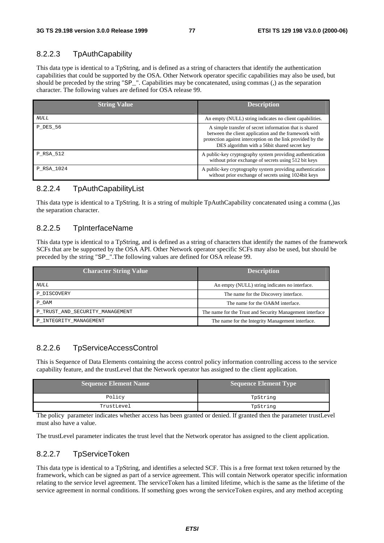# 8.2.2.3 TpAuthCapability

This data type is identical to a TpString, and is defined as a string of characters that identify the authentication capabilities that could be supported by the OSA. Other Network operator specific capabilities may also be used, but should be preceded by the string "SP\_". Capabilities may be concatenated, using commas (,) as the separation character. The following values are defined for OSA release 99.

| <b>String Value</b> | <b>Description</b>                                                                                                                                                                                                             |
|---------------------|--------------------------------------------------------------------------------------------------------------------------------------------------------------------------------------------------------------------------------|
| NULL                | An empty (NULL) string indicates no client capabilities.                                                                                                                                                                       |
| <b>P DES 56</b>     | A simple transfer of secret information that is shared<br>between the client application and the framework with<br>protection against interception on the link provided by the<br>DES algorithm with a 56bit shared secret key |
| P RSA 512           | A public-key cryptography system providing authentication<br>without prior exchange of secrets using 512 bit keys                                                                                                              |
| P_RSA_1024          | A public-key cryptography system providing authentication<br>without prior exchange of secrets using 1024bit keys                                                                                                              |

## 8.2.2.4 TpAuthCapabilityList

This data type is identical to a TpString. It is a string of multiple TpAuthCapability concatenated using a comma (,)as the separation character.

## 8.2.2.5 TpInterfaceName

This data type is identical to a TpString, and is defined as a string of characters that identify the names of the framework SCFs that are be supported by the OSA API. Other Network operator specific SCFs may also be used, but should be preceded by the string "SP\_".The following values are defined for OSA release 99.

| <b>Character String Value</b>   | <b>Description</b>                                       |  |  |
|---------------------------------|----------------------------------------------------------|--|--|
| <i>NULL</i>                     | An empty (NULL) string indicates no interface.           |  |  |
| P DISCOVERY                     | The name for the Discovery interface.                    |  |  |
| P OAM                           | The name for the OA&M interface.                         |  |  |
| P TRUST AND SECURITY MANAGEMENT | The name for the Trust and Security Management interface |  |  |
| P INTEGRITY MANAGEMENT          | The name for the Integrity Management interface.         |  |  |

## 8.2.2.6 TpServiceAccessControl

This is Sequence of Data Elements containing the access control policy information controlling access to the service capability feature, and the trustLevel that the Network operator has assigned to the client application.

| Sequence Element Name | <b>Sequence Element Type</b> |
|-----------------------|------------------------------|
| Policy                | TpString                     |
| TrustLevel            | TpString                     |

The policy parameter indicates whether access has been granted or denied. If granted then the parameter trustLevel must also have a value.

The trustLevel parameter indicates the trust level that the Network operator has assigned to the client application.

## 8.2.2.7 TpServiceToken

This data type is identical to a TpString, and identifies a selected SCF. This is a free format text token returned by the framework, which can be signed as part of a service agreement. This will contain Network operator specific information relating to the service level agreement. The serviceToken has a limited lifetime, which is the same as the lifetime of the service agreement in normal conditions. If something goes wrong the serviceToken expires, and any method accepting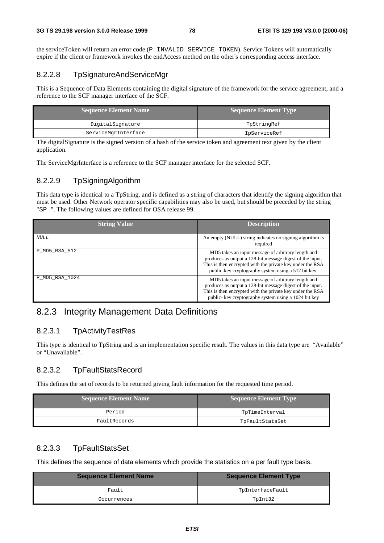the serviceToken will return an error code (P\_INVALID\_SERVICE\_TOKEN). Service Tokens will automatically expire if the client or framework invokes the endAccess method on the other's corresponding access interface.

## 8.2.2.8 TpSignatureAndServiceMgr

This is a Sequence of Data Elements containing the digital signature of the framework for the service agreement, and a reference to the SCF manager interface of the SCF.

| <b>Sequence Element Name</b> | Sequence Element Type |
|------------------------------|-----------------------|
| DigitalSignature             | TpStringRef           |
| ServiceMgrInterface          | IpServiceRef          |

The digitalSignature is the signed version of a hash of the service token and agreement text given by the client application.

The ServiceMgrInterface is a reference to the SCF manager interface for the selected SCF.

#### 8.2.2.9 TpSigningAlgorithm

This data type is identical to a TpString, and is defined as a string of characters that identify the signing algorithm that must be used. Other Network operator specific capabilities may also be used, but should be preceded by the string "SP\_". The following values are defined for OSA release 99.

| <b>String Value</b> | <b>Description</b>                                                                                                                                                                                                                   |
|---------------------|--------------------------------------------------------------------------------------------------------------------------------------------------------------------------------------------------------------------------------------|
| NULL                | An empty (NULL) string indicates no signing algorithm is<br>required                                                                                                                                                                 |
| P MD5 RSA 512       | MD5 takes an input message of arbitrary length and<br>produces as output a 128-bit message digest of the input.<br>This is then encrypted with the private key under the RSA<br>public-key cryptography system using a 512 bit key.  |
| P MD5 RSA 1024      | MD5 takes an input message of arbitrary length and<br>produces as output a 128-bit message digest of the input.<br>This is then encrypted with the private key under the RSA<br>public- key cryptography system using a 1024 bit key |

# 8.2.3 Integrity Management Data Definitions

## 8.2.3.1 TpActivityTestRes

This type is identical to TpString and is an implementation specific result. The values in this data type are "Available" or "Unavailable".

## 8.2.3.2 TpFaultStatsRecord

This defines the set of records to be returned giving fault information for the requested time period.

| Sequence Element Name | Sequence Element Type |
|-----------------------|-----------------------|
| Period                | TpTimeInterval        |
| FaultRecords          | TpFaultStatsSet       |

## 8.2.3.3 TpFaultStatsSet

This defines the sequence of data elements which provide the statistics on a per fault type basis.

| <b>Sequence Element Name</b> | <b>Sequence Element Type</b> |  |
|------------------------------|------------------------------|--|
| Fault                        | TpInterfaceFault             |  |
| Occurrences                  | TpInt32                      |  |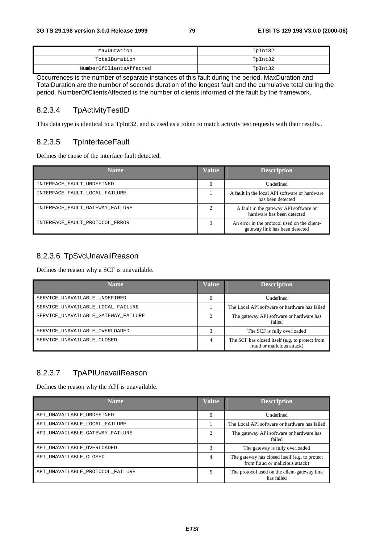| MaxDuration             | TpInt32 |
|-------------------------|---------|
| TotalDuration           | TpInt32 |
| NumberOfClientsAffected | TpInt32 |

Occurrences is the number of separate instances of this fault during the period. MaxDuration and TotalDuration are the number of seconds duration of the longest fault and the cumulative total during the period. NumberOfClientsAffected is the number of clients informed of the fault by the framework.

#### 8.2.3.4 TpActivityTestID

This data type is identical to a TpInt32, and is used as a token to match activity test requests with their results..

## 8.2.3.5 TpInterfaceFault

Defines the cause of the interface fault detected.

| <b>Name</b>                     | Value    | <b>Description</b>                                                             |
|---------------------------------|----------|--------------------------------------------------------------------------------|
| INTERFACE FAULT UNDEFINED       | $\theta$ | Undefined                                                                      |
| INTERFACE FAULT LOCAL FAILURE   |          | A fault in the local API software or hardware<br>has been detected             |
| INTERFACE_FAULT_GATEWAY_FAILURE |          | A fault in the gateway API software or<br>hardware has been detected           |
| INTERFACE_FAULT_PROTOCOL_ERROR  |          | An error in the protocol used on the client-<br>gateway link has been detected |

## 8.2.3.6 TpSvcUnavailReason

Defines the reason why a SCF is unavailable.

| <b>Name</b>                         | Value    | <b>Description</b>                                                            |
|-------------------------------------|----------|-------------------------------------------------------------------------------|
| SERVICE UNAVAILABLE UNDEFINED       | $\Omega$ | Undefined                                                                     |
| SERVICE UNAVAILABLE LOCAL FAILURE   |          | The Local API software or hardware has failed                                 |
| SERVICE UNAVAILABLE GATEWAY FAILURE | ◠        | The gateway API software or hardware has<br>failed                            |
| SERVICE UNAVAILABLE OVERLOADED      | 3        | The SCF is fully overloaded                                                   |
| SERVICE UNAVAILABLE CLOSED          | 4        | The SCF has closed itself (e.g. to protect from<br>fraud or malicious attack) |

## 8.2.3.7 TpAPIUnavailReason

Defines the reason why the API is unavailable.

| <b>Name</b>                      | <b>Value</b>                | <b>Description</b>                                                                |
|----------------------------------|-----------------------------|-----------------------------------------------------------------------------------|
| API UNAVAILABLE UNDEFINED        | $\Omega$                    | Undefined                                                                         |
| API UNAVAILABLE LOCAL FAILURE    |                             | The Local API software or hardware has failed                                     |
| API UNAVAILABLE GATEWAY FAILURE  | $\mathcal{D}_{\mathcal{A}}$ | The gateway API software or hardware has<br>failed                                |
| API UNAVAILABLE OVERLOADED       | 3                           | The gateway is fully overloaded                                                   |
| API UNAVAILABLE CLOSED           | 4                           | The gateway has closed itself (e.g. to protect<br>from fraud or malicious attack) |
| API UNAVAILABLE PROTOCOL FAILURE | 5                           | The protocol used on the client-gateway link<br>has failed                        |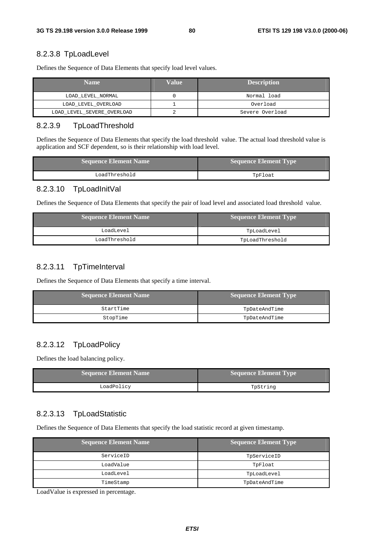#### 8.2.3.8 TpLoadLevel

Defines the Sequence of Data Elements that specify load level values.

| <b>Name</b>                | Value | <b>Description</b> |
|----------------------------|-------|--------------------|
| LOAD LEVEL NORMAL          |       | Normal load        |
| LOAD_LEVEL_OVERLOAD        |       | Overload           |
| LOAD_LEVEL_SEVERE_OVERLOAD |       | Severe Overload    |

#### 8.2.3.9 TpLoadThreshold

Defines the Sequence of Data Elements that specify the load threshold value. The actual load threshold value is application and SCF dependent, so is their relationship with load level.

| <b>Sequence Element Name</b> | <b>Sequence Element Type</b> |
|------------------------------|------------------------------|
| LoadThreshold                | TpFloat                      |

## 8.2.3.10 TpLoadInitVal

Defines the Sequence of Data Elements that specify the pair of load level and associated load threshold value.

| <b>Sequence Element Name</b> | Sequence Element Type |
|------------------------------|-----------------------|
| LoadLevel                    | TpLoadLevel           |
| LoadThreshold                | TpLoadThreshold       |

#### 8.2.3.11 TpTimeInterval

Defines the Sequence of Data Elements that specify a time interval.

| <b>Sequence Element Name</b> | Sequence Element Type |
|------------------------------|-----------------------|
| StartTime                    | TpDateAndTime         |
| StopTime                     | TpDateAndTime         |

## 8.2.3.12 TpLoadPolicy

Defines the load balancing policy.

| Sequence Element Name | Sequence Element Type |
|-----------------------|-----------------------|
| LoadPolicy            | TpString              |

## 8.2.3.13 TpLoadStatistic

Defines the Sequence of Data Elements that specify the load statistic record at given timestamp.

| <b>Sequence Element Name</b> | <b>Sequence Element Type</b> |
|------------------------------|------------------------------|
| ServiceID                    | TpServiceID                  |
| LoadValue                    | TpFloat                      |
| LoadLevel                    | TpLoadLevel                  |
| TimeStamp                    | TpDateAndTime                |

LoadValue is expressed in percentage.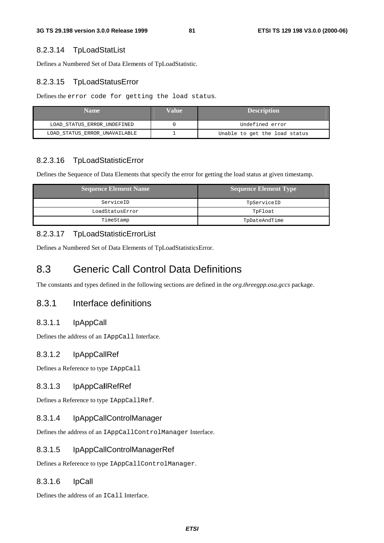## 8.2.3.14 TpLoadStatList

Defines a Numbered Set of Data Elements of TpLoadStatistic.

# 8.2.3.15 TpLoadStatusError

Defines the error code for getting the load status.

| <b>Name</b>                   | Value | <b>Description</b>            |
|-------------------------------|-------|-------------------------------|
| LOAD STATUS ERROR UNDEFINED   |       | Undefined error               |
| LOAD STATUS ERROR UNAVAILABLE |       | Unable to get the load status |

# 8.2.3.16 TpLoadStatisticError

Defines the Sequence of Data Elements that specify the error for getting the load status at given timestamp.

| <b>Sequence Element Name</b> | <b>Sequence Element Type</b> |
|------------------------------|------------------------------|
| ServiceID                    | TpServiceID                  |
| LoadStatusError              | TpFloat                      |
| TimeStamp                    | TpDateAndTime                |

# 8.2.3.17 TpLoadStatisticErrorList

Defines a Numbered Set of Data Elements of TpLoadStatisticsError.

# 8.3 Generic Call Control Data Definitions

The constants and types defined in the following sections are defined in the *org.threegpp.osa.gccs* package.

# 8.3.1 Interface definitions

# 8.3.1.1 IpAppCall

Defines the address of an IAppCall Interface.

# 8.3.1.2 IpAppCallRef

Defines a Reference to type IAppCall

# 8.3.1.3 IpAppCa**l**lRefRef

Defines a Reference to type IAppCallRef.

# 8.3.1.4 IpAppCallControlManager

Defines the address of an IAppCallControlManager Interface.

# 8.3.1.5 IpAppCallControlManagerRef

Defines a Reference to type IAppCallControlManager.

# 8.3.1.6 IpCall

Defines the address of an ICall Interface.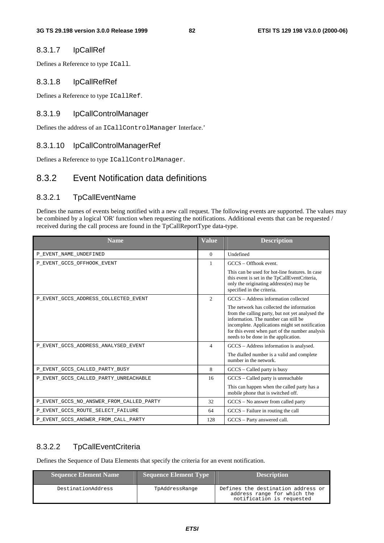#### 8.3.1.7 IpCallRef

Defines a Reference to type ICall.

#### 8.3.1.8 IpCallRefRef

Defines a Reference to type ICallRef.

#### 8.3.1.9 IpCallControlManager

Defines the address of an ICallControlManager Interface.'

#### 8.3.1.10 IpCallControlManagerRef

Defines a Reference to type ICallControlManager.

# 8.3.2 Event Notification data definitions

#### 8.3.2.1 TpCallEventName

Defines the names of events being notified with a new call request. The following events are supported. The values may be combined by a logical 'OR' function when requesting the notifications. Additional events that can be requested / received during the call process are found in the TpCallReportType data-type.

| <b>Name</b>                              | <b>Value</b>   | <b>Description</b>                                                                                                                                                                                                                                                                  |
|------------------------------------------|----------------|-------------------------------------------------------------------------------------------------------------------------------------------------------------------------------------------------------------------------------------------------------------------------------------|
| P_EVENT_NAME_UNDEFINED                   | $\Omega$       | Undefined                                                                                                                                                                                                                                                                           |
| P_EVENT_GCCS_OFFHOOK_EVENT               | 1              | $GCCS - Offhook$ event.                                                                                                                                                                                                                                                             |
|                                          |                | This can be used for hot-line features. In case<br>this event is set in the TpCallEventCriteria,<br>only the originating address(es) may be<br>specified in the criteria.                                                                                                           |
| P_EVENT_GCCS_ADDRESS_COLLECTED_EVENT     | $\mathfrak{2}$ | GCCS - Address information collected                                                                                                                                                                                                                                                |
|                                          |                | The network has collected the information<br>from the calling party, but not yet analysed the<br>information. The number can still be<br>incomplete. Applications might set notification<br>for this event when part of the number analysis<br>needs to be done in the application. |
| P_EVENT_GCCS_ADDRESS_ANALYSED_EVENT      | 4              | GCCS – Address information is analysed.                                                                                                                                                                                                                                             |
|                                          |                | The dialled number is a valid and complete<br>number in the network.                                                                                                                                                                                                                |
| P_EVENT_GCCS_CALLED_PARTY_BUSY           | 8              | $GCCS - Called party$ is busy                                                                                                                                                                                                                                                       |
| P EVENT GCCS CALLED PARTY UNREACHABLE    | 16             | GCCS – Called party is unreachable                                                                                                                                                                                                                                                  |
|                                          |                | This can happen when the called party has a<br>mobile phone that is switched off.                                                                                                                                                                                                   |
| P_EVENT_GCCS_NO_ANSWER_FROM_CALLED_PARTY | 32             | $GCCS - No$ answer from called party                                                                                                                                                                                                                                                |
| P_EVENT_GCCS_ROUTE_SELECT_FAILURE        | 64             | GCCS – Failure in routing the call                                                                                                                                                                                                                                                  |
| P_EVENT_GCCS_ANSWER_FROM_CALL_PARTY      | 128            | GCCS - Party answered call.                                                                                                                                                                                                                                                         |

#### 8.3.2.2 TpCallEventCriteria

Defines the Sequence of Data Elements that specify the criteria for an event notification.

| <b>Sequence Element Name</b> | Sequence Element Type | <b>Description</b>                                                                             |
|------------------------------|-----------------------|------------------------------------------------------------------------------------------------|
| DestinationAddress           | TpAddressRange        | Defines the destination address or<br>address range for which the<br>notification is requested |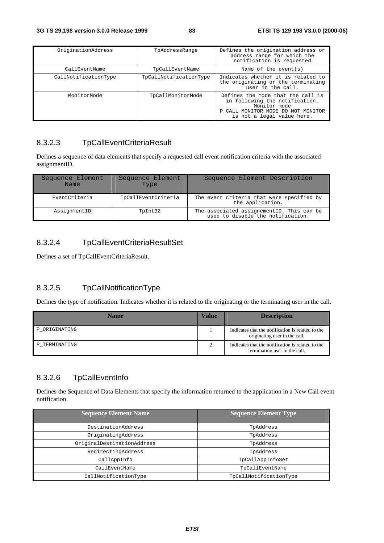| OriginationAddress   | TpAddressRange         | Defines the origination address or<br>address range for which the<br>notification is requested                                                          |
|----------------------|------------------------|---------------------------------------------------------------------------------------------------------------------------------------------------------|
| CallEventName        | TpCallEventName        | Name of the event $(s)$                                                                                                                                 |
| CallNotificationType | TpCallNotificationType | Indicates whether it is related to<br>the originating or the terminating<br>user in the call.                                                           |
| MonitorMode          | TpCallMonitorMode      | Defines the mode that the call is<br>in following the notification.<br>Monitor mode<br>P CALL MONITOR MODE DO NOT MONITOR<br>is not a legal value here. |

# 8.3.2.3 TpCallEventCriteriaResult

Defines a sequence of data elements that specify a requested call event notification criteria with the associated assignmentID.

| Sequence Element<br>Name | Sequence Element<br>Type | Sequence Element Description                                                   |
|--------------------------|--------------------------|--------------------------------------------------------------------------------|
| EventCriteria            | TpCallEventCriteria      | The event criteria that were specified by<br>the application.                  |
| AssignmentID             | TpInt32                  | The associated assignementID. This can be<br>used to disable the notification. |

# 8.3.2.4 TpCallEventCriteriaResultSet

Defines a set of TpCallEventCriteriaResult.

# 8.3.2.5 TpCallNotificationType

Defines the type of notification. Indicates whether it is related to the originating or the terminating user in the call.

| Name          | Value | <b>Description</b>                                                                 |
|---------------|-------|------------------------------------------------------------------------------------|
| P ORIGINATING |       | Indicates that the notification is related to the<br>originating user in the call. |
| P TERMINATING |       | Indicates that the notification is related to the<br>terminating user in the call. |

# 8.3.2.6 TpCallEventInfo

Defines the Sequence of Data Elements that specify the information returned to the application in a New Call event notification.

| <b>Sequence Element Name</b> | <b>Sequence Element Type</b> |
|------------------------------|------------------------------|
| DestinationAddress           | TpAddress                    |
| OriginatingAddress           | TpAddress                    |
| OriginalDestinationAddress   | TpAddress                    |
| RedirectingAddress           | TpAddress                    |
| CallAppInfo                  | TpCallAppInfoSet             |
| CallEventName                | TpCallEventName              |
| CallNotificationType         | TpCallNotificationType       |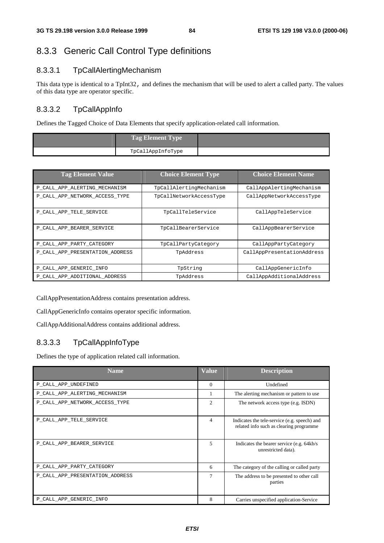# 8.3.3 Generic Call Control Type definitions

## 8.3.3.1 TpCallAlertingMechanism

This data type is identical to a TpInt32, and defines the mechanism that will be used to alert a called party. The values of this data type are operator specific.

## 8.3.3.2 TpCallAppInfo

Defines the Tagged Choice of Data Elements that specify application-related call information.

| <b>Tag Element Type</b> |  |
|-------------------------|--|
| TpCallAppInfoType       |  |

| <b>Tag Element Value</b>        | <b>Choice Element Type</b> | <b>Choice Element Name</b> |
|---------------------------------|----------------------------|----------------------------|
| P_CALL_APP_ALERTING_MECHANISM   | TpCallAlertingMechanism    | CallAppAlertingMechanism   |
| P_CALL_APP_NETWORK_ACCESS_TYPE  | TpCallNetworkAccessType    | CallAppNetworkAccessType   |
| P_CALL_APP_TELE_SERVICE         | TpCallTeleService          | CallAppTeleService         |
| P_CALL_APP_BEARER_SERVICE       | TpCallBearerService        | CallAppBearerService       |
| P_CALL_APP_PARTY_CATEGORY       | TpCallPartyCategory        | CallAppPartyCategory       |
| P CALL APP PRESENTATION ADDRESS | TpAddress                  | CallAppPresentationAddress |
| P CALL APP GENERIC INFO         | TpString                   | CallAppGenericInfo         |
| P CALL APP ADDITIONAL ADDRESS   | TpAddress                  | CallAppAdditionalAddress   |

CallAppPresentationAddress contains presentation address.

CallAppGenericInfo contains operator specific information.

CallAppAdditionalAddress contains additional address.

## 8.3.3.3 TpCallAppInfoType

Defines the type of application related call information.

| <b>Name</b>                     | <b>Value</b>             | <b>Description</b>                                                                       |
|---------------------------------|--------------------------|------------------------------------------------------------------------------------------|
| P_CALL_APP_UNDEFINED            | $\Omega$                 | Undefined                                                                                |
| P_CALL_APP_ALERTING_MECHANISM   |                          | The alerting mechanism or pattern to use                                                 |
| P_CALL_APP_NETWORK_ACCESS_TYPE  | $\mathcal{D}$            | The network access type (e.g. ISDN)                                                      |
| P_CALL_APP_TELE_SERVICE         | $\overline{\mathcal{A}}$ | Indicates the tele-service (e.g. speech) and<br>related info such as clearing programme. |
| P_CALL_APP_BEARER_SERVICE       | 5                        | Indicates the bearer service (e.g. 64kb/s)<br>unrestricted data).                        |
| P_CALL_APP_PARTY_CATEGORY       | 6                        | The category of the calling or called party                                              |
| P_CALL_APP_PRESENTATION_ADDRESS | 7                        | The address to be presented to other call<br>parties                                     |
| P_CALL_APP_GENERIC_INFO         | 8                        | Carries unspecified application-Service                                                  |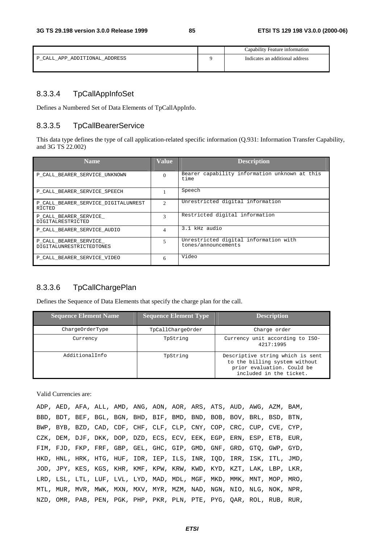|                               | Capability Feature information  |
|-------------------------------|---------------------------------|
| P_CALL_APP_ADDITIONAL_ADDRESS | Indicates an additional address |

# 8.3.3.4 TpCallAppInfoSet

Defines a Numbered Set of Data Elements of TpCallAppInfo.

#### 8.3.3.5 TpCallBearerService

This data type defines the type of call application-related specific information (Q.931: Information Transfer Capability, and 3G TS 22.002)

| <b>Name</b>                                       | <b>Value</b>                   | <b>Description</b>                                           |
|---------------------------------------------------|--------------------------------|--------------------------------------------------------------|
| P CALL BEARER SERVICE UNKNOWN                     | $\Omega$                       | Bearer capability information unknown at this<br>time        |
| P CALL BEARER SERVICE SPEECH                      |                                | Speech                                                       |
| P CALL BEARER SERVICE DIGITALUNREST<br>RICTED     | <sup><math>\gamma</math></sup> | Unrestricted digital information                             |
| P CALL BEARER SERVICE<br><b>DIGITALRESTRICTED</b> | 3                              | Restricted digital information                               |
| P CALL BEARER SERVICE AUDIO                       | 4                              | 3.1 kHz audio                                                |
| P_CALL_BEARER_SERVICE<br>DIGITALUNRESTRICTEDTONES | 5                              | Unrestricted digital information with<br>tones/announcements |
| P_CALL_BEARER_SERVICE_VIDEO                       | 6                              | Video                                                        |

# 8.3.3.6 TpCallChargePlan

Defines the Sequence of Data Elements that specify the charge plan for the call.

| <b>Sequence Element Name</b> | <b>Sequence Element Type</b> | <b>Description</b>                                                                                                         |
|------------------------------|------------------------------|----------------------------------------------------------------------------------------------------------------------------|
| ChargeOrderType              | TpCallChargeOrder            | Charge order                                                                                                               |
| Currency                     | TpString                     | Currency unit according to ISO-<br>4217:1995                                                                               |
| AdditionalInfo               | TpString                     | Descriptive string which is sent<br>to the billing system without<br>prior evaluation. Could be<br>included in the ticket. |

Valid Currencies are:

|  | ADP, AED, AFA, ALL, AMD, ANG, AON, AOR, ARS, ATS, AUD, AWG, AZM, BAM, |  |  |  |  |  |  |
|--|-----------------------------------------------------------------------|--|--|--|--|--|--|
|  | BBD, BDT, BEF, BGL, BGN, BHD, BIF, BMD, BND, BOB, BOV, BRL, BSD, BTN, |  |  |  |  |  |  |
|  | BWP, BYB, BZD, CAD, CDF, CHF, CLF, CLP, CNY, COP, CRC, CUP, CVE, CYP, |  |  |  |  |  |  |
|  | CZK, DEM, DJF, DKK, DOP, DZD, ECS, ECV, EEK, EGP, ERN, ESP, ETB, EUR, |  |  |  |  |  |  |
|  | FIM, FJD, FKP, FRF, GBP, GEL, GHC, GIP, GMD, GNF, GRD, GTO, GWP, GYD, |  |  |  |  |  |  |
|  | HKD, HNL, HRK, HTG, HUF, IDR, IEP, ILS, INR, IOD, IRR, ISK, ITL, JMD, |  |  |  |  |  |  |
|  | JOD, JPY, KES, KGS, KHR, KMF, KPW, KRW, KWD, KYD, KZT, LAK, LBP, LKR, |  |  |  |  |  |  |
|  | LRD, LSL, LTL, LUF, LVL, LYD, MAD, MDL, MGF, MKD, MMK, MNT, MOP, MRO, |  |  |  |  |  |  |
|  | MTL, MUR, MVR, MWK, MXN, MXV, MYR, MZM, NAD, NGN, NIO, NLG, NOK, NPR, |  |  |  |  |  |  |
|  | NZD, OMR, PAB, PEN, PGK, PHP, PKR, PLN, PTE, PYG, OAR, ROL, RUB, RUR, |  |  |  |  |  |  |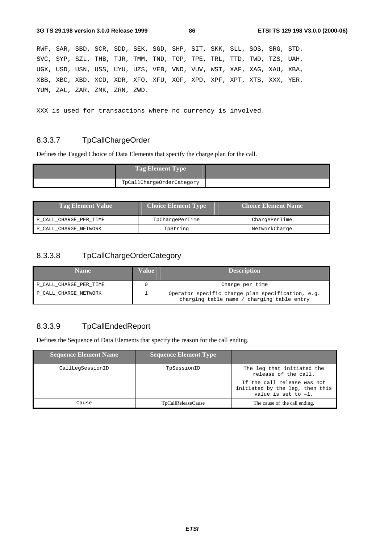RWF, SAR, SBD, SCR, SDD, SEK, SGD, SHP, SIT, SKK, SLL, SOS, SRG, STD, SVC, SYP, SZL, THB, TJR, TMM, TND, TOP, TPE, TRL, TTD, TWD, TZS, UAH, UGX, USD, USN, USS, UYU, UZS, VEB, VND, VUV, WST, XAF, XAG, XAU, XBA, XBB, XBC, XBD, XCD, XDR, XFO, XFU, XOF, XPD, XPF, XPT, XTS, XXX, YER, YUM, ZAL, ZAR, ZMK, ZRN, ZWD.

XXX is used for transactions where no currency is involved.

## 8.3.3.7 TpCallChargeOrder

Defines the Tagged Choice of Data Elements that specify the charge plan for the call.

| <b>Tag Element Type</b>   |  |
|---------------------------|--|
| TpCallChargeOrderCategory |  |

| <b>Tag Element Value</b> | <b>Choice Element Type</b> | <b>Choice Element Name</b> |
|--------------------------|----------------------------|----------------------------|
| P CALL CHARGE PER TIME   | TpChargePerTime            | ChargePerTime              |
| P CALL CHARGE NETWORK    | TpString                   | NetworkCharge              |

#### 8.3.3.8 TpCallChargeOrderCategory

| <b>Name</b>            | Value | <b>Description</b>                                                                              |
|------------------------|-------|-------------------------------------------------------------------------------------------------|
| P CALL CHARGE PER TIME |       | Charge per time                                                                                 |
| P CALL CHARGE NETWORK  | ᆂ     | Operator specific charge plan specification, e.g.<br>charging table name / charging table entry |

## 8.3.3.9 TpCallEndedReport

Defines the Sequence of Data Elements that specify the reason for the call ending.

| <b>Sequence Element Name</b> | <b>Sequence Element Type</b> |                                                                                          |
|------------------------------|------------------------------|------------------------------------------------------------------------------------------|
| CallLegSessionID             | TpSessionID                  | The leg that initiated the<br>release of the call.                                       |
|                              |                              | If the call release was not<br>initiated by the leg, then this<br>value is set to $-1$ . |
| Cause                        | TpCallReleaseCause           | The cause of the call ending.                                                            |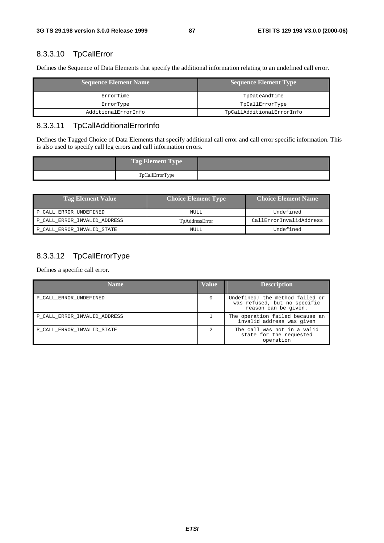# 8.3.3.10 TpCallError

Defines the Sequence of Data Elements that specify the additional information relating to an undefined call error.

| <b>Sequence Element Name</b> | <b>Sequence Element Type</b> |
|------------------------------|------------------------------|
| ErrorTime                    | TpDateAndTime                |
| ErrorType                    | TpCallErrorType              |
| AdditionalErrorInfo          | TpCallAdditionalErrorInfo    |

# 8.3.3.11 TpCallAdditionalErrorInfo

Defines the Tagged Choice of Data Elements that specify additional call error and call error specific information. This is also used to specify call leg errors and call information errors.

| <b>Tag Element Type</b> |  |
|-------------------------|--|
| TpCallErrorType         |  |

| <b>Tag Element Value</b>     | <b>Choice Element Type</b> | <b>Choice Element Name</b> |
|------------------------------|----------------------------|----------------------------|
| P CALL ERROR UNDEFINED       | NULL                       | Undefined                  |
| P CALL ERROR INVALID ADDRESS | TpAddressError             | CallErrorInvalidAddress    |
| P_CALL_ERROR_INVALID_STATE   | NULL                       | Undefined                  |

# 8.3.3.12 TpCallErrorType

Defines a specific call error.

| <b>Name</b>                  | <b>Value</b> | <b>Description</b>                                                                      |
|------------------------------|--------------|-----------------------------------------------------------------------------------------|
| P CALL ERROR UNDEFINED       |              | Undefined; the method failed or<br>was refused, but no specific<br>reason can be given. |
| P CALL ERROR INVALID ADDRESS |              | The operation failed because an<br>invalid address was given                            |
| P_CALL_ERROR_INVALID_STATE   |              | The call was not in a valid<br>state for the requested<br>operation                     |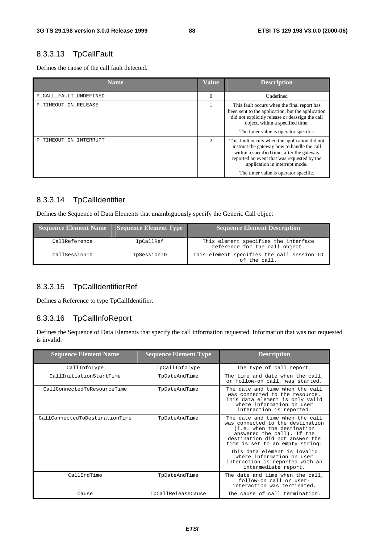# 8.3.3.13 TpCallFault

Defines the cause of the call fault detected.

| <b>Name</b>            | <b>Value</b>                | <b>Description</b>                                                                                                                                                                                                                                                    |
|------------------------|-----------------------------|-----------------------------------------------------------------------------------------------------------------------------------------------------------------------------------------------------------------------------------------------------------------------|
| P_CALL_FAULT_UNDEFINED | $\Omega$                    | Undefined                                                                                                                                                                                                                                                             |
| P_TIMEOUT_ON_RELEASE   |                             | This fault occurs when the final report has<br>been sent to the application, but the application<br>did not explicitly release or deassign the call<br>object, within a specified time.<br>The timer value is operator specific.                                      |
| P_TIMEOUT_ON_INTERRUPT | $\mathcal{D}_{\mathcal{A}}$ | This fault occurs when the application did not<br>instruct the gateway how to handle the call<br>within a specified time, after the gateway<br>reported an event that was requested by the<br>application in interrupt mode.<br>The timer value is operator specific. |

## 8.3.3.14 TpCallIdentifier

Defines the Sequence of Data Elements that unambiguously specify the Generic Call object

| <b>Sequence Element Name</b> | <b>Sequence Element Type</b> | <b>Sequence Element Description</b>                                    |
|------------------------------|------------------------------|------------------------------------------------------------------------|
| CallReference                | IpCallRef                    | This element specifies the interface<br>reference for the call object. |
| CallSessionID                | TpSessionID                  | This element specifies the call session ID<br>of the call.             |

## 8.3.3.15 TpCallIdentifierRef

Defines a Reference to type TpCallIdentifier.

#### 8.3.3.16 TpCallInfoReport

Defines the Sequence of Data Elements that specify the call information requested. Information that was not requested is invalid.

| <b>Sequence Element Name</b>   | <b>Sequence Element Type</b> | <b>Description</b>                                                                                                                                                                                   |
|--------------------------------|------------------------------|------------------------------------------------------------------------------------------------------------------------------------------------------------------------------------------------------|
| CallInfoType                   | TpCallInfoType               | The type of call report.                                                                                                                                                                             |
| CallInitiationStartTime        | TpDateAndTime                | The time and date when the call,<br>or follow-on call, was started.                                                                                                                                  |
| CallConnectedToResourceTime    | TpDateAndTime                | The date and time when the call<br>was connected to the resource.<br>This data element is only valid<br>where information on user<br>interaction is reported.                                        |
| CallConnectedToDestinationTime | TpDateAndTime                | The date and time when the call<br>was connected to the destination<br>(i.e. when the destination<br>answered the call). If the<br>destination did not answer the<br>time is set to an empty string. |
|                                |                              | This data element is invalid<br>where information on user<br>interaction is reported with an<br>intermediate report.                                                                                 |
| CallEndTime                    | TpDateAndTime                | The date and time when the call,<br>follow-on call or user-<br>interaction was terminated.                                                                                                           |
| Cause                          | TpCallReleaseCause           | The cause of call termination.                                                                                                                                                                       |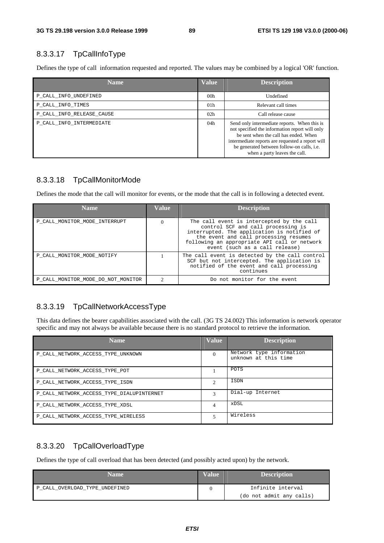# 8.3.3.17 TpCallInfoType

Defines the type of call information requested and reported. The values may be combined by a logical 'OR' function.

| <b>Name</b>               | <b>Value</b>    | <b>Description</b>                                                                                                                                                                                                                                                         |
|---------------------------|-----------------|----------------------------------------------------------------------------------------------------------------------------------------------------------------------------------------------------------------------------------------------------------------------------|
| P CALL INFO UNDEFINED     | 00 <sub>h</sub> | Undefined                                                                                                                                                                                                                                                                  |
| P CALL INFO TIMES         | 01 <sub>h</sub> | Relevant call times                                                                                                                                                                                                                                                        |
| P CALL INFO RELEASE CAUSE | 02 <sub>h</sub> | Call release cause                                                                                                                                                                                                                                                         |
| P CALL INFO INTERMEDIATE  | 04h             | Send only intermediate reports. When this is<br>not specified the information report will only<br>be sent when the call has ended. When<br>intermediate reports are requested a report will<br>be generated between follow-on calls, i.e.<br>when a party leaves the call. |

#### 8.3.3.18 TpCallMonitorMode

Defines the mode that the call will monitor for events, or the mode that the call is in following a detected event.

| <b>Name</b>                        | <b>Value</b>  | <b>Description</b>                                                                                                                                                                                                                                        |
|------------------------------------|---------------|-----------------------------------------------------------------------------------------------------------------------------------------------------------------------------------------------------------------------------------------------------------|
| P CALL MONITOR MODE INTERRUPT      | $\Omega$      | The call event is intercepted by the call<br>control SCF and call processing is<br>interrupted. The application is notified of<br>the event and call processing resumes<br>following an appropriate API call or network<br>event (such as a call release) |
| P CALL MONITOR MODE NOTIFY         |               | The call event is detected by the call control<br>SCF but not intercepted. The application is<br>notified of the event and call processing<br>continues                                                                                                   |
| P CALL MONITOR MODE DO NOT MONITOR | $\mathcal{D}$ | Do not monitor for the event                                                                                                                                                                                                                              |

## 8.3.3.19 TpCallNetworkAccessType

This data defines the bearer capabilities associated with the call. (3G TS 24.002) This information is network operator specific and may not always be available because there is no standard protocol to retrieve the information.

| <b>Name</b>                               | <b>Value</b> | <b>Description</b>                               |
|-------------------------------------------|--------------|--------------------------------------------------|
| P CALL NETWORK ACCESS TYPE UNKNOWN        | 0            | Network type information<br>unknown at this time |
| P_CALL_NETWORK_ACCESS_TYPE_POT            |              | POTS                                             |
| P CALL NETWORK ACCESS TYPE ISDN           | ∍            | ISDN                                             |
| P CALL NETWORK ACCESS TYPE DIALUPINTERNET |              | Dial-up Internet                                 |
| P CALL NETWORK ACCESS TYPE XDSL           |              | xDSL                                             |
| P CALL NETWORK ACCESS TYPE WIRELESS       | 5            | Wireless                                         |

# 8.3.3.20 TpCallOverloadType

Defines the type of call overload that has been detected (and possibly acted upon) by the network.

| Name                           | Value | <b>Description</b>       |
|--------------------------------|-------|--------------------------|
| P CALL OVERLOAD TYPE UNDEFINED |       | Infinite interval        |
|                                |       | (do not admit any calls) |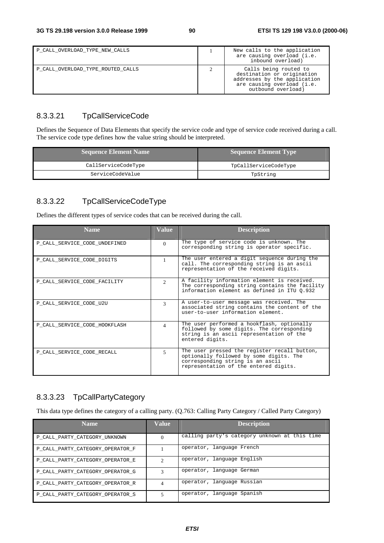| P CALL OVERLOAD TYPE NEW CALLS    | New calls to the application<br>are causing overload (i.e.<br>inbound overload)                                                         |
|-----------------------------------|-----------------------------------------------------------------------------------------------------------------------------------------|
| P CALL OVERLOAD TYPE ROUTED CALLS | Calls being routed to<br>destination or origination<br>addresses by the application<br>are causing overload (i.e.<br>outbound overload) |

## 8.3.3.21 TpCallServiceCode

Defines the Sequence of Data Elements that specify the service code and type of service code received during a call. The service code type defines how the value string should be interpreted.

| Sequence Element Name | Sequence Element Type |  |
|-----------------------|-----------------------|--|
| CallServiceCodeType   | TpCallServiceCodeType |  |
| ServiceCodeValue      | TpString              |  |

# 8.3.3.22 TpCallServiceCodeType

Defines the different types of service codes that can be received during the call.

| <b>Name</b>                   | Value          | <b>Description</b>                                                                                                                                                   |
|-------------------------------|----------------|----------------------------------------------------------------------------------------------------------------------------------------------------------------------|
| P_CALL_SERVICE_CODE_UNDEFINED | $\Omega$       | The type of service code is unknown. The<br>corresponding string is operator specific.                                                                               |
| P CALL SERVICE CODE DIGITS    |                | The user entered a digit sequence during the<br>call. The corresponding string is an ascii<br>representation of the received digits.                                 |
| P CALL SERVICE CODE FACILITY  | $\mathfrak{D}$ | A facility information element is received.<br>The corresponding string contains the facility<br>information element as defined in ITU 0.932                         |
| P CALL SERVICE CODE U2U       | $\mathbf{3}$   | A user-to-user message was received. The<br>associated string contains the content of the<br>user-to-user information element.                                       |
| P_CALL_SERVICE_CODE_HOOKFLASH | 4              | The user performed a hookflash, optionally<br>followed by some digits. The corresponding<br>string is an ascii representation of the<br>entered digits.              |
| P CALL SERVICE CODE RECALL    | 5              | The user pressed the register recall button,<br>optionally followed by some digits. The<br>corresponding string is an ascii<br>representation of the entered digits. |

# 8.3.3.23 TpCallPartyCategory

This data type defines the category of a calling party. (Q.763: Calling Party Category / Called Party Category)

| <b>Name</b>                      | Value          | <b>Description</b>                            |
|----------------------------------|----------------|-----------------------------------------------|
| P_CALL_PARTY_CATEGORY_UNKNOWN    | $\theta$       | calling party's category unknown at this time |
| P_CALL_PARTY_CATEGORY_OPERATOR_F |                | operator, language French                     |
| P_CALL_PARTY_CATEGORY_OPERATOR_E | $\mathfrak{D}$ | operator, language English                    |
| P_CALL_PARTY_CATEGORY_OPERATOR_G | 3              | operator, language German                     |
| P_CALL_PARTY_CATEGORY_OPERATOR_R | 4              | operator, language Russian                    |
| P_CALL_PARTY_CATEGORY_OPERATOR_S | 5              | operator, language Spanish                    |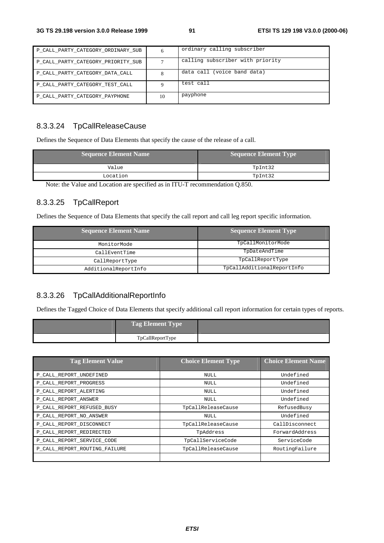| P CALL PARTY CATEGORY ORDINARY SUB | 6  | ordinary calling subscriber      |
|------------------------------------|----|----------------------------------|
| P CALL PARTY CATEGORY PRIORITY SUB |    | calling subscriber with priority |
| P CALL PARTY CATEGORY DATA CALL    |    | data call (voice band data)      |
| P CALL PARTY CATEGORY TEST CALL    |    | test call                        |
| P CALL PARTY CATEGORY PAYPHONE     | 10 | payphone                         |

# 8.3.3.24 TpCallReleaseCause

Defines the Sequence of Data Elements that specify the cause of the release of a call.

| Sequence Element Name | <b>Sequence Element Type</b> |  |
|-----------------------|------------------------------|--|
| Value                 | TpInt32                      |  |
| Location              | TpInt32                      |  |

Note: the Value and Location are specified as in ITU-T recommendation Q.850.

## 8.3.3.25 TpCallReport

Defines the Sequence of Data Elements that specify the call report and call leg report specific information.

| <b>Sequence Element Name</b> | <b>Sequence Element Type</b> |  |
|------------------------------|------------------------------|--|
| MonitorMode                  | TpCallMonitorMode            |  |
| CallEventTime                | TpDateAndTime                |  |
| CallReportType               | TpCallReportType             |  |
| AdditionalReportInfo         | TpCallAdditionalReportInfo   |  |

## 8.3.3.26 TpCallAdditionalReportInfo

Defines the Tagged Choice of Data Elements that specify additional call report information for certain types of reports.

| Tag Element Type |  |
|------------------|--|
| TpCallReportType |  |

| <b>Tag Element Value</b>      | <b>Choice Element Type</b> | <b>Choice Element Name</b> |
|-------------------------------|----------------------------|----------------------------|
| P_CALL_REPORT_UNDEFINED       | <b>NULL</b>                | Undefined                  |
| P CALL REPORT PROGRESS        | <b>NULL</b>                | Undefined                  |
| P CALL REPORT ALERTING        | <b>NULL</b>                | Undefined                  |
| P CALL REPORT ANSWER          | <b>NULL</b>                | Undefined                  |
| P_CALL_REPORT_REFUSED_BUSY    | TpCallReleaseCause         | RefusedBusy                |
| P CALL REPORT NO ANSWER       | <b>NULL</b>                | Undefined                  |
| P CALL REPORT DISCONNECT      | TpCallReleaseCause         | CallDisconnect             |
| P CALL REPORT REDIRECTED      | TpAddress                  | ForwardAddress             |
| P CALL REPORT SERVICE CODE    | TpCallServiceCode          | ServiceCode                |
| P_CALL_REPORT_ROUTING_FAILURE | TpCallReleaseCause         | RoutingFailure             |
|                               |                            |                            |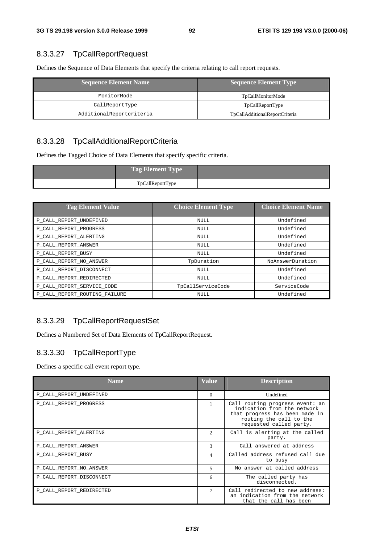# 8.3.3.27 TpCallReportRequest

Defines the Sequence of Data Elements that specify the criteria relating to call report requests.

| <b>Sequence Element Name</b> | <b>Sequence Element Type</b>   |  |
|------------------------------|--------------------------------|--|
| MonitorMode                  | TpCallMonitorMode              |  |
| CallReportType               | TpCallReportType               |  |
| AdditionalReportcriteria     | TpCallAdditionalReportCriteria |  |

## 8.3.3.28 TpCallAdditionalReportCriteria

Defines the Tagged Choice of Data Elements that specify specific criteria.

| <b>Tag Element Type</b> |  |
|-------------------------|--|
| TpCallReportType        |  |

| <b>Tag Element Value</b>      | <b>Choice Element Type</b> | <b>Choice Element Name</b> |
|-------------------------------|----------------------------|----------------------------|
| P CALL REPORT UNDEFINED       | NULL.                      | Undefined                  |
| P CALL REPORT PROGRESS        | NULL                       | Undefined                  |
| P_CALL_REPORT_ALERTING        | NULL                       | Undefined                  |
| P CALL REPORT ANSWER          | NULL                       | Undefined                  |
| P CALL REPORT BUSY            | NULL                       | Undefined                  |
| P CALL REPORT NO ANSWER       | TpDuration                 | NoAnswerDuration           |
| P CALL REPORT DISCONNECT      | NULL                       | Undefined                  |
| P CALL REPORT REDIRECTED      | NULL.                      | Undefined                  |
| P_CALL_REPORT_SERVICE_CODE    | TpCallServiceCode          | ServiceCode                |
| P CALL REPORT ROUTING FAILURE | NULL                       | Undefined                  |

## 8.3.3.29 TpCallReportRequestSet

Defines a Numbered Set of Data Elements of TpCallReportRequest.

# 8.3.3.30 TpCallReportType

Defines a specific call event report type.

| Name.                    | <b>Value</b>   | <b>Description</b>                                                                                                                                     |
|--------------------------|----------------|--------------------------------------------------------------------------------------------------------------------------------------------------------|
| P CALL REPORT UNDEFINED  | $\Omega$       | Undefined                                                                                                                                              |
| P CALL REPORT PROGRESS   |                | Call routing progress event: an<br>indication from the network<br>that progress has been made in<br>routing the call to the<br>requested called party. |
| P_CALL_REPORT_ALERTING   | $\mathfrak{D}$ | Call is alerting at the called<br>party.                                                                                                               |
| P_CALL_REPORT_ANSWER     | $\mathcal{R}$  | Call answered at address                                                                                                                               |
| P CALL REPORT BUSY       | $\overline{4}$ | Called address refused call due<br>to busy                                                                                                             |
| P_CALL_REPORT_NO_ANSWER  | 5              | No answer at called address                                                                                                                            |
| P_CALL_REPORT_DISCONNECT | 6              | The called party has<br>disconnected.                                                                                                                  |
| P CALL REPORT REDIRECTED | 7              | Call redirected to new address:<br>an indication from the network<br>that the call has been                                                            |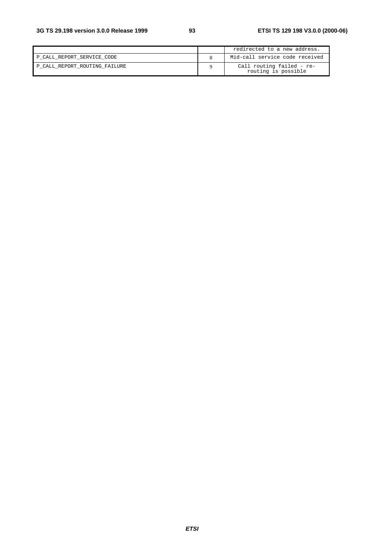|                               | redirected to a new address.                     |
|-------------------------------|--------------------------------------------------|
| P CALL REPORT SERVICE CODE    | Mid-call service code received                   |
| P CALL REPORT ROUTING FAILURE | Call routing failed - re-<br>routing is possible |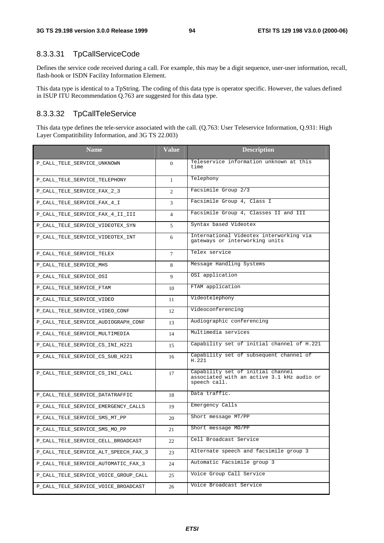## 8.3.3.31 TpCallServiceCode

Defines the service code received during a call. For example, this may be a digit sequence, user-user information, recall, flash-hook or ISDN Facility Information Element.

This data type is identical to a TpString. The coding of this data type is operator specific. However, the values defined in ISUP ITU Recommendation Q.763 are suggested for this data type.

#### 8.3.3.32 TpCallTeleService

This data type defines the tele-service associated with the call. (Q.763: User Teleservice Information, Q.931: High Layer Compatitibility Information, and 3G TS 22.003)

| <b>Name</b>                          | <b>Value</b>   | <b>Description</b>                                                                              |  |
|--------------------------------------|----------------|-------------------------------------------------------------------------------------------------|--|
| P_CALL_TELE_SERVICE_UNKNOWN          | $\Omega$       | Teleservice information unknown at this<br>time                                                 |  |
| P_CALL_TELE_SERVICE_TELEPHONY        | $\mathbf{1}$   | Telephony                                                                                       |  |
| P_CALL_TELE_SERVICE_FAX_2_3          | 2              | Facsimile Group 2/3                                                                             |  |
| P_CALL_TELE_SERVICE_FAX_4_I          | 3              | Facsimile Group 4, Class I                                                                      |  |
| P_CALL_TELE_SERVICE_FAX_4_II_III     | $\overline{4}$ | Facsimile Group 4, Classes II and III                                                           |  |
| P_CALL_TELE_SERVICE_VIDEOTEX_SYN     | 5              | Syntax based Videotex                                                                           |  |
| P_CALL_TELE_SERVICE_VIDEOTEX_INT     | 6              | International Videotex interworking via<br>gateways or interworking units                       |  |
| P_CALL_TELE_SERVICE_TELEX            | $\tau$         | Telex service                                                                                   |  |
| P_CALL_TELE_SERVICE_MHS              | 8              | Message Handling Systems                                                                        |  |
| P_CALL_TELE_SERVICE_OSI              | 9              | OSI application                                                                                 |  |
| P_CALL_TELE_SERVICE_FTAM             | 10             | FTAM application                                                                                |  |
| P_CALL_TELE_SERVICE_VIDEO            | 11             | Videotelephony                                                                                  |  |
| P_CALL_TELE_SERVICE_VIDEO_CONF       | 12             | Videoconferencing                                                                               |  |
| P_CALL_TELE_SERVICE_AUDIOGRAPH_CONF  | 13             | Audiographic conferencing                                                                       |  |
| P_CALL_TELE_SERVICE_MULTIMEDIA       | 14             | Multimedia services                                                                             |  |
| P_CALL_TELE_SERVICE_CS_INI_H221      | 15             | Capability set of initial channel of H.221                                                      |  |
| P_CALL_TELE_SERVICE_CS_SUB_H221      | 16             | Capability set of subsequent channel of<br>H.221                                                |  |
| P_CALL_TELE_SERVICE_CS_INI_CALL      | 17             | Capability set of initial channel<br>associated with an active 3.1 kHz audio or<br>speech call. |  |
| P_CALL_TELE_SERVICE_DATATRAFFIC      | 18             | Data traffic.                                                                                   |  |
| P_CALL_TELE_SERVICE_EMERGENCY_CALLS  | 19             | Emergency Calls                                                                                 |  |
| P_CALL_TELE_SERVICE_SMS_MT_PP        | 20             | Short message MT/PP                                                                             |  |
| P_CALL_TELE_SERVICE_SMS_MO_PP        | 21             | Short message MO/PP                                                                             |  |
| P_CALL_TELE_SERVICE_CELL_BROADCAST   | 22             | Cell Broadcast Service                                                                          |  |
| P_CALL_TELE_SERVICE_ALT_SPEECH_FAX_3 | 23             | Alternate speech and facsimile group 3                                                          |  |
| P CALL TELE SERVICE AUTOMATIC FAX 3  | 24             | Automatic Facsimile group 3                                                                     |  |
| P_CALL_TELE_SERVICE_VOICE_GROUP_CALL | 25             | Voice Group Call Service                                                                        |  |
| P_CALL_TELE_SERVICE_VOICE_BROADCAST  | 26             | Voice Broadcast Service                                                                         |  |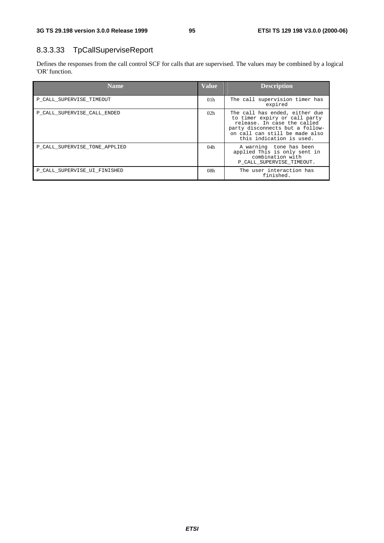# 8.3.3.33 TpCallSuperviseReport

Defines the responses from the call control SCF for calls that are supervised. The values may be combined by a logical 'OR' function.

| <b>Name</b>                   | <b>Value</b>    | <b>Description</b>                                                                                                                                                                              |
|-------------------------------|-----------------|-------------------------------------------------------------------------------------------------------------------------------------------------------------------------------------------------|
| P CALL SUPERVISE TIMEOUT      | 01 <sub>h</sub> | The call supervision timer has<br>expired                                                                                                                                                       |
| P CALL SUPERVISE CALL ENDED   | 02h             | The call has ended, either due<br>to timer expiry or call party<br>release. In case the called<br>party disconnects but a follow-<br>on call can still be made also<br>this indication is used. |
| P CALL SUPERVISE TONE APPLIED | 04h             | A warning tone has been<br>applied This is only sent in<br>combination with<br>P CALL SUPERVISE TIMEOUT.                                                                                        |
| P CALL SUPERVISE UI FINISHED  | 08 <sub>h</sub> | The user interaction has<br>finished.                                                                                                                                                           |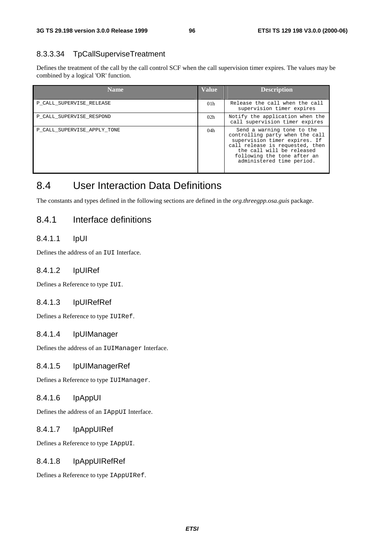## 8.3.3.34 TpCallSuperviseTreatment

Defines the treatment of the call by the call control SCF when the call supervision timer expires. The values may be combined by a logical 'OR' function.

| <b>Name</b>                 | <b>Value</b>    | <b>Description</b>                                                                                                                                                                                                         |
|-----------------------------|-----------------|----------------------------------------------------------------------------------------------------------------------------------------------------------------------------------------------------------------------------|
| P CALL SUPERVISE RELEASE    | 01 <sub>h</sub> | Release the call when the call<br>supervision timer expires                                                                                                                                                                |
| P CALL SUPERVISE RESPOND    | 02 <sub>h</sub> | Notify the application when the<br>call supervision timer expires                                                                                                                                                          |
| P CALL SUPERVISE APPLY TONE | 04h             | Send a warning tone to the<br>controlling party when the call<br>supervision timer expires. If<br>call release is requested, then<br>the call will be released<br>following the tone after an<br>administered time period. |

# 8.4 User Interaction Data Definitions

The constants and types defined in the following sections are defined in the *org.threegpp.osa.guis* package.

# 8.4.1 Interface definitions

## 8.4.1.1 IpUI

Defines the address of an IUI Interface.

#### 8.4.1.2 IpUIRef

Defines a Reference to type IUI.

#### 8.4.1.3 IpUIRefRef

Defines a Reference to type IUIRef.

#### 8.4.1.4 IpUIManager

Defines the address of an IUIManager Interface.

#### 8.4.1.5 IpUIManagerRef

Defines a Reference to type IUIManager.

#### 8.4.1.6 IpAppUI

Defines the address of an IAppUI Interface.

#### 8.4.1.7 IpAppUIRef

Defines a Reference to type IAppUI.

#### 8.4.1.8 IpAppUIRefRef

Defines a Reference to type IAppUIRef.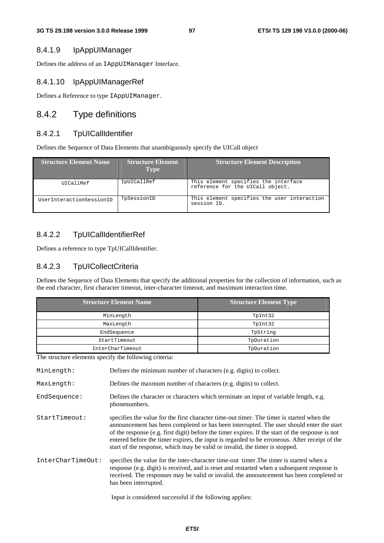#### 8.4.1.9 IpAppUIManager

Defines the address of an IAppUIManager Interface.

#### 8.4.1.10 IpAppUIManagerRef

Defines a Reference to type IAppUIManager.

## 8.4.2 Type definitions

#### 8.4.2.1 TpUICallIdentifier

Defines the Sequence of Data Elements that unambiguously specify the UICall object

| <b>Structure Element Name</b> | <b>Structure Element</b><br><b>Type</b> | <b>Structure Element Description</b>                                     |
|-------------------------------|-----------------------------------------|--------------------------------------------------------------------------|
| UICallRef                     | IpUICallRef                             | This element specifies the interface<br>reference for the UICall object. |
| UserInteractionSessionID      | TpSessionID                             | This element specifies the user interaction<br>session ID.               |

## 8.4.2.2 TpUICallIdentifierRef

Defines a reference to type TpUICallIdentifier.

#### 8.4.2.3 TpUICollectCriteria

Defines the Sequence of Data Elements that specify the additional properties for the collection of information, such as the end character, first character timeout, inter-character timeout, and maximum interaction time.

| <b>Structure Element Name</b> | <b>Structure Element Type</b> |
|-------------------------------|-------------------------------|
| MinLength                     | TpInt32                       |
| MaxLength                     | TpInt32                       |
| EndSequence                   | TpString                      |
| StartTimeout                  | TpDuration                    |
| InterCharTimeout              | TpDuration                    |

The structure elements specify the following criteria:

MinLength: Defines the minimum number of characters (e.g. digits) to collect.

MaxLength: Defines the maxmum number of characters (e.g. digits) to collect.

- EndSequence: Defines the character or characters which terminate an input of variable length, e.g. phonenumbers.
- StartTimeout: specifies the value for the first character time-out timer. The timer is started when the announcement has been completed or has been interrupted. The user should enter the start of the response (e.g. first digit) before the timer expires. If the start of the response is not entered before the timer expires, the input is regarded to be erroneous. After receipt of the start of the response, which may be valid or invalid, the timer is stopped.

InterCharTimeOut: specifies the value for the inter-character time-out timer.The timer is started when a response (e.g. digit) is received, and is reset and restarted when a subsequent response is received. The responses may be valid or invalid. the announcement has been completed or has been interrupted.

Input is considered successful if the following applies: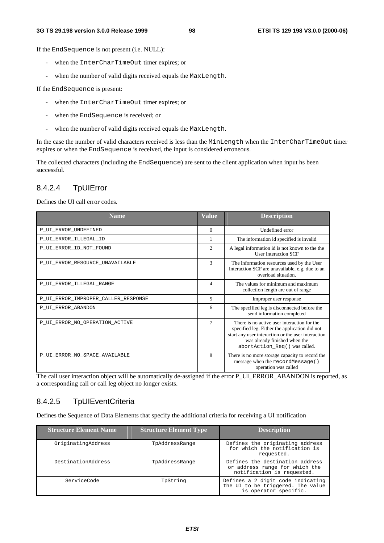If the EndSequence is not present (i.e. NULL):

- when the InterCharTimeOut timer expires; or
- when the number of valid digits received equals the MaxLength.

If the EndSequence is present:

- when the InterCharTimeOut timer expires; or
- when the EndSequence is received; or
- when the number of valid digits received equals the MaxLength.

In the case the number of valid characters received is less than the MinLength when the InterCharTimeOut timer expires or when the EndSequence is received, the input is considered erroneous.

The collected characters (including the EndSequence) are sent to the client application when input hs been successful.

# 8.4.2.4 TpUIError

Defines the UI call error codes.

| <b>Name</b>                         | <b>Value</b> | <b>Description</b>                                                                                                                                                                                                   |
|-------------------------------------|--------------|----------------------------------------------------------------------------------------------------------------------------------------------------------------------------------------------------------------------|
| P_UI_ERROR_UNDEFINED                | $\Omega$     | Undefined error                                                                                                                                                                                                      |
| P_UI_ERROR_ILLEGAL_ID               | 1            | The information id specified is invalid                                                                                                                                                                              |
| P_UI_ERROR_ID_NOT_FOUND             | 2            | A legal information id is not known to the the<br><b>User Interaction SCF</b>                                                                                                                                        |
| P UI ERROR RESOURCE UNAVAILABLE     | $\mathbf{3}$ | The information resources used by the User<br>Interaction SCF are unavailable, e.g. due to an<br>overload situation.                                                                                                 |
| P UI ERROR ILLEGAL RANGE            | 4            | The values for minimum and maximum<br>collection length are out of range                                                                                                                                             |
| P UI ERROR IMPROPER CALLER RESPONSE | 5            | Improper user response                                                                                                                                                                                               |
| P UI ERROR ABANDON                  | 6            | The specified leg is disconnected before the<br>send information completed                                                                                                                                           |
| P UI ERROR NO OPERATION ACTIVE      | 7            | There is no active user interaction for the<br>specified leg. Either the application did not<br>start any user interaction or the user interaction<br>was already finished when the<br>abortAction_Req() was called. |
| P_UI_ERROR_NO_SPACE_AVAILABLE       | 8            | There is no more storage capacity to record the<br>message when the recordMessage ()<br>operation was called                                                                                                         |

The call user interaction object will be automatically de-assigned if the error P\_UI\_ERROR\_ABANDON is reported, as a corresponding call or call leg object no longer exists.

# 8.4.2.5 TpUIEventCriteria

Defines the Sequence of Data Elements that specify the additional criteria for receiving a UI notification

| <b>Structure Element Name</b> | <b>Structure Element Type</b> | <b>Description</b>                                                                              |
|-------------------------------|-------------------------------|-------------------------------------------------------------------------------------------------|
| OriginatingAddress            | TpAddressRange                | Defines the originating address<br>for which the notification is<br>requested.                  |
| DestinationAddress            | TpAddressRange                | Defines the destination address<br>or address range for which the<br>notification is requested. |
| ServiceCode                   | TpString                      | Defines a 2 digit code indicating<br>the UI to be triggered. The value<br>is operator specific. |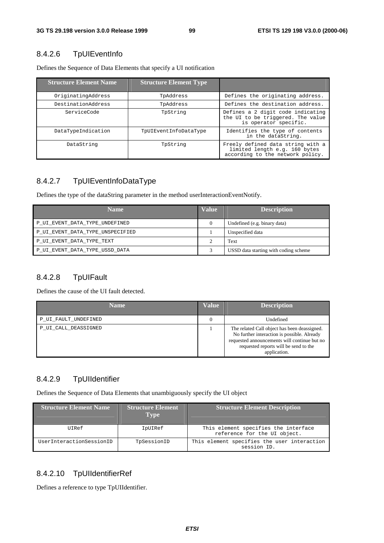# 8.4.2.6 TpUIEventInfo

| <b>Structure Element Name</b> | <b>Structure Element Type</b> |                                                                                                        |
|-------------------------------|-------------------------------|--------------------------------------------------------------------------------------------------------|
| OriginatingAddress            | TpAddress                     | Defines the originating address.                                                                       |
| DestinationAddress            | TpAddress                     | Defines the destination address.                                                                       |
| ServiceCode                   | TpString                      | Defines a 2 digit code indicating<br>the UI to be triggered. The value<br>is operator specific.        |
| DataTypeIndication            | TpUIEventInfoDataType         | Identifies the type of contents<br>in the dataString.                                                  |
| DataString                    | TpString                      | Freely defined data string with a<br>limited length e.g. 160 bytes<br>according to the network policy. |

Defines the Sequence of Data Elements that specify a UI notification

# 8.4.2.7 TpUIEventInfoDataType

Defines the type of the dataString parameter in the method userInteractionEventNotify.

| <b>Name</b>                      | <b>Value</b> | <b>Description</b>                    |
|----------------------------------|--------------|---------------------------------------|
| P_UI_EVENT_DATA_TYPE_UNDEFINED   |              | Undefined (e.g. binary data)          |
| P_UI_EVENT_DATA_TYPE_UNSPECIFIED |              | Unspecified data                      |
| P UI EVENT DATA TYPE TEXT        |              | Text                                  |
| P_UI_EVENT_DATA_TYPE_USSD_DATA   |              | USSD data starting with coding scheme |

# 8.4.2.8 TpUIFault

Defines the cause of the UI fault detected.

| <b>Name</b>          | <b>Value</b> | <b>Description</b>                                                                                                                                                                                   |
|----------------------|--------------|------------------------------------------------------------------------------------------------------------------------------------------------------------------------------------------------------|
| P_UI_FAULT_UNDEFINED |              | Undefined                                                                                                                                                                                            |
| P UI CALL DEASSIGNED |              | The related Call object has been deassigned.<br>No further interaction is possible. Already<br>requested announcements will continue but no<br>requested reports will be send to the<br>application. |

# 8.4.2.9 TpUIIdentifier

Defines the Sequence of Data Elements that unambiguously specify the UI object

| <b>Structure Element Name</b> | <b>Structure Element</b><br><b>Type</b> | <b>Structure Element Description</b>                                 |
|-------------------------------|-----------------------------------------|----------------------------------------------------------------------|
| UIRef                         | IpUIRef                                 | This element specifies the interface<br>reference for the UI object. |
| UserInteractionSessionID      | TpSessionID                             | This element specifies the user interaction<br>session ID.           |

## 8.4.2.10 TpUIIdentifierRef

Defines a reference to type TpUIIdentifier.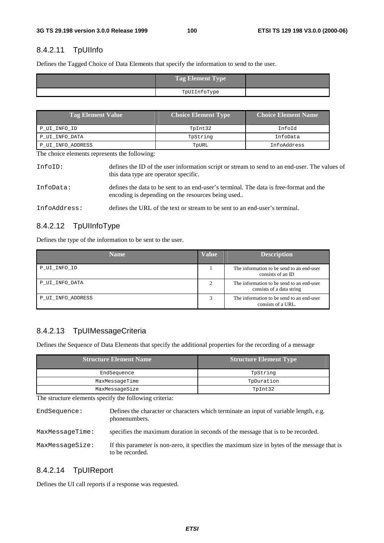# 8.4.2.11 TpUIInfo

Defines the Tagged Choice of Data Elements that specify the information to send to the user.

| Tag Element Type |  |
|------------------|--|
| TpUIInfoType     |  |

| <b>Tag Element Value</b> | <b>Choice Element Type</b> | <b>Choice Element Name</b> |
|--------------------------|----------------------------|----------------------------|
| P UI INFO ID             | TpInt32                    | InfoId                     |
| P UI INFO DATA           | TpString                   | InfoData                   |
| P UI INFO ADDRESS        | TpURL                      | InfoAddress                |

The choice elements represents the following:

| InfoID:      | defines the ID of the user information script or stream to send to an end-user. The values of<br>this data type are operator specific.      |
|--------------|---------------------------------------------------------------------------------------------------------------------------------------------|
| InfoData:    | defines the data to be sent to an end-user's terminal. The data is free-format and the<br>encoding is depending on the resources being used |
| InfoAddress: | defines the URL of the text or stream to be sent to an end-user's terminal.                                                                 |

## 8.4.2.12 TpUIInfoType

Defines the type of the information to be sent to the user.

| <b>Name</b>       | <b>Value</b>   | <b>Description</b>                                                     |
|-------------------|----------------|------------------------------------------------------------------------|
| P_UI_INFO_ID      |                | The information to be send to an end-user<br>consists of an ID         |
| P UI INFO DATA    | $\overline{2}$ | The information to be send to an end-user<br>consists of a data string |
| P UI INFO ADDRESS | 3              | The information to be send to an end-user<br>consists of a URL.        |

# 8.4.2.13 TpUIMessageCriteria

Defines the Sequence of Data Elements that specify the additional properties for the recording of a message

| <b>Structure Element Name</b> | <b>Structure Element Type</b> |  |
|-------------------------------|-------------------------------|--|
| EndSequence                   | TpString                      |  |
| MaxMessageTime                | TpDuration                    |  |
| MaxMessaqeSize                | TpInt32                       |  |

The structure elements specify the following criteria:

EndSequence: Defines the character or characters which terminate an input of variable length, e.g. phonenumbers. MaxMessageTime: specifies the maximum duration in seconds of the message that is to be recorded. MaxMessageSize: If this parameter is non-zero, it specifies the maximum size in bytes of the message that is to be recorded.

## 8.4.2.14 TpUIReport

Defines the UI call reports if a response was requested.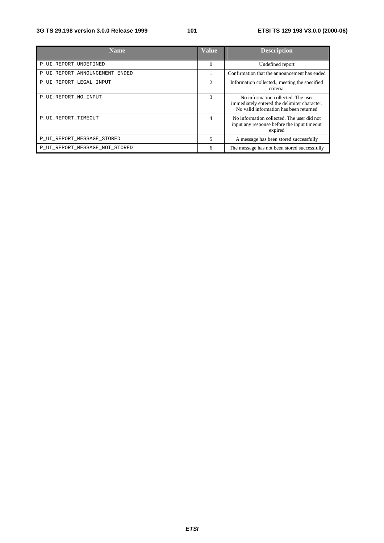| <b>Name</b>                    | <b>Value</b>   | <b>Description</b>                                                                                                           |
|--------------------------------|----------------|------------------------------------------------------------------------------------------------------------------------------|
| P_UI_REPORT_UNDEFINED          | $\Omega$       | Undefined report                                                                                                             |
| P_UI_REPORT_ANNOUNCEMENT_ENDED |                | Confirmation that the announcement has ended                                                                                 |
| P_UI_REPORT_LEGAL_INPUT        | $\overline{c}$ | Information collected., meeting the specified<br>criteria.                                                                   |
| P UI REPORT NO INPUT           | $\mathcal{R}$  | No information collected. The user<br>immediately entered the delimiter character.<br>No valid information has been returned |
| P UI REPORT TIMEOUT            | 4              | No information collected. The user did not<br>input any response before the input timeout<br>expired                         |
| P_UI_REPORT_MESSAGE_STORED     | 5              | A message has been stored successfully                                                                                       |
| P_UI_REPORT_MESSAGE_NOT_STORED | 6              | The message has not been stored successfully                                                                                 |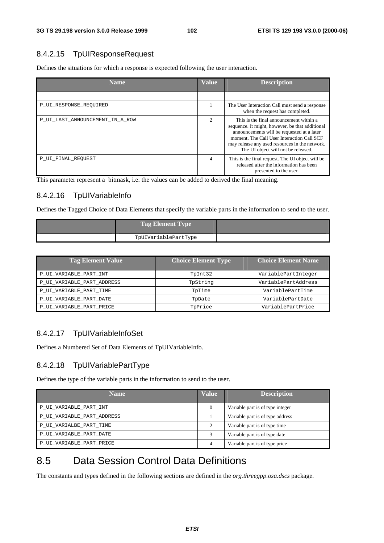#### 8.4.2.15 TpUIResponseRequest

Defines the situations for which a response is expected following the user interaction.

| <b>Name</b>                     | <b>Value</b>   | <b>Description</b>                                                                                                                                                                                                                                                              |
|---------------------------------|----------------|---------------------------------------------------------------------------------------------------------------------------------------------------------------------------------------------------------------------------------------------------------------------------------|
|                                 |                |                                                                                                                                                                                                                                                                                 |
| P UI RESPONSE REQUIRED          |                | The User Interaction Call must send a response<br>when the request has completed.                                                                                                                                                                                               |
| P_UI_LAST_ANNOUNCEMENT_IN_A_ROW | $\overline{c}$ | This is the final announcement within a<br>sequence. It might, however, be that additional<br>announcements will be requested at a later<br>moment. The Call User Interaction Call SCF<br>may release any used resources in the network.<br>The UI object will not be released. |
| P UI FINAL REQUEST              | 4              | This is the final request. The UI object will be<br>released after the information has been<br>presented to the user.                                                                                                                                                           |

This parameter represent a bitmask, i.e. the values can be added to derived the final meaning.

## 8.4.2.16 TpUIVariableInfo

Defines the Tagged Choice of Data Elements that specify the variable parts in the information to send to the user.

| <b>Tag Element Type</b> |  |
|-------------------------|--|
| TpUIVariablePartType    |  |

| <b>Tag Element Value</b>   | <b>Choice Element Type</b> | <b>Choice Element Name</b> |
|----------------------------|----------------------------|----------------------------|
| P_UI_VARIABLE_PART_INT     | TpInt32                    | VariablePartInteger        |
| P_UI_VARIABLE_PART_ADDRESS | TpString                   | VariablePartAddress        |
| P UI VARIABLE PART TIME    | TpTime                     | VariablePartTime           |
| P_UI_VARIABLE_PART_DATE    | TpDate                     | VariablePartDate           |
| P_UI_VARIABLE_PART_PRICE   | TpPrice                    | VariablePartPrice          |

## 8.4.2.17 TpUIVariableInfoSet

Defines a Numbered Set of Data Elements of TpUIVariableInfo.

## 8.4.2.18 TpUIVariablePartType

Defines the type of the variable parts in the information to send to the user.

| <b>Name</b>                | <b>Value</b>                | <b>Description</b>               |
|----------------------------|-----------------------------|----------------------------------|
| P_UI_VARIABLE_PART_INT     | $\theta$                    | Variable part is of type integer |
| P_UI_VARIABLE_PART_ADDRESS |                             | Variable part is of type address |
| P_UI_VARIALBE_PART_TIME    | $\mathcal{D}_{\mathcal{A}}$ | Variable part is of type time    |
| P UI VARIABLE PART DATE    |                             | Variable part is of type date    |
| P_UI_VARIABLE_PART_PRICE   | 4                           | Variable part is of type price   |

# 8.5 Data Session Control Data Definitions

The constants and types defined in the following sections are defined in the *org.threegpp.osa.dscs* package.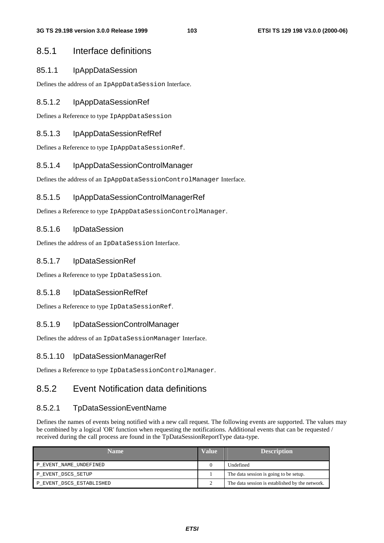# 8.5.1 Interface definitions

## 85.1.1 IpAppDataSession

Defines the address of an IpAppDataSession Interface.

## 8.5.1.2 IpAppDataSessionRef

Defines a Reference to type IpAppDataSession

## 8.5.1.3 IpAppDataSessionRefRef

Defines a Reference to type IpAppDataSessionRef.

## 8.5.1.4 IpAppDataSessionControlManager

Defines the address of an IpAppDataSessionControlManager Interface.

## 8.5.1.5 IpAppDataSessionControlManagerRef

Defines a Reference to type IpAppDataSessionControlManager.

## 8.5.1.6 IpDataSession

Defines the address of an IpDataSession Interface.

## 8.5.1.7 IpDataSessionRef

Defines a Reference to type IpDataSession.

## 8.5.1.8 IpDataSessionRefRef

Defines a Reference to type IpDataSessionRef.

## 8.5.1.9 IpDataSessionControlManager

Defines the address of an IpDataSessionManager Interface.

## 8.5.1.10 IpDataSessionManagerRef

Defines a Reference to type IpDataSessionControlManager.

# 8.5.2 Event Notification data definitions

## 8.5.2.1 TpDataSessionEventName

Defines the names of events being notified with a new call request. The following events are supported. The values may be combined by a logical 'OR' function when requesting the notifications. Additional events that can be requested / received during the call process are found in the TpDataSessionReportType data-type.

| <b>Name</b>              | <b>Value</b> | <b>Description</b>                              |
|--------------------------|--------------|-------------------------------------------------|
| P_EVENT_NAME_UNDEFINED   |              | Undefined                                       |
| P EVENT DSCS SETUP       |              | The data session is going to be setup.          |
| P_EVENT_DSCS_ESTABLISHED |              | The data session is established by the network. |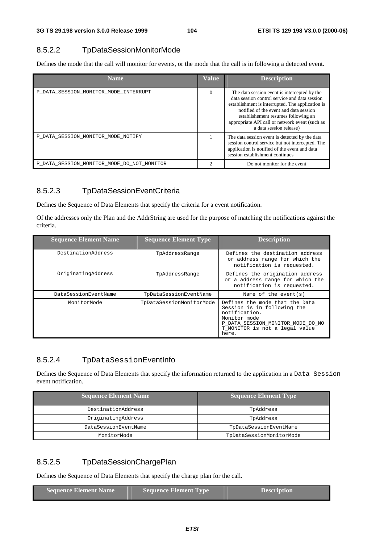## 8.5.2.2 TpDataSessionMonitorMode

Defines the mode that the call will monitor for events, or the mode that the call is in following a detected event.

| <b>Name</b>                                | <b>Value</b> | <b>Description</b>                                                                                                                                                                                                                                                                                              |
|--------------------------------------------|--------------|-----------------------------------------------------------------------------------------------------------------------------------------------------------------------------------------------------------------------------------------------------------------------------------------------------------------|
| P DATA SESSION MONITOR MODE INTERRUPT      | $\Omega$     | The data session event is intercepted by the<br>data session control service and data session<br>establishment is interrupted. The application is<br>notified of the event and data session<br>establishement resumes following an<br>appropriate API call or network event (such as<br>a data session release) |
| P DATA SESSION MONITOR MODE NOTIFY         |              | The data session event is detected by the data<br>session control service but not intercepted. The<br>application is notified of the event and data<br>session establishment continues                                                                                                                          |
| P DATA SESSION MONITOR MODE DO NOT MONITOR |              | Do not monitor for the event                                                                                                                                                                                                                                                                                    |

## 8.5.2.3 TpDataSessionEventCriteria

Defines the Sequence of Data Elements that specify the criteria for a event notification.

Of the addresses only the Plan and the AddrString are used for the purpose of matching the notifications against the criteria.

| <b>Sequence Element Name</b> | <b>Sequence Element Type</b> | <b>Description</b>                                                                                                                                                             |
|------------------------------|------------------------------|--------------------------------------------------------------------------------------------------------------------------------------------------------------------------------|
| DestinationAddress           | TpAddressRange               | Defines the destination address<br>or address range for which the<br>notification is requested.                                                                                |
| OriginatingAddress           | TpAddressRange               | Defines the origination address<br>or a address range for which the<br>notification is requested.                                                                              |
| DataSessionEventName         | TpDataSessionEventName       | Name of the event $(s)$                                                                                                                                                        |
| MonitorMode                  | TpDataSessionMonitorMode     | Defines the mode that the Data<br>Session is in following the<br>notification.<br>Monitor mode<br>P DATA SESSION MONITOR MODE DO NO<br>T MONITOR is not a legal value<br>here. |

## 8.5.2.4 TpDataSessionEventInfo

Defines the Sequence of Data Elements that specify the information returned to the application in a Data Session event notification.

| <b>Sequence Element Name</b> | <b>Sequence Element Type</b> |
|------------------------------|------------------------------|
| DestinationAddress           | TpAddress                    |
| OriginatingAddress           | TpAddress                    |
| DataSessionEventName         | TpDataSessionEventName       |
| MonitorMode                  | TpDataSessionMonitorMode     |

# 8.5.2.5 TpDataSessionChargePlan

Defines the Sequence of Data Elements that specify the charge plan for the call.

| Sequence Element Name | <b>Sequence Element Type</b> | <b>Description</b> |
|-----------------------|------------------------------|--------------------|
|                       |                              |                    |
|                       |                              |                    |
|                       |                              |                    |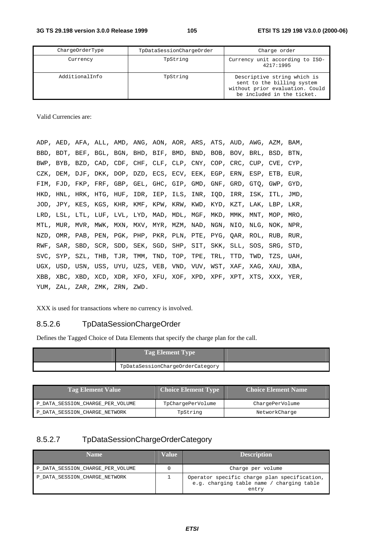| ChargeOrderType | TpDataSessionChargeOrder | Charge order                                                                                                               |
|-----------------|--------------------------|----------------------------------------------------------------------------------------------------------------------------|
| Currency        | TpString                 | Currency unit according to ISO-<br>4217:1995                                                                               |
| AdditionalInfo  | TpString                 | Descriptive string which is<br>sent to the billing system<br>without prior evaluation. Could<br>be included in the ticket. |

Valid Currencies are:

|  |                               |  |  |  | ADP, AED, AFA, ALL, AMD, ANG, AON, AOR, ARS, ATS, AUD, AWG, AZM, BAM, |  |  |
|--|-------------------------------|--|--|--|-----------------------------------------------------------------------|--|--|
|  |                               |  |  |  | BBD, BDT, BEF, BGL, BGN, BHD, BIF, BMD, BND, BOB, BOV, BRL, BSD, BTN, |  |  |
|  |                               |  |  |  | BWP, BYB, BZD, CAD, CDF, CHF, CLF, CLP, CNY, COP, CRC, CUP, CVE, CYP, |  |  |
|  |                               |  |  |  | CZK, DEM, DJF, DKK, DOP, DZD, ECS, ECV, EEK, EGP, ERN, ESP, ETB, EUR, |  |  |
|  |                               |  |  |  | FIM, FJD, FKP, FRF, GBP, GEL, GHC, GIP, GMD, GNF, GRD, GTQ, GWP, GYD, |  |  |
|  |                               |  |  |  | HKD, HNL, HRK, HTG, HUF, IDR, IEP, ILS, INR, IQD, IRR, ISK, ITL, JMD, |  |  |
|  |                               |  |  |  | JOD, JPY, KES, KGS, KHR, KMF, KPW, KRW, KWD, KYD, KZT, LAK, LBP, LKR, |  |  |
|  |                               |  |  |  | LRD, LSL, LTL, LUF, LVL, LYD, MAD, MDL, MGF, MKD, MMK, MNT, MOP, MRO, |  |  |
|  |                               |  |  |  | MTL, MUR, MVR, MWK, MXN, MXV, MYR, MZM, NAD, NGN, NIO, NLG, NOK, NPR, |  |  |
|  |                               |  |  |  | NZD, OMR, PAB, PEN, PGK, PHP, PKR, PLN, PTE, PYG, QAR, ROL, RUB, RUR, |  |  |
|  |                               |  |  |  | RWF, SAR, SBD, SCR, SDD, SEK, SGD, SHP, SIT, SKK, SLL, SOS, SRG, STD, |  |  |
|  |                               |  |  |  | SVC, SYP, SZL, THB, TJR, TMM, TND, TOP, TPE, TRL, TTD, TWD, TZS, UAH, |  |  |
|  |                               |  |  |  | UGX, USD, USN, USS, UYU, UZS, VEB, VND, VUV, WST, XAF, XAG, XAU, XBA, |  |  |
|  |                               |  |  |  | XBB, XBC, XBD, XCD, XDR, XFO, XFU, XOF, XPD, XPF, XPT, XTS, XXX, YER, |  |  |
|  | YUM, ZAL, ZAR, ZMK, ZRN, ZWD. |  |  |  |                                                                       |  |  |

XXX is used for transactions where no currency is involved.

# 8.5.2.6 TpDataSessionChargeOrder

Defines the Tagged Choice of Data Elements that specify the charge plan for the call.

| <b>Tag Element Type</b>          |  |
|----------------------------------|--|
| TpDataSessionChargeOrderCategory |  |

| <b>Tag Element Value</b>         | <b>Choice Element Type</b><br><b>Choice Element Name</b> |                 |
|----------------------------------|----------------------------------------------------------|-----------------|
| P DATA SESSION CHARGE PER VOLUME | TpChargePerVolume                                        | ChargePerVolume |
| P DATA SESSION CHARGE NETWORK    | TpString                                                 | NetworkCharge   |

# 8.5.2.7 TpDataSessionChargeOrderCategory

| <b>Name</b>                      | Value | <b>Description</b>                                                                                 |
|----------------------------------|-------|----------------------------------------------------------------------------------------------------|
| P_DATA_SESSION_CHARGE_PER_VOLUME |       | Charge per volume                                                                                  |
| P_DATA_SESSION_CHARGE_NETWORK    |       | Operator specific charge plan specification,<br>e.g. charging table name / charging table<br>entry |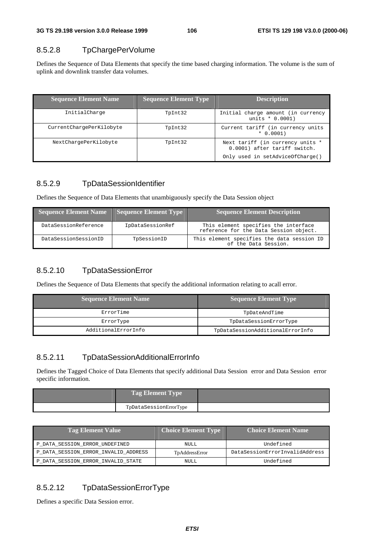## 8.5.2.8 TpChargePerVolume

Defines the Sequence of Data Elements that specify the time based charging information. The volume is the sum of uplink and downlink transfer data volumes.

| <b>Sequence Element Name</b> | <b>Sequence Element Type</b> | <b>Description</b>                                               |
|------------------------------|------------------------------|------------------------------------------------------------------|
| InitialCharge                | TpInt32                      | Initial charge amount (in currency<br>units $* 0.0001$           |
| CurrentChargePerKilobyte     | TpInt32                      | Current tariff (in currency units<br>$* 0.0001)$                 |
| NextChargePerKilobyte        | TpInt32                      | Next tariff (in currency units *<br>0.0001) after tariff switch. |
|                              |                              | Only used in setAdviceOfCharge()                                 |

## 8.5.2.9 TpDataSessionIdentifier

Defines the Sequence of Data Elements that unambiguously specify the Data Session object

| <b>Sequence Element Name</b> | $\Box$ Sequence Element Type | <b>Sequence Element Description</b>                                            |
|------------------------------|------------------------------|--------------------------------------------------------------------------------|
| DataSessionReference         | IpDataSessionRef             | This element specifies the interface<br>reference for the Data Session object. |
| DataSessionSessionID         | TpSessionID                  | This element specifies the data session ID<br>of the Data Session.             |

## 8.5.2.10 TpDataSessionError

Defines the Sequence of Data Elements that specify the additional information relating to acall error.

| <b>Sequence Element Name</b> | <b>Sequence Element Type</b>     |
|------------------------------|----------------------------------|
| ErrorTime                    | TpDateAndTime                    |
| ErrorType                    | TpDataSessionErrorType           |
| AdditionalErrorInfo          | TpDataSessionAdditionalErrorInfo |

## 8.5.2.11 TpDataSessionAdditionalErrorInfo

Defines the Tagged Choice of Data Elements that specify additional Data Session error and Data Session error specific information.

| <b>Tag Element Type</b> |  |
|-------------------------|--|
| TpDataSessionErrorType  |  |

| <b>Tag Element Value</b>             | <b>Choice Element Type</b> | <b>Choice Element Name</b>     |  |
|--------------------------------------|----------------------------|--------------------------------|--|
| P_DATA_SESSION_ERROR_UNDEFINED       | NULL                       | Undefined                      |  |
| P DATA SESSION ERROR INVALID ADDRESS | TpAddressError             | DataSessionErrorInvalidAddress |  |
| P_DATA_SESSION_ERROR_INVALID_STATE   | NULL                       | Undefined                      |  |

## 8.5.2.12 TpDataSessionErrorType

Defines a specific Data Session error.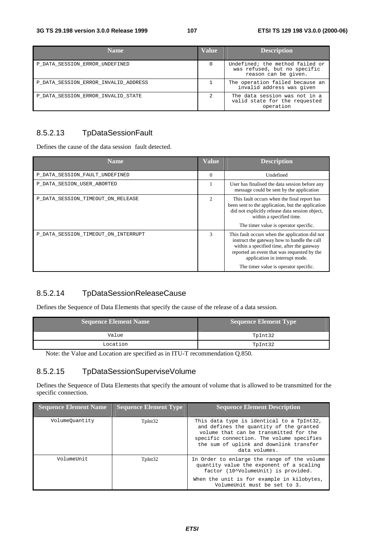| <b>Name</b>                          | <b>Value</b> | <b>Description</b>                                                                      |
|--------------------------------------|--------------|-----------------------------------------------------------------------------------------|
| P DATA SESSION ERROR UNDEFINED       | $\Omega$     | Undefined; the method failed or<br>was refused, but no specific<br>reason can be given. |
| P DATA SESSION ERROR INVALID ADDRESS |              | The operation failed because an<br>invalid address was given                            |
| P DATA SESSION ERROR INVALID STATE   |              | The data session was not in a<br>valid state for the requested<br>operation             |

# 8.5.2.13 TpDataSessionFault

Defines the cause of the data session fault detected.

| <b>Name</b>                         | Value         | <b>Description</b>                                                                                                                                                                                                                                                    |
|-------------------------------------|---------------|-----------------------------------------------------------------------------------------------------------------------------------------------------------------------------------------------------------------------------------------------------------------------|
| P_DATA_SESSION_FAULT_UNDEFINED      | $\Omega$      | Undefined                                                                                                                                                                                                                                                             |
| P DATA SESION USER ABORTED          |               | User has finalised the data session before any<br>message could be sent by the application                                                                                                                                                                            |
| P_DATA_SESSION_TIMEOUT_ON_RELEASE   | 2             | This fault occurs when the final report has<br>been sent to the application, but the application<br>did not explicitly release data session object,<br>within a specified time.<br>The timer value is operator specific.                                              |
| P_DATA_SESSION_TIMEOUT_ON_INTERRUPT | $\mathcal{R}$ | This fault occurs when the application did not<br>instruct the gateway how to handle the call<br>within a specified time, after the gateway<br>reported an event that was requested by the<br>application in interrupt mode.<br>The timer value is operator specific. |

# 8.5.2.14 TpDataSessionReleaseCause

Defines the Sequence of Data Elements that specify the cause of the release of a data session.

| <b>Sequence Element Name</b> | Sequence Element Type |  |
|------------------------------|-----------------------|--|
| Value                        | TpInt32               |  |
| Location                     | TpInt32               |  |

Note: the Value and Location are specified as in ITU-T recommendation Q.850.

## 8.5.2.15 TpDataSessionSuperviseVolume

Defines the Sequence of Data Elements that specify the amount of volume that is allowed to be transmitted for the specific connection.

| <b>Sequence Element Name</b> | <b>Sequence Element Type</b> | <b>Sequence Element Description</b>                                                                                                                                                                                                     |
|------------------------------|------------------------------|-----------------------------------------------------------------------------------------------------------------------------------------------------------------------------------------------------------------------------------------|
| VolumeOuantity               | TpInt32                      | This data type is identical to a TpInt32,<br>and defines the quantity of the granted<br>volume that can be transmitted for the<br>specific connection. The volume specifies<br>the sum of uplink and downlink transfer<br>data volumes. |
| VolumeUnit                   | TpInt32                      | In Order to enlarge the range of the volume<br>quantity value the exponent of a scaling<br>factor (10^VolumeUnit) is provided.                                                                                                          |
|                              |                              | When the unit is for example in kilobytes,<br>VolumeUnit must be set to 3.                                                                                                                                                              |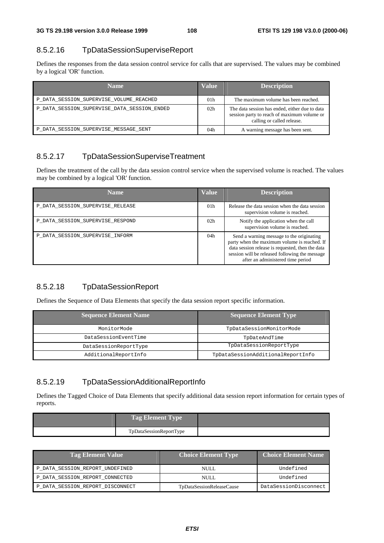### 8.5.2.16 TpDataSessionSuperviseReport

Defines the responses from the data session control service for calls that are supervised. The values may be combined by a logical 'OR' function.

| <b>Name</b>                                 | <b>Value</b>    | <b>Description</b>                                                                                                          |
|---------------------------------------------|-----------------|-----------------------------------------------------------------------------------------------------------------------------|
| P DATA SESSION SUPERVISE VOLUME REACHED     | 01 <sub>h</sub> | The maximum volume has been reached.                                                                                        |
| P DATA SESSION SUPERVISE DATA SESSION ENDED | 02 <sub>h</sub> | The data session has ended, either due to data<br>session party to reach of maximum volume or<br>calling or called release. |
| P_DATA_SESSION_SUPERVISE_MESSAGE_SENT       | 04h             | A warning message has been sent.                                                                                            |

## 8.5.2.17 TpDataSessionSuperviseTreatment

Defines the treatment of the call by the data session control service when the supervised volume is reached. The values may be combined by a logical 'OR' function.

| <b>Name</b>                      | <b>Value</b>    | <b>Description</b>                                                                                                                                                                                                                   |
|----------------------------------|-----------------|--------------------------------------------------------------------------------------------------------------------------------------------------------------------------------------------------------------------------------------|
| P DATA SESSION SUPERVISE RELEASE | 01 <sub>h</sub> | Release the data session when the data session<br>supervision volume is reached.                                                                                                                                                     |
| P DATA SESSION SUPERVISE RESPOND | 02 <sub>h</sub> | Notify the application when the call<br>supervision volume is reached.                                                                                                                                                               |
| P_DATA_SESSION_SUPERVISE_INFORM  | 04h             | Send a warning message to the originating<br>party when the maximum volume is reached. If<br>data session release is requested, then the data<br>session will be released following the message<br>after an administered time period |

## 8.5.2.18 TpDataSessionReport

Defines the Sequence of Data Elements that specify the data session report specific information.

| <b>Sequence Element Name</b> | <b>Sequence Element Type</b>      |
|------------------------------|-----------------------------------|
| MonitorMode                  | TpDataSessionMonitorMode          |
| DataSessionEventTime         | TpDateAndTime                     |
| DataSessionReportType        | TpDataSessionReportType           |
| AdditionalReportInfo         | TpDataSessionAdditionalReportInfo |

## 8.5.2.19 TpDataSessionAdditionalReportInfo

Defines the Tagged Choice of Data Elements that specify additional data session report information for certain types of reports.

| <b>Tag Element Type</b> |  |
|-------------------------|--|
| TpDataSessionReportType |  |

| <b>Tag Element Value</b>         | <b>Choice Element Type</b> | <b>Choice Element Name</b> |
|----------------------------------|----------------------------|----------------------------|
| P DATA SESSION REPORT UNDEFINED  | NULL.                      | Undefined                  |
| P DATA SESSION REPORT CONNECTED  | NULL.                      | Undefined                  |
| P DATA SESSION REPORT DISCONNECT | TpDataSessionReleaseCause  | DataSessionDisconnect      |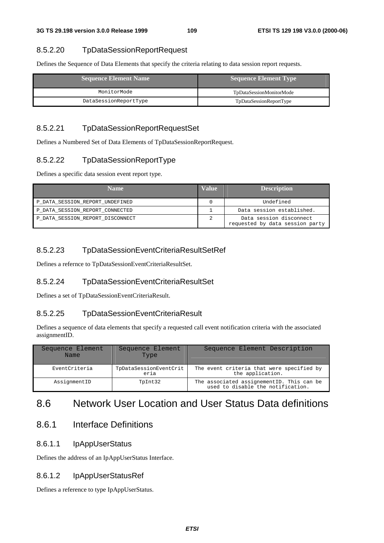### 8.5.2.20 TpDataSessionReportRequest

Defines the Sequence of Data Elements that specify the criteria relating to data session report requests.

| <b>Sequence Element Name</b> | Sequence Element Type    |
|------------------------------|--------------------------|
| MonitorMode                  | TpDataSessionMonitorMode |
| DataSessionReportType        | TpDataSessionReportType  |

#### 8.5.2.21 TpDataSessionReportRequestSet

Defines a Numbered Set of Data Elements of TpDataSessionReportRequest.

### 8.5.2.22 TpDataSessionReportType

Defines a specific data session event report type.

| <b>Name</b>                      | <b>Value</b> | <b>Description</b>                                         |
|----------------------------------|--------------|------------------------------------------------------------|
| P DATA SESSION REPORT UNDEFINED  |              | Undefined                                                  |
| P_DATA_SESSION_REPORT_CONNECTED  |              | Data session established.                                  |
| P DATA SESSION REPORT DISCONNECT |              | Data session disconnect<br>requested by data session party |

## 8.5.2.23 TpDataSessionEventCriteriaResultSetRef

Defines a refernce to TpDataSessionEventCriteriaResultSet.

### 8.5.2.24 TpDataSessionEventCriteriaResultSet

Defines a set of TpDataSessionEventCriteriaResult.

#### 8.5.2.25 TpDataSessionEventCriteriaResult

Defines a sequence of data elements that specify a requested call event notification criteria with the associated assignmentID.

| Sequence Element<br>Name | Sequence Element<br>Type       | Sequence Element Description                                                   |
|--------------------------|--------------------------------|--------------------------------------------------------------------------------|
| EventCriteria            | TpDataSessionEventCrit<br>eria | The event criteria that were specified by<br>the application.                  |
| AssignmentID             | TpInt32                        | The associated assignementID. This can be<br>used to disable the notification. |

# 8.6 Network User Location and User Status Data definitions

# 8.6.1 Interface Definitions

#### 8.6.1.1 IpAppUserStatus

Defines the address of an IpAppUserStatus Interface.

#### 8.6.1.2 IpAppUserStatusRef

Defines a reference to type IpAppUserStatus.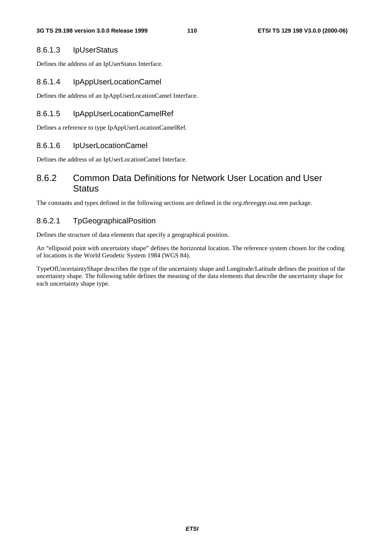#### 8.6.1.3 IpUserStatus

Defines the address of an IpUserStatus Interface.

#### 8.6.1.4 IpAppUserLocationCamel

Defines the address of an IpAppUserLocationCamel Interface.

#### 8.6.1.5 IpAppUserLocationCamelRef

Defines a reference to type IpAppUserLocationCamelRef.

#### 8.6.1.6 IpUserLocationCamel

Defines the address of an IpUserLocationCamel Interface.

## 8.6.2 Common Data Definitions for Network User Location and User **Status**

The constants and types defined in the following sections are defined in the *org.threegpp.osa.mm* package.

#### 8.6.2.1 TpGeographicalPosition

Defines the structure of data elements that specify a geographical position.

An "ellipsoid point with uncertainty shape" defines the horizontal location. The reference system chosen for the coding of locations is the World Geodetic System 1984 (WGS 84).

TypeOfUncertaintyShape describes the type of the uncertainty shape and Longitude/Latitude defines the position of the uncertainty shape. The following table defines the meaning of the data elements that describe the uncertainty shape for each uncertainty shape type.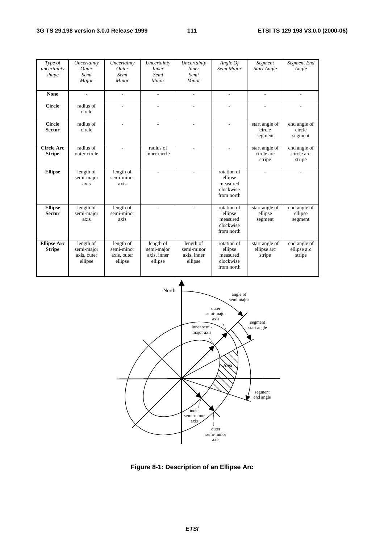| Type of<br>uncertainty<br>shape     | Uncertainty<br>Outer<br>Semi<br>Major             | Uncertainty<br>Outer<br>Semi<br>Minor             | Uncertainty<br><i>Inner</i><br>Semi<br>Major      | Uncertainty<br><i>Inner</i><br>Semi<br>Minor                   | Angle Of<br>Semi Major                                        | Segment<br><b>Start Angle</b>           | Segment End<br>Angle                  |
|-------------------------------------|---------------------------------------------------|---------------------------------------------------|---------------------------------------------------|----------------------------------------------------------------|---------------------------------------------------------------|-----------------------------------------|---------------------------------------|
| <b>None</b>                         | ٠                                                 | ÷,                                                | ٠                                                 | ٠                                                              | ٠                                                             | $\overline{\phantom{a}}$                |                                       |
| <b>Circle</b>                       | radius of<br>circle                               | $\overline{a}$                                    | ٠                                                 | L.                                                             | ÷.                                                            | ä,                                      |                                       |
| Circle<br><b>Sector</b>             | radius of<br>circle                               |                                                   |                                                   |                                                                |                                                               | start angle of<br>circle<br>segment     | end angle of<br>circle<br>segment     |
| <b>Circle Arc</b><br><b>Stripe</b>  | radius of<br>outer circle                         | $\overline{\phantom{a}}$                          | radius of<br>inner circle                         | $\overline{\phantom{a}}$                                       | $\sim$                                                        | start angle of<br>circle arc<br>stripe  | end angle of<br>circle arc<br>stripe  |
| <b>Ellipse</b>                      | length of<br>semi-major<br>axis                   | length of<br>semi-minor<br>axis                   |                                                   |                                                                | rotation of<br>ellipse<br>measured<br>clockwise<br>from north |                                         |                                       |
| <b>Ellipse</b><br><b>Sector</b>     | length of<br>semi-major<br>axis                   | length of<br>semi-minor<br>axis                   |                                                   |                                                                | rotation of<br>ellipse<br>measured<br>clockwise<br>from north | start angle of<br>ellipse<br>segment    | end angle of<br>ellipse<br>segment    |
| <b>Ellipse Arc</b><br><b>Stripe</b> | length of<br>semi-major<br>axis, outer<br>ellipse | length of<br>semi-minor<br>axis, outer<br>ellipse | length of<br>semi-major<br>axis, inner<br>ellipse | length $\overline{of}$<br>semi-minor<br>axis, inner<br>ellipse | rotation of<br>ellipse<br>measured<br>clockwise<br>from north | start angle of<br>ellipse arc<br>stripe | end angle of<br>ellipse arc<br>stripe |



**Figure 8-1: Description of an Ellipse Arc**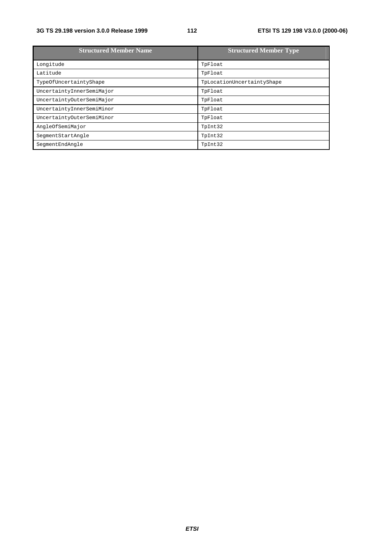#### **3G TS 29.198 version 3.0.0 Release 1999 112 ETSI TS 129 198 V3.0.0 (2000-06)**

| <b>Structured Member Name</b> | <b>Structured Member Type</b> |
|-------------------------------|-------------------------------|
| Longitude                     | TpFloat                       |
| Latitude                      | TpFloat                       |
| TypeOfUncertaintyShape        | TpLocationUncertaintyShape    |
| UncertaintyInnerSemiMajor     | TpFloat                       |
| UncertaintyOuterSemiMajor     | TpFloat                       |
| UncertaintyInnerSemiMinor     | TpFloat                       |
| UncertaintyOuterSemiMinor     | TpFloat                       |
| AngleOfSemiMajor              | TpInt32                       |
| SegmentStartAngle             | TpInt32                       |
| SeqmentEndAngle               | TpInt32                       |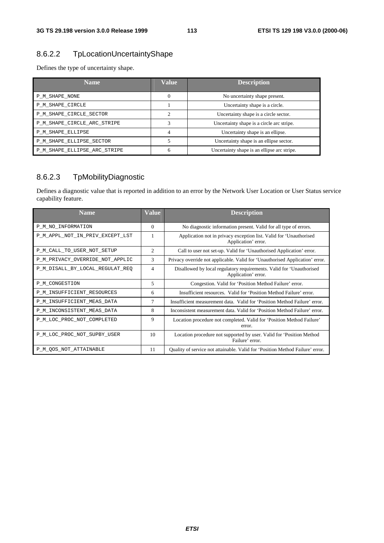## 8.6.2.2 TpLocationUncertaintyShape

Defines the type of uncertainty shape.

| Name.                        | <b>Value</b> | <b>Description</b>                          |
|------------------------------|--------------|---------------------------------------------|
| P M SHAPE NONE               | $\theta$     | No uncertainty shape present.               |
| P M SHAPE CIRCLE             |              | Uncertainty shape is a circle.              |
| P M SHAPE CIRCLE SECTOR      | C            | Uncertainty shape is a circle sector.       |
| P_M_SHAPE_CIRCLE_ARC_STRIPE  | 3            | Uncertainty shape is a circle arc stripe.   |
| P M SHAPE ELLIPSE            | 4            | Uncertainty shape is an ellipse.            |
| P M SHAPE ELLIPSE SECTOR     |              | Uncertainty shape is an ellipse sector.     |
| P_M_SHAPE_ELLIPSE_ARC_STRIPE | 6            | Uncertainty shape is an ellipse arc stripe. |

## 8.6.2.3 TpMobilityDiagnostic

Defines a diagnostic value that is reported in addition to an error by the Network User Location or User Status service capability feature.

| <b>Name</b>                     | Value    | <b>Description</b>                                                                          |
|---------------------------------|----------|---------------------------------------------------------------------------------------------|
| P_M_NO_INFORMATION              | $\Omega$ | No diagnostic information present. Valid for all type of errors.                            |
| P_M_APPL_NOT_IN_PRIV_EXCEPT_LST |          | Application not in privacy exception list. Valid for 'Unauthorised<br>Application' error.   |
| P_M_CALL_TO_USER_NOT_SETUP      | 2        | Call to user not set-up. Valid for 'Unauthorised Application' error.                        |
| P_M_PRIVACY_OVERRIDE_NOT_APPLIC | 3        | Privacy override not applicable. Valid for 'Unauthorised Application' error.                |
| P_M_DISALL_BY_LOCAL_REGULAT_REQ | 4        | Disallowed by local regulatory requirements. Valid for 'Unauthorised<br>Application' error. |
| P_M_CONGESTION                  | 5        | Congestion. Valid for 'Position Method Failure' error.                                      |
| P_M_INSUFFICIENT_RESOURCES      | 6        | Insufficient resources. Valid for 'Position Method Failure' error.                          |
| P_M_INSUFFICIENT_MEAS_DATA      | 7        | Insufficient measurement data. Valid for 'Position Method Failure' error.                   |
| P_M_INCONSISTENT_MEAS_DATA      | 8        | Inconsistent measurement data. Valid for 'Position Method Failure' error.                   |
| P_M_LOC_PROC_NOT_COMPLETED      | 9        | Location procedure not completed. Valid for 'Position Method Failure'<br>error.             |
| P_M_LOC_PROC_NOT_SUPBY_USER     | 10       | Location procedure not supported by user. Valid for 'Position Method<br>Failure' error.     |
| P M OOS NOT ATTAINABLE          | 11       | Quality of service not attainable. Valid for 'Position Method Failure' error.               |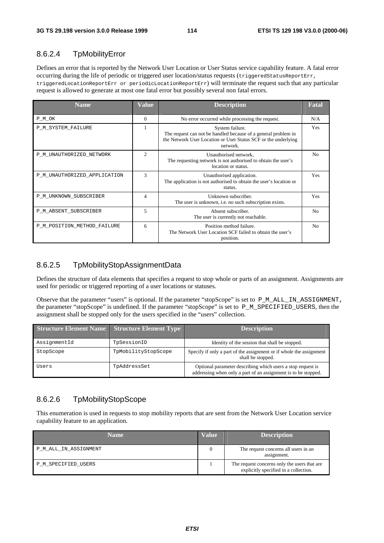## 8.6.2.4 TpMobilityError

Defines an error that is reported by the Network User Location or User Status service capability feature. A fatal error occurring during the life of periodic or triggered user location/status requests (triggeredStatusReportErr, triggeredLocationReportErr or periodicLocationReportErr) will terminate the request such that any particular request is allowed to generate at most one fatal error but possibly several non fatal errors.

| <b>Name</b>                  | Value          | <b>Description</b>                                                                                                                                              | <b>Fatal</b>   |
|------------------------------|----------------|-----------------------------------------------------------------------------------------------------------------------------------------------------------------|----------------|
| P_M_OK                       | $\Omega$       | No error occurred while processing the request.                                                                                                                 | N/A            |
| P_M_SYSTEM_FAILURE           | 1              | System failure.<br>The request can not be handled because of a general problem in<br>the Network User Location or User Status SCF or the underlying<br>network. | <b>Yes</b>     |
| P M UNAUTHORIZED NETWORK     | $\overline{c}$ | Unauthorised network,<br>The requesting network is not authorised to obtain the user's<br>location or status.                                                   | N <sub>0</sub> |
| P_M_UNAUTHORIZED_APPLICATION | 3              | Unauthorised application.<br>The application is not authorised to obtain the user's location or<br>status.                                                      | Yes            |
| P_M_UNKNOWN_SUBSCRIBER       | 4              | Unknown subscriber.<br>The user is unknown, <i>i.e.</i> no such subscription exists.                                                                            | Yes            |
| P M ABSENT SUBSCRIBER        | 5              | Absent subscriber.<br>The user is currently not reachable.                                                                                                      | N <sub>0</sub> |
| P_M_POSITION_METHOD_FAILURE  | 6              | Position method failure.<br>The Network User Location SCF failed to obtain the user's<br>position.                                                              | N <sub>0</sub> |

### 8.6.2.5 TpMobilityStopAssignmentData

Defines the structure of data elements that specifies a request to stop whole or parts of an assignment. Assignments are used for periodic or triggered reporting of a user locations or statuses.

Observe that the parameter "users" is optional. If the parameter "stopScope" is set to P\_M\_ALL\_IN\_ASSIGNMENT, the parameter "stopScope" is undefined. If the parameter "stopScope" is set to P\_M\_SPECIFIED\_USERS, then the assignment shall be stopped only for the users specified in the "users" collection.

| <b>Structure Element Name</b> | <b>Structure Element Type</b> | <b>Description</b>                                                                                                            |
|-------------------------------|-------------------------------|-------------------------------------------------------------------------------------------------------------------------------|
| AssignmentId                  | TpSessionID                   | Identity of the session that shall be stopped.                                                                                |
| StopScope                     | TpMobilityStopScope           | Specify if only a part of the assignment or if whole the assignment<br>shall be stopped.                                      |
| Users                         | TpAddressSet                  | Optional parameter describing which users a stop request is<br>addressing when only a part of an assignment is to be stopped. |

## 8.6.2.6 TpMobilityStopScope

This enumeration is used in requests to stop mobility reports that are sent from the Network User Location service capability feature to an application.

| Name.                 | Value | <b>Description</b>                                                                    |
|-----------------------|-------|---------------------------------------------------------------------------------------|
| P_M_ALL_IN_ASSIGNMENT |       | The request concerns all users in an<br>assignment.                                   |
| P M SPECIFIED USERS   |       | The request concerns only the users that are<br>explicitly specified in a collection. |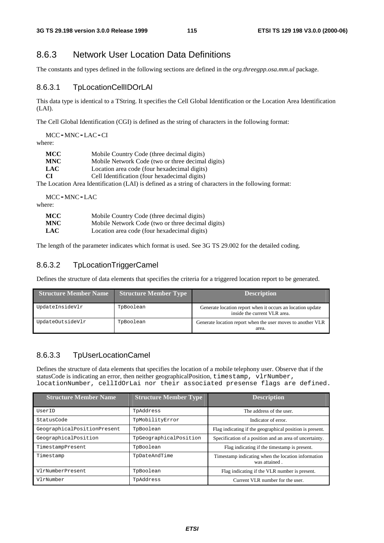# 8.6.3 Network User Location Data Definitions

The constants and types defined in the following sections are defined in the *org.threegpp.osa.mm.ul* package.

#### 8.6.3.1 TpLocationCellIDOrLAI

This data type is identical to a TString. It specifies the Cell Global Identification or the Location Area Identification (LAI).

The Cell Global Identification (CGI) is defined as the string of characters in the following format:

MCC**-**MNC**-**LAC**-**CI

where:

| MCC        | Mobile Country Code (three decimal digits)                                                                                                    |
|------------|-----------------------------------------------------------------------------------------------------------------------------------------------|
| <b>MNC</b> | Mobile Network Code (two or three decimal digits)                                                                                             |
| <b>LAC</b> | Location area code (four hexadecimal digits)                                                                                                  |
| -CI        | Cell Identification (four hexadecimal digits)                                                                                                 |
|            | $\sim$ To a contract $\sim$ A constraint function of the ATV to displace of a constant contract of the contract of the ATV to displace $\sim$ |

The Location Area Identification (LAI) is defined as a string of characters in the following format:

MCC**-**MNC**-**LAC where:

| МСС        | Mobile Country Code (three decimal digits)        |
|------------|---------------------------------------------------|
| <b>MNC</b> | Mobile Network Code (two or three decimal digits) |
| <b>LAC</b> | Location area code (four hexadecimal digits)      |

The length of the parameter indicates which format is used. See 3G TS 29.002 for the detailed coding.

### 8.6.3.2 TpLocationTriggerCamel

Defines the structure of data elements that specifies the criteria for a triggered location report to be generated.

| <b>Structure Member Name</b> | <b>Structure Member Type</b> | <b>Description</b>                                                                         |
|------------------------------|------------------------------|--------------------------------------------------------------------------------------------|
| UpdateInsideVlr              | TpBoolean                    | Generate location report when it occurs an location update<br>inside the current VLR area. |
| UpdateOutsideVlr             | TpBoolean                    | Generate location report when the user moves to another VLR<br>area.                       |

#### 8.6.3.3 TpUserLocationCamel

Defines the structure of data elements that specifies the location of a mobile telephony user. Observe that if the statusCode is indicating an error, then neither geographicalPosition, timestamp, vlrNumber, locationNumber, cellIdOrLai nor their associated presense flags are defined.

| <b>Structure Member Name</b> | <b>Structure Member Type</b> | <b>Description</b>                                                  |
|------------------------------|------------------------------|---------------------------------------------------------------------|
| UserID                       | TpAddress                    | The address of the user.                                            |
| StatusCode                   | TpMobilityError              | Indicator of error.                                                 |
| GeographicalPositionPresent  | TpBoolean                    | Flag indicating if the geographical position is present.            |
| GeographicalPosition         | TpGeographicalPosition       | Specification of a position and an area of uncertainty.             |
| TimestampPresent             | TpBoolean                    | Flag indicating if the timestamp is present.                        |
| Timestamp                    | TpDateAndTime                | Timestamp indicating when the location information<br>was attained. |
| VlrNumberPresent             | TpBoolean                    | Flag indicating if the VLR number is present.                       |
| VlrNumber                    | TpAddress                    | Current VLR number for the user.                                    |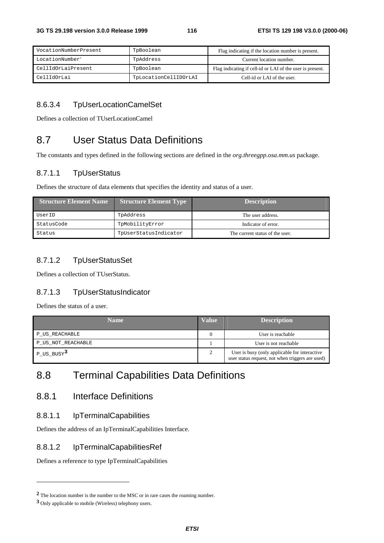| VocationNumberPresent       | TpBoolean             | Flag indicating if the location number is present.        |
|-----------------------------|-----------------------|-----------------------------------------------------------|
| LocationNumber <sup>2</sup> | TpAddress             | Current location number.                                  |
| CellIdOrLaiPresent          | TpBoolean             | Flag indicating if cell-id or LAI of the user is present. |
| CellIdOrLai                 | TpLocationCellIDOrLAI | Cell-id or LAI of the user.                               |

### 8.6.3.4 TpUserLocationCamelSet

Defines a collection of TUserLocationCamel

# 8.7 User Status Data Definitions

The constants and types defined in the following sections are defined in the *org.threegpp.osa.mm.us* package.

### 8.7.1.1 TpUserStatus

Defines the structure of data elements that specifies the identity and status of a user.

| <b>Structure Element Name</b> | <b>Structure Element Type</b> | <b>Description</b>              |
|-------------------------------|-------------------------------|---------------------------------|
| UserID                        | TpAddress                     | The user address.               |
| StatusCode                    | TpMobilityError               | Indicator of error.             |
| Status                        | TpUserStatusIndicator         | The current status of the user. |

### 8.7.1.2 TpUserStatusSet

Defines a collection of TUserStatus.

#### 8.7.1.3 TpUserStatusIndicator

Defines the status of a user.

| <b>Name</b>            | <b>Value</b> | <b>Description</b>                                                                                |
|------------------------|--------------|---------------------------------------------------------------------------------------------------|
| P US REACHABLE         |              | User is reachable                                                                                 |
| P_US_NOT_REACHABLE     |              | User is not reachable                                                                             |
| P_US_BUSY <sup>3</sup> |              | User is busy (only applicable for interactive<br>user status request, not when triggers are used) |

# 8.8 Terminal Capabilities Data Definitions

# 8.8.1 Interface Definitions

#### 8.8.1.1 IpTerminalCapabilities

Defines the address of an IpTerminalCapabilities Interface.

#### 8.8.1.2 IpTerminalCapabilitiesRef

Defines a reference to type IpTerminalCapabilities

**<sup>2</sup>** The location number is the number to the MSC or in rare cases the roaming number.

**<sup>3</sup>** Only applicable to mobile (Wireless) telephony users.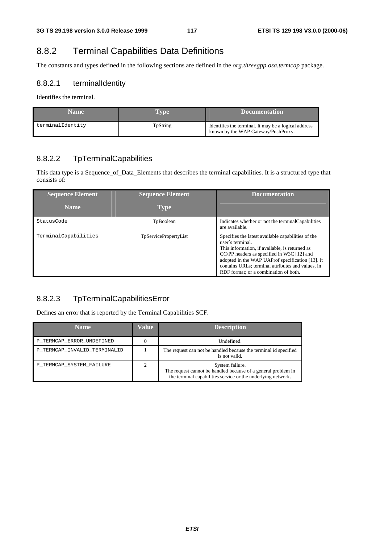# 8.8.2 Terminal Capabilities Data Definitions

The constants and types defined in the following sections are defined in the *org.threegpp.osa.termcap* package.

#### 8.8.2.1 terminalIdentity

Identifies the terminal.

| <b>Name</b>      | Type     | <b>N</b> Documentation                                                                      |
|------------------|----------|---------------------------------------------------------------------------------------------|
| terminalIdentity | TpString | Identifies the terminal. It may be a logical address<br>known by the WAP Gateway/PushProxy. |

#### 8.8.2.2 TpTerminalCapabilities

This data type is a Sequence\_of\_Data\_Elements that describes the terminal capabilities. It is a structured type that consists of:

| <b>Sequence Element</b><br><b>Name</b> | <b>Sequence Element</b><br><b>Type</b> | <b>Documentation</b>                                                                                                                                                                                                                                                                                                     |
|----------------------------------------|----------------------------------------|--------------------------------------------------------------------------------------------------------------------------------------------------------------------------------------------------------------------------------------------------------------------------------------------------------------------------|
| StatusCode                             |                                        |                                                                                                                                                                                                                                                                                                                          |
|                                        | TpBoolean                              | Indicates whether or not the terminal Capabilities<br>are available.                                                                                                                                                                                                                                                     |
| TerminalCapabilities                   | <b>TpServicePropertyList</b>           | Specifies the latest available capabilities of the<br>user's terminal.<br>This information, if available, is returned as<br>CC/PP headers as specified in W3C [12] and<br>adopted in the WAP UAProf specification [13]. It<br>contains URLs; terminal attributes and values, in<br>RDF format: or a combination of both. |

## 8.8.2.3 TpTerminalCapabilitiesError

Defines an error that is reported by the Terminal Capabilities SCF.

| <b>Name</b>                  | Value | <b>Description</b>                                                                                                                               |
|------------------------------|-------|--------------------------------------------------------------------------------------------------------------------------------------------------|
| P_TERMCAP_ERROR_UNDEFINED    |       | Undefined.                                                                                                                                       |
| P TERMCAP INVALID TERMINALID |       | The request can not be handled because the terminal id specified<br>is not valid.                                                                |
| P TERMCAP SYSTEM FAILURE     |       | System failure.<br>The request cannot be handled because of a general problem in<br>the terminal capabilities service or the underlying network. |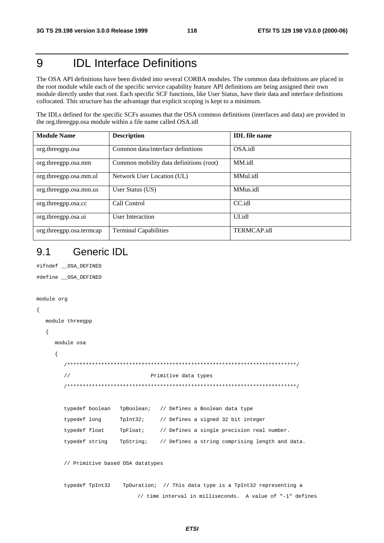#### 9 **IDL** Interface Definitions

The OSA API definitions have been divided into several CORBA modules. The common data definitions are placed in the root module while each of the specific service capability feature API definitions are being assigned their own module directly under that root. Each specific SCF functions, like User Status, have their data and interface definitions collocated. This structure has the advantage that explicit scoping is kept to a minimum.

The IDLs defined for the specific SCFs assumes that the OSA common definitions (interfaces and data) are provided in the org.threegpp.osa module within a file name called OSA.idl

| <b>Module Name</b>       | <b>Description</b>                      | <b>IDL</b> file name |
|--------------------------|-----------------------------------------|----------------------|
| org.threegpp.osa         | Common data/interface definitions       | OSA.idl              |
| org.threegpp.osa.mm      | Common mobility data definitions (root) | MM.idl               |
| org.threegpp.osa.mm.ul   | Network User Location (UL)              | MMul.idl             |
| org.threegpp.osa.mm.us   | User Status (US)                        | MMus.idl             |
| org.threegpp.osa.cc      | Call Control                            | CC.idl               |
| org.threegpp.osa.ui      | User Interaction                        | UL <sub>idl</sub>    |
| org.threegpp.osa.termcap | <b>Terminal Capabilities</b>            | <b>TERMCAP.idl</b>   |

#### $9.1$ **Generic IDI**

```
#ifndef __OSA_DEFINED
#define __OSA_DEFINED
module org
\{module threegpp
  \{module osa
    \{\!/\!Primitive data types
       typedef boolean
                    TpBoolean;
                              // Defines a Boolean data type
       typedef long
                    TpInt32;// Defines a signed 32 bit integer
       typedef float
                    TpFloat;
                               // Defines a single precision real number.
       typedef string
                    TpString;
                               // Defines a string comprising length and data.
       // Primitive based OSA datatypes
       typedef TpInt32
                     TpDuration; // This data type is a TpInt32 representing a
                         // time interval in milliseconds. A value of "-1" defines
```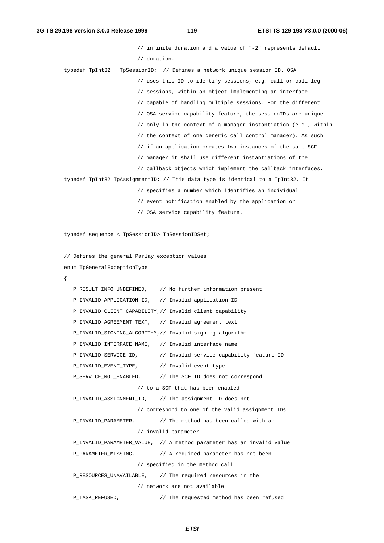```
// infinite duration and a value of "-2" represents default
                       // duration.
typedef TpInt32 TpSessionID; // Defines a network unique session ID. OSA
                       // uses this ID to identify sessions, e.g. call or call leg
                       // sessions, within an object implementing an interface
                       // capable of handling multiple sessions. For the different
                       // OSA service capability feature, the sessionIDs are unique
                       // only in the context of a manager instantiation (e.g., within
                       // the context of one generic call control manager). As such
                       // if an application creates two instances of the same SCF
                       // manager it shall use different instantiations of the
                       // callback objects which implement the callback interfaces.
typedef TpInt32 TpAssignmentID; // This data type is identical to a TpInt32. It
                       // specifies a number which identifies an individual
                       // event notification enabled by the application or
                       // OSA service capability feature.
typedef sequence < TpSessionID> TpSessionIDSet;
// Defines the general Parlay exception values
enum TpGeneralExceptionType
{
  P_RESULT_INFO_UNDEFINED, // No further information present
  P_INVALID_APPLICATION_ID, // Invalid application ID
  P_INVALID_CLIENT_CAPABILITY,// Invalid client capability
  P_INVALID_AGREEMENT_TEXT, // Invalid agreement text
  P_INVALID_SIGNING_ALGORITHM,// Invalid signing algorithm
  P_INVALID_INTERFACE_NAME, // Invalid interface name
  P_INVALID_SERVICE_ID, // Invalid service capability feature ID
  P_INVALID_EVENT_TYPE, // Invalid event type
  P_SERVICE_NOT_ENABLED, // The SCF ID does not correspond
                      // to a SCF that has been enabled
  P_INVALID_ASSIGNMENT_ID, // The assignment ID does not
                      // correspond to one of the valid assignment IDs
  P_INVALID_PARAMETER, // The method has been called with an
                      // invalid parameter
  P_INVALID_PARAMETER_VALUE, // A method parameter has an invalid value
  P_PARAMETER_MISSING, // A required parameter has not been
                      // specified in the method call
  P_RESOURCES_UNAVAILABLE, // The required resources in the
                      // network are not available
  P_TASK_REFUSED, // The requested method has been refused
```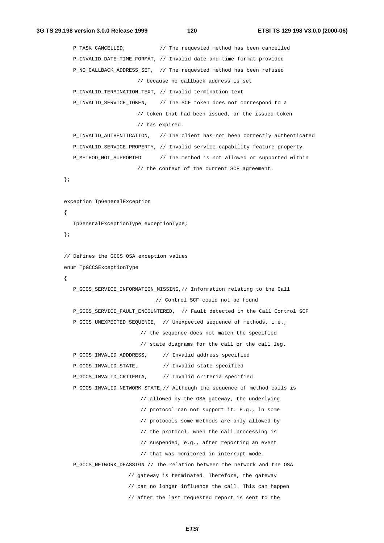```
P_TASK_CANCELLED, // The requested method has been cancelled
  P_INVALID_DATE_TIME_FORMAT, // Invalid date and time format provided
  P_NO_CALLBACK_ADDRESS_SET, // The requested method has been refused
                       // because no callback address is set
  P_INVALID_TERMINATION_TEXT, // Invalid termination text
  P_INVALID_SERVICE_TOKEN, // The SCF token does not correspond to a
                       // token that had been issued, or the issued token
                       // has expired.
  P_INVALID_AUTHENTICATION, // The client has not been correctly authenticated
  P_INVALID_SERVICE_PROPERTY, // Invalid service capability feature property.
  P_METHOD_NOT_SUPPORTED // The method is not allowed or supported within
                      // the context of the current SCF agreement.
};
exception TpGeneralException
{
  TpGeneralExceptionType exceptionType;
};
// Defines the GCCS OSA exception values
enum TpGCCSExceptionType
{
  P_GCCS_SERVICE_INFORMATION_MISSING,// Information relating to the Call
                            // Control SCF could not be found
  P_GCCS_SERVICE_FAULT_ENCOUNTERED, // Fault detected in the Call Control SCF
  P_GCCS_UNEXPECTED_SEQUENCE, // Unexpected sequence of methods, i.e.,
                        // the sequence does not match the specified
                        // state diagrams for the call or the call leg.
  P_GCCS_INVALID_ADDDRESS, // Invalid address specified
  P_GCCS_INVALID_STATE, // Invalid state specified
  P_GCCS_INVALID_CRITERIA, // Invalid criteria specified
  P_GCCS_INVALID_NETWORK_STATE,// Although the sequence of method calls is
                        // allowed by the OSA gateway, the underlying
                        // protocol can not support it. E.g., in some
                        // protocols some methods are only allowed by
                        // the protocol, when the call processing is
                        // suspended, e.g., after reporting an event
                        // that was monitored in interrupt mode.
  P_GCCS_NETWORK_DEASSIGN // The relation between the network and the OSA
                    // gateway is terminated. Therefore, the gateway
                    // can no longer influence the call. This can happen
```
**ETSI**

// after the last requested report is sent to the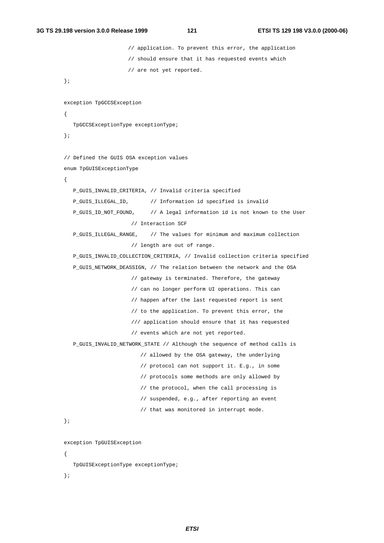```
// application. To prevent this error, the application
                    // should ensure that it has requested events which
                    // are not yet reported.
};
exception TpGCCSException
{
  TpGCCSExceptionType exceptionType;
};
// Defined the GUIS OSA exception values
enum TpGUISExceptionType
{
  P_GUIS_INVALID_CRITERIA, // Invalid criteria specified
  P_GUIS_ILLEGAL_ID, // Information id specified is invalid
  P_GUIS_ID_NOT_FOUND, // A legal information id is not known to the User
                     // Interaction SCF
  P_GUIS_ILLEGAL_RANGE, // The values for minimum and maximum collection
                     // length are out of range.
  P_GUIS_INVALID_COLLECTION_CRITERIA, // Invalid collection criteria specified
  P_GUIS_NETWORK_DEASSIGN, // The relation between the network and the OSA
                     // gateway is terminated. Therefore, the gateway
                     // can no longer perform UI operations. This can
                     // happen after the last requested report is sent
                     // to the application. To prevent this error, the
                     /// application should ensure that it has requested
                     // events which are not yet reported.
  P_GUIS_INVALID_NETWORK_STATE // Although the sequence of method calls is
                        // allowed by the OSA gateway, the underlying
                        // protocol can not support it. E.g., in some
                        // protocols some methods are only allowed by
                        // the protocol, when the call processing is
                        // suspended, e.g., after reporting an event
                        // that was monitored in interrupt mode.
};
exception TpGUISException
{
  TpGUISExceptionType exceptionType;
};
```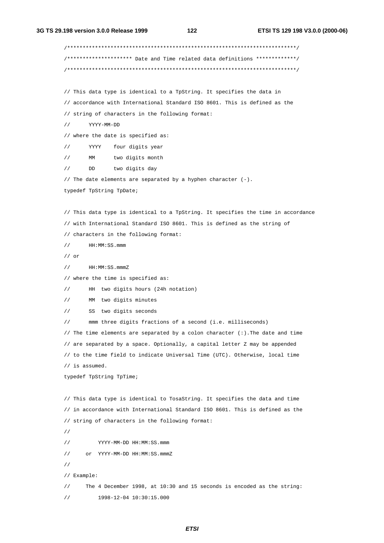/\*\*\*\*\*\*\*\*\*\*\*\*\*\*\*\*\*\*\*\*\*\*\*\*\*\*\*\*\*\*\*\*\*\*\*\*\*\*\*\*\*\*\*\*\*\*\*\*\*\*\*\*\*\*\*\*\*\*\*\*\*\*\*\*\*\*\*\*\*\*\*\*\*\*/ /\*\*\*\*\*\*\*\*\*\*\*\*\*\*\*\*\*\*\*\*\* Date and Time related data definitions \*\*\*\*\*\*\*\*\*\*\*\*\*/ /\*\*\*\*\*\*\*\*\*\*\*\*\*\*\*\*\*\*\*\*\*\*\*\*\*\*\*\*\*\*\*\*\*\*\*\*\*\*\*\*\*\*\*\*\*\*\*\*\*\*\*\*\*\*\*\*\*\*\*\*\*\*\*\*\*\*\*\*\*\*\*\*\*\*/ // This data type is identical to a TpString. It specifies the data in // accordance with International Standard ISO 8601. This is defined as the // string of characters in the following format: // YYYY-MM-DD // where the date is specified as: // YYYY four digits year // MM two digits month // DD two digits day // The date elements are separated by a hyphen character (-). typedef TpString TpDate; // This data type is identical to a TpString. It specifies the time in accordance // with International Standard ISO 8601. This is defined as the string of // characters in the following format: // HH:MM:SS.mmm // or // HH:MM:SS.mmmZ // where the time is specified as: // HH two digits hours (24h notation) // MM two digits minutes // SS two digits seconds mmm three digits fractions of a second (i.e. milliseconds) // The time elements are separated by a colon character  $(:).$  The date and time // are separated by a space. Optionally, a capital letter Z may be appended // to the time field to indicate Universal Time (UTC). Otherwise, local time // is assumed. typedef TpString TpTime; // This data type is identical to TosaString. It specifies the data and time // in accordance with International Standard ISO 8601. This is defined as the // string of characters in the following format: // // YYYY-MM-DD HH:MM:SS.mmm // or YYYY-MM-DD HH:MM:SS.mmmZ // // Example: // The 4 December 1998, at 10:30 and 15 seconds is encoded as the string: // 1998-12-04 10:30:15.000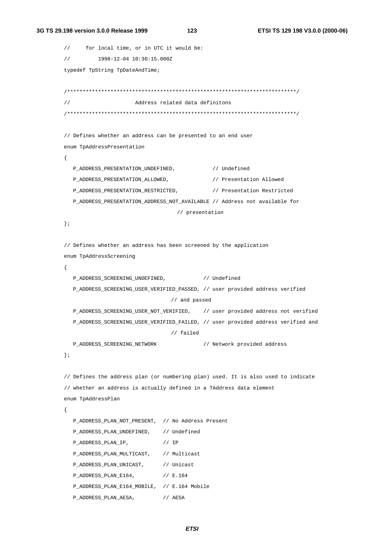#### 3G TS 29.198 version 3.0.0 Release 1999

123

```
for local time, or in UTC it would be:
\frac{1}{2}1998-12-04 10:30:15.000Z
\frac{1}{2}typedef TpString TpDateAndTime;
Address related data definitons
\frac{1}{2}// Defines whether an address can be presented to an end user
enum TpAddressPresentation
\{P ADDRESS PRESENTATION UNDEFINED.
                                         // Undefined
  P_ADDRESS_PRESENTATION_ALLOWED,
                                         // Presentation Allowed
  P_ADDRESS_PRESENTATION_RESTRICTED,
                                         // Presentation Restricted
  P_ADDRESS_PRESENTATION_ADDRESS_NOT_AVAILABLE // Address not available for
                                // presentation
\};
// Defines whether an address has been screened by the application
enum TpAddressScreening
\sqrt{ }P_ADDRESS_SCREENING_UNDEFINED,
                                // Undefined
  P_ADDRESS_SCREENING_USER_VERIFIED_PASSED, // user provided address verified
                               // and passed
  P_ADDRESS_SCREENING_USER_NOT_VERIFIED, // user provided address not verified
  P ADDRESS SCREENING USER VERIFIED FAILED, // user provided address verified and
                              // failed
  P ADDRESS SCREENING NETWORK
                                        // Network provided address
\};
// Defines the address plan (or numbering plan) used. It is also used to indicate
// whether an address is actually defined in a TAddress data element
enum TpAddressPlan
\{P_ADDRESS_PLAN_NOT_PRESENT, // No Address Present
  P_ADDRESS_PLAN_UNDEFINED, // Undefined
                           // IP
  P_ADDRESS_PLAN_IP,
  P_ADDRESS_PLAN_MULTICAST, // Multicast
  P_ADDRESS_PLAN_UNICAST,
                           // Unicast
  P_ADDRESS_PLAN_E164,
                           // E.164P_ADDRESS_PLAN_E164_MOBILE, // E.164 Mobile
  P_ADDRESS_PLAN_AESA,
                           // AESA
```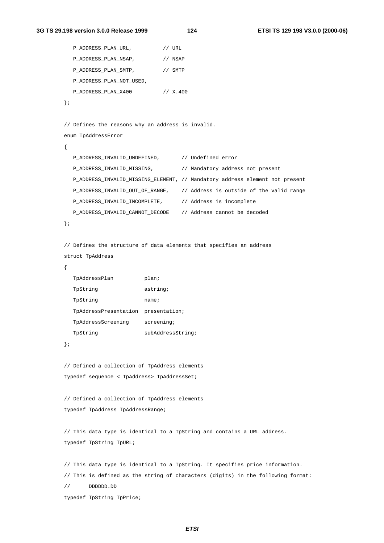```
P_ADDRESS_PLAN_URL, // URL
  P_ADDRESS_PLAN_NSAP, // NSAP
  P_ADDRESS_PLAN_SMTP, // SMTP
  P_ADDRESS_PLAN_NOT_USED,
  P_ADDRESS_PLAN_X400 // X.400
};
// Defines the reasons why an address is invalid.
enum TpAddressError
{
  P_ADDRESS_INVALID_UNDEFINED, // Undefined error
  P_ADDRESS_INVALID_MISSING, // Mandatory address not present
  P_ADDRESS_INVALID_MISSING_ELEMENT, // Mandatory address element not present
  P_ADDRESS_INVALID_OUT_OF_RANGE, // Address is outside of the valid range
  P_ADDRESS_INVALID_INCOMPLETE, // Address is incomplete
  P_ADDRESS_INVALID_CANNOT_DECODE // Address cannot be decoded
};
// Defines the structure of data elements that specifies an address
struct TpAddress
{
  TpAddressPlan plan;
  TpString astring;
  TpString name;
  TpAddressPresentation presentation;
  TpAddressScreening screening;
  TpString subAddressString;
};
// Defined a collection of TpAddress elements
typedef sequence < TpAddress> TpAddressSet;
// Defined a collection of TpAddress elements
typedef TpAddress TpAddressRange;
// This data type is identical to a TpString and contains a URL address.
typedef TpString TpURL;
// This data type is identical to a TpString. It specifies price information.
// This is defined as the string of characters (digits) in the following format:
// DDDDDD.DD
typedef TpString TpPrice;
```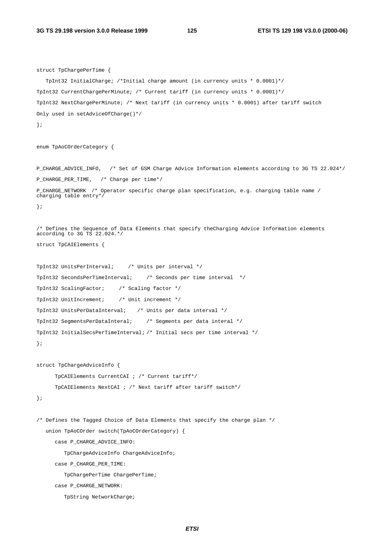```
struct TpChargePerTime {
  TpInt32 InitialCharge; /*Initial charge amount (in currency units * 0.0001)*/
TpInt32 CurrentChargePerMinute; /* Current tariff (in currency units * 0.0001)*/
TpInt32 NextChargePerMinute; /* Next tariff (in currency units * 0.0001) after tariff switch
Only used in setAdviceOfCharge()*/
};
enum TpAoCOrderCategory {
P_CHARGE_ADVICE_INFO, /* Set of GSM Charge_Advice_Information elements according to 3G TS 22.024*/
P_CHARGE_PER_TIME, /* Charge per time*/
P_CHARGE_NETWORK /* Operator specific charge plan specification, e.g. charging table name /
charging table entry*/
};
/* Defines the Sequence of Data Elements that specify theCharging Advice Information elements
according to 3G TS 22.024.*/
struct TpCAIElements {
TpInt32 UnitsPerInterval; /* Units per interval */
TpInt32 SecondsPerTimeInterval; /* Seconds per time interval */
TpInt32 ScalingFactor; /* Scaling factor */
TpInt32 UnitIncrement; /* Unit increment */
TpInt32 UnitsPerDataInterval; /* Units per data interval */
TpInt32 SegmentsPerDataInteral; /* Segments per data interal */
TpInt32 InitialSecsPerTimeInterval; /* Initial secs per time interval */
};
struct TpChargeAdviceInfo {
     TpCAIElements CurrentCAI ; /* Current tariff*/
     TpCAIElements NextCAI ; /* Next tariff after tariff switch*/
};
/* Defines the Tagged Choice of Data Elements that specify the charge plan */
  union TpAoCOrder switch(TpAoCOrderCategory) {
     case P_CHARGE_ADVICE_INFO:
        TpChargeAdviceInfo ChargeAdviceInfo;
     case P_CHARGE_PER_TIME:
        TpChargePerTime ChargePerTime;
     case P_CHARGE_NETWORK:
        TpString NetworkCharge;
```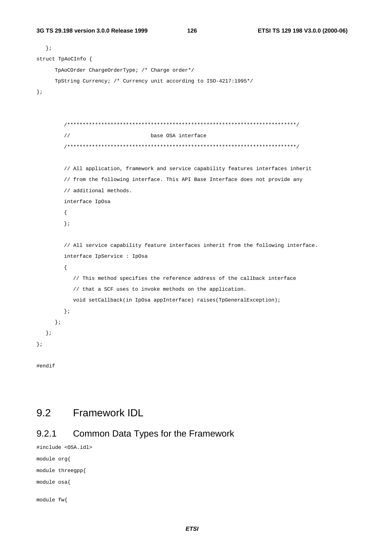126

```
\}struct TpAoCInfo {
     TpAoCOrder ChargeOrderType; /* Charge order*/
     TpString Currency; /* Currency unit according to ISO-4217:1995*/\};
       \frac{1}{2}base OSA interface
       // All application, framework and service capability features interfaces inherit
       // from the following interface. This API Base Interface does not provide any
       // additional methods.
       interface IpOsa
       \{\};
       // All service capability feature interfaces inherit from the following interface.
       interface IpService : IpOsa
       \{// This method specifies the reference address of the callback interface
          // that a SCF uses to invoke methods on the application.
          void setCallback(in IpOsa appInterface) raises(TpGeneralException);
       \} ;
     \};
  \};
\};
```
#endif

#### 9.2 Framework IDL

#### $9.2.1$ Common Data Types for the Framework

```
#include <0SA.idl>
module org{
module threegpp{
module osa{
module fw{
```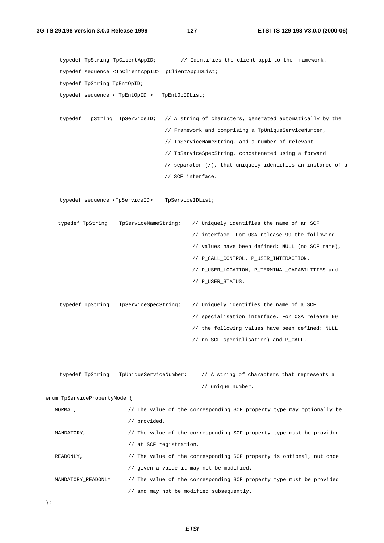```
typedef TpString TpClientAppID; // Identifies the client appl to the framework.
    typedef sequence <TpClientAppID> TpClientAppIDList;
    typedef TpString TpEntOpID;
    typedef sequence < TpEntOpID > TpEntOpIDList;
    typedef TpString TpServiceID; // A string of characters, generated automatically by the
                                     // Framework and comprising a TpUniqueServiceNumber,
                                     // TpServiceNameString, and a number of relevant
                                     // TpServiceSpecString, concatenated using a forward
                                     // separator (/), that uniquely identifies an instance of a
                                     // SCF interface.
    typedef sequence <TpServiceID> TpServiceIDList;
   typedef TpString TpServiceNameString; // Uniquely identifies the name of an SCF
                                              // interface. For OSA release 99 the following
                                              // values have been defined: NULL (no SCF name),
                                              // P_CALL_CONTROL, P_USER_INTERACTION,
                                              // P_USER_LOCATION, P_TERMINAL_CAPABILITIES and
                                              // P_USER_STATUS.
    typedef TpString TpServiceSpecString; // Uniquely identifies the name of a SCF
                                              // specialisation interface. For OSA release 99
                                              // the following values have been defined: NULL
                                              // no SCF specialisation) and P_CALL.
    typedef TpString TpUniqueServiceNumber; // A string of characters that represents a
                                                // unique number.
enum TpServicePropertyMode {
  NORMAL, \frac{1}{2} The value of the corresponding SCF property type may optionally be
                         // provided.
  MANDATORY, \frac{1}{2} The value of the corresponding SCF property type must be provided
                         // at SCF registration.
  READONLY, \sqrt{} The value of the corresponding SCF property is optional, nut once
                         // given a value it may not be modified.
  MANDATORY_READONLY // The value of the corresponding SCF property type must be provided
                         // and may not be modified subsequently.
```

```
};
```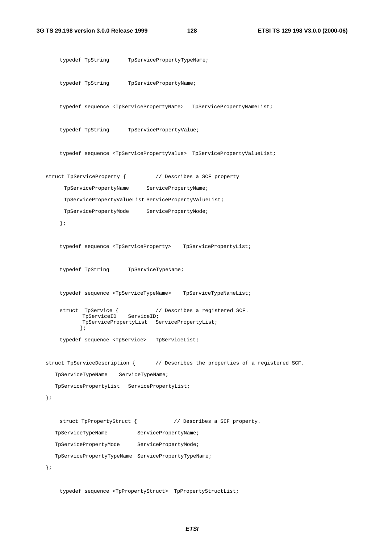```
typedef TpString TpServicePropertyTypeName;
    typedef TpString TpServicePropertyName;
    typedef sequence <TpServicePropertyName> TpServicePropertyNameList;
    typedef TpString TpServicePropertyValue;
    typedef sequence <TpServicePropertyValue> TpServicePropertyValueList;
struct TpServiceProperty { \qquad // Describes a SCF property
     TpServicePropertyName ServicePropertyName;
     TpServicePropertyValueList ServicePropertyValueList;
     TpServicePropertyMode ServicePropertyMode;
    };
    typedef sequence <TpServiceProperty> TpServicePropertyList;
    typedef TpString TpServiceTypeName;
    typedef sequence <TpServiceTypeName> TpServiceTypeNameList;
    struct TpService { \prime / Describes a registered SCF.<br>TpServiceID ServiceID;
           TpServiceID
           TpServicePropertyList ServicePropertyList;
          };
    typedef sequence <TpService> TpServiceList;
struct TpServiceDescription { // Describes the properties of a registered SCF.
  TpServiceTypeName ServiceTypeName;
  TpServicePropertyList ServicePropertyList;
};
    struct TpPropertyStruct { // Describes a SCF property.
   TpServiceTypeName ServicePropertyName;
   TpServicePropertyMode ServicePropertyMode;
  TpServicePropertyTypeName ServicePropertyTypeName;
};
```
typedef sequence <TpPropertyStruct> TpPropertyStructList;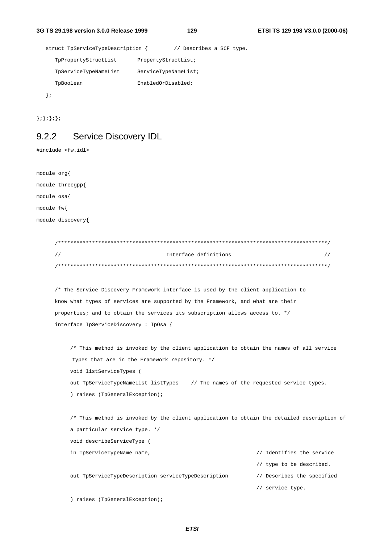129

```
struct TpServiceTypeDescription { // Describes a SCF type.
  TpPropertyStructList
                        PropertyStructList;
  TpServiceTypeNameList
                         ServiceTypeNameList;
                         EnabledOrDisabled;
  TpBoolean
\}
```
 $\{i\}$ ;  $\}$ ;  $\}$ ;

#### **Service Discovery IDL**  $9.2.2$

#include <fw.idl>

module org{ module threegpp{ module osa{ module fw{ module discovery{

| Interface definitions |  |
|-----------------------|--|
|                       |  |

/\* The Service Discovery Framework interface is used by the client application to know what types of services are supported by the Framework, and what are their properties; and to obtain the services its subscription allows access to. \*/ interface IpServiceDiscovery: IpOsa {

```
/* This method is invoked by the client application to obtain the names of all service
types that are in the Framework repository. */
void listServiceTypes (
out TpServiceTypeNameList listTypes // The names of the requested service types.
) raises (TpGeneralException);
```
/\* This method is invoked by the client application to obtain the detailed description of a particular service type. \*/ void describeServiceType ( in TpServiceTypeName name, // Identifies the service // type to be described. out TpServiceTypeDescription serviceTypeDescription // Describes the specified

```
// service type.
```
) raises (TpGeneralException);

**ETSI**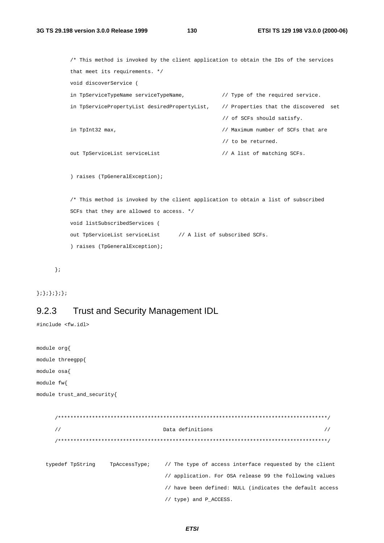130

```
/* This method is invoked by the client application to obtain the IDs of the services
that meet its requirements. */
void discoverService (
in TpServiceTypeName serviceTypeName,
                                               // Type of the required service.
in TpServicePropertyList desiredPropertyList, // Properties that the discovered set
                                               // of SCFs should satisfy.
                                                // Maximum number of SCFs that are
in TpInt32 max,
                                                // to be returned.
out TpServiceList serviceList
                                                // A list of matching SCFs.
) raises (TpGeneralException);
/* This method is invoked by the client application to obtain a list of subscribed
SCFs that they are allowed to access. */
void listSubscribedServices (
out TpServiceList serviceList // A list of subscribed SCFs.
```
 $\}$  ;

#### $\{i\}$ ;  $\{i\}$ ;  $\}$ ;  $\}$ ;

#### **Trust and Security Management IDL** 9.2.3

) raises (TpGeneralException);

#include <fw.idl>

```
module org{
module threegpp{
module osa{
module fw{
module trust_and_security{
    \primeData definitions
                                                             \frac{1}{2}// The type of access interface requested by the client
 typedef TpString TpAccessType;
                           // application. For OSA release 99 the following values
                           // have been defined: NULL (indicates the default access
                           // type) and P_ACCESS.
```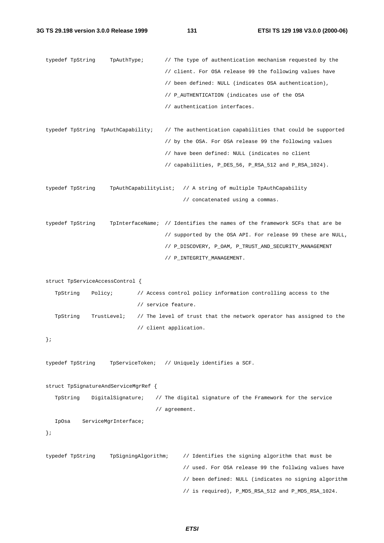```
typedef TpString TpAuthType; // The type of authentication mechanism requested by the
                                     // client. For OSA release 99 the following values have
                                     // been defined: NULL (indicates OSA authentication),
                                     // P_AUTHENTICATION (indicates use of the OSA
                                     // authentication interfaces.
typedef TpString TpAuthCapability; // The authentication capabilities that could be supported
                                     // by the OSA. For OSA release 99 the following values
                                     // have been defined: NULL (indicates no client
                                     // capabilities, P_DES_56, P_RSA_512 and P_RSA_1024).
typedef TpString TpAuthCapabilityList; // A string of multiple TpAuthCapability
                                           // concatenated using a commas.
typedef TpString TpInterfaceName; // Identifies the names of the framework SCFs that are be
                                     // supported by the OSA API. For release 99 these are NULL,
                                     // P_DISCOVERY, P_OAM, P_TRUST_AND_SECURITY_MANAGEMENT
                                     // P_INTEGRITY_MANAGEMENT.
struct TpServiceAccessControl {
   TpString Policy; // Access control policy information controlling access to the
                            // service feature.
   TpString TrustLevel; // The level of trust that the network operator has assigned to the
                            // client application.
};
typedef TpString TpServiceToken; // Uniquely identifies a SCF.
struct TpSignatureAndServiceMgrRef {
  TpString DigitalSignature; // The digital signature of the Framework for the service
                                  // agreement.
  IpOsa ServiceMgrInterface;
};
typedef TpString TpSigningAlgorithm; // Identifies the signing algorithm that must be
                                           // used. For OSA release 99 the follwing values have
                                           // been defined: NULL (indicates no signing algorithm
                                           // is required), P_MD5_RSA_512 and P_MD5_RSA_1024.
```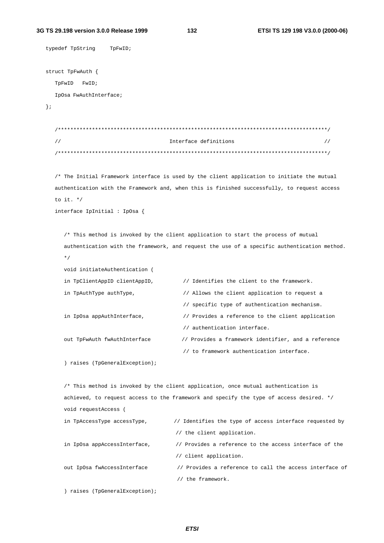#### 3G TS 29.198 version 3.0.0 Release 1999

132

```
typedef TpString TpFwID;
struct TpFwAuth {
  TpFwID FwID;
  IpOsa FwAuthInterface;
\}\primeInterface definitions
                                                                                 \frac{1}{2}/* The Initial Framework interface is used by the client application to initiate the mutual
  authentication with the Framework and, when this is finished successfully, to request access
  to it. */interface IpInitial : IpOsa {
     /* This method is invoked by the client application to start the process of mutual
     authentication with the framework, and request the use of a specific authentication method.
     \star /
     void initiateAuthentication (
     in TpClientAppID clientAppID,
                                       // Identifies the client to the framework.
     in TpAuthType authType,
                                       // Allows the client application to request a
                                        // specific type of authentication mechanism.
     in IpOsa appAuthInterface,
                                       // Provides a reference to the client application
                                       // authentication interface.
                                       // Provides a framework identifier, and a reference
     out TpFwAuth fwAuthInterface
                                       // to framework authentication interface.
     ) raises (TpGeneralException);
     /* This method is invoked by the client application, once mutual authentication is
     achieved, to request access to the framework and specify the type of access desired. */
     void requestAccess (
     in TpAccessType accessType,
                                    // Identifies the type of access interface requested by
                                     // the client application.
     in IpOsa appAccessInterface,
                                     // Provides a reference to the access interface of the
                                     // client application.
     out IpOsa fwAccessInterface
                                     // Provides a reference to call the access interface of
                                      // the framework.
     ) raises (TpGeneralException);
```
**ETSI**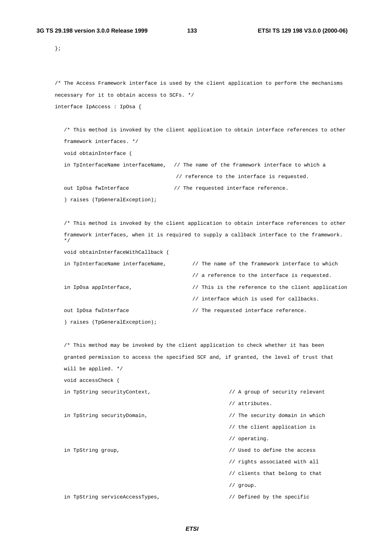};

```
/* The Access Framework interface is used by the client application to perform the mechanisms
necessary for it to obtain access to SCFs. */
interface IpAccess : IpOsa {
```
/\* This method is invoked by the client application to obtain interface references to other framework interfaces. \*/

void obtainInterface (

void accessCheck (

in TpInterfaceName interfaceName, // The name of the framework interface to which a // reference to the interface is requested.

out IpOsa fwInterface  $/$  The requested interface reference.

) raises (TpGeneralException);

/\* This method is invoked by the client application to obtain interface references to other framework interfaces, when it is required to supply a callback interface to the framework. \*/ void obtainInterfaceWithCallback (

```
in TpInterfaceName interfaceName, \frac{1}{100} The name of the framework interface to which
                                       // a reference to the interface is requested.
in IpOsa appInterface, \frac{1}{2} // This is the reference to the client application
                                      // interface which is used for callbacks.
out IpOsa fwInterface \frac{1}{2} // The requested interface reference.
) raises (TpGeneralException);
```
/\* This method may be invoked by the client application to check whether it has been granted permission to access the specified SCF and, if granted, the level of trust that will be applied. \*/

|                    | in TpString securityContext,    | // A group of security relevant |
|--------------------|---------------------------------|---------------------------------|
|                    |                                 | // attributes.                  |
|                    | in TpString securityDomain,     | // The security domain in which |
|                    |                                 | // the client application is    |
|                    |                                 | // operation.                   |
| in TpString group, |                                 | // Used to define the access    |
|                    |                                 | // rights associated with all   |
|                    |                                 | // clients that belong to that  |
|                    |                                 | $//$ group.                     |
|                    | in TpString serviceAccessTypes, | // Defined by the specific      |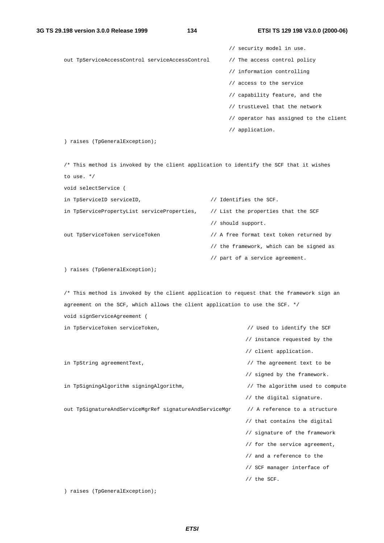// security model in use. out TpServiceAccessControl serviceAccessControl // The access control policy // information controlling // access to the service // capability feature, and the // trustLevel that the network // operator has assigned to the client // application. ) raises (TpGeneralException); /\* This method is invoked by the client application to identify the SCF that it wishes to use. \*/ void selectService ( in TpServiceID serviceID, // Identifies the SCF. in TpServicePropertyList serviceProperties, // List the properties that the SCF

// should support.

out TpServiceToken serviceToken // A free format text token returned by

- // the framework, which can be signed as
- // part of a service agreement.

) raises (TpGeneralException);

/\* This method is invoked by the client application to request that the framework sign an agreement on the SCF, which allows the client application to use the SCF. \*/

void signServiceAgreement (

in TpServiceToken serviceToken,  $\sqrt{2}$  // Used to identify the SCF // instance requested by the

in TpString agreementText,  $\sqrt{ }$  // The agreement text to be

in TpSigningAlgorithm signingAlgorithm,  $\frac{1}{2}$  // The algorithm used to compute

out TpSignatureAndServiceMgrRef signatureAndServiceMgr // A reference to a structure

// signed by the framework.

// the digital signature.

// client application.

// that contains the digital

// signature of the framework

// for the service agreement,

- // and a reference to the
- // SCF manager interface of
- // the SCF.

) raises (TpGeneralException);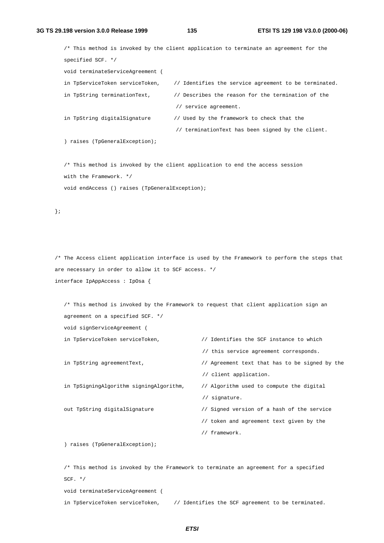/\* This method is invoked by the client application to terminate an agreement for the specified SCF. \*/ void terminateServiceAgreement ( in TpServiceToken serviceToken, // Identifies the service agreement to be terminated. in TpString terminationText,  $\frac{1}{2}$  Describes the reason for the termination of the // service agreement. in TpString digitalSignature // Used by the framework to check that the // terminationText has been signed by the client. ) raises (TpGeneralException); /\* This method is invoked by the client application to end the access session

with the Framework. \*/

void endAccess () raises (TpGeneralException);

};

/\* The Access client application interface is used by the Framework to perform the steps that are necessary in order to allow it to SCF access. \*/ interface IpAppAccess : IpOsa {

/\* This method is invoked by the Framework to request that client application sign an agreement on a specified SCF. \*/ void signServiceAgreement (

in TpServiceToken serviceToken,  $\frac{1}{100}$  Identifies the SCF instance to which

in TpSigningAlgorithm signingAlgorithm, // Algorithm used to compute the digital

// this service agreement corresponds.

in TpString agreementText,  $\frac{1}{2}$  // Agreement text that has to be signed by the

// client application.

// signature.

out TpString digitalSignature // Signed version of a hash of the service

// token and agreement text given by the

// framework.

) raises (TpGeneralException);

/\* This method is invoked by the Framework to terminate an agreement for a specified SCF.  $*/$ 

void terminateServiceAgreement (

in TpServiceToken serviceToken, // Identifies the SCF agreement to be terminated.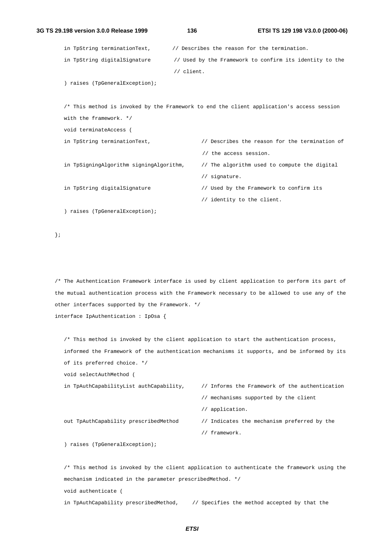```
3G TS 29.198 version 3.0.0 Release 1999 136 ETSI TS 129 198 V3.0.0 (2000-06)
        in TpString terminationText, // Describes the reason for the termination.
        in TpString digitalSignature // Used by the Framework to confirm its identity to the
                                         // client.
        ) raises (TpGeneralException);
        /* This method is invoked by the Framework to end the client application's access session
        with the framework */
        void terminateAccess (
        in TpString terminationText, \frac{1}{2} Describes the reason for the termination of
                                                 // the access session.
        in TpSigningAlgorithm signingAlgorithm, // The algorithm used to compute the digital
                                                 // signature.
        in TpString digitalSignature // Used by the Framework to confirm its
                                                 // identity to the client.
        ) raises (TpGeneralException);
```
};

/\* The Authentication Framework interface is used by client application to perform its part of the mutual authentication process with the Framework necessary to be allowed to use any of the other interfaces supported by the Framework. \*/ interface IpAuthentication : IpOsa {

/\* This method is invoked by the client application to start the authentication process, informed the Framework of the authentication mechanisms it supports, and be informed by its of its preferred choice. \*/

void selectAuthMethod (

in TpAuthCapabilityList authCapability, // Informs the Framework of the authentication

- // mechanisms supported by the client
- // application.

out TpAuthCapability prescribedMethod // Indicates the mechanism preferred by the

- 
- // framework.

) raises (TpGeneralException);

/\* This method is invoked by the client application to authenticate the framework using the mechanism indicated in the parameter prescribedMethod. \*/ void authenticate ( in TpAuthCapability prescribedMethod, // Specifies the method accepted by that the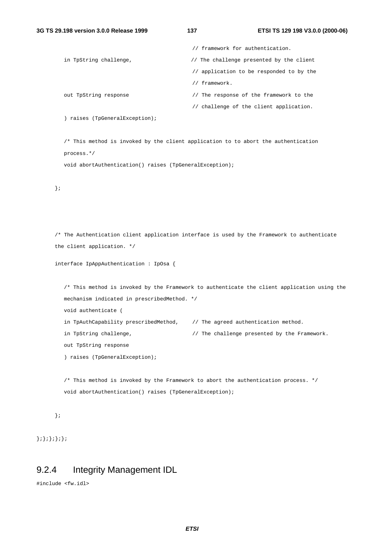|                        | // framework for authentication.         |
|------------------------|------------------------------------------|
| in TpString challenge, | // The challenge presented by the client |
|                        | // application to be responded to by the |
|                        | framework.                               |
| out TpString response  | The response of the framework to the     |
|                        | // challenge of the client application.  |

) raises (TpGeneralException);

/\* This method is invoked by the client application to to abort the authentication process.\*/

void abortAuthentication() raises (TpGeneralException);

};

```
/* The Authentication client application interface is used by the Framework to authenticate
the client application. */
```

```
interface IpAppAuthentication : IpOsa {
```

```
/* This method is invoked by the Framework to authenticate the client application using the
mechanism indicated in prescribedMethod. */
void authenticate (
in TpAuthCapability prescribedMethod, \qquad // The agreed authentication method.
in TpString challenge, \frac{1}{2} // The challenge presented by the Framework.
out TpString response
) raises (TpGeneralException);
```
/\* This method is invoked by the Framework to abort the authentication process. \*/ void abortAuthentication() raises (TpGeneralException);

```
};
```
 $\;\;\}$  ;  $\}$  ;  $\}$  ;  $\}$  ;

# 9.2.4 Integrity Management IDL

```
#include <fw.idl>
```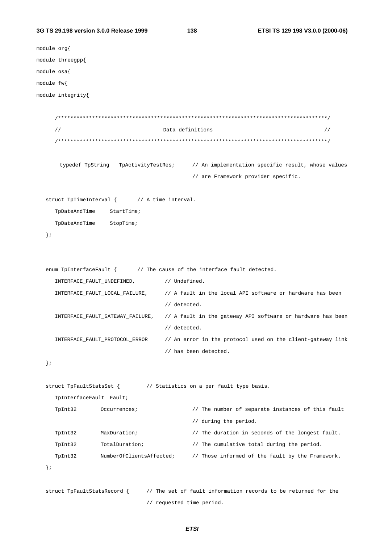#### 3G TS 29.198 version 3.0.0 Release 1999

138

```
module org{
module threegpp{
module osa{
module fw{
module integrity{
     \frac{1}{2}Data definitions
                                                                               \frac{1}{2}typedef TpString TpActivityTestRes; // An implementation specific result, whose values
                                          // are Framework provider specific.
  struct TpTimeInterval { // A time interval.
    TpDateAndTime
                   StartTime;
    TpDateAndTime
                   StopTime;
  \} ;
  enum TpInterfaceFault \{ // The cause of the interface fault detected.
     INTERFACE_FAULT_UNDEFINED,
                                  // Undefined.
     INTERFACE_FAULT_LOCAL_FAILURE,
                                   // A fault in the local API software or hardware has been
                                   // detected.
     INTERFACE_FAULT_GATEWAY_FAILURE,
                                   // A fault in the gateway API software or hardware has been
                                   // detected.
     INTERFACE_FAULT_PROTOCOL_ERROR
                                   // An error in the protocol used on the client-gateway link
                                   // has been detected.
  \}struct TpFaultStatsSet { // Statistics on a per fault type basis.
     TpInterfaceFault Fault;
     TpInt32
                Occurrences;
                                          // The number of separate instances of this fault
                                           // during the period.
     TpInt32
                MaxDuration;
                                          // The duration in seconds of the longest fault.
     TpInt32
                TotalDuration;
                                          // The cumulative total during the period.
                NumberOfClientsAffected;
                                         // Those informed of the fault by the Framework.
     TpInt32
  \} ;
  struct TpFaultStatsRecord {
                             // The set of fault information records to be returned for the
```
// requested time period.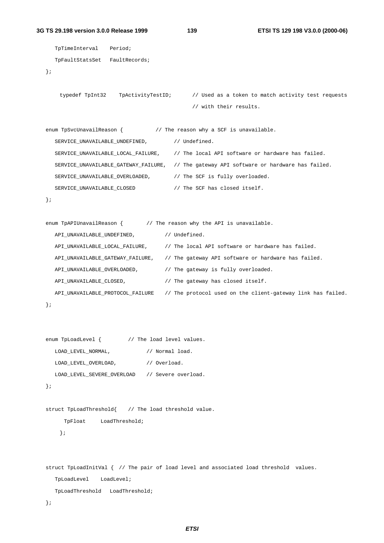#### **3G TS 29.198 version 3.0.0 Release 1999 139 ETSI TS 129 198 V3.0.0 (2000-06)**

```
TpTimeInterval Period;
  TpFaultStatsSet FaultRecords;
};
    typedef TpInt32 TpActivityTestID; // Used as a token to match activity test requests
                                            // with their results.
enum TpSvcUnavailReason { \qquad // The reason why a SCF is unavailable.
  SERVICE_UNAVAILABLE_UNDEFINED, // Undefined.
  SERVICE_UNAVAILABLE_LOCAL_FAILURE, // The local API software or hardware has failed.
  SERVICE_UNAVAILABLE_GATEWAY_FAILURE, // The gateway API software or hardware has failed.
  SERVICE_UNAVAILABLE_OVERLOADED, // The SCF is fully overloaded.
  SERVICE_UNAVAILABLE_CLOSED // The SCF has closed itself.
};
enum TpAPIUnavailReason { \qquad // The reason why the API is unavailable.
  API_UNAVAILABLE_UNDEFINED, // Undefined.
  API_UNAVAILABLE_LOCAL_FAILURE, // The local API software or hardware has failed.
  API_UNAVAILABLE_GATEWAY_FAILURE, // The gateway API software or hardware has failed.
  API_UNAVAILABLE_OVERLOADED, // The gateway is fully overloaded.
  API_UNAVAILABLE_CLOSED, // The gateway has closed itself.
  API_UNAVAILABLE_PROTOCOL_FAILURE // The protocol used on the client-gateway link has failed.
};
enum TpLoadLevel { \frac{1}{2} // The load level values.
  LOAD_LEVEL_NORMAL, // Normal load.
  LOAD_LEVEL_OVERLOAD, // Overload.
  LOAD_LEVEL_SEVERE_OVERLOAD // Severe overload.
};
struct TpLoadThreshold{ // The load threshold value.
    TpFloat LoadThreshold;
   };
struct TpLoadInitVal { // The pair of load level and associated load threshold values.
  TpLoadLevel LoadLevel;
  TpLoadThreshold LoadThreshold;
```
};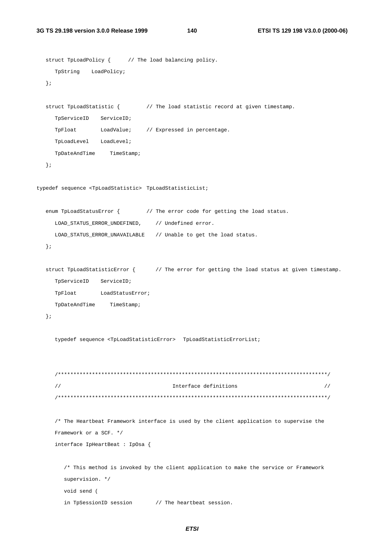140

```
struct TpLoadPolicy { // The load balancing policy.
    TpString LoadPolicy;
  \};
  struct TpLoadStatistic { \sqrt{} // The load statistic record at given timestamp.
    TpServiceID ServiceID;
    TpFloat
               LoadValue;
                            // Expressed in percentage.
    TpLoadLevel LoadLevel;
    TpDateAndTime TimeStamp;
  \} ;
typedef sequence <TpLoadStatistic> TpLoadStatisticList;
  enum TpLoadStatusError { // The error code for getting the load status.
    LOAD STATUS ERROR UNDEFINED,
                               // Undefined error.
    LOAD_STATUS_ERROR_UNAVAILABLE // Unable to get the load status.
  \} ;
  struct TpLoadStatisticError \{ // The error for getting the load status at given timestamp.
    TpServiceID ServiceID;
    TpFloat LoadStatusError;
    TpDateAndTime TimeStamp;
  \} ;
     typedef sequence <TpLoadStatisticError> TpLoadStatisticErrorList;
     \frac{1}{2}Interface definitions
                                                                              \frac{1}{2}/* The Heartbeat Framework interface is used by the client application to supervise the
     Framework or a SCF. */
     interface IpHeartBeat : IpOsa {
       /* This method is invoked by the client application to make the service or Framework
       supervision. */
       void send (
       in TpSessionID session // The heartbeat session.
```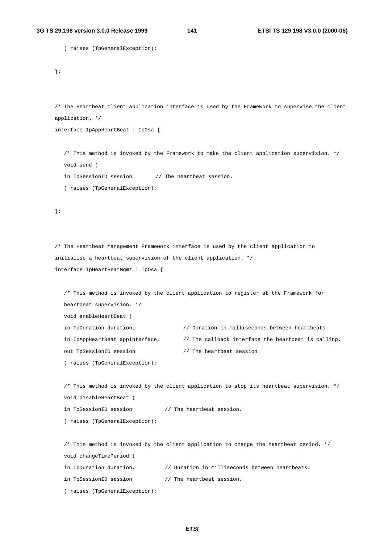```
) raises (TpGeneralException);
```
};

/\* The Heartbeat client application interface is used by the Framework to supervise the client application. \*/

interface IpAppHeartBeat : IpOsa {

/\* This method is invoked by the Framework to make the client application supervision. \*/ void send (

in TpSessionID session // The heartbeat session.

) raises (TpGeneralException);

};

```
/* The Heartbeat Management Framework interface is used by the client application to
initialise a heartbeat supervision of the client application. */
interface IpHeartBeatMgmt : IpOsa {
```
/\* This method is invoked by the client application to register at the Framework for heartbeat supervision. \*/ void enableHeartBeat ( in TpDuration duration,  $\frac{1}{2}$  Duration in milliseconds between heartbeats. in IpAppHeartBeat appInterface,  $\qquad\qquad$  // The callback interface the heartbeat is calling. out TpSessionID session // The heartbeat session. ) raises (TpGeneralException);

/\* This method is invoked by the client application to stop its heartbeat supervision. \*/ void disableHeartBeat (

in TpSessionID session // The heartbeat session.

) raises (TpGeneralException);

/\* This method is invoked by the client application to change the heartbeat period. \*/ void changeTimePeriod (

```
in TpDuration duration, \frac{1}{2} Duration in milliseconds between heartbeats.
```
in TpSessionID session // The heartbeat session.

) raises (TpGeneralException);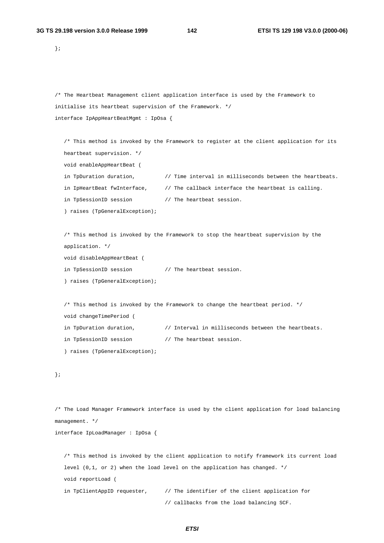};

```
/* The Heartbeat Management client application interface is used by the Framework to
initialise its heartbeat supervision of the Framework. */
interface IpAppHeartBeatMgmt : IpOsa {
```

```
/* This method is invoked by the Framework to register at the client application for its
heartbeat supervision. */
void enableAppHeartBeat (
in TpDuration duration, \frac{1}{\sqrt{2}} ime interval in milliseconds between the heartbeats.
in IpHeartBeat fwInterface, \frac{1}{100} The callback interface the heartbeat is calling.
in TpSessionID session // The heartbeat session.
) raises (TpGeneralException);
```

```
/* This method is invoked by the Framework to stop the heartbeat supervision by the
application. */
void disableAppHeartBeat (
in TpSessionID session // The heartbeat session.
) raises (TpGeneralException);
```

```
/* This method is invoked by the Framework to change the heartbeat period. */
void changeTimePeriod (
in TpDuration duration, \frac{1}{1} Interval in milliseconds between the heartbeats.
in TpSessionID session // The heartbeat session.
) raises (TpGeneralException);
```

```
};
```
/\* The Load Manager Framework interface is used by the client application for load balancing management. \*/

interface IpLoadManager : IpOsa {

```
/* This method is invoked by the client application to notify framework its current load
level (0,1, or 2) when the load level on the application has changed. */
void reportLoad (
in TpClientAppID requester, \frac{1}{100} // The identifier of the client application for
                                 // callbacks from the load balancing SCF.
```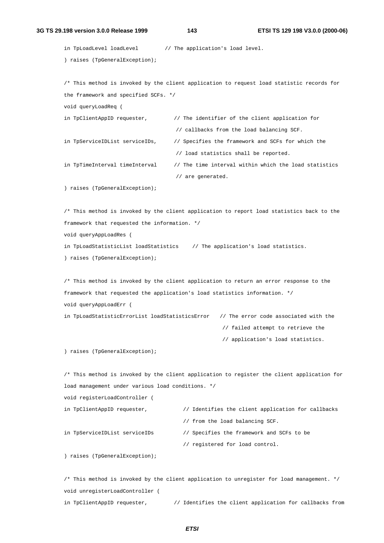#### **3G TS 29.198 version 3.0.0 Release 1999 143 ETSI TS 129 198 V3.0.0 (2000-06)**

in TpLoadLevel loadLevel // The application's load level. ) raises (TpGeneralException);

/\* This method is invoked by the client application to request load statistic records for the framework and specified SCFs. \*/ void queryLoadReq ( in TpClientAppID requester,  $\frac{1}{2}$  // The identifier of the client application for // callbacks from the load balancing SCF. in TpServiceIDList serviceIDs, // Specifies the framework and SCFs for which the // load statistics shall be reported. in TpTimeInterval timeInterval // The time interval within which the load statistics // are generated.

) raises (TpGeneralException);

/\* This method is invoked by the client application to report load statistics back to the framework that requested the information. \*/ void queryAppLoadRes ( in TpLoadStatisticList loadStatistics // The application's load statistics. ) raises (TpGeneralException);

/\* This method is invoked by the client application to return an error response to the framework that requested the application's load statistics information. \*/ void queryAppLoadErr ( in TpLoadStatisticErrorList loadStatisticsError // The error code associated with the // failed attempt to retrieve the

// application's load statistics.

) raises (TpGeneralException);

/\* This method is invoked by the client application to register the client application for load management under various load conditions. \*/

```
void registerLoadController (
```

```
in TpClientAppID requester, \frac{1}{10} Identifies the client application for callbacks
                                    // from the load balancing SCF.
in TpServiceIDList serviceIDs // Specifies the framework and SCFs to be
                                    // registered for load control.
```
) raises (TpGeneralException);

/\* This method is invoked by the client application to unregister for load management. \*/ void unregisterLoadController ( in TpClientAppID requester,  $\frac{1}{1}$  Identifies the client application for callbacks from

**ETSI**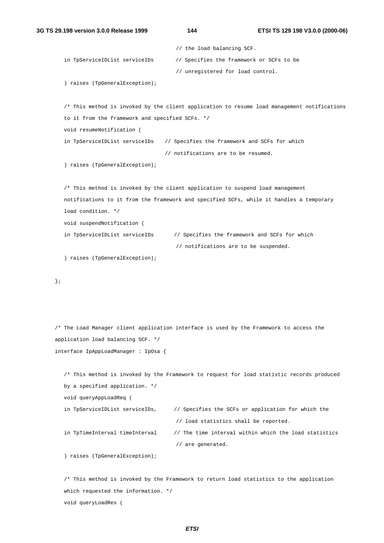```
// the load balancing SCF.
   in TpServiceIDList serviceIDs // Specifies the framework or SCFs to be
                                      // unregistered for load control.
   ) raises (TpGeneralException);
   /* This method is invoked by the client application to resume load management notifications
  to it from the framework and specified SCFs. */
   void resumeNotification (
   in TpServiceIDList serviceIDs // Specifies the framework and SCFs for which
                                   // notifications are to be resumed.
   ) raises (TpGeneralException);
   /* This method is invoked by the client application to suspend load management
  notifications to it from the framework and specified SCFs, while it handles a temporary
   load condition. */
  void suspendNotification (
   in TpServiceIDList serviceIDs // Specifies the framework and SCFs for which
                                      // notifications are to be suspended.
   ) raises (TpGeneralException);
};
/* The Load Manager client application interface is used by the Framework to access the
application load balancing SCF. */
interface IpAppLoadManager : IpOsa {
   /* This method is invoked by the Framework to request for load statistic records produced
  by a specified application. */
   void queryAppLoadReq (
   in TpServiceIDList serviceIDs, // Specifies the SCFs or application for which the
                                      // load statistics shall be reported.
   in TpTimeInterval timeInterval // The time interval within which the load statistics
```
) raises (TpGeneralException);

/\* This method is invoked by the Framework to return load statistics to the application which requested the information. \*/ void queryLoadRes (

// are generated.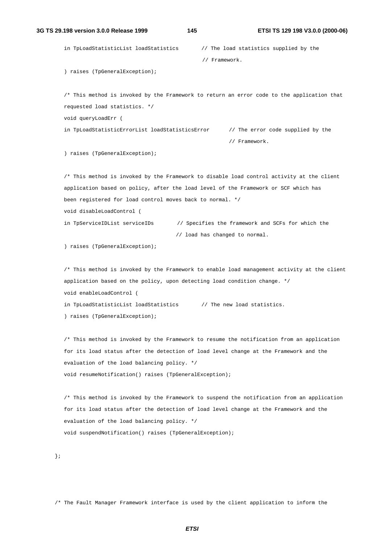in TpLoadStatisticList loadStatistics // The load statistics supplied by the // Framework.

) raises (TpGeneralException);

/\* This method is invoked by the Framework to return an error code to the application that requested load statistics. \*/ void queryLoadErr ( in TpLoadStatisticErrorList loadStatisticsError // The error code supplied by the

// Framework.

) raises (TpGeneralException);

/\* This method is invoked by the Framework to disable load control activity at the client application based on policy, after the load level of the Framework or SCF which has been registered for load control moves back to normal. \*/ void disableLoadControl ( in TpServiceIDList serviceIDs // Specifies the framework and SCFs for which the // load has changed to normal.

) raises (TpGeneralException);

/\* This method is invoked by the Framework to enable load management activity at the client application based on the policy, upon detecting load condition change. \*/ void enableLoadControl ( in TpLoadStatisticList loadStatistics // The new load statistics. ) raises (TpGeneralException);

/\* This method is invoked by the Framework to resume the notification from an application for its load status after the detection of load level change at the Framework and the

evaluation of the load balancing policy. \*/

void resumeNotification() raises (TpGeneralException);

/\* This method is invoked by the Framework to suspend the notification from an application for its load status after the detection of load level change at the Framework and the evaluation of the load balancing policy. \*/ void suspendNotification() raises (TpGeneralException);

};

/\* The Fault Manager Framework interface is used by the client application to inform the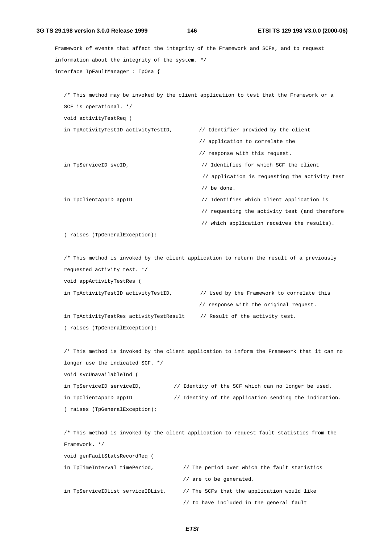**3G TS 29.198 version 3.0.0 Release 1999 146 ETSI TS 129 198 V3.0.0 (2000-06)** Framework of events that affect the integrity of the Framework and SCFs, and to request information about the integrity of the system. \*/ interface IpFaultManager : IpOsa { /\* This method may be invoked by the client application to test that the Framework or a SCF is operational. \*/ void activityTestReq ( in TpActivityTestID activityTestID, // Identifier provided by the client // application to correlate the // response with this request. in TpServiceID svcID, // Identifies for which SCF the client // application is requesting the activity test // be done. in TpClientAppID appID // Identifies which client application is // requesting the activity test (and therefore // which application receives the results). ) raises (TpGeneralException); /\* This method is invoked by the client application to return the result of a previously requested activity test. \*/ void appActivityTestRes ( in TpActivityTestID activityTestID, // Used by the Framework to correlate this // response with the original request. in TpActivityTestRes activityTestResult // Result of the activity test. ) raises (TpGeneralException); /\* This method is invoked by the client application to inform the Framework that it can no longer use the indicated SCF. \*/ void svcUnavailableInd (

| in TpServiceID serviceID,      | // Identity of the SCF which can no longer be used.    |  |  |  |  |  |
|--------------------------------|--------------------------------------------------------|--|--|--|--|--|
| in TpClientAppID appID         | // Identity of the application sending the indication. |  |  |  |  |  |
| ) raises (TpGeneralException); |                                                        |  |  |  |  |  |

/\* This method is invoked by the client application to request fault statistics from the Framework. \*/ void genFaultStatsRecordReq ( in TpTimeInterval timePeriod,  $\frac{1}{2}$  // The period over which the fault statistics // are to be generated. in TpServiceIDList serviceIDList, // The SCFs that the application would like

// to have included in the general fault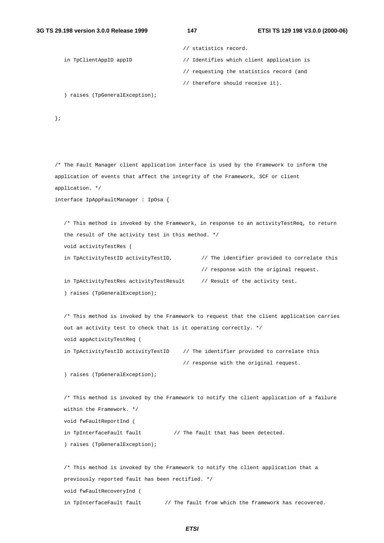```
// statistics record.
in TpClientAppID appID // Identifies which client application is
                                   // requesting the statistics record (and
                                   // therefore should receive it).
```
) raises (TpGeneralException);

) raises (TpGeneralException);

};

```
/* The Fault Manager client application interface is used by the Framework to inform the
application of events that affect the integrity of the Framework, SCF or client
application. */
interface IpAppFaultManager : IpOsa {
   /* This method is invoked by the Framework, in response to an activityTestReq, to return
   the result of the activity test in this method. */
  void activityTestRes (
   in TpActivityTestID activityTestID, \frac{1}{2} // The identifier provided to correlate this
                                              // response with the original request.
   in TpActivityTestRes activityTestResult // Result of the activity test.
   ) raises (TpGeneralException);
   /* This method is invoked by the Framework to request that the client application carries
  out an activity test to check that is it operating correctly. */
   void appActivityTestReq (
   in TpActivityTestID activityTestID // The identifier provided to correlate this
                                         // response with the original request.
   ) raises (TpGeneralException);
   /* This method is invoked by the Framework to notify the client application of a failure
  within the Framework. */
  void fwFaultReportInd (
   in TpInterfaceFault fault // The fault that has been detected.
```
/\* This method is invoked by the Framework to notify the client application that a previously reported fault has been rectified. \*/ void fwFaultRecoveryInd ( in TpInterfaceFault fault // The fault from which the framework has recovered.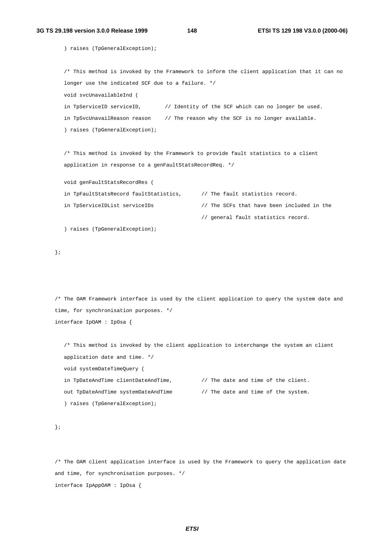) raises (TpGeneralException); /\* This method is invoked by the Framework to inform the client application that it can no longer use the indicated SCF due to a failure. \*/ void svcUnavailableInd ( in TpServiceID serviceID,  $\frac{1}{2}$  dentity of the SCF which can no longer be used. in TpSvcUnavailReason reason // The reason why the SCF is no longer available. ) raises (TpGeneralException); /\* This method is invoked by the Framework to provide fault statistics to a client application in response to a genFaultStatsRecordReq. \*/ void genFaultStatsRecordRes ( in TpFaultStatsRecord faultStatistics, // The fault statistics record. in TpServiceIDList serviceIDs // The SCFs that have been included in the // general fault statistics record. ) raises (TpGeneralException); }; /\* The OAM Framework interface is used by the client application to query the system date and time, for synchronisation purposes. \*/ interface IpOAM : IpOsa {

/\* This method is invoked by the client application to interchange the system an client application date and time. \*/ void systemDateTimeQuery ( in TpDateAndTime clientDateAndTime,  $\frac{1}{\sqrt{2}}$  // The date and time of the client. out TpDateAndTime systemDateAndTime // The date and time of the system. ) raises (TpGeneralException);

```
};
```
/\* The OAM client application interface is used by the Framework to query the application date and time, for synchronisation purposes. \*/ interface IpAppOAM : IpOsa {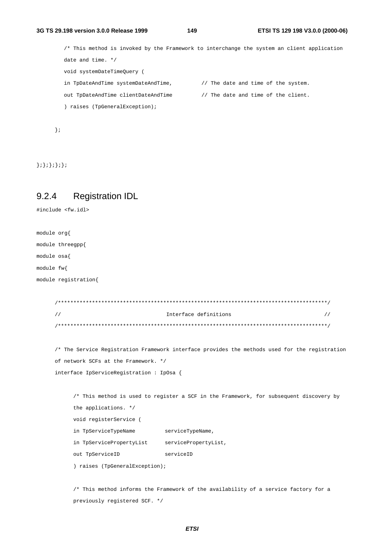/\* This method is invoked by the Framework to interchange the system an client application date and time. \*/ void systemDateTimeQuery ( in TpDateAndTime systemDateAndTime,  $\frac{1}{\sqrt{2}}$  The date and time of the system. out TpDateAndTime clientDateAndTime // The date and time of the client. ) raises (TpGeneralException);

};

};};};};};

### 9.2.4 Registration IDL

```
#include <fw.idl>
```
module org{ module threegpp{ module osa{ module fw{ module registration{ /\*\*\*\*\*\*\*\*\*\*\*\*\*\*\*\*\*\*\*\*\*\*\*\*\*\*\*\*\*\*\*\*\*\*\*\*\*\*\*\*\*\*\*\*\*\*\*\*\*\*\*\*\*\*\*\*\*\*\*\*\*\*\*\*\*\*\*\*\*\*\*\*\*\*\*\*\*\*\*\*\*\*\*\*\*\*\*/ // Interface definitions // /\*\*\*\*\*\*\*\*\*\*\*\*\*\*\*\*\*\*\*\*\*\*\*\*\*\*\*\*\*\*\*\*\*\*\*\*\*\*\*\*\*\*\*\*\*\*\*\*\*\*\*\*\*\*\*\*\*\*\*\*\*\*\*\*\*\*\*\*\*\*\*\*\*\*\*\*\*\*\*\*\*\*\*\*\*\*\*/ /\* The Service Registration Framework interface provides the methods used for the registration of network SCFs at the Framework. \*/ interface IpServiceRegistration : IpOsa { /\* This method is used to register a SCF in the Framework, for subsequent discovery by the applications. \*/ void registerService ( in TpServiceTypeName serviceTypeName, in TpServicePropertyList servicePropertyList, out TpServiceID serviceID ) raises (TpGeneralException);

> /\* This method informs the Framework of the availability of a service factory for a previously registered SCF. \*/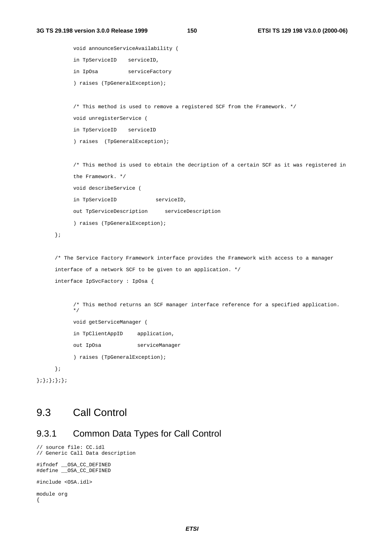```
void announceServiceAvailability (
     in TpServiceID serviceID,
     in IpOsa serviceFactory
     ) raises (TpGeneralException);
     /* This method is used to remove a registered SCF from the Framework. */
     void unregisterService (
     in TpServiceID serviceID
     ) raises (TpGeneralException);
     /* This method is used to ebtain the decription of a certain SCF as it was registered in
     the Framework. */
     void describeService (
     in TpServiceID serviceID,
     out TpServiceDescription serviceDescription
     ) raises (TpGeneralException);
};
/* The Service Factory Framework interface provides the Framework with access to a manager
interface of a network SCF to be given to an application. */
interface IpSvcFactory : IpOsa {
     /* This method returns an SCF manager interface reference for a specified application.
     \cdot \cdotvoid getServiceManager (
     in TpClientAppID application,
     out IpOsa serviceManager
     ) raises (TpGeneralException);
};
```

```
};};};};};
```
# 9.3 Call Control

#### 9.3.1 Common Data Types for Call Control

```
// source file: CC.idl
// Generic Call Data description
#ifndef __OSA_CC_DEFINED
#define __OSA_CC_DEFINED
```

```
#include <OSA.idl>
```

```
module org
{
```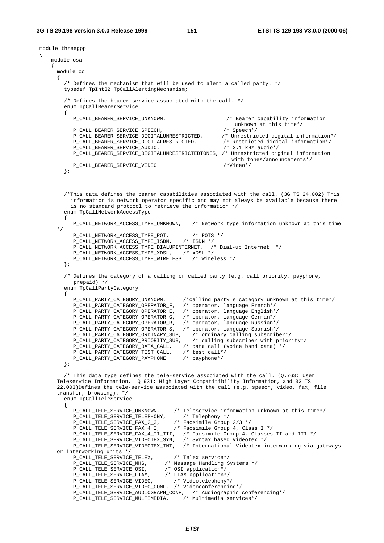```
module threegpp
{
   module osa
    {
     module cc
     \left\{ \right.\prime^* Defines the mechanism that will be used to alert a called party. \primetypedef TpInt32 TpCallAlertingMechanism;
        /* Defines the bearer service associated with the call. */
        enum TpCallBearerService
        {
           P_CALL_BEARER_SERVICE_UNKNOWN, /* Bearer capability information
                                                                unknown at this time*/<br>/* Speech*/
           P_CALL_BEARER_SERVICE_SPEECH,<br>P_CALL_BEARER_SERVICE_DIGITALUNRESTRICTED, /* Unrestricted digital information*/
           P_CALL_BEARER_SERVICE_DIGITALUNRESTRICTED, /* Unrestricted digital information*/
           P_CALL_BEARER_SERVICE_DIGITALRESTRICTED, /* Restricted digital information in /* 3.1 kHz audio*/
           P_CALL_BEARER_SERVICE_AUDIO,
           P_CALL_BEARER_SERVICE_DIGITALUNRESTRICTEDTONES, /* Unrestricted digital information
                                                                with tones/announcements*/<br>/*Video*/
           P_CALL_BEARER_SERVICE_VIDEO
        };
        /*This data defines the bearer capabilities associated with the call. (3G TS 24.002) This
          information is network operator specific and may not always be available because there
          is no standard protocol to retrieve the information */
        enum TpCallNetworkAccessType
        \left\{ \right.P_CALL_NETWORK_ACCESS_TYPE_UNKNOWN, /* Network type information unknown at this time
      */
           P_CALL_NETWORK_ACCESS_TYPE_POT, /* POTS */
           P_CALL_NETWORK_ACCESS_TYPE_ISDN, /* ISDN */
           P_CALL_NETWORK_ACCESS_TYPE_DIALUPINTERNET, /* Dial-up Internet */
            P_CALL_NETWORK_ACCESS_TYPE_XDSL, /* xDSL */
            P_CALL_NETWORK_ACCESS_TYPE_WIRELESS /* Wireless */
        };
        /* Defines the category of a calling or called party (e.g. call priority, payphone,
           prepaid).*/
        enum TpCallPartyCategory
        {
           P_CALL_PARTY_CATEGORY_UNKNOWN, /*calling party's category unknown at this time*/
           P_CALL_PARTY_CATEGORY_OPERATOR_F, /* operator, language French*/<br>P_CALL_PARTY_CATEGORY_OPERATOR_E, /* operator, language English*/
           P_CALL_PARTY_CATEGORY_OPERATOR_E, /* operator, language English*<br>P_CALL_PARTY_CATEGORY_OPERATOR_G, /* operator, language German*/
           P_CALL_PARTY_CATEGORY_OPERATOR_G,
            P_CALL_PARTY_CATEGORY_OPERATOR_R, /* operator, language Russian*/
            P_CALL_PARTY_CATEGORY_OPERATOR_S, /* operator, language Spanish*/
           P_CALL_PARTY_CATEGORY_ORDINARY_SUB, /* ordinary calling subscriber*/<br>P_CALL_PARTY_CATEGORY_PRIORITY_SUB, /* calling subscriber with priority*/
            P_CALL_PARTY_CATEGORY_PRIORITY_SUB, /* calling subscriber with priority*/
            P_CALL_PARTY_CATEGORY_DATA_CALL, /* data call (voice band data) */
            P_CALL_PARTY_CATEGORY_TEST_CALL, /* test call*/
            P_CALL_PARTY_CATEGORY_PAYPHONE /* payphone*/
        };
        /* This data type defines the tele-service associated with the call. (Q.763: User
     Teleservice Information, Q.931: High Layer Compatitibility Information, and 3G TS
      22.003)Defines the tele-service associated with the call (e.g. speech, video, fax, file
     transfer, browsing). */
        enum TpCallTeleService
        {
           P_CALL_TELE_SERVICE_UNKNOWN, /* Teleservice information unknown at this time*/<br>P_CALL_TELE_SERVICE_TELEPHONY, /* Telephony */
            P_CALL_TELE_SERVICE_TELEPHONY, /* Telephony */
            P_CALL_TELE_SERVICE_FAX_2_3, /* Facsimile Group 2/3 */
            P_CALL_TELE_SERVICE_FAX_4_I, /* Facsimile Group 4, Class I */
            P_CALL_TELE_SERVICE_FAX_4_II_III, /* Facsimile Group 4, Classes II and III */
            P_CALL_TELE_SERVICE_VIDEOTEX_SYN, /* Syntax based Videotex */
            P_CALL_TELE_SERVICE_VIDEOTEX_INT, /* International Videotex interworking via gateways
     or interworking units */<br>P_CALL_TELE_SERVICE_TELEX,
            P_CALL_TELE_SERVICE_TELEX, /* Telex service*/
            P_CALL_TELE_SERVICE_MHS, /* Message Handling Systems */
            P_CALL_TELE_SERVICE_OSI, /* OSI application*/
            P_CALL_TELE_SERVICE_FTAM, /* FTAM application*/
            P_CALL_TELE_SERVICE_VIDEO, /* Videotelephony*/
            P_CALL_TELE_SERVICE_VIDEO_CONF, /* Videoconferencing*/
            P_CALL_TELE_SERVICE_AUDIOGRAPH_CONF, /* Audiographic conferencing*/
            P_CALL_TELE_SERVICE_MULTIMEDIA, /* Multimedia services*/
```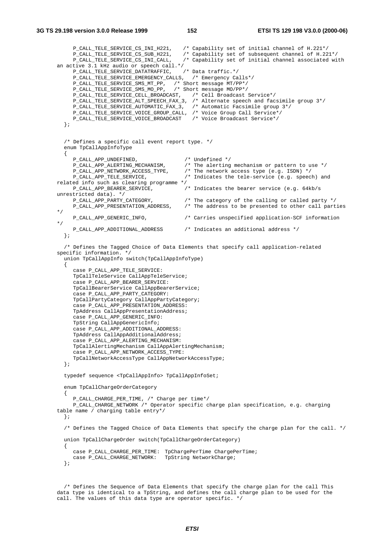```
P_CALL_TELE_SERVICE_CS_INI_H221, /* Capability set of initial channel of H.221*/
     P_CALL_TELE_SERVICE_CS_SUB_H221, /* Capability set of subsequent channel of H.221*/
                                        /* Capability set of initial channel associated with
an active 3.1 kHz audio or speech call.*/
     P_CALL_TELE_SERVICE_DATATRAFFIC, /* Data traffic.*/
     P_CALL_TELE_SERVICE_EMERGENCY_CALLS, /* Emergency Calls*/
     P_CALL_TELE_SERVICE_SMS_MT_PP, /* Short message MT/PP*/
     P_CALL_TELE_SERVICE_SMS_MO_PP, /* Short message MO/PP*/
     P_CALL_TELE_SERVICE_CELL_BROADCAST, /* Cell Broadcast Service*/
     P_CALL_TELE_SERVICE_ALT_SPEECH_FAX_3, /* Alternate speech and facsimile group 3*/
     P_CALL_TELE_SERVICE_AUTOMATIC_FAX_3, /* Automatic Facsimile group 3*/
     P_CALL_TELE_SERVICE_VOICE_GROUP_CALL, /* Voice Group Call Service*/
     P_CALL_TELE_SERVICE_VOICE_BROADCAST /* Voice Broadcast Service*/
  };
  /* Defines a specific call event report type. */
  enum TpCallAppInfoType
  {
     P_CALL_APP_UNDEFINED, <br>P_CALL_APP_ALERTING_MECHANISM, /* The alerting
                                         /* The alerting mechanism or pattern to use */
     P_CALL_APP_NETWORK_ACCESS_TYPE, /* The network access type (e.g. ISDN) */
     P_CALL_APP_TELE_SERVICE, /* Indicates the tele-service (e.g. speech) and
related info such as clearing programme */ P_CALL_APP_BEARER_SERVICE, /
                                         /* Indicates the bearer service (e.g. 64kb/s
unrestricted data). */<br>P_CALL_APP_PARTY_CATEGORY,
                                        /* The category of the calling or called party */
     P_CALL_APP_PRESENTATION_ADDRESS, /* The address to be presented to other call parties
*/
    P_CALL_APP_GENERIC_INFO, /* Carries unspecified application-SCF information
*/
     P_CALL_APP_ADDITIONAL_ADDRESS /* Indicates an additional address */
  };
  /* Defines the Tagged Choice of Data Elements that specify call application-related
specific information. */
  union TpCallAppInfo switch(TpCallAppInfoType)
  {
     case P_CALL_APP_TELE_SERVICE:
     TpCallTeleService CallAppTeleService;
     case P_CALL_APP_BEARER_SERVICE:
     TpCallBearerService CallAppBearerService;
     case P_CALL_APP_PARTY_CATEGORY:
     TpCallPartyCategory CallAppPartyCategory;
     case P_CALL_APP_PRESENTATION_ADDRESS:
     TpAddress CallAppPresentationAddress;
     case P_CALL_APP_GENERIC_INFO:
     TpString CallAppGenericInfo;
     case P_CALL_APP_ADDITIONAL_ADDRESS:
     TpAddress CallAppAdditionalAddress;
     case P_CALL_APP_ALERTING_MECHANISM:
     TpCallAlertingMechanism CallAppAlertingMechanism;
     case P_CALL_APP_NETWORK_ACCESS_TYPE:
     TpCallNetworkAccessType CallAppNetworkAccessType;
  };
  typedef sequence <TpCallAppInfo> TpCallAppInfoSet;
  enum TpCallChargeOrderCategory
  {
     P_CALL_CHARGE_PER_TIME, /* Charge per time*/
     P_CALL_CHARGE_NETWORK /* Operator specific charge plan specification, e.g. charging
table name / charging table entry*/
  };
  /* Defines the Tagged Choice of Data Elements that specify the charge plan for the call. */
  union TpCallChargeOrder switch(TpCallChargeOrderCategory)
  {
     case P_CALL_CHARGE_PER_TIME: TpChargePerTime ChargePerTime;
     case P_CALL_CHARGE_NETWORK: TpString NetworkCharge;
  };
```
/\* Defines the Sequence of Data Elements that specify the charge plan for the call This data type is identical to a TpString, and defines the call charge plan to be used for the call. The values of this data type are operator specific. \*/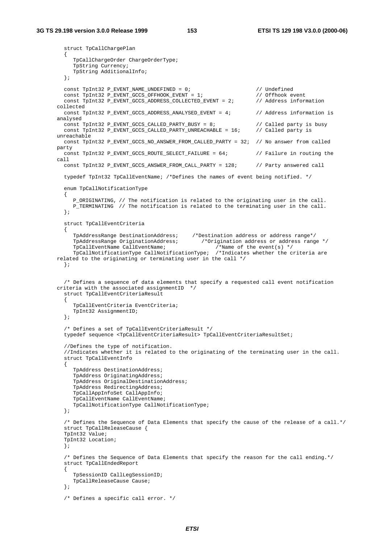#### **3G TS 29.198 version 3.0.0 Release 1999 153 ETSI TS 129 198 V3.0.0 (2000-06)**

```
struct TpCallChargePlan
  \left\{ \right.TpCallChargeOrder ChargeOrderType;
     TpString Currency;
     TpString AdditionalInfo;
  };
  const TpInt32 P_EVENT_NAME_UNDEFINED = 0; // Undefined
  const TpInt32 P_EVENT_GCCS_OFFHOOK_EVENT = 1; // Offhook event
  const TpInt32 P_EVENT_GCCS_ADDRESS_COLLECTED_EVENT = 2; // Address information
collected
  const TpInt32 P_EVENT_GCCS_ADDRESS_ANALYSED_EVENT = 4; // Address information is
analysed
  const TpInt32 P_EVENT_GCCS_CALLED_PARTY_BUSY = 8; // Called party is busy const TpInt32 P_EVENT_GCCS_CALLED_PARTY_UNREACHABLE = 16; // Called party is
  const TpInt32 P_EVENT_GCCS_CALLED_PARTY_UNREACHABLE = 16;
unreachable
  const TpInt32 P_EVENT_GCCS_NO_ANSWER_FROM_CALLED_PARTY = 32; // No answer from called
party
 const TpInt32 P EVENT GCCS ROUTE SELECT FAILURE = 64; // Failure in routing the
call
  const TpInt32 P_EVENT_GCCS_ANSWER_FROM_CALL_PARTY = 128; // Party answered call
  typedef TpInt32 TpCallEventName; /*Defines the names of event being notified. */
  enum TpCallNotificationType
  {
     P_ORIGINATING, // The notification is related to the originating user in the call.
    P_TERMINATING // The notification is related to the terminating user in the call.
  };
  struct TpCallEventCriteria
  {
     TpAddressRange DestinationAddress; /*Destination address or address range*/
     TpAddressRange OriginationAddress; /*Origination address or address range */
     TpCallEventName CallEventName; /*Name of the event(s) */
     TpCallNotificationType CallNotificationType; /*Indicates whether the criteria are
related to the originating or terminating user in the call */
  };
  /* Defines a sequence of data elements that specify a requested call event notification
criteria with the associated assignmentID */
  struct TpCallEventCriteriaResult
  {
     TpCallEventCriteria EventCriteria;
     TpInt32 AssignmentID;
  };
  /* Defines a set of TpCallEventCriteriaResult */
  typedef sequence <TpCallEventCriteriaResult> TpCallEventCriteriaResultSet;
  //Defines the type of notification.
  //Indicates whether it is related to the originating of the terminating user in the call.
  struct TpCallEventInfo
  {
     TpAddress DestinationAddress;
     TpAddress OriginatingAddress;
     TpAddress OriginalDestinationAddress;
     TpAddress RedirectingAddress;
     TpCallAppInfoSet CallAppInfo;
     TpCallEventName CallEventName;
     TpCallNotificationType CallNotificationType;
  };
  /* Defines the Sequence of Data Elements that specify the cause of the release of a call.*/
  struct TpCallReleaseCause {
  TpInt32 Value;
  TpInt32 Location;
  };
  /* Defines the Sequence of Data Elements that specify the reason for the call ending.*/
  struct TpCallEndedReport
  {
     TpSessionID CallLegSessionID;
     TpCallReleaseCause Cause;
  };
  /* Defines a specific call error. */
```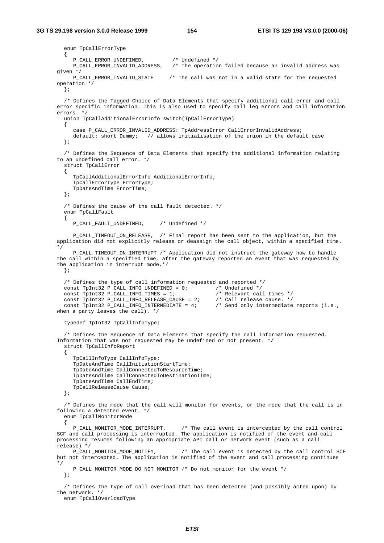```
enum TpCallErrorType
  \left\{ \right.P_CALL_ERROR_UNDEFINED, /* Undefined */
     P_CALL_ERROR_INVALID_ADDRESS, /* The operation failed because an invalid address was
given */<br>P CALL ERROR INVALID STATE
                                   /* The call was not in a valid state for the requested
operation */
  };
  /* Defines the Tagged Choice of Data Elements that specify additional call error and call
error specific information. This is also used to specify call leg errors and call information
errors. */
  union TpCallAdditionalErrorInfo switch(TpCallErrorType)
  {
     case P_CALL_ERROR_INVALID_ADDRESS: TpAddressError CallErrorInvalidAddress;
    default: short Dummy; // allows initialisation of the union in the default case
  };
  /* Defines the Sequence of Data Elements that specify the additional information relating
to an undefined call error. */
  struct TpCallError
  {
     TpCallAdditionalErrorInfo AdditionalErrorInfo;
     TpCallErrorType ErrorType;
    TpDateAndTime ErrorTime;
  };
  /* Defines the cause of the call fault detected. */
  enum TpCallFault
  {
     P_CALL_FAULT_UNDEFINED, /* Undefined */
     P_CALL_TIMEOUT_ON_RELEASE, /* Final report has been sent to the application, but the
application did not explicitly release or deassign the call object, within a specified time.
*/
     P_CALL_TIMEOUT_ON_INTERRUPT /* Application did not instruct the gateway how to handle
the call within a specified time, after the gateway reported an event that was requested by
the application in interrupt mode.*/
  };
  /* Defines the type of call information requested and reported */
 const TpInt32 P_CALL_INFO_UNDEFINED = 0; /* Undefined */<br>const TpInt32 P_CALL_INFO_TIMES = 1; /* Relevant cal
  const TpInt32 P_CALL_INFO_TIMES = 1; \frac{1}{2} /* Relevant call times */
  const TpInt32 P_CALL_INFO_RELEASE_CAUSE = 2; /* Call release cause. */
  const TpInt32 P_CALL_INFO_INTERMEDIATE = 4; /* Send only intermediate reports (i.e.,
when a party leaves the call). */
  typedef TpInt32 TpCallInfoType;
  /* Defines the Sequence of Data Elements that specify the call information requested.
Information that was not requested may be undefined or not present. */
  struct TpCallInfoReport
  {
     TpCallInfoType CallInfoType;
     TpDateAndTime CallInitiationStartTime;
     TpDateAndTime CallConnectedToResourceTime;
     TpDateAndTime CallConnectedToDestinationTime;
     TpDateAndTime CallEndTime;
     TpCallReleaseCause Cause;
  };
  /* Defines the mode that the call will monitor for events, or the mode that the call is in
following a detected event. */
  enum TpCallMonitorMode
  {
    P_CALL_MONITOR_MODE_INTERRUPT, /* The call event is intercepted by the call control
SCF and call processing is interrupted. The application is notified of the event and call
processing resumes following an appropriate API call or network event (such as a call
release) */
    P_CALL_MONITOR_MODE_NOTIFY, /* The call event is detected by the call control SCF
but not intercepted. The application is notified of the event and call processing continues
*/
     P_CALL_MONITOR_MODE_DO_NOT_MONITOR /* Do not monitor for the event */
  };
  /* Defines the type of call overload that has been detected (and possibly acted upon) by
the network. */
```
enum TpCallOverloadType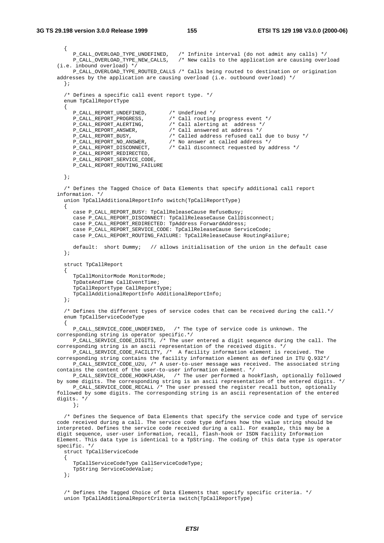```
{
      P_CALL_OVERLOAD_TYPE_UNDEFINED, /* Infinite interval (do not admit any calls) */
      P_CALL_OVERLOAD_TYPE_NEW_CALLS, /* New calls to the application are causing overload
(i.e. inbound overload) */
     P_CALL_OVERLOAD_TYPE_ROUTED_CALLS /* Calls being routed to destination or origination
addresses by the application are causing overload (i.e. outbound overload) */
  };
  /* Defines a specific call event report type. */
  enum TpCallReportType
  {
     P_CALL_REPORT_UNDEFINED, <br>
P_CALL_REPORT_PROGRESS, <br>
P_CALL_REPORT_ALERTING, /* Call alerting<br>
P_CALL_REPORT_ALERTING, /* Call alerting
                                      /* Call routing progress event */
     P_CALL_REPORT_ALERTING, <br>P_CALL_REPORT_ALERTING, /* Call alerting at address */<br>P_CALL_REPORT_ANSWER, /* Call answered at address */
     P_CALL_REPORT_ANSWER, <br>P_CALL_REPORT_BUSY, <br>/* Called address refused call
     P_CALL_REPORT_BUSY, \frac{1}{2} /* Called address refused call due to busy */<br>P_CALL_REPORT_NO_ANSWER, \frac{1}{2} No answer at called address */
      P_CALL_REPORT_NO_ANSWER, /* No answer at called address */
      P_CALL_REPORT_DISCONNECT, /* Call disconnect requested by address */
     P_CALL_REPORT_REDIRECTED,
     P_CALL_REPORT_SERVICE_CODE,
     P_CALL_REPORT_ROUTING_FAILURE
  };
  /* Defines the Tagged Choice of Data Elements that specify additional call report
information. */
  union TpCallAdditionalReportInfo switch(TpCallReportType)
  {
     case P_CALL_REPORT_BUSY: TpCallReleaseCause RefuseBusy;
     case P_CALL_REPORT_DISCONNECT: TpCallReleaseCause CallDisconnect;
     case P_CALL_REPORT_REDIRECTED: TpAddress ForwardAddress;
     case P_CALL_REPORT_SERVICE_CODE: TpCallReleaseCause ServiceCode;
     case P_CALL_REPORT_ROUTING_FAILURE: TpCallReleaseCause RoutingFailure;
     default: short Dummy; // allows initialisation of the union in the default case
  };
  struct TpCallReport
  {
     TpCallMonitorMode MonitorMode;
     TpDateAndTime CallEventTime;
     TpCallReportType CallReportType;
     TpCallAdditionalReportInfo AdditionalReportInfo;
  };
  /* Defines the different types of service codes that can be received during the call.*/
  enum TpCallServiceCodeType
  {
     P_CALL_SERVICE_CODE_UNDEFINED, /* The type of service code is unknown. The
corresponding string is operator specific.*/
     P_CALL_SERVICE_CODE_DIGITS, /* The user entered a digit sequence during the call. The
corresponding string is an ascii representation of the received digits. */
     P_CALL_SERVICE_CODE_FACILITY, /* A facility information element is received. The
corresponding string contains the facility information element as defined in ITU Q.932*/
    P_CALL_SERVICE_CODE_U2U, /* A user-to-user message was received. The associated string
contains the content of the user-to-user information element. */
      P_CALL_SERVICE_CODE_HOOKFLASH, /* The user performed a hookflash, optionally followed
by some digits. The corresponding string is an ascii representation of the entered digits. */
     P_CALL_SERVICE_CODE_RECALL /* The user pressed the register recall button, optionally
followed by some digits. The corresponding string is an ascii representation of the entered
digits. */
     };
  /* Defines the Sequence of Data Elements that specify the service code and type of service
code received during a call. The service code type defines how the value string should be
interpreted. Defines the service code received during a call. For example, this may be a
digit sequence, user-user information, recall, flash-hook or ISDN Facility Information
Element. This data type is identical to a TpString. The coding of this data type is operator
specific. */
  struct TpCallServiceCode
  \left\{ \right.TpCallServiceCodeType CallServiceCodeType;
     TpString ServiceCodeValue;
  };
```
/\* Defines the Tagged Choice of Data Elements that specify specific criteria. \*/ union TpCallAdditionalReportCriteria switch(TpCallReportType)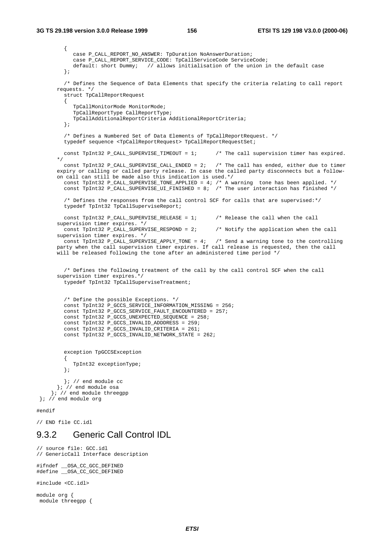```
{
           case P_CALL_REPORT_NO_ANSWER: TpDuration NoAnswerDuration;
           case P_CALL_REPORT_SERVICE_CODE: TpCallServiceCode ServiceCode;
           default: short Dummy; // allows initialisation of the union in the default case
        };
        /* Defines the Sequence of Data Elements that specify the criteria relating to call report
      requests. */
        struct TpCallReportRequest
        {
           TpCallMonitorMode MonitorMode;
           TpCallReportType CallReportType;
           TpCallAdditionalReportCriteria AdditionalReportCriteria;
        };
        /* Defines a Numbered Set of Data Elements of TpCallReportRequest. */
        typedef sequence <TpCallReportRequest> TpCallReportRequestSet;
        const TpInt32 P CALL SUPERVISE TIMEOUT = 1; / The call supervision timer has expired.
      */
        const TpInt32 P_CALL_SUPERVISE_CALL_ENDED = 2; /* The call has ended, either due to timer
      expiry or calling or called party release. In case the called party disconnects but a follow-
      on call can still be made also this indication is used.*/
        const TpInt32 P_CALL_SUPERVISE_TONE_APPLIED = 4; /* A warning tone has been applied. */
        const TpInt32 P_CALL_SUPERVISE_UI_FINISHED = 8; /* The user interaction has finished */
        /* Defines the responses from the call control SCF for calls that are supervised:*/
        typedef TpInt32 TpCallSuperviseReport;
        const TpInt32 P_CALL_SUPERVISE_RELEASE = 1; \qquad /* Release the call when the call
      supervision timer expires. */
        const TpInt32 P_CALL_SUPERVISE_RESPOND = 2; /* Notify the application when the call
      supervision timer expires. */
        const TpInt32 P CALL SUPERVISE APPLY TONE = 4; /* Send a warning tone to the controlling
      party when the call supervision timer expires. If call release is requested, then the call
      will be released following the tone after an administered time period */
        /* Defines the following treatment of the call by the call control SCF when the call
      supervision timer expires.*/
        typedef TpInt32 TpCallSuperviseTreatment;
        /* Define the possible Exceptions. */
        const TpInt32 P_GCCS_SERVICE_INFORMATION_MISSING = 256;
        const TpInt32 P_GCCS_SERVICE_FAULT_ENCOUNTERED = 257;
        const TpInt32 P_GCCS_UNEXPECTED_SEQUENCE = 258;
        const TpInt32 P_GCCS_INVALID_ADDDRESS = 259;
        const TpInt32 P_GCCS_INVALID_CRITERIA = 261;
        const TpInt32 P_GCCS_INVALID_NETWORK_STATE = 262;
        exception TpGCCSException
        {
           TpInt32 exceptionType;
        };
        }; // end module cc
      }; // end module osa
    }; // end module threegpp
}; // end module org
#endif
```
// END file CC.idl

#### 9.3.2 Generic Call Control IDL

// source file: GCC.idl // GenericCall Interface description

#ifndef \_\_OSA\_CC\_GCC\_DEFINED #define \_\_OSA\_CC\_GCC\_DEFINED

#include <CC.idl>

module org { module threegpp {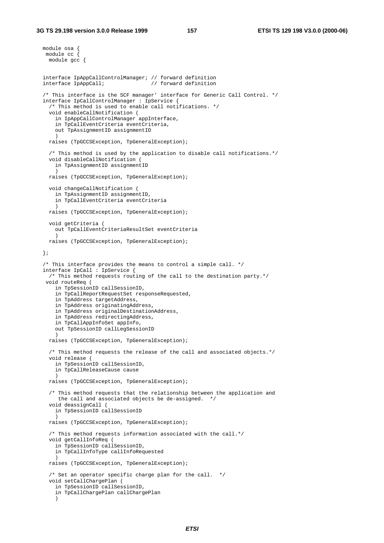```
module osa {
module cc {
 module gcc {
interface IpAppCallControlManager; // forward definition
                                   // forward definition
/* This interface is the SCF manager' interface for Generic Call Control. */
interface IpCallControlManager : IpService {
  /* This method is used to enable call notifications. */
  void enableCallNotification (
    in IpAppCallControlManager appInterface,
    in TpCallEventCriteria eventCriteria,
   out TpAssignmentID assignmentID
    )
  raises (TpGCCSException, TpGeneralException);
  /* This method is used by the application to disable call notifications.*/
  void disableCallNotification (
   in TpAssignmentID assignmentID
    )
  raises (TpGCCSException, TpGeneralException);
  void changeCallNotification (
    in TpAssignmentID assignmentID,
    in TpCallEventCriteria eventCriteria
    )
 raises (TpGCCSException, TpGeneralException);
  void getCriteria (
    out TpCallEventCriteriaResultSet eventCriteria
    )
 raises (TpGCCSException, TpGeneralException);
};
/* This interface provides the means to control a simple call. */
interface IpCall : IpService {
  /* This method requests routing of the call to the destination party.*/
 void routeReq (
   in TpSessionID callSessionID,
   in TpCallReportRequestSet responseRequested,
   in TpAddress targetAddress,
    in TpAddress originatingAddress,
    in TpAddress originalDestinationAddress,
   in TpAddress redirectingAddress,
   in TpCallAppInfoSet appInfo,
    out TpSessionID callLegSessionID
    )
 raises (TpGCCSException, TpGeneralException);
  /* This method requests the release of the call and associated objects.*/
  void release (
   in TpSessionID callSessionID,
   in TpCallReleaseCause cause
    )
  raises (TpGCCSException, TpGeneralException);
  /* This method requests that the relationship between the application and
    the call and associated objects be de-assigned. */
  void deassignCall (
   in TpSessionID callSessionID
    )
  raises (TpGCCSException, TpGeneralException);
  /* This method requests information associated with the call.*/
  void getCallInfoReq (
   in TpSessionID callSessionID,
    in TpCallInfoType callInfoRequested
    )
 raises (TpGCCSException, TpGeneralException);
  /* Set an operator specific charge plan for the call. */
  void setCallChargePlan (
   in TpSessionID callSessionID,
    in TpCallChargePlan callChargePlan
    \lambda
```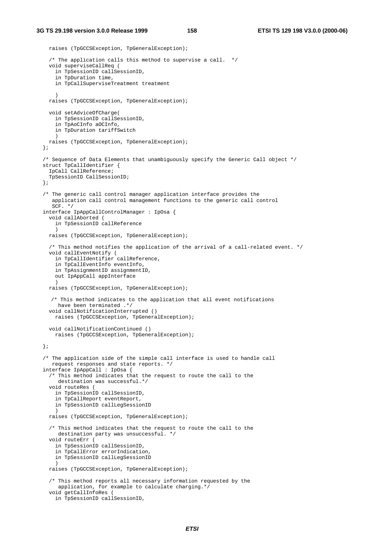```
raises (TpGCCSException, TpGeneralException);
  /* The application calls this method to supervise a call. */
  void superviseCallReq (
    in TpSessionID callSessionID,
    in TpDuration time,
   in TpCallSuperviseTreatment treatment
    )
 raises (TpGCCSException, TpGeneralException);
  void setAdviceOfCharge(
   in TpSessionID callSessionID,
   in TpAoCInfo aOCInfo,
   in TpDuration tariffSwitch
    )
 raises (TpGCCSException, TpGeneralException);
};
/* Sequence of Data Elements that unambiguously specify the Generic Call object */
struct TpCallIdentifier {
  IpCall CallReference;
  TpSessionID CallSessionID;
};
/* The generic call control manager application interface provides the
   application call control management functions to the generic call control
   SCF. */
interface IpAppCallControlManager : IpOsa {
  void callAborted (
   in TpSessionID callReference
    )
 raises (TpGCCSException, TpGeneralException);
  /* This method notifies the application of the arrival of a call-related event. */
  void callEventNotify (
   in TpCallIdentifier callReference,
   in TpCallEventInfo eventInfo,
   in TpAssignmentID assignmentID,
   out IpAppCall appInterface
    )
 raises (TpGCCSException, TpGeneralException);
  /* This method indicates to the application that all event notifications
    have been terminated .*/
  void callNotificationInterrupted ()
   raises (TpGCCSException, TpGeneralException);
  void callNotificationContinued ()
   raises (TpGCCSException, TpGeneralException);
};
/* The application side of the simple call interface is used to handle call
  request responses and state reports. */
interface IpAppCall : IpOsa {
  /* This method indicates that the request to route the call to the
    destination was successful.*/
  void routeRes (
   in TpSessionID callSessionID,
    in TpCallReport eventReport,
    in TpSessionID callLegSessionID
    )
  raises (TpGCCSException, TpGeneralException);
  /* This method indicates that the request to route the call to the
     destination party was unsuccessful. */
  void routeErr (
   in TpSessionID callSessionID,
    in TpCallError errorIndication,
   in TpSessionID callLegSessionID
    )
  raises (TpGCCSException, TpGeneralException);
  /* This method reports all necessary information requested by the
    application, for example to calculate charging.*/
  void getCallInfoRes (
   in TpSessionID callSessionID,
```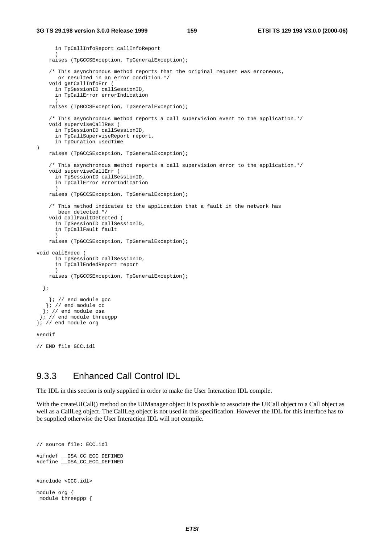```
in TpCallInfoReport callInfoReport
      )
   raises (TpGCCSException, TpGeneralException);
    /* This asynchronous method reports that the original request was erroneous,
      or resulted in an error condition.*/
    void getCallInfoErr (
     in TpSessionID callSessionID,
     in TpCallError errorIndication
      )
    raises (TpGCCSException, TpGeneralException);
    /* This asynchronous method reports a call supervision event to the application.*/
    void superviseCallRes (
     in TpSessionID callSessionID,
      in TpCallSuperviseReport report,
     in TpDuration usedTime
)
   raises (TpGCCSException, TpGeneralException);
    /* This asynchronous method reports a call supervision error to the application.*/
    void superviseCallErr (
      in TpSessionID callSessionID,
     in TpCallError errorIndication
      )
    raises (TpGCCSException, TpGeneralException);
    /* This method indicates to the application that a fault in the network has
      been detected.*/
    void callFaultDetected (
      in TpSessionID callSessionID,
      in TpCallFault fault
      )
   raises (TpGCCSException, TpGeneralException);
void callEnded (
     in TpSessionID callSessionID,
     in TpCallEndedReport report
      )
   raises (TpGCCSException, TpGeneralException);
 };
    }; // end module gcc
   }; // end module cc
  \left| i \right| / end module osa
 }; // end module threegpp
}; // end module org
#endif
// END file GCC.idl
```
#### 9.3.3 Enhanced Call Control IDL

The IDL in this section is only supplied in order to make the User Interaction IDL compile.

With the createUICall() method on the UIManager object it is possible to associate the UICall object to a Call object as well as a CallLeg object. The CallLeg object is not used in this specification. However the IDL for this interface has to be supplied otherwise the User Interaction IDL will not compile.

```
// source file: ECC.idl
#ifndef __OSA_CC_ECC_DEFINED
#define __OSA_CC_ECC_DEFINED
#include <GCC.idl>
module org {
module threegpp {
```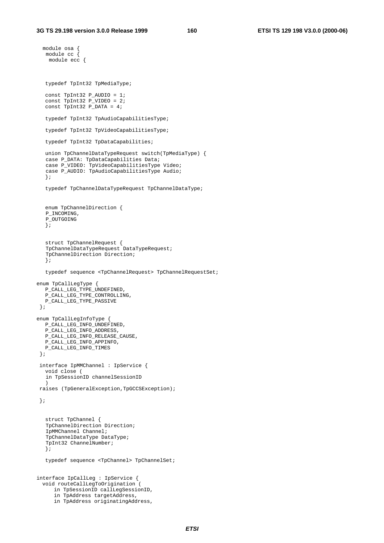```
module osa {
  module cc {
   module ecc {
  typedef TpInt32 TpMediaType;
  const TpInt32 P_AUDIO = 1;
  const TpInt32 P_VIDEO = 2;
  const TpInt32 P_DATA = 4;
  typedef TpInt32 TpAudioCapabilitiesType;
  typedef TpInt32 TpVideoCapabilitiesType;
  typedef TpInt32 TpDataCapabilities;
  union TpChannelDataTypeRequest switch(TpMediaType) {
  case P_DATA: TpDataCapabilities Data;
  case P_VIDEO: TpVideoCapabilitiesType Video;
   case P_AUDIO: TpAudioCapabilitiesType Audio;
  };
  typedef TpChannelDataTypeRequest TpChannelDataType;
  enum TpChannelDirection {
   P_INCOMING,
  P_OUTGOING
  };
  struct TpChannelRequest {
  TpChannelDataTypeRequest DataTypeRequest;
   TpChannelDirection Direction;
   };
  typedef sequence <TpChannelRequest> TpChannelRequestSet;
enum TpCallLegType {
  P_CALL_LEG_TYPE_UNDEFINED,
  P_CALL_LEG_TYPE_CONTROLLING,
  P_CALL_LEG_TYPE_PASSIVE
 };
enum TpCallLegInfoType {
  P_CALL_LEG_INFO_UNDEFINED,
  P_CALL_LEG_INFO_ADDRESS,
  P_CALL_LEG_INFO_RELEASE_CAUSE,
  P_CALL_LEG_INFO_APPINFO,
  P_CALL_LEG_INFO_TIMES
 };
 interface IpMMChannel : IpService {
  void close (
  in TpSessionID channelSessionID
   )
raises (TpGeneralException,TpGCCSException);
 };
  struct TpChannel {
  TpChannelDirection Direction;
  IpMMChannel Channel;
  TpChannelDataType DataType;
  TpInt32 ChannelNumber;
  };
  typedef sequence <TpChannel> TpChannelSet;
interface IpCallLeg : IpService {
  void routeCallLegToOrigination (
     in TpSessionID callLegSessionID,
     in TpAddress targetAddress,
     in TpAddress originatingAddress,
```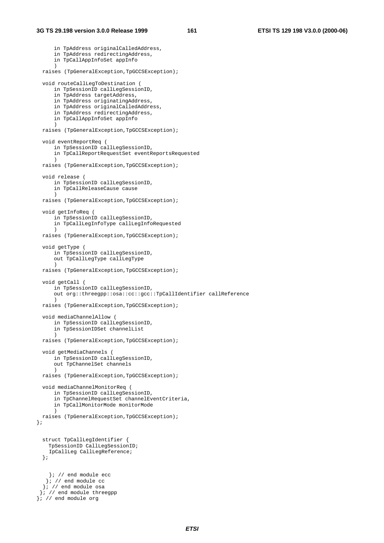```
in TpAddress originalCalledAddress,
      in TpAddress redirectingAddress,
     in TpCallAppInfoSet appInfo
     \lambdaraises (TpGeneralException,TpGCCSException);
  void routeCallLegToDestination (
     in TpSessionID callLegSessionID,
     in TpAddress targetAddress,
      in TpAddress originatingAddress,
     in TpAddress originalCalledAddress,
     in TpAddress redirectingAddress,
     in TpCallAppInfoSet appInfo
      )
  raises (TpGeneralException,TpGCCSException);
  void eventReportReq (
     in TpSessionID callLegSessionID,
     in TpCallReportRequestSet eventReportsRequested
      )
  raises (TpGeneralException,TpGCCSException);
  void release (
     in TpSessionID callLegSessionID,
     in TpCallReleaseCause cause
      )
  raises (TpGeneralException,TpGCCSException);
  void getInfoReq (
     in TpSessionID callLegSessionID,
      in TpCallLegInfoType callLegInfoRequested
      )
  raises (TpGeneralException,TpGCCSException);
  void getType (
     in TpSessionID callLegSessionID,
     out TpCallLegType callLegType
     )
  raises (TpGeneralException,TpGCCSException);
  void getCall (
     in TpSessionID callLegSessionID,
     out org::threegpp::osa::cc::gcc::TpCallIdentifier callReference
      )
  raises (TpGeneralException,TpGCCSException);
  void mediaChannelAllow (
     in TpSessionID callLegSessionID,
     in TpSessionIDSet channelList
     )
  raises (TpGeneralException,TpGCCSException);
  void getMediaChannels (
     in TpSessionID callLegSessionID,
     out TpChannelSet channels
     \lambdaraises (TpGeneralException,TpGCCSException);
  void mediaChannelMonitorReq (
     in TpSessionID callLegSessionID,
     in TpChannelRequestSet channelEventCriteria,
     in TpCallMonitorMode monitorMode
      )
 raises (TpGeneralException,TpGCCSException);
};
  struct TpCallLegIdentifier {
   TpSessionID CallLegSessionID;
    IpCallLeg CallLegReference;
  };
    }; // end module ecc
   }; // end module cc
  \left| i \right| / end module osa
 \left| i \right| / end module threegpp
\left| i \right| / end module org
```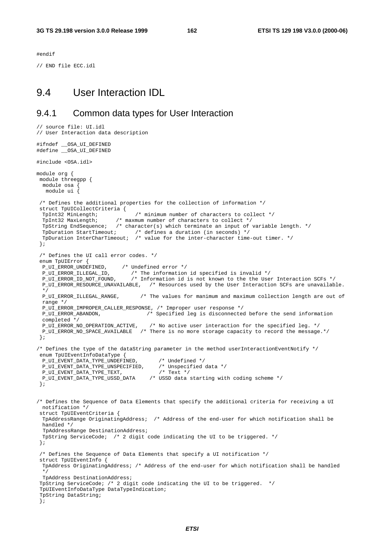#endif

// END file ECC.idl

// source file: UI.idl

#### 9.4 User Interaction IDL

#### 9.4.1 Common data types for User Interaction

```
// User Interaction data description
#ifndef __OSA_UI_DEFINED
#define __OSA_UI_DEFINED
#include <OSA.idl>
module org {
module threegpp {
 module osa {
  module ui {
 /* Defines the additional properties for the collection of information */
 struct TpUICollectCriteria {<br>TpInt32 MinLength;<br>TpInt32 MaxLength; /* m
                                /* minimum number of characters to collect */
  TpInt32 MaxLength; /* maxmum number of characters to collect */
  TpString EndSequence; /* character(s) which terminate an input of variable length. */
  TpDuration StartTimeout; /* defines a duration (in seconds) */
  TpDuration InterCharTimeout; /* value for the inter-character time-out timer. */
 };
 /* Defines the UI call error codes. */
 enum TpUIError {
 P_UI_ERROR_UNDEFINED, /* Undefined error */
  P_UI_ERROR_ILLEGAL_ID, /* The information id specified is invalid */
  P_UI_ERROR_ID_NOT_FOUND, /* Information id is not known to the the User Interaction SCFs */
  P_UI_ERROR_RESOURCE_UNAVAILABLE, /* Resources used by the User Interaction SCFs are unavailable.
  */
 P_UI_ERROR_ILLEGAL_RANGE, /* The values for manimum and maximum collection length are out of
 range */
  P_UI_ERROR_IMPROPER_CALLER_RESPONSE, /* Improper user response */
  P_UI_ERROR_ABANDON, /* Specified leg is disconnected before the send information
 completed */
 P_UI_ERROR_NO_OPERATION_ACTIVE, /* No active user interaction for the specified leg. */
 P_UI_ERROR_NO_SPACE_AVAILABLE /* There is no more storage capacity to record the message.*/
 };
/* Defines the type of the dataString parameter in the method userInteractionEventNotify */
enum TpUIEventInfoDataType {
 P_UI_EVENT_DATA_TYPE_UNDEFINED, /* Undefined */
 P_UI_EVENT_DATA_TYPE_UNSPECIFIED, /* Unspecif<br>P_UI_EVENT_DATA_TYPE_TEXT, /* Text */
 P_UI_EVENT_DATA_TYPE_TEXT,
 P_UI_EVENT_DATA_TITE_TENT/<br>P_UI_EVENT_DATA_TYPE_USSD_DATA /* USSD_data_starting_with_coding_scheme */
 };
/* Defines the Sequence of Data Elements that specify the additional criteria for receiving a UI
 notification */
 struct TpUIEventCriteria {
 TpAddressRange OriginatingAddress; /* Address of the end-user for which notification shall be
 handled */
  TpAddressRange DestinationAddress;
 TpString ServiceCode; /* 2 digit code indicating the UI to be triggered. */
 };
 /* Defines the Sequence of Data Elements that specify a UI notification */
 struct TpUIEventInfo {
 TpAddress OriginatingAddress; /* Address of the end-user for which notification shall be handled
  */
  TpAddress DestinationAddress;
 TpString ServiceCode; /* 2 digit code indicating the UI to be triggered. */
 TpUIEventInfoDataType DataTypeIndication;
 TpString DataString;
 };
```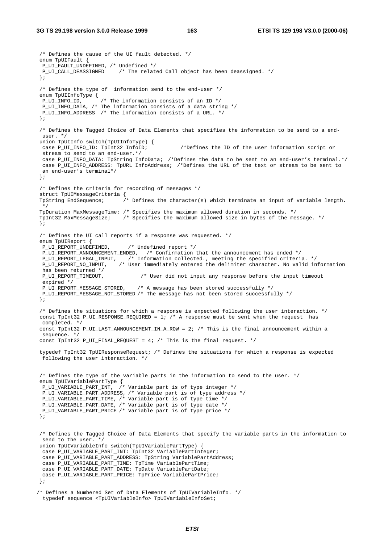```
/* Defines the cause of the UI fault detected. */
enum TpUIFault {
P_UI_FAULT_UNDEFINED, /* Undefined */
P_UI_CALL_DEASSIGNED /* The related Call object has been deassigned. */
};
/* Defines the type of information send to the end-user */
enum TpUIInfoType {<br>P_UI_INFO_ID,
                   /* The information consists of an ID */
P_UI_INFO_ATA, /* The information consists of a data string */
P_UI_INFO_ADDRESS /* The information consists of a URL. */
};
/* Defines the Tagged Choice of Data Elements that specifies the information to be send to a end-
user. */
union TpUIInfo switch(TpUIInfoType) {
case P_UI_INFO_ID: TpInt32 InfoID; \gammabefines the ID of the user information script or
stream to send to an end-user.*/
case P_UI_INFO_DATA: TpString InfoData; /*Defines the data to be sent to an end-user's terminal.*/
case P_UI_INFO_ADDRESS: TpURL InfoAddress; /*Defines the URL of the text or stream to be sent to
an end-user's terminal*/
};
/* Defines the criteria for recording of messages */
struct TpUIMessageCriteria {
TpString EndSequence; /* Defines the character(s) which terminate an input of variable length.
 */
TpDuration MaxMessageTime; /* Specifies the maximum allowed duration in seconds. */
TpInt32 MaxMessageSize; /* Specifies the maximum allowed size in bytes of the message. */
};
/* Defines the UI call reports if a response was requested. */
enum TpUIReport {
P_UI_REPORT_UNDEFINED, /* Undefined report */
 P_UI_REPORT_ANNOUNCEMENT_ENDED, /* Confirmation that the announcement has ended */
P_UI_REPORT_LEGAL_INPUT, /* Information collected., meeting the specified criteria. */
P_UI_REPORT_NO_INPUT, /* User immediately entered the delimiter character. No valid information
has been returned */
P_UI_REPORT_TIMEOUT, /* User did not input any response before the input timeout
 expired */
P_UI_REPORT_MESSAGE_STORED, /* A message has been stored successfully */
P_UI_REPORT_MESSAGE_NOT_STORED /* The message has not been stored successfully */
};
/* Defines the situations for which a response is expected following the user interaction. */
const TpInt32 P_UI_RESPONSE_REQUIRED = 1; /* A response must be sent when the request has
completed. */
const TpInt32 P_UI_LAST_ANNOUNCEMENT_IN_A_ROW = 2; /* This is the final announcement within a
sequence. */
const TpInt32 P_UI_FINAL_REQUEST = 4; /* This is the final request. */
typedef TpInt32 TpUIResponseRequest; /* Defines the situations for which a response is expected
following the user interaction. */
/* Defines the type of the variable parts in the information to send to the user. */
enum TpUIVariablePartType {
P_UI_VARIABLE_PART_INT, /* Variable part is of type integer */
 P_UI_VARIABLE_PART_ADDRESS, /* Variable part is of type address */
 P_UI_VARIABLE_PART_TIME, /* Variable part is of type time */
P_UI_VARIABLE_PART_DATE, /* Variable part is of type date */
P_UI_VARIABLE_PART_PRICE /* Variable part is of type price */
};
/* Defines the Tagged Choice of Data Elements that specify the variable parts in the information to
send to the user. */
union TpUIVariableInfo switch(TpUIVariablePartType) {
case P_UI_VARIABLE_PART_INT: TpInt32 VariablePartInteger;
case P_UI_VARIABLE_PART_ADDRESS: TpString VariablePartAddress;
case P_UI_VARIABLE_PART_TIME: TpTime VariablePartTime;
case P_UI_VARIABLE_PART_DATE: TpDate VariablePartDate;
 case P_UI_VARIABLE_PART_PRICE: TpPrice VariablePartPrice;
};
```

```
/* Defines a Numbered Set of Data Elements of TpUIVariableInfo. */
 typedef sequence <TpUIVariableInfo> TpUIVariableInfoSet;
```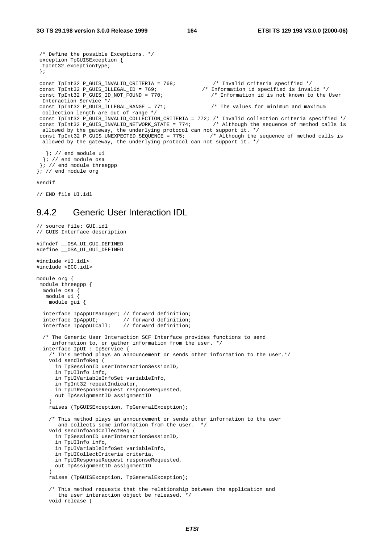```
/* Define the possible Exceptions. */
exception TpGUISException {
TpInt32 exceptionType;
};
const TpInt32 P_GUIS_INVALID_CRITERIA = 768; /* Invalid criteria specified */
const TpInt32 P_GUIS_ILLEGAL_ID = 769; /* Information id specified is invalid */
const TpInt32 P_GUIS_INVALID_CRITERIA = 768;<br>
const TpInt32 P_GUIS_ILLEGAL_ID = 769;<br>
const TpInt32 P_GUIS_ID_NOT_FOUND = 770;<br>
/* Information id is not known to the User
Interaction Service */
const TpInt32 P_GUIS_ILLEGAL_RANGE = 771; \frac{1}{2} /* The values for minimum and maximum
collection length are out of range */
const TpInt32 P_GUIS_INVALID_COLLECTION_CRITERIA = 772; /* Invalid collection criteria specified */
const TpInt32 P_GUIS_INVALID_NETWORK_STATE = 774; /* Although the sequence of method calls is
allowed by the gateway, the underlying protocol can not support it. */
const TpInt32 P_GUIS_UNEXPECTED_SEQUENCE = 775; /* Although the sequence of method calls is
allowed by the gateway, the underlying protocol can not support it. */
  }; // end module ui
```
 $\left| i \right| /$  end module osa  $\left| i \right| /$  end module threegpp }; // end module org

#endif

// END file UI.idl

#### 9.4.2 Generic User Interaction IDL

```
// source file: GUI.idl
// GUIS Interface description
#ifndef __OSA_UI_GUI_DEFINED
#define __OSA_UI_GUI_DEFINED
#include <UI.idl>
#include <ECC.idl>
module org {
module threegpp {
 module osa {
  module ui {
   module gui {
  interface IpAppUIManager; // forward definition;
  interface IpAppUI; // forward definition;
  interface IpAppUICall; // forward definition;
  /* The Generic User Interaction SCF Interface provides functions to send
     information to, or gather information from the user. */
  interface IpUI : IpService {
    /* This method plays an announcement or sends other information to the user.*/
    void sendInfoReq (
      in TpSessionID userInteractionSessionID,
      in TpUIInfo info,
     in TpUIVariableInfoSet variableInfo,
     in TpInt32 repeatIndicator,
     in TpUIResponseRequest responseRequested,
     out TpAssignmentID assignmentID
    )
   raises (TpGUISException, TpGeneralException);
    /* This method plays an announcement or sends other information to the user
       and collects some information from the user. */
    void sendInfoAndCollectReq (
     in TpSessionID userInteractionSessionID,
     in TpUIInfo info,
      in TpUIVariableInfoSet variableInfo,
     in TpUICollectCriteria criteria,
     in TpUIResponseRequest responseRequested,
     out TpAssignmentID assignmentID
    )
    raises (TpGUISException, TpGeneralException);
    /* This method requests that the relationship between the application and
      the user interaction object be released. */
    void release (
```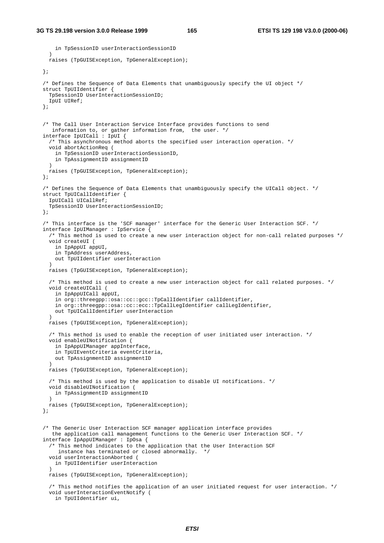```
in TpSessionID userInteractionSessionID
  )
 raises (TpGUISException, TpGeneralException);
};
/* Defines the Sequence of Data Elements that unambiguously specify the UI object */
struct TpUIIdentifier {
 TpSessionID UserInteractionSessionID;
  IpUI UIRef;
};
/* The Call User Interaction Service Interface provides functions to send
   information to, or gather information from, the user. */
interface IpUICall : IpUI {
  /* This asynchronous method aborts the specified user interaction operation. */
  void abortActionReq (
   in TpSessionID userInteractionSessionID,
   in TpAssignmentID assignmentID
  )
 raises (TpGUISException, TpGeneralException);
};
/* Defines the Sequence of Data Elements that unambiguously specify the UICall object. */
struct TpUICallIdentifier {
  IpUICall UICallRef;
  TpSessionID UserInteractionSessionID;
};
/* This interface is the 'SCF manager' interface for the Generic User Interaction SCF. */
interface IpUIManager : IpService {
  /* This method is used to create a new user interaction object for non-call related purposes */
 void createUI (
   in IpAppUI appUI,
    in TpAddress userAddress,
   out TpUIIdentifier userInteraction
  )
  raises (TpGUISException, TpGeneralException);
  /* This method is used to create a new user interaction object for call related purposes. */
  void createUICall (
   in IpAppUICall appUI,
    in org::threegpp::osa::cc::gcc::TpCallIdentifier callIdentifier,
   in org::threegpp::osa::cc::ecc::TpCallLegIdentifier callLegIdentifier,
   out TpUICallIdentifier userInteraction
  )
 raises (TpGUISException, TpGeneralException);
  /* This method is used to enable the reception of user initiated user interaction. */
 void enableUINotification (
   in IpAppUIManager appInterface,
    in TpUIEventCriteria eventCriteria,
   out TpAssignmentID assignmentID
  )
 raises (TpGUISException, TpGeneralException);
  /* This method is used by the application to disable UI notifications. */
  void disableUINotification (
   in TpAssignmentID assignmentID
  )
  raises (TpGUISException, TpGeneralException);
};
/* The Generic User Interaction SCF manager application interface provides
   the application call management functions to the Generic User Interaction SCF. */
interface IpAppUIManager : IpOsa {
  /* This method indicates to the application that the User Interaction SCF
    instance has terminated or closed abnormally. */
  void userInteractionAborted (
   in TpUIIdentifier userInteraction
  )
  raises (TpGUISException, TpGeneralException);
  /* This method notifies the application of an user initiated request for user interaction. */
  void userInteractionEventNotify (
   in TpUIIdentifier ui,
```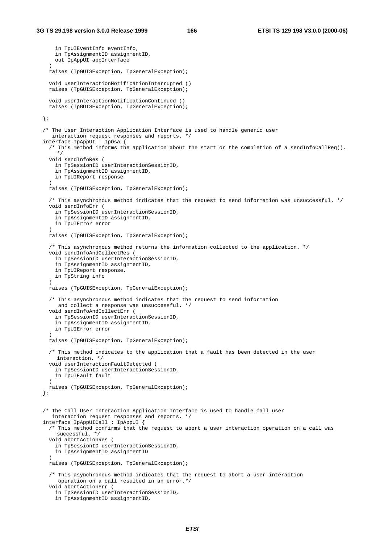```
in TpUIEventInfo eventInfo,
   in TpAssignmentID assignmentID,
   out IpAppUI appInterface
  \rightarrowraises (TpGUISException, TpGeneralException);
  void userInteractionNotificationInterrupted ()
 raises (TpGUISException, TpGeneralException);
  void userInteractionNotificationContinued ()
 raises (TpGUISException, TpGeneralException);
};
/* The User Interaction Application Interface is used to handle generic user
  interaction request responses and reports. */
interface IpAppUI : IpOsa {
  /* This method informs the application about the start or the completion of a sendInfoCallReq().
   */
  void sendInfoRes (
   in TpSessionID userInteractionSessionID,
    in TpAssignmentID assignmentID,
   in TpUIReport response
  )
 raises (TpGUISException, TpGeneralException);
  /* This asynchronous method indicates that the request to send information was unsuccessful. */
  void sendInfoErr (
   in TpSessionID userInteractionSessionID,
    in TpAssignmentID assignmentID,
   in TpUIError error
  )
  raises (TpGUISException, TpGeneralException);
  /* This asynchronous method returns the information collected to the application. */
  void sendInfoAndCollectRes (
   in TpSessionID userInteractionSessionID,
   in TpAssignmentID assignmentID,
   in TpUIReport response,
   in TpString info
  )
 raises (TpGUISException, TpGeneralException);
  /* This asynchronous method indicates that the request to send information
    and collect a response was unsuccessful. */
  void sendInfoAndCollectErr (
   in TpSessionID userInteractionSessionID,
    in TpAssignmentID assignmentID,
   in TpUIError error
  )
 raises (TpGUISException, TpGeneralException);
  /* This method indicates to the application that a fault has been detected in the user
    interaction. */
  void userInteractionFaultDetected (
   in TpSessionID userInteractionSessionID,
    in TpUIFault fault
  )
 raises (TpGUISException, TpGeneralException);
};
/* The Call User Interaction Application Interface is used to handle call user
   interaction request responses and reports. */
interface IpAppUICall : IpAppUI {
  /* This method confirms that the request to abort a user interaction operation on a call was
    successful. */
  void abortActionRes (
   in TpSessionID userInteractionSessionID,
   in TpAssignmentID assignmentID
  )
 raises (TpGUISException, TpGeneralException);
  /* This asynchronous method indicates that the request to abort a user interaction
     operation on a call resulted in an error.*/
  void abortActionErr (
   in TpSessionID userInteractionSessionID,
   in TpAssignmentID assignmentID,
```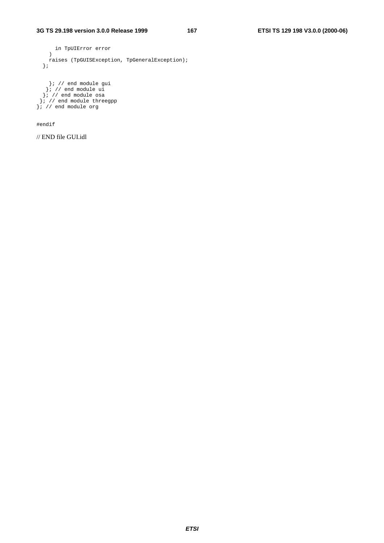```
in TpUIError error
  )
  raises (TpGUISException, TpGeneralException);
};
  }; // end module gui
 }; // end module ui
}; // end module osa
```
}; // end module threegpp }; // end module org

#endif

// END file GUI.idl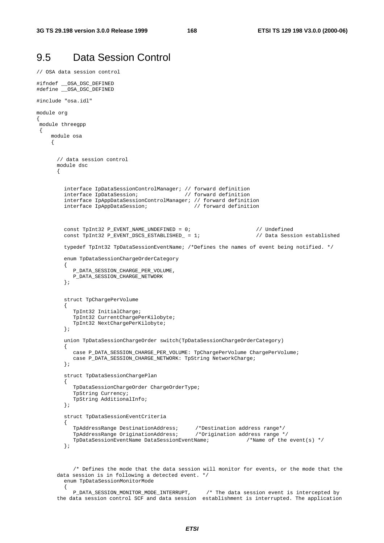{

# 9.5 Data Session Control

```
// OSA data session control
#ifndef __OSA_DSC_DEFINED
#define __OSA_DSC_DEFINED
#include "osa.idl"
module org
{
module threegpp
 {
    module osa
    {
      // data session control
      module dsc
      {
        interface IpDataSessionControlManager; // forward definition
        interface IpDataSession; // forward definition
         interface IpAppDataSessionControlManager; // forward definition
        interface IpAppDataSession; // forward definition
         const TpInt32 P_EVENT_NAME_UNDEFINED = 0;<br>const TpInt32 P_EVENT_DSCS_ESTABLISHED_ = 1; // Data Session established
         const TpInt32 P_EVENT_DSCS_ESTABLISHED_ = 1;
         typedef TpInt32 TpDataSessionEventName; /*Defines the names of event being notified. */
         enum TpDataSessionChargeOrderCategory
         {
           P_DATA_SESSION_CHARGE_PER_VOLUME,
           P_DATA_SESSION_CHARGE_NETWORK
         };
         struct TpChargePerVolume
         {
           TpInt32 InitialCharge;
           TpInt32 CurrentChargePerKilobyte;
           TpInt32 NextChargePerKilobyte;
         };
         union TpDataSessionChargeOrder switch(TpDataSessionChargeOrderCategory)
         {
           case P_DATA_SESSION_CHARGE_PER_VOLUME: TpChargePerVolume ChargePerVolume;
           case P_DATA_SESSION_CHARGE_NETWORK: TpString NetworkCharge;
         };
         struct TpDataSessionChargePlan
         {
           TpDataSessionChargeOrder ChargeOrderType;
           TpString Currency;
           TpString AdditionalInfo;
         };
         struct TpDataSessionEventCriteria
         {
            TpAddressRange DestinationAddress; /*Destination address range*/
            TpAddressRange OriginationAddress; /*Origination address range */
           TpDataSessionEventName DataSessionEventName; /*Name of the event(s) */
         };
```
/\* Defines the mode that the data session will monitor for events, or the mode that the data session is in following a detected event. \*/ enum TpDataSessionMonitorMode

P\_DATA\_SESSION\_MONITOR\_MODE\_INTERRUPT, /\* The data session event is intercepted by the data session control SCF and data session establishment is interrupted. The application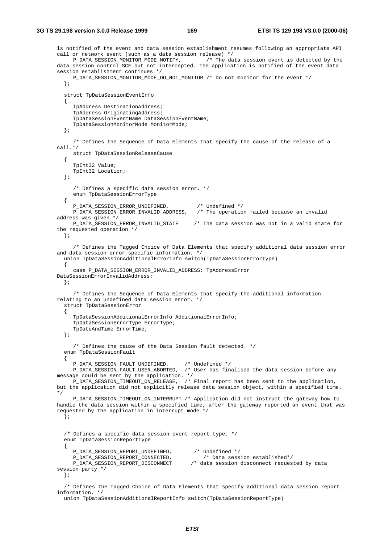```
is notified of the event and data session establishment resumes following an appropriate API
call or network event (such as a data session release) */
    P_DATA_SESSION_MONITOR_MODE_NOTIFY, /* The data session event is detected by the
data session control SCF but not intercepted. The application is notified of the event data
session establishment continues */
    P_DATA_SESSION_MONITOR_MODE_DO_NOT_MONITOR /* Do not monitor for the event */
  };
  struct TpDataSessionEventInfo
  {
     TpAddress DestinationAddress;
     TpAddress OriginatingAddress;
     TpDataSessionEventName DataSessionEventName;
     TpDataSessionMonitorMode MonitorMode;
  };
     /* Defines the Sequence of Data Elements that specify the cause of the release of a
call.*/
    struct TpDataSessionReleaseCause
  {
     TpInt32 Value;
    TpInt32 Location;
  };
     /* Defines a specific data session error. */
     enum TpDataSessionErrorType
  {
     P_DATA_SESSION_ERROR_UNDEFINED, /* Undefined */
    P_DATA_SESSION_ERROR_INVALID_ADDRESS, /* The operation failed because an invalid
address was given */
    P_DATA_SESSION_ERROR_INVALID_STATE /* The data session was not in a valid state for
the requested operation */
 };
     /* Defines the Tagged Choice of Data Elements that specify additional data session error
and data session error specific information. */
  union TpDataSessionAdditionalErrorInfo switch(TpDataSessionErrorType)
  {
     case P_DATA_SESSION_ERROR_INVALID_ADDRESS: TpAddressError
DataSessionErrorInvalidAddress;
  };
     /* Defines the Sequence of Data Elements that specify the additional information
relating to an undefined data session error. */
  struct TpDataSessionError
  {
     TpDataSessionAdditionalErrorInfo AdditionalErrorInfo;
     TpDataSessionErrorType ErrorType;
     TpDateAndTime ErrorTime;
  };
     /* Defines the cause of the Data Session fault detected. */
  enum TpDataSessionFault
  {
     P_DATA_SESSION_FAULT_UNDEFINED, /* Undefined */
    P_DATA_SESSION_FAULT_USER_ABORTED, /* User has finalised the data session before any
message could be sent by the application. */
    P_DATA_SESSION_TIMEOUT_ON_RELEASE, /* Final report has been sent to the application,
but the application did not explicitly release data session object, within a specified time.
*/
    P_DATA_SESSION_TIMEOUT_ON_INTERRUPT /* Application did not instruct the gateway how to
handle the data session within a specified time, after the gateway reported an event that was
requested by the application in interrupt mode.*/
  };
  /* Defines a specific data session event report type. */
  enum TpDataSessionReportType
  {
     P_DATA_SESSION_REPORT_UNDEFINED, /* Undefined */
     P_DATA_SESSION_REPORT_CONNECTED, /* Data session established*/
    P_DATA_SESSION_REPORT_DISCONNECT /* data session disconnect requested by data
session party */
  };
```
/\* Defines the Tagged Choice of Data Elements that specify additional data session report information. \*/

union TpDataSessionAdditionalReportInfo switch(TpDataSessionReportType)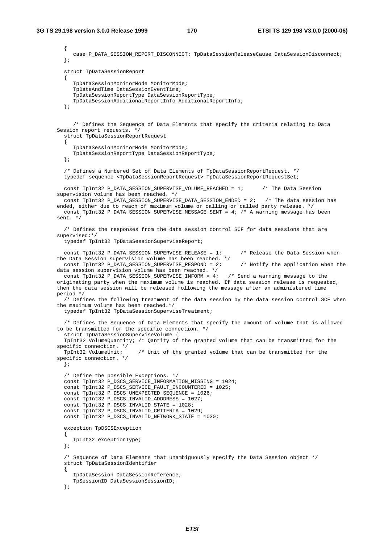{ case P\_DATA\_SESSION\_REPORT\_DISCONNECT: TpDataSessionReleaseCause DataSessionDisconnect; }; struct TpDataSessionReport  $\left\{ \right.$ TpDataSessionMonitorMode MonitorMode; TpDateAndTime DataSessionEventTime; TpDataSessionReportType DataSessionReportType; TpDataSessionAdditionalReportInfo AdditionalReportInfo; }; /\* Defines the Sequence of Data Elements that specify the criteria relating to Data Session report requests. \*/ struct TpDataSessionReportRequest { TpDataSessionMonitorMode MonitorMode; TpDataSessionReportType DataSessionReportType; }; /\* Defines a Numbered Set of Data Elements of TpDataSessionReportRequest. \*/ typedef sequence <TpDataSessionReportRequest> TpDataSessionReportRequestSet; const TpInt32 P\_DATA\_SESSION\_SUPERVISE\_VOLUME\_REACHED = 1; /\* The Data Session supervision volume has been reached. \*/ const TpInt32 P\_DATA\_SESSION\_SUPERVISE\_DATA\_SESSION\_ENDED = 2; /\* The data session has ended, either due to reach of maximum volume or calling or called party release. \*/ const TpInt32 P\_DATA\_SESSION\_SUPERVISE\_MESSAGE\_SENT = 4; /\* A warning message has been sent. \*/ /\* Defines the responses from the data session control SCF for data sessions that are supervised:\*/ typedef TpInt32 TpDataSessionSuperviseReport; const TpInt32 P\_DATA\_SESSION\_SUPERVISE\_RELEASE = 1; /\* Release the Data Session when the Data Session supervision volume has been reached. \*/ const TpInt32 P\_DATA\_SESSION\_SUPERVISE\_RESPOND = 2; /\* Notify the application when the data session supervision volume has been reached. \*/ const TpInt32 P\_DATA\_SESSION\_SUPERVISE\_INFORM = 4; /\* Send a warning message to the originating party when the maximum volume is reached. If data session release is requested, then the data session will be released following the message after an administered time period \*/ /\* Defines the following treatment of the data session by the data session control SCF when the maximum volume has been reached.\*/ typedef TpInt32 TpDataSessionSuperviseTreatment; /\* Defines the Sequence of Data Elements that specify the amount of volume that is allowed to be transmitted for the specific connection. \*/ struct TpDataSessionSuperviseVolume { TpInt32 VolumeQuantity; /\* Qantity of the granted volume that can be transmitted for the specific connection. \*/ TpInt32 VolumeUnit; /\* Unit of the granted volume that can be transmitted for the specific connection. \*/ }; /\* Define the possible Exceptions. \*/ const TpInt32 P\_DSCS\_SERVICE\_INFORMATION\_MISSING = 1024; const TpInt32 P\_DSCS\_SERVICE\_FAULT\_ENCOUNTERED = 1025; const TpInt32 P\_DSCS\_UNEXPECTED\_SEQUENCE = 1026; const TpInt32 P\_DSCS\_INVALID\_ADDDRESS = 1027; const TpInt32 P\_DSCS\_INVALID\_STATE = 1028; const TpInt32 P\_DSCS\_INVALID\_CRITERIA = 1029; const TpInt32 P\_DSCS\_INVALID\_NETWORK\_STATE = 1030; exception TpDSCSException { TpInt32 exceptionType; }; /\* Sequence of Data Elements that unambiguously specify the Data Session object \*/ struct TpDataSessionIdentifier { IpDataSession DataSessionReference; TpSessionID DataSessionSessionID; };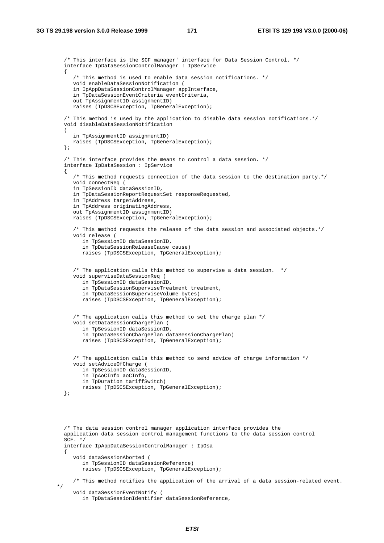/\* This interface is the SCF manager' interface for Data Session Control. \*/ interface IpDataSessionControlManager : IpService { /\* This method is used to enable data session notifications. \*/ void enableDataSessionNotification ( in IpAppDataSessionControlManager appInterface, in TpDataSessionEventCriteria eventCriteria, out TpAssignmentID assignmentID) raises (TpDSCSException, TpGeneralException); /\* This method is used by the application to disable data session notifications.\*/ void disableDataSessionNotification ( in TpAssignmentID assignmentID) raises (TpDSCSException, TpGeneralException); }; /\* This interface provides the means to control a data session. \*/ interface IpDataSession : IpService { /\* This method requests connection of the data session to the destination party.\*/ void connectReq ( in TpSessionID dataSessionID, in TpDataSessionReportRequestSet responseRequested, in TpAddress targetAddress, in TpAddress originatingAddress, out TpAssignmentID assignmentID) raises (TpDSCSException, TpGeneralException); /\* This method requests the release of the data session and associated objects.\*/ void release ( in TpSessionID dataSessionID, in TpDataSessionReleaseCause cause) raises (TpDSCSException, TpGeneralException); /\* The application calls this method to supervise a data session. \*/ void superviseDataSessionReq ( in TpSessionID dataSessionID, in TpDataSessionSuperviseTreatment treatment, in TpDataSessionSuperviseVolume bytes) raises (TpDSCSException, TpGeneralException);  $/*$  The application calls this method to set the charge plan  $*/$ void setDataSessionChargePlan ( in TpSessionID dataSessionID, in TpDataSessionChargePlan dataSessionChargePlan) raises (TpDSCSException, TpGeneralException); /\* The application calls this method to send advice of charge information \*/ void setAdviceOfCharge ( in TpSessionID dataSessionID, in TpAoCInfo aoCInfo, in TpDuration tariffSwitch) raises (TpDSCSException, TpGeneralException); }; /\* The data session control manager application interface provides the application data session control management functions to the data session control  $SCF. * /$ interface IpAppDataSessionControlManager : IpOsa { void dataSessionAborted ( in TpSessionID dataSessionReference)

\*/

```
void dataSessionEventNotify (
   in TpDataSessionIdentifier dataSessionReference,
```
raises (TpDSCSException, TpGeneralException);

/\* This method notifies the application of the arrival of a data session-related event.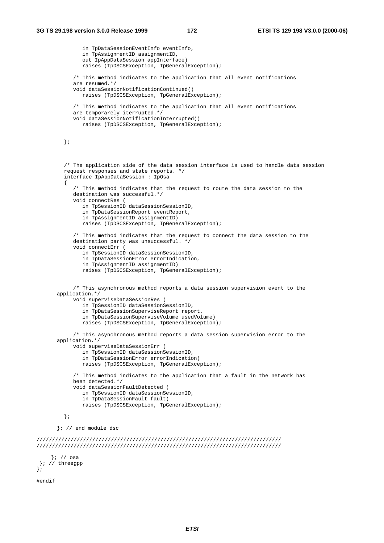};

```
in TpDataSessionEventInfo eventInfo,
              in TpAssignmentID assignmentID,
              out IpAppDataSession appInterface)
              raises (TpDSCSException, TpGeneralException);
            /* This method indicates to the application that all event notifications
           are resumed.*/
           void dataSessionNotificationContinued()
              raises (TpDSCSException, TpGeneralException);
            /* This method indicates to the application that all event notifications
           are temporarely iterrupted.*/
           void dataSessionNotificationInterrupted()
              raises (TpDSCSException, TpGeneralException);
        };
         /* The application side of the data session interface is used to handle data session
         request responses and state reports. */
         interface IpAppDataSession : IpOsa
         {
            /* This method indicates that the request to route the data session to the
           destination was successful.*/
           void connectRes (
              in TpSessionID dataSessionSessionID,
              in TpDataSessionReport eventReport,
              in TpAssignmentID assignmentID)
              raises (TpDSCSException, TpGeneralException);
            /* This method indicates that the request to connect the data session to the
           destination party was unsuccessful. */
           void connectErr (
              in TpSessionID dataSessionSessionID,
              in TpDataSessionError errorIndication,
              in TpAssignmentID assignmentID)
              raises (TpDSCSException, TpGeneralException);
            /* This asynchronous method reports a data session supervision event to the
      application.*/
            void superviseDataSessionRes (
              in TpSessionID dataSessionSessionID,
              in TpDataSessionSuperviseReport report,
              in TpDataSessionSuperviseVolume usedVolume)
              raises (TpDSCSException, TpGeneralException);
            /* This asynchronous method reports a data session supervision error to the
      application.*/
           void superviseDataSessionErr (
              in TpSessionID dataSessionSessionID,
              in TpDataSessionError errorIndication)
              raises (TpDSCSException, TpGeneralException);
            /* This method indicates to the application that a fault in the network has
           been detected.*/
           void dataSessionFaultDetected (
              in TpSessionID dataSessionSessionID,
              in TpDataSessionFault fault)
              raises (TpDSCSException, TpGeneralException);
         };
      }; // end module dsc
///////////////////////////////////////////////////////////////////////////////
///////////////////////////////////////////////////////////////////////////////
    }; // osa
}; // threegpp
#endif
```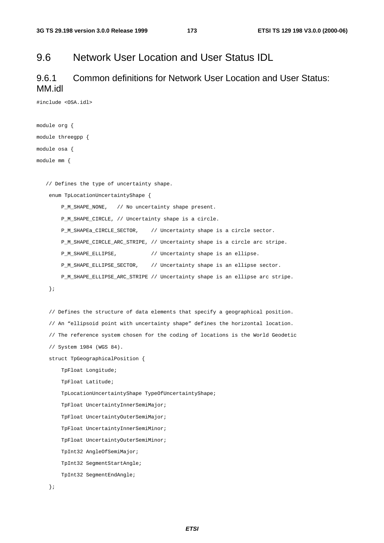#### 9.6 Network User Location and User Status IDL

#### 9.6.1 Common definitions for Network User Location and User Status: MM.idl

#include <OSA.idl>

```
module org {
module threegpp {
module osa {
module mm {
   // Defines the type of uncertainty shape.
    enum TpLocationUncertaintyShape {
       P_M_SHAPE_NONE, // No uncertainty shape present.
       P_M_SHAPE_CIRCLE, // Uncertainty shape is a circle.
       P_M_SHAPEa_CIRCLE_SECTOR, // Uncertainty shape is a circle sector.
        P_M_SHAPE_CIRCLE_ARC_STRIPE, // Uncertainty shape is a circle arc stripe.
       P_M_SHAPE_ELLIPSE, // Uncertainty shape is an ellipse.
       P_M_SHAPE_ELLIPSE_SECTOR, // Uncertainty shape is an ellipse sector.
       P_M_SHAPE_ELLIPSE_ARC_STRIPE // Uncertainty shape is an ellipse arc stripe.
    };
    // Defines the structure of data elements that specify a geographical position.
    // An "ellipsoid point with uncertainty shape" defines the horizontal location.
    // The reference system chosen for the coding of locations is the World Geodetic
    // System 1984 (WGS 84).
    struct TpGeographicalPosition {
       TpFloat Longitude;
       TpFloat Latitude;
       TpLocationUncertaintyShape TypeOfUncertaintyShape;
       TpFloat UncertaintyInnerSemiMajor;
       TpFloat UncertaintyOuterSemiMajor;
       TpFloat UncertaintyInnerSemiMinor;
       TpFloat UncertaintyOuterSemiMinor;
       TpInt32 AngleOfSemiMajor;
       TpInt32 SegmentStartAngle;
       TpInt32 SegmentEndAngle;
```

```
};
```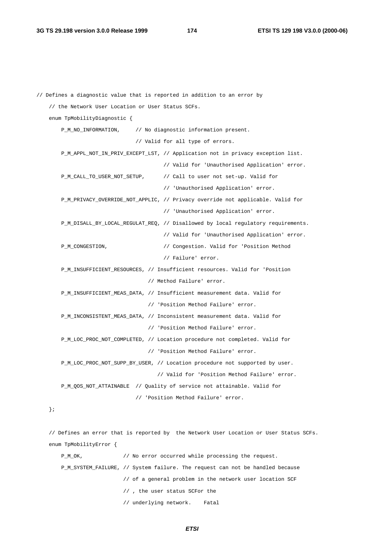```
// Defines a diagnostic value that is reported in addition to an error by
   // the Network User Location or User Status SCFs.
   enum TpMobilityDiagnostic {
       P_M_NO_INFORMATION, // No diagnostic information present.
                               // Valid for all type of errors.
       P_M_APPL_NOT_IN_PRIV_EXCEPT_LST, // Application not in privacy exception list.
                                        // Valid for 'Unauthorised Application' error.
       P_M_CALL_TO_USER_NOT_SETUP, // Call to user not set-up. Valid for
                                        // 'Unauthorised Application' error.
       P_M_PRIVACY_OVERRIDE_NOT_APPLIC, // Privacy override not applicable. Valid for
                                        // 'Unauthorised Application' error.
       P_M_DISALL_BY_LOCAL_REGULAT_REQ, // Disallowed by local regulatory requirements.
                                        // Valid for 'Unauthorised Application' error.
       P_M_CONGESTION, \frac{1}{2} // Congestion. Valid for 'Position Method
                                        // Failure' error.
       P_M_INSUFFICIENT_RESOURCES, // Insufficient resources. Valid for 'Position
                                   // Method Failure' error.
       P_M_INSUFFICIENT_MEAS_DATA, // Insufficient measurement data. Valid for
                                   // 'Position Method Failure' error.
       P_M_INCONSISTENT_MEAS_DATA, // Inconsistent measurement data. Valid for
                                   // 'Position Method Failure' error.
       P_M_LOC_PROC_NOT_COMPLETED, // Location procedure not completed. Valid for
                                   // 'Position Method Failure' error.
       P_M_LOC_PROC_NOT_SUPP_BY_USER, // Location procedure not supported by user.
                                      // Valid for 'Position Method Failure' error.
       P_M_QOS_NOT_ATTAINABLE // Quality of service not attainable. Valid for
                               // 'Position Method Failure' error.
```
};

// Defines an error that is reported by the Network User Location or User Status SCFs. enum TpMobilityError {

P\_M\_OK,  $\prime$  // No error occurred while processing the request. P\_M\_SYSTEM\_FAILURE, // System failure. The request can not be handled because // of a general problem in the network user location SCF // , the user status SCFor the // underlying network. Fatal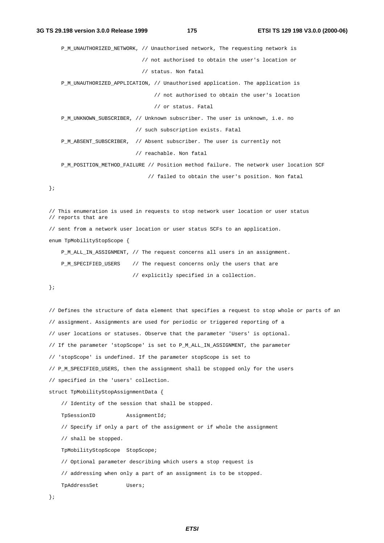P\_M\_UNAUTHORIZED\_NETWORK, // Unauthorised network, The requesting network is // not authorised to obtain the user's location or // status. Non fatal

P\_M\_UNAUTHORIZED\_APPLICATION, // Unauthorised application. The application is

// not authorised to obtain the user's location

// or status. Fatal

P\_M\_UNKNOWN\_SUBSCRIBER, // Unknown subscriber. The user is unknown, i.e. no // such subscription exists. Fatal

P\_M\_ABSENT\_SUBSCRIBER, // Absent subscriber. The user is currently not // reachable. Non fatal

P\_M\_POSITION\_METHOD\_FAILURE // Position method failure. The network user location SCF // failed to obtain the user's position. Non fatal

};

// This enumeration is used in requests to stop network user location or user status // reports that are // sent from a network user location or user status SCFs to an application. enum TpMobilityStopScope { P\_M\_ALL\_IN\_ASSIGNMENT, // The request concerns all users in an assignment.

```
P_M_SPECIFIED_USERS // The request concerns only the users that are
                      // explicitly specified in a collection.
```
};

```
// Defines the structure of data element that specifies a request to stop whole or parts of an
// assignment. Assignments are used for periodic or triggered reporting of a
// user locations or statuses. Observe that the parameter 'Users' is optional.
// If the parameter 'stopScope' is set to P_M_ALL_IN_ASSIGNMENT, the parameter
// 'stopScope' is undefined. If the parameter stopScope is set to
// P_M_SPECIFIED_USERS, then the assignment shall be stopped only for the users
// specified in the 'users' collection.
struct TpMobilityStopAssignmentData {
    // Identity of the session that shall be stopped.
   TpSessionID AssignmentId;
    // Specify if only a part of the assignment or if whole the assignment
    // shall be stopped.
   TpMobilityStopScope StopScope;
    // Optional parameter describing which users a stop request is
    // addressing when only a part of an assignment is to be stopped.
   TpAddressSet Users;
```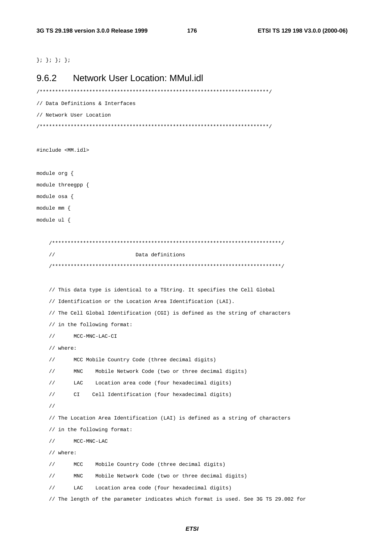$\}$ ;  $\}$ ;  $\}$ ;  $\}$ ;

# 9.6.2 Network User Location: MMul.idl /\*\*\*\*\*\*\*\*\*\*\*\*\*\*\*\*\*\*\*\*\*\*\*\*\*\*\*\*\*\*\*\*\*\*\*\*\*\*\*\*\*\*\*\*\*\*\*\*\*\*\*\*\*\*\*\*\*\*\*\*\*\*\*\*\*\*\*\*\*\*\*\*\*\*/ // Data Definitions & Interfaces // Network User Location /\*\*\*\*\*\*\*\*\*\*\*\*\*\*\*\*\*\*\*\*\*\*\*\*\*\*\*\*\*\*\*\*\*\*\*\*\*\*\*\*\*\*\*\*\*\*\*\*\*\*\*\*\*\*\*\*\*\*\*\*\*\*\*\*\*\*\*\*\*\*\*\*\*\*/ #include <MM.idl> module org { module threegpp { module osa { module mm { module ul { /\*\*\*\*\*\*\*\*\*\*\*\*\*\*\*\*\*\*\*\*\*\*\*\*\*\*\*\*\*\*\*\*\*\*\*\*\*\*\*\*\*\*\*\*\*\*\*\*\*\*\*\*\*\*\*\*\*\*\*\*\*\*\*\*\*\*\*\*\*\*\*\*\*\*/ // Data definitions /\*\*\*\*\*\*\*\*\*\*\*\*\*\*\*\*\*\*\*\*\*\*\*\*\*\*\*\*\*\*\*\*\*\*\*\*\*\*\*\*\*\*\*\*\*\*\*\*\*\*\*\*\*\*\*\*\*\*\*\*\*\*\*\*\*\*\*\*\*\*\*\*\*\*/ // This data type is identical to a TString. It specifies the Cell Global // Identification or the Location Area Identification (LAI). // The Cell Global Identification (CGI) is defined as the string of characters // in the following format: // MCC-MNC-LAC-CI // where: // MCC Mobile Country Code (three decimal digits) // MNC Mobile Network Code (two or three decimal digits) // LAC Location area code (four hexadecimal digits) // CI Cell Identification (four hexadecimal digits) // // The Location Area Identification (LAI) is defined as a string of characters // in the following format: // MCC-MNC-LAC // where: // MCC Mobile Country Code (three decimal digits) // MNC Mobile Network Code (two or three decimal digits) // LAC Location area code (four hexadecimal digits) // The length of the parameter indicates which format is used. See 3G TS 29.002 for

**ETSI**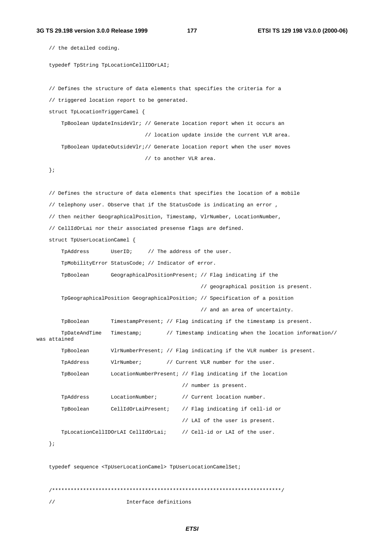```
// the detailed coding.
   typedef TpString TpLocationCellIDOrLAI;
   // Defines the structure of data elements that specifies the criteria for a
   // triggered location report to be generated.
   struct TpLocationTriggerCamel {
       TpBoolean UpdateInsideVlr; // Generate location report when it occurs an
                                 // location update inside the current VLR area.
       TpBoolean UpdateOutsideVlr;// Generate location report when the user moves
                                 // to another VLR area.
   };
   // Defines the structure of data elements that specifies the location of a mobile
   // telephony user. Observe that if the StatusCode is indicating an error ,
   // then neither GeographicalPosition, Timestamp, VlrNumber, LocationNumber,
   // CellIdOrLai nor their associated presense flags are defined.
   struct TpUserLocationCamel {
       TpAddress UserID; // The address of the user.
       TpMobilityError StatusCode; // Indicator of error.
       TpBoolean GeographicalPositionPresent; // Flag indicating if the
                                                   // geographical position is present.
       TpGeographicalPosition GeographicalPosition; // Specification of a position
                                                   // and an area of uncertainty.
       TpBoolean TimestampPresent; // Flag indicating if the timestamp is present.
       TpDateAndTime Timestamp; // Timestamp indicating when the location information//
was attained
       TpBoolean VlrNumberPresent; // Flag indicating if the VLR number is present.
       TpAddress VlrNumber; // Current VLR number for the user.
       TpBoolean LocationNumberPresent; // Flag indicating if the location
                                             // number is present.
       TpAddress LocationNumber; // Current location number.
       TpBoolean CellIdOrLaiPresent; // Flag indicating if cell-id or
                                             // LAI of the user is present.
       TpLocationCellIDOrLAI CellIdOrLai; // Cell-id or LAI of the user.
   };
   typedef sequence <TpUserLocationCamel> TpUserLocationCamelSet;
    /**************************************************************************/
```
// Interface definitions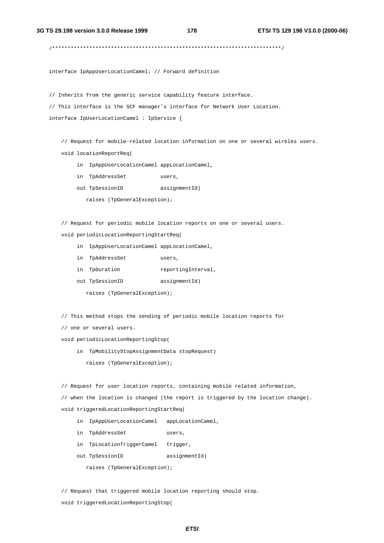/\*\*\*\*\*\*\*\*\*\*\*\*\*\*\*\*\*\*\*\*\*\*\*\*\*\*\*\*\*\*\*\*\*\*\*\*\*\*\*\*\*\*\*\*\*\*\*\*\*\*\*\*\*\*\*\*\*\*\*\*\*\*\*\*\*\*\*\*\*\*\*\*\*\*/

interface IpAppUserLocationCamel; // Forward definition

// Inherits from the generic service capability feature interface.

// This interface is the SCF manager's interface for Network User Location. interface IpUserLocationCamel : IpService {

// Request for mobile-related location information on one or several wireles users. void locationReportReq(

- in IpAppUserLocationCamel appLocationCamel,
- in TpAddressSet users,
- out TpSessionID assignmentId)

raises (TpGeneralException);

// Request for periodic mobile location reports on one or several users.

- void periodicLocationReportingStartReq(
	- in IpAppUserLocationCamel appLocationCamel,
	- in TpAddressSet users,
	- in TpDuration reportingInterval,
	- out TpSessionID assignmentId)
		- raises (TpGeneralException);

// This method stops the sending of periodic mobile location reports for

// one or several users.

void periodicLocationReportingStop(

in TpMobilityStopAssignmentData stopRequest)

raises (TpGeneralException);

// Request for user location reports, containing mobile related information,

// when the location is changed (the report is triggered by the location change). void triggeredLocationReportingStartReq(

- in IpAppUserLocationCamel appLocationCamel,
- in TpAddressSet users,
- in TpLocationTriggerCamel trigger,
- out TpSessionID assignmentId)

raises (TpGeneralException);

// Request that triggered mobile location reporting should stop. void triggeredLocationReportingStop(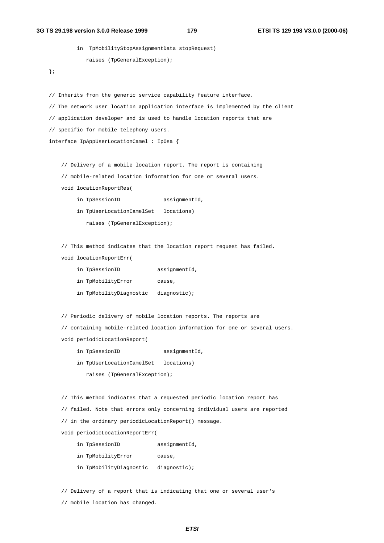#### **3G TS 29.198 version 3.0.0 Release 1999 179 ETSI TS 129 198 V3.0.0 (2000-06)**

```
in TpMobilityStopAssignmentData stopRequest)
           raises (TpGeneralException);
};
// Inherits from the generic service capability feature interface.
// The network user location application interface is implemented by the client
// application developer and is used to handle location reports that are
// specific for mobile telephony users.
interface IpAppUserLocationCamel : IpOsa {
   // Delivery of a mobile location report. The report is containing
   // mobile-related location information for one or several users.
   void locationReportRes(
        in TpSessionID assignmentId,
        in TpUserLocationCamelSet locations)
           raises (TpGeneralException);
   // This method indicates that the location report request has failed.
   void locationReportErr(
        in TpSessionID assignmentId,
        in TpMobilityError cause,
        in TpMobilityDiagnostic diagnostic);
   // Periodic delivery of mobile location reports. The reports are
   // containing mobile-related location information for one or several users.
   void periodicLocationReport(
        in TpSessionID assignmentId,
        in TpUserLocationCamelSet locations)
           raises (TpGeneralException);
   // This method indicates that a requested periodic location report has
   // failed. Note that errors only concerning individual users are reported
   // in the ordinary periodicLocationReport() message.
   void periodicLocationReportErr(
        in TpSessionID assignmentId,
        in TpMobilityError cause,
        in TpMobilityDiagnostic diagnostic);
   // Delivery of a report that is indicating that one or several user's
```
// mobile location has changed.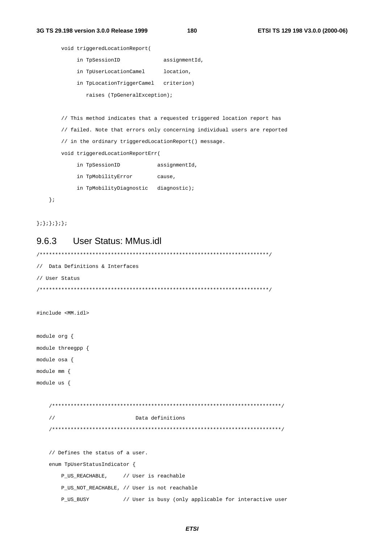180

```
void triggeredLocationReport(
    in TpSessionID
                              assignmentId,
    in TpUserLocationCamel
                              location,
    in TpLocationTriggerCamel criterion)
       raises (TpGeneralException);
// This method indicates that a requested triggered location report has
// failed. Note that errors only concerning individual users are reported
// in the ordinary triggeredLocationReport() message.
void triggeredLocationReportErr(
    in TpSessionID
                           assignmentId,
    in TpMobilityError cause,
    in TpMobilityDiagnostic diagnostic);
```

```
\} ;
```
 $\{i\}; \{i\}; \{i\}; \{i\}$ 

## **User Status: MMus.idl** 9.6.3

```
// Data Definitions & Interfaces
// User Status
#include <MM.idl>
module org {
module threegpp {
module osa {
module mm {
module us {
  Data definitions
  \frac{1}{2}// Defines the status of a user.
  enum TpUserStatusIndicator {
    P_US_REACHABLE, // User is reachable
    P_US_NOT_REACHABLE, // User is not reachable
    P US BUSY
              // User is busy (only applicable for interactive user
```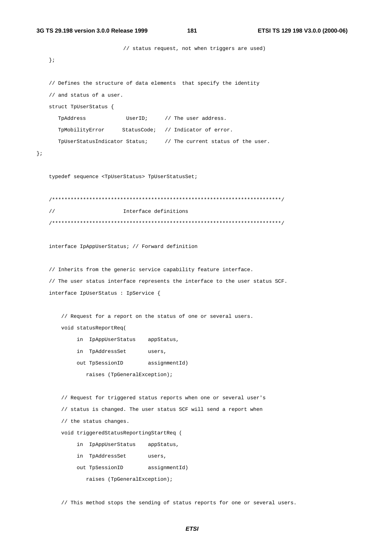181

// status request, not when triggers are used)  $\}$ ; // Defines the structure of data elements that specify the identity // and status of a user. struct TpUserStatus { TpAddress UserID;  $//$  The user address. StatusCode; // Indicator of error. TpMobilityError TpUserStatusIndicator Status; // The current status of the user.  $\}$ ; typedef sequence <TpUserStatus> TpUserStatusSet; Interface definitions interface IpAppUserStatus; // Forward definition // Inherits from the generic service capability feature interface. // The user status interface represents the interface to the user status SCF. interface IpUserStatus : IpService { // Request for a report on the status of one or several users. void statusReportReq( in IpAppUserStatus appStatus, in TpAddressSet users, assignmentId) out TpSessionID raises (TpGeneralException); // Request for triggered status reports when one or several user's // status is changed. The user status SCF will send a report when // the status changes. void triggeredStatusReportingStartReq ( in IpAppUserStatus appStatus, in TpAddressSet users, out TpSessionID assignmentId) raises (TpGeneralException);

// This method stops the sending of status reports for one or several users.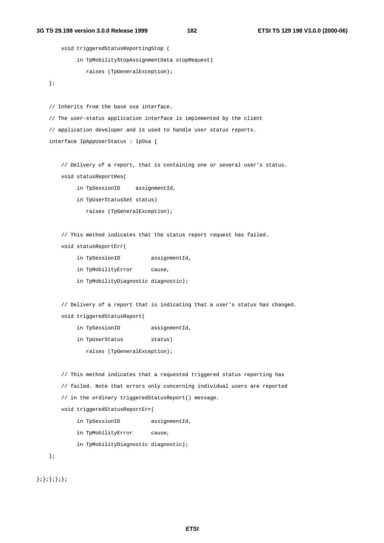```
void triggeredStatusReportingStop (
        in TpMobilityStopAssignmentData stopRequest)
           raises (TpGeneralException);
};
// Inherits from the base osa interface.
// The user-status application interface is implemented by the client
// application developer and is used to handle user status reports.
interface IpAppUserStatus : IpOsa {
   // Delivery of a report, that is containing one or several user's status.
   void statusReportRes(
        in TpSessionID assignmentId,
        in TpUserStatusSet status)
           raises (TpGeneralException);
   // This method indicates that the status report request has failed.
   void statusReportErr(
        in TpSessionID assignmentId,
        in TpMobilityError cause,
        in TpMobilityDiagnostic diagnostic);
   // Delivery of a report that is indicating that a user's status has changed.
   void triggeredStatusReport(
        in TpSessionID assignmentId,
        in TpUserStatus status)
           raises (TpGeneralException);
   // This method indicates that a requested triggered status reporting has
   // failed. Note that errors only concerning individual users are reported
   // in the ordinary triggeredStatusReport() message.
   void triggeredStatusReportErr(
        in TpSessionID assignmentId,
        in TpMobilityError cause,
        in TpMobilityDiagnostic diagnostic);
};
```
 $\{ ;\}$ ;  $\}$ ;  $\}$ ;  $\}$ ;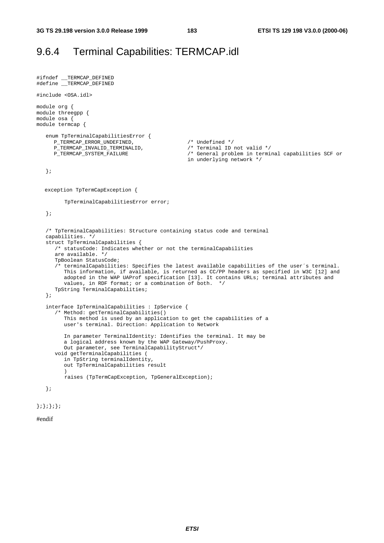## 9.6.4 Terminal Capabilities: TERMCAP.idl

```
#ifndef __TERMCAP_DEFINED
#define __TERMCAP_DEFINED
#include <OSA.idl>
module org {
module threegpp {
module osa {
module termcap {
   enum TpTerminalCapabilitiesError {
     P_TERMCAP_ERROR_UNDEFINED, /* Undefined */
     P_TERMCAP_INVALID_TERMINALID, <br>P_TERMCAP_SYSTEM_FAILURE /* General problem in termi
                                                 /* General problem in terminal capabilities SCF or
                                                 in underlying network */
  };
  exception TpTermCapException {
         TpTerminalCapabilitiesError error;
   };
   /* TpTerminalCapabilities: Structure containing status code and terminal
   capabilities. */
   struct TpTerminalCapabilities {
      /* statusCode: Indicates whether or not the terminalCapabilities
     are available. */
      TpBoolean StatusCode;
      /* terminalCapabilities: Specifies the latest available capabilities of the user´s terminal.
        This information, if available, is returned as CC/PP headers as specified in W3C [12] and
         adopted in the WAP UAProf specification [13]. It contains URLs; terminal attributes and
         values, in RDF format; or a combination of both. */
      TpString TerminalCapabilities;
   };
   interface IpTerminalCapabilities : IpService {
      /* Method: getTerminalCapabilities()
        This method is used by an application to get the capabilities of a
         user's terminal. Direction: Application to Network
         In parameter TerminalIdentity: Identifies the terminal. It may be
         a logical address known by the WAP Gateway/PushProxy.
        Out parameter, see TerminalCapabilityStruct*/
      void getTerminalCapabilities (
         in TpString terminalIdentity,
         out TpTerminalCapabilities result
         )
         raises (TpTermCapException, TpGeneralException);
   };
```

```
};};};};
```

```
#endif
```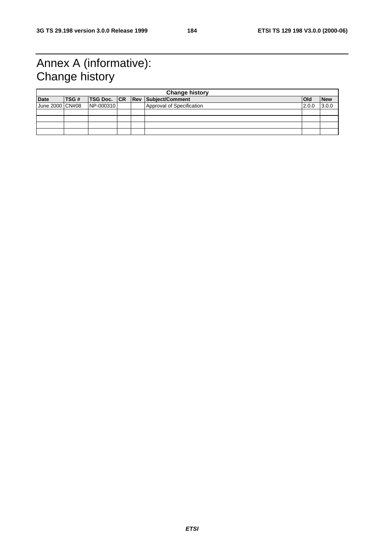## Annex A (informative): Change history

| <b>Change history</b> |             |           |  |  |                                        |            |            |  |
|-----------------------|-------------|-----------|--|--|----------------------------------------|------------|------------|--|
| <b>Date</b>           | <b>TSG#</b> |           |  |  | <b>TSG Doc. CR Rev Subject/Comment</b> | <b>Old</b> | <b>New</b> |  |
| June 2000 CN#08       |             | NP-000310 |  |  | Approval of Specification              | 2.0.0      | 3.0.0      |  |
|                       |             |           |  |  |                                        |            |            |  |
|                       |             |           |  |  |                                        |            |            |  |
|                       |             |           |  |  |                                        |            |            |  |
|                       |             |           |  |  |                                        |            |            |  |